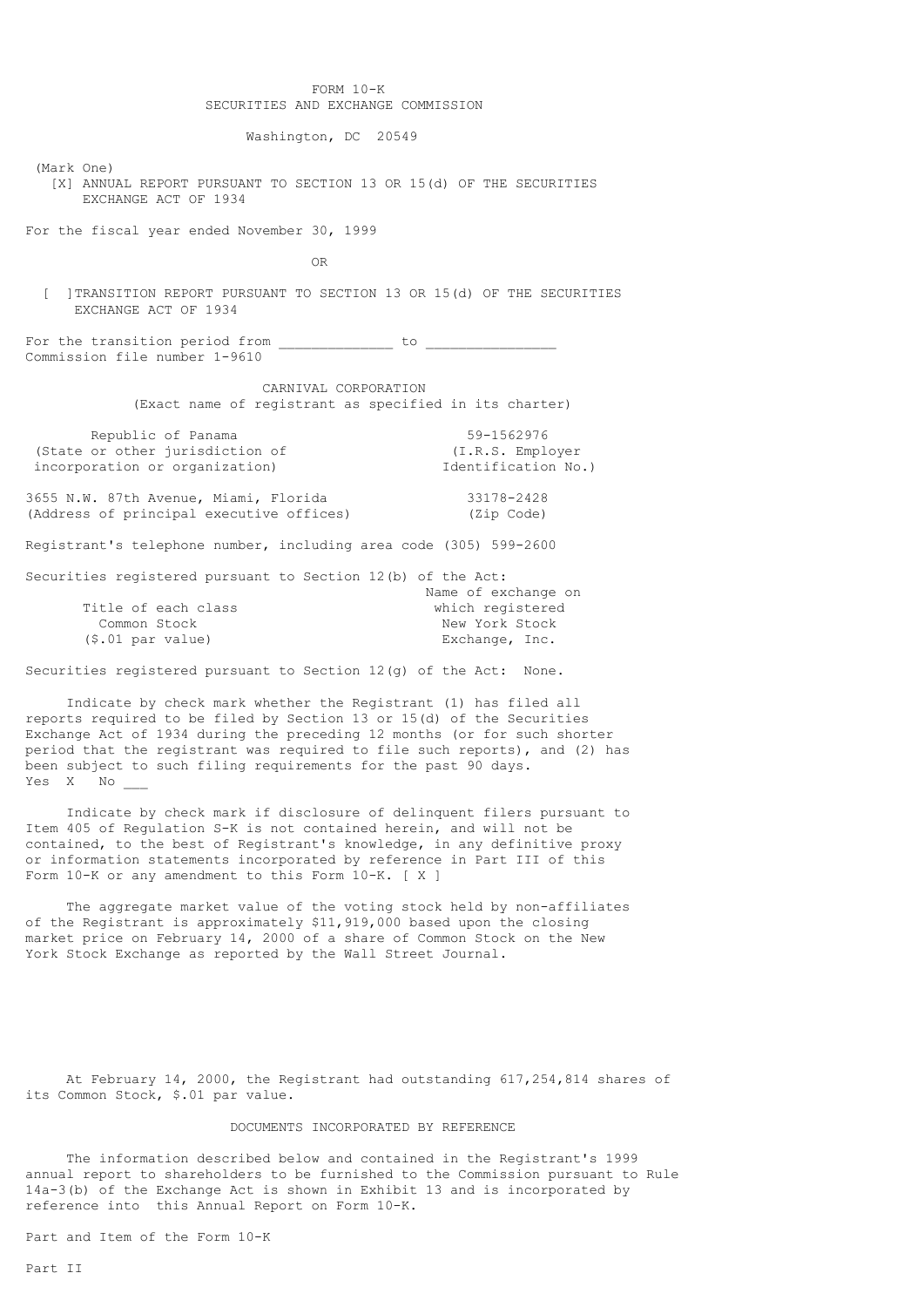# FORM 10-K SECURITIES AND EXCHANGE COMMISSION

Washington, DC 20549

(Mark One)

 [X] ANNUAL REPORT PURSUANT TO SECTION 13 OR 15(d) OF THE SECURITIES EXCHANGE ACT OF 1934

For the fiscal year ended November 30, 1999

OR

[ ] TRANSITION REPORT PURSUANT TO SECTION 13 OR 15(d) OF THE SECURITIES EXCHANGE ACT OF 1934

For the transition period from  $\frac{1}{\sqrt{1-\frac{1}{2}}}\cos\left(\frac{1}{2}t\right)$ Commission file number 1-9610

> CARNIVAL CORPORATION (Exact name of registrant as specified in its charter)

| Republic of Panama              | 59-1562976          |
|---------------------------------|---------------------|
| (State or other jurisdiction of | (I.R.S. Employer)   |
| incorporation or organization)  | Identification No.) |
|                                 |                     |

3655 N.W. 87th Avenue, Miami, Florida 33178-2428 (Address of principal executive offices) (Zip Code)

Registrant's telephone number, including area code (305) 599-2600

| Securities registered pursuant to Section 12(b) of the Act: |  |                     |
|-------------------------------------------------------------|--|---------------------|
|                                                             |  | Name of exchange on |
| Title of each class                                         |  | which registered    |
| Common Stock                                                |  | New York Stock      |
| $(\$.01$ par value)                                         |  | Exchange, Inc.      |

Securities registered pursuant to Section 12(g) of the Act: None.

 Indicate by check mark whether the Registrant (1) has filed all reports required to be filed by Section 13 or 15(d) of the Securities Exchange Act of 1934 during the preceding 12 months (or for such shorter period that the registrant was required to file such reports), and (2) has been subject to such filing requirements for the past 90 days.<br>Yes X No Yes X

 Indicate by check mark if disclosure of delinquent filers pursuant to Item 405 of Regulation S-K is not contained herein, and will not be contained, to the best of Registrant's knowledge, in any definitive proxy or information statements incorporated by reference in Part III of this Form 10-K or any amendment to this Form 10-K. [ X ]

 The aggregate market value of the voting stock held by non-affiliates of the Registrant is approximately \$11,919,000 based upon the closing market price on February 14, 2000 of a share of Common Stock on the New York Stock Exchange as reported by the Wall Street Journal.

 At February 14, 2000, the Registrant had outstanding 617,254,814 shares of its Common Stock, \$.01 par value.

# DOCUMENTS INCORPORATED BY REFERENCE

 The information described below and contained in the Registrant's 1999 annual report to shareholders to be furnished to the Commission pursuant to Rule 14a-3(b) of the Exchange Act is shown in Exhibit 13 and is incorporated by reference into this Annual Report on Form 10-K.

Part and Item of the Form 10-K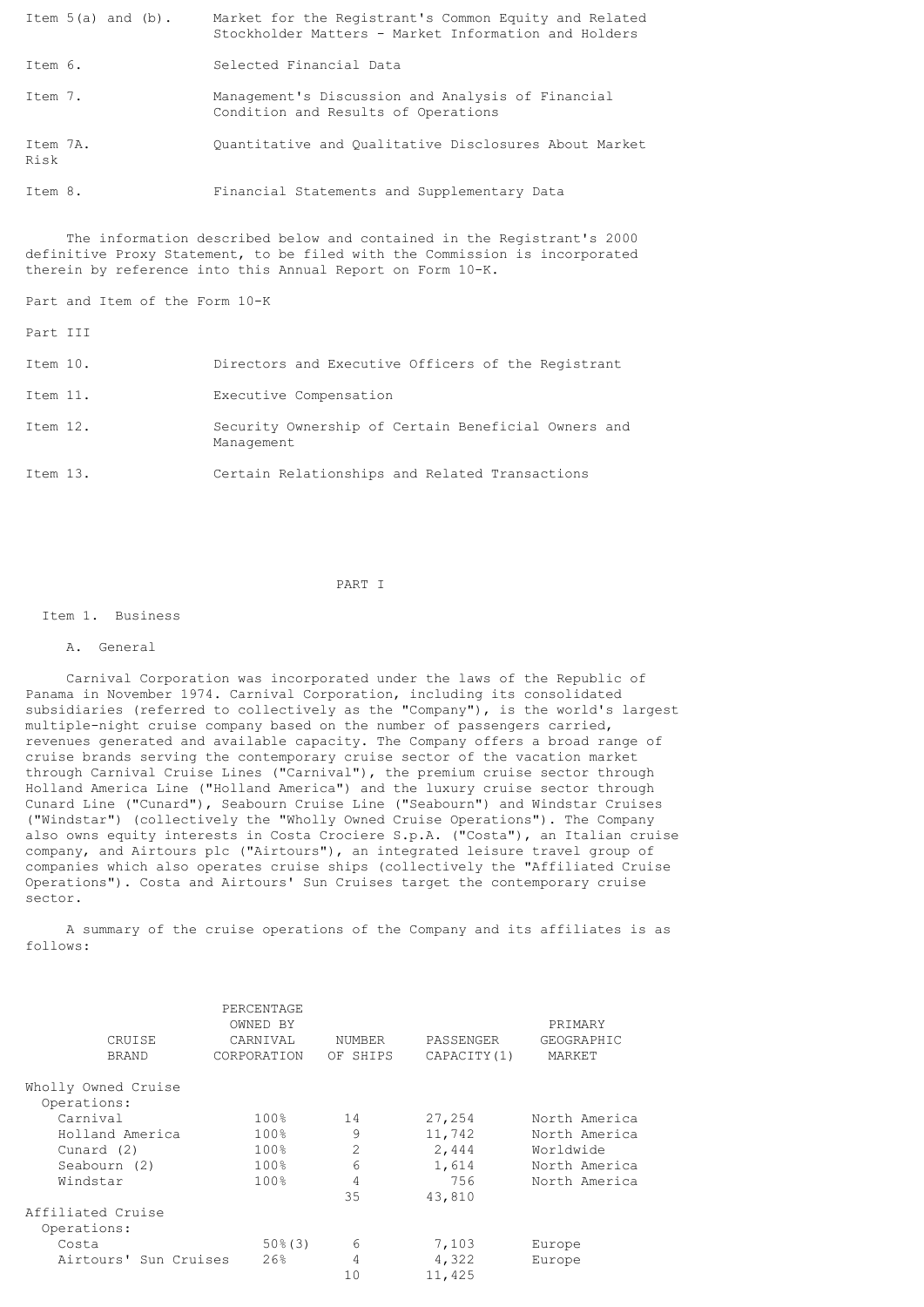| Item $5(a)$ and $(b)$ . | Market for the Registrant's Common Equity and Related<br>Stockholder Matters - Market Information and Holders |
|-------------------------|---------------------------------------------------------------------------------------------------------------|
| Item 6.                 | Selected Financial Data                                                                                       |
| Item 7.                 | Management's Discussion and Analysis of Financial<br>Condition and Results of Operations                      |
| Item 7A.<br>Risk        | Ouantitative and Oualitative Disclosures About Market                                                         |

Item 8. Financial Statements and Supplementary Data

 The information described below and contained in the Registrant's 2000 definitive Proxy Statement, to be filed with the Commission is incorporated therein by reference into this Annual Report on Form 10-K.

Part and Item of the Form 10-K

Part III

| Item 10. | Directors and Executive Officers of the Registrant                |
|----------|-------------------------------------------------------------------|
| Item 11. | Executive Compensation                                            |
| Item 12. | Security Ownership of Certain Beneficial Owners and<br>Management |
| Item 13. | Certain Relationships and Related Transactions                    |

PART I

#### Item 1. Business

# A. General

 Carnival Corporation was incorporated under the laws of the Republic of Panama in November 1974. Carnival Corporation, including its consolidated subsidiaries (referred to collectively as the "Company"), is the world's largest multiple-night cruise company based on the number of passengers carried, revenues generated and available capacity. The Company offers a broad range of cruise brands serving the contemporary cruise sector of the vacation market through Carnival Cruise Lines ("Carnival"), the premium cruise sector through Holland America Line ("Holland America") and the luxury cruise sector through Cunard Line ("Cunard"), Seabourn Cruise Line ("Seabourn") and Windstar Cruises ("Windstar") (collectively the "Wholly Owned Cruise Operations"). The Company also owns equity interests in Costa Crociere S.p.A. ("Costa"), an Italian cruise company, and Airtours plc ("Airtours"), an integrated leisure travel group of companies which also operates cruise ships (collectively the "Affiliated Cruise Operations"). Costa and Airtours' Sun Cruises target the contemporary cruise sector.

 A summary of the cruise operations of the Company and its affiliates is as follows:

|                       | PERCENTAGE<br>OWNED BY |                |              | PRIMARY       |
|-----------------------|------------------------|----------------|--------------|---------------|
| CRUISE                | CARNIVAL               | NUMBER         | PASSENGER    | GEOGRAPHIC    |
|                       |                        |                |              |               |
| <b>BRAND</b>          | CORPORATION            | OF SHIPS       | CAPACITY (1) | MARKET        |
| Wholly Owned Cruise   |                        |                |              |               |
| Operations:           |                        |                |              |               |
| Carnival              | 100%                   | 14             | 27,254       | North America |
| Holland America       | 100%                   | 9              | 11,742       | North America |
| Cunard (2)            | 100%                   | $\overline{2}$ | 2,444        | Worldwide     |
| Seabourn (2)          | 100%                   | 6              | 1,614        | North America |
| Windstar              | 100%                   | 4              | 756          | North America |
|                       |                        | 35             | 43,810       |               |
| Affiliated Cruise     |                        |                |              |               |
| Operations:           |                        |                |              |               |
| Costa                 | $50\%$ (3)             | 6              | 7,103        | Europe        |
| Airtours' Sun Cruises | 26%                    | 4              | 4,322        | Europe        |
|                       |                        | 10             | 11,425       |               |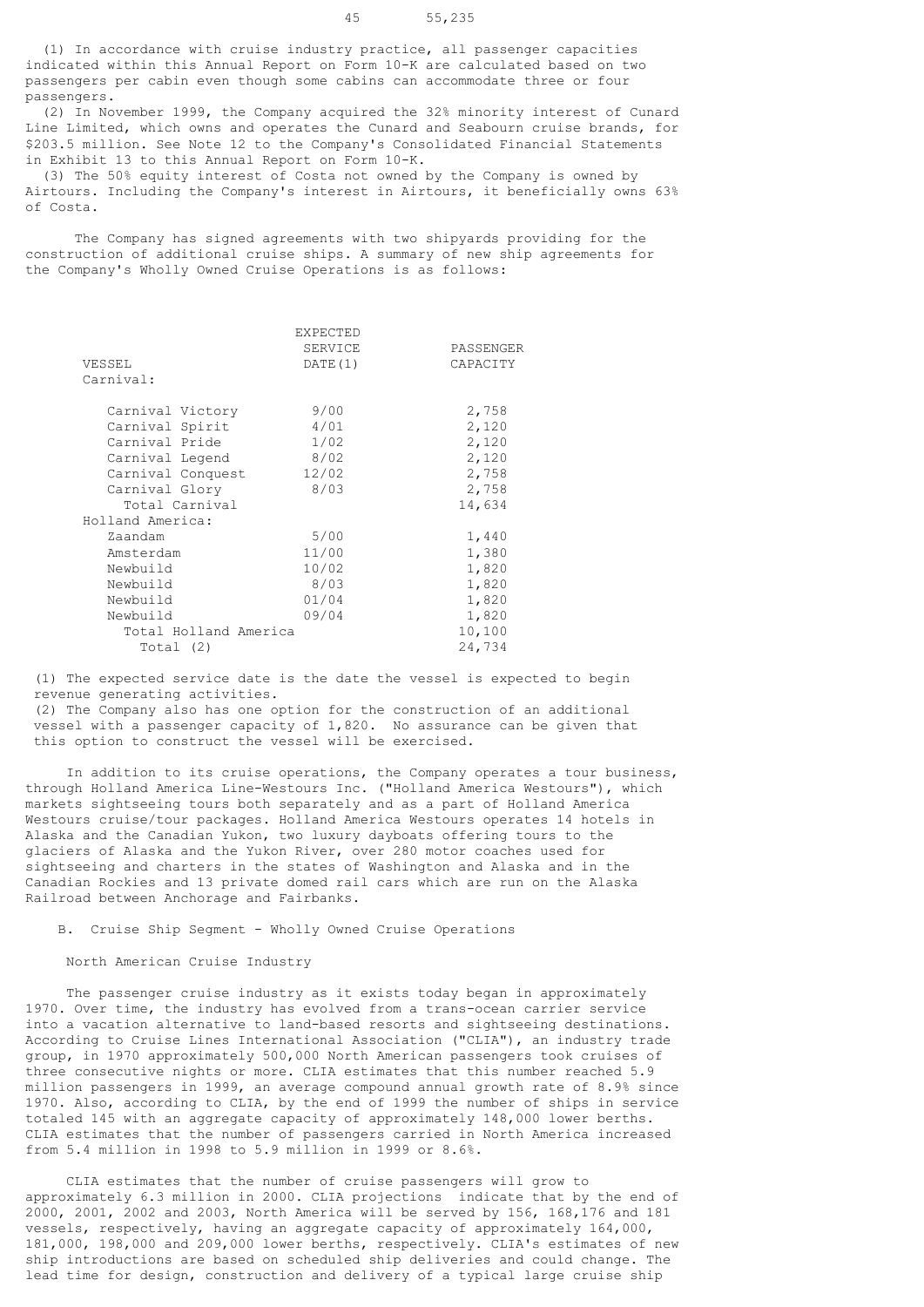(1) In accordance with cruise industry practice, all passenger capacities indicated within this Annual Report on Form 10-K are calculated based on two passengers per cabin even though some cabins can accommodate three or four passengers.

 (2) In November 1999, the Company acquired the 32% minority interest of Cunard Line Limited, which owns and operates the Cunard and Seabourn cruise brands, for \$203.5 million. See Note 12 to the Company's Consolidated Financial Statements in Exhibit 13 to this Annual Report on Form 10-K.

 (3) The 50% equity interest of Costa not owned by the Company is owned by Airtours. Including the Company's interest in Airtours, it beneficially owns 63% of Costa.

 The Company has signed agreements with two shipyards providing for the construction of additional cruise ships. A summary of new ship agreements for the Company's Wholly Owned Cruise Operations is as follows:

|                       | <b>EXPECTED</b> |           |
|-----------------------|-----------------|-----------|
|                       | SERVICE         | PASSENGER |
| VESSEL                | DATE (1)        | CAPACITY  |
| Carnival:             |                 |           |
| Carnival Victory      | 9/00            | 2,758     |
| Carnival Spirit       | 4/01            | 2,120     |
| Carnival Pride        | 1/02            | 2,120     |
| Carnival Legend       | 8/02            | 2,120     |
| Carnival Conquest     | 12/02           | 2,758     |
| Carnival Glory        | 8/03            | 2,758     |
| Total Carnival        |                 | 14,634    |
| Holland America:      |                 |           |
| Zaandam               | 5/00            | 1,440     |
| Amsterdam             | 11/00           | 1,380     |
| Newbuild              | 10/02           | 1,820     |
| Newbuild              | 8/03            | 1,820     |
| Newbuild              | 01/04           | 1,820     |
| Newbuild              | 09/04           | 1,820     |
| Total Holland America |                 | 10,100    |
| Total (2)             |                 | 24,734    |

 (1) The expected service date is the date the vessel is expected to begin revenue generating activities.

 (2) The Company also has one option for the construction of an additional vessel with a passenger capacity of 1,820. No assurance can be given that this option to construct the vessel will be exercised.

 In addition to its cruise operations, the Company operates a tour business, through Holland America Line-Westours Inc. ("Holland America Westours"), which markets sightseeing tours both separately and as a part of Holland America Westours cruise/tour packages. Holland America Westours operates 14 hotels in Alaska and the Canadian Yukon, two luxury dayboats offering tours to the glaciers of Alaska and the Yukon River, over 280 motor coaches used for sightseeing and charters in the states of Washington and Alaska and in the Canadian Rockies and 13 private domed rail cars which are run on the Alaska Railroad between Anchorage and Fairbanks.

B. Cruise Ship Segment - Wholly Owned Cruise Operations

# North American Cruise Industry

 The passenger cruise industry as it exists today began in approximately 1970. Over time, the industry has evolved from a trans-ocean carrier service into a vacation alternative to land-based resorts and sightseeing destinations. According to Cruise Lines International Association ("CLIA"), an industry trade group, in 1970 approximately 500,000 North American passengers took cruises of three consecutive nights or more. CLIA estimates that this number reached 5.9 million passengers in 1999, an average compound annual growth rate of 8.9% since 1970. Also, according to CLIA, by the end of 1999 the number of ships in service totaled 145 with an aggregate capacity of approximately 148,000 lower berths. CLIA estimates that the number of passengers carried in North America increased from 5.4 million in 1998 to 5.9 million in 1999 or 8.6%.

 CLIA estimates that the number of cruise passengers will grow to approximately 6.3 million in 2000. CLIA projections indicate that by the end of 2000, 2001, 2002 and 2003, North America will be served by 156, 168,176 and 181 vessels, respectively, having an aggregate capacity of approximately 164,000, 181,000, 198,000 and 209,000 lower berths, respectively. CLIA's estimates of new ship introductions are based on scheduled ship deliveries and could change. The lead time for design, construction and delivery of a typical large cruise ship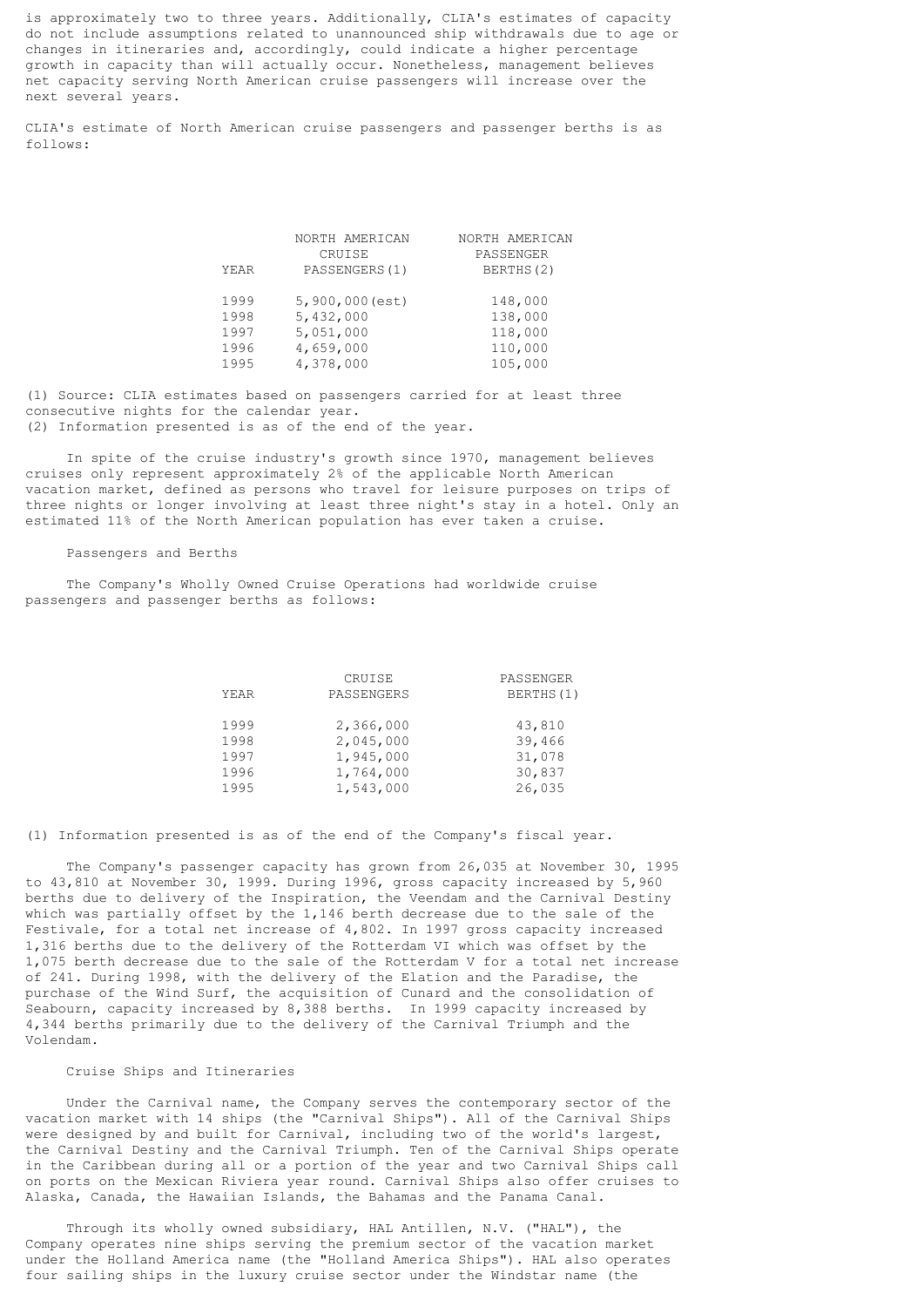is approximately two to three years. Additionally, CLIA's estimates of capacity do not include assumptions related to unannounced ship withdrawals due to age or changes in itineraries and, accordingly, could indicate a higher percentage growth in capacity than will actually occur. Nonetheless, management believes net capacity serving North American cruise passengers will increase over the next several years.

CLIA's estimate of North American cruise passengers and passenger berths is as follows:

| YEAR | NORTH AMERICAN<br>CRUISE<br>PASSENGERS (1) | NORTH AMERICAN<br>PASSENGER<br>BERTHS(2) |
|------|--------------------------------------------|------------------------------------------|
| 1999 | $5,900,000$ (est)                          | 148,000                                  |
| 1998 | 5,432,000                                  | 138,000                                  |
| 1997 | 5,051,000                                  | 118,000                                  |
| 1996 | 4,659,000                                  | 110,000                                  |
| 1995 | 4,378,000                                  | 105,000                                  |

(1) Source: CLIA estimates based on passengers carried for at least three consecutive nights for the calendar year. (2) Information presented is as of the end of the year.

 In spite of the cruise industry's growth since 1970, management believes cruises only represent approximately 2% of the applicable North American vacation market, defined as persons who travel for leisure purposes on trips of three nights or longer involving at least three night's stay in a hotel. Only an estimated 11% of the North American population has ever taken a cruise.

### Passengers and Berths

 The Company's Wholly Owned Cruise Operations had worldwide cruise passengers and passenger berths as follows:

|      | CRUISE     | PASSENGER |
|------|------------|-----------|
| YEAR | PASSENGERS | BERTHS(1) |
| 1999 | 2,366,000  | 43,810    |
| 1998 | 2,045,000  | 39,466    |
| 1997 | 1,945,000  | 31,078    |
| 1996 | 1,764,000  | 30,837    |
| 1995 | 1,543,000  | 26,035    |

(1) Information presented is as of the end of the Company's fiscal year.

 The Company's passenger capacity has grown from 26,035 at November 30, 1995 to 43,810 at November 30, 1999. During 1996, gross capacity increased by 5,960 berths due to delivery of the Inspiration, the Veendam and the Carnival Destiny which was partially offset by the 1,146 berth decrease due to the sale of the Festivale, for a total net increase of 4,802. In 1997 gross capacity increased 1,316 berths due to the delivery of the Rotterdam VI which was offset by the 1,075 berth decrease due to the sale of the Rotterdam V for a total net increase of 241. During 1998, with the delivery of the Elation and the Paradise, the purchase of the Wind Surf, the acquisition of Cunard and the consolidation of Seabourn, capacity increased by 8,388 berths. In 1999 capacity increased by 4,344 berths primarily due to the delivery of the Carnival Triumph and the Volendam.

### Cruise Ships and Itineraries

 Under the Carnival name, the Company serves the contemporary sector of the vacation market with 14 ships (the "Carnival Ships"). All of the Carnival Ships were designed by and built for Carnival, including two of the world's largest, the Carnival Destiny and the Carnival Triumph. Ten of the Carnival Ships operate in the Caribbean during all or a portion of the year and two Carnival Ships call on ports on the Mexican Riviera year round. Carnival Ships also offer cruises to Alaska, Canada, the Hawaiian Islands, the Bahamas and the Panama Canal.

 Through its wholly owned subsidiary, HAL Antillen, N.V. ("HAL"), the Company operates nine ships serving the premium sector of the vacation market under the Holland America name (the "Holland America Ships"). HAL also operates four sailing ships in the luxury cruise sector under the Windstar name (the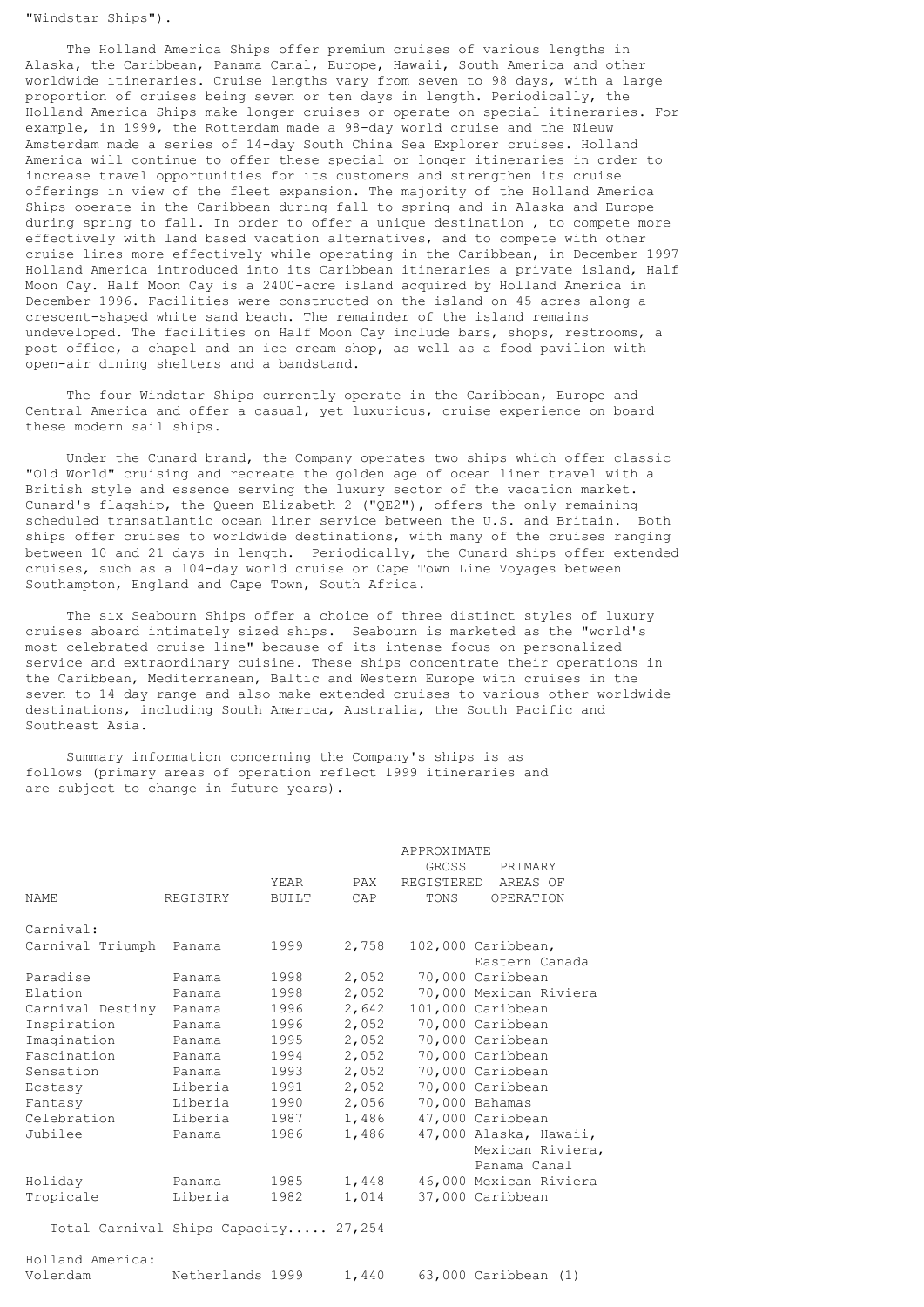"Windstar Ships").

 The Holland America Ships offer premium cruises of various lengths in Alaska, the Caribbean, Panama Canal, Europe, Hawaii, South America and other worldwide itineraries. Cruise lengths vary from seven to 98 days, with a large proportion of cruises being seven or ten days in length. Periodically, the Holland America Ships make longer cruises or operate on special itineraries. For example, in 1999, the Rotterdam made a 98-day world cruise and the Nieuw Amsterdam made a series of 14-day South China Sea Explorer cruises. Holland America will continue to offer these special or longer itineraries in order to increase travel opportunities for its customers and strengthen its cruise offerings in view of the fleet expansion. The majority of the Holland America Ships operate in the Caribbean during fall to spring and in Alaska and Europe during spring to fall. In order to offer a unique destination , to compete more effectively with land based vacation alternatives, and to compete with other cruise lines more effectively while operating in the Caribbean, in December 1997 Holland America introduced into its Caribbean itineraries a private island, Half Moon Cay. Half Moon Cay is a 2400-acre island acquired by Holland America in December 1996. Facilities were constructed on the island on 45 acres along a crescent-shaped white sand beach. The remainder of the island remains undeveloped. The facilities on Half Moon Cay include bars, shops, restrooms, a post office, a chapel and an ice cream shop, as well as a food pavilion with open-air dining shelters and a bandstand.

 The four Windstar Ships currently operate in the Caribbean, Europe and Central America and offer a casual, yet luxurious, cruise experience on board these modern sail ships.

 Under the Cunard brand, the Company operates two ships which offer classic "Old World" cruising and recreate the golden age of ocean liner travel with a British style and essence serving the luxury sector of the vacation market. Cunard's flagship, the Queen Elizabeth 2 ("QE2"), offers the only remaining scheduled transatlantic ocean liner service between the U.S. and Britain. Both ships offer cruises to worldwide destinations, with many of the cruises ranging between 10 and 21 days in length. Periodically, the Cunard ships offer extended cruises, such as a 104-day world cruise or Cape Town Line Voyages between Southampton, England and Cape Town, South Africa.

 The six Seabourn Ships offer a choice of three distinct styles of luxury cruises aboard intimately sized ships. Seabourn is marketed as the "world's most celebrated cruise line" because of its intense focus on personalized service and extraordinary cuisine. These ships concentrate their operations in the Caribbean, Mediterranean, Baltic and Western Europe with cruises in the seven to 14 day range and also make extended cruises to various other worldwide destinations, including South America, Australia, the South Pacific and Southeast Asia.

 Summary information concerning the Company's ships is as follows (primary areas of operation reflect 1999 itineraries and are subject to change in future years).

|                                      |          | YEAR   | PAX   | APPROXIMATE<br>GROSS<br>REGISTERED | PRIMARY<br>AREAS OF                                        |
|--------------------------------------|----------|--------|-------|------------------------------------|------------------------------------------------------------|
| <b>NAME</b>                          | REGISTRY | BUILT  | CAP   | TONS                               | OPERATION                                                  |
| Carnival:                            |          |        |       |                                    |                                                            |
| Carnival Triumph Panama              |          | 1999   | 2,758 |                                    | 102,000 Caribbean,<br>Eastern Canada                       |
| Paradise                             | Panama   | 1998   | 2,052 |                                    | 70,000 Caribbean                                           |
| Elation                              | Panama   | 1998   | 2,052 |                                    | 70,000 Mexican Riviera                                     |
| Carnival Destiny                     | Panama   | 1996   | 2,642 |                                    | 101,000 Caribbean                                          |
| Inspiration                          | Panama   | 1996 — | 2,052 |                                    | 70,000 Caribbean                                           |
| Imagination                          | Panama   | 1995   | 2,052 |                                    | 70,000 Caribbean                                           |
| Fascination                          | Panama   | 1994   | 2,052 |                                    | 70,000 Caribbean                                           |
| Sensation                            | Panama   | 1993   | 2,052 |                                    | 70,000 Caribbean                                           |
| Ecstasy                              | Liberia  | 1991   | 2,052 |                                    | 70,000 Caribbean                                           |
| Fantasy                              | Liberia  | 1990   | 2,056 |                                    | 70,000 Bahamas                                             |
| Celebration                          | Liberia  | 1987   | 1,486 |                                    | 47,000 Caribbean                                           |
| Jubilee                              | Panama   | 1986   | 1,486 |                                    | 47,000 Alaska, Hawaii,<br>Mexican Riviera,<br>Panama Canal |
| Holiday                              | Panama   | 1985   | 1,448 |                                    | 46,000 Mexican Riviera                                     |
| Tropicale                            | Liberia  | 1982   | 1,014 |                                    | 37,000 Caribbean                                           |
| Total Carnival Ships Capacity 27,254 |          |        |       |                                    |                                                            |
| Holland America:                     |          |        |       |                                    |                                                            |

Volendam Netherlands 1999 1,440 63,000 Caribbean (1)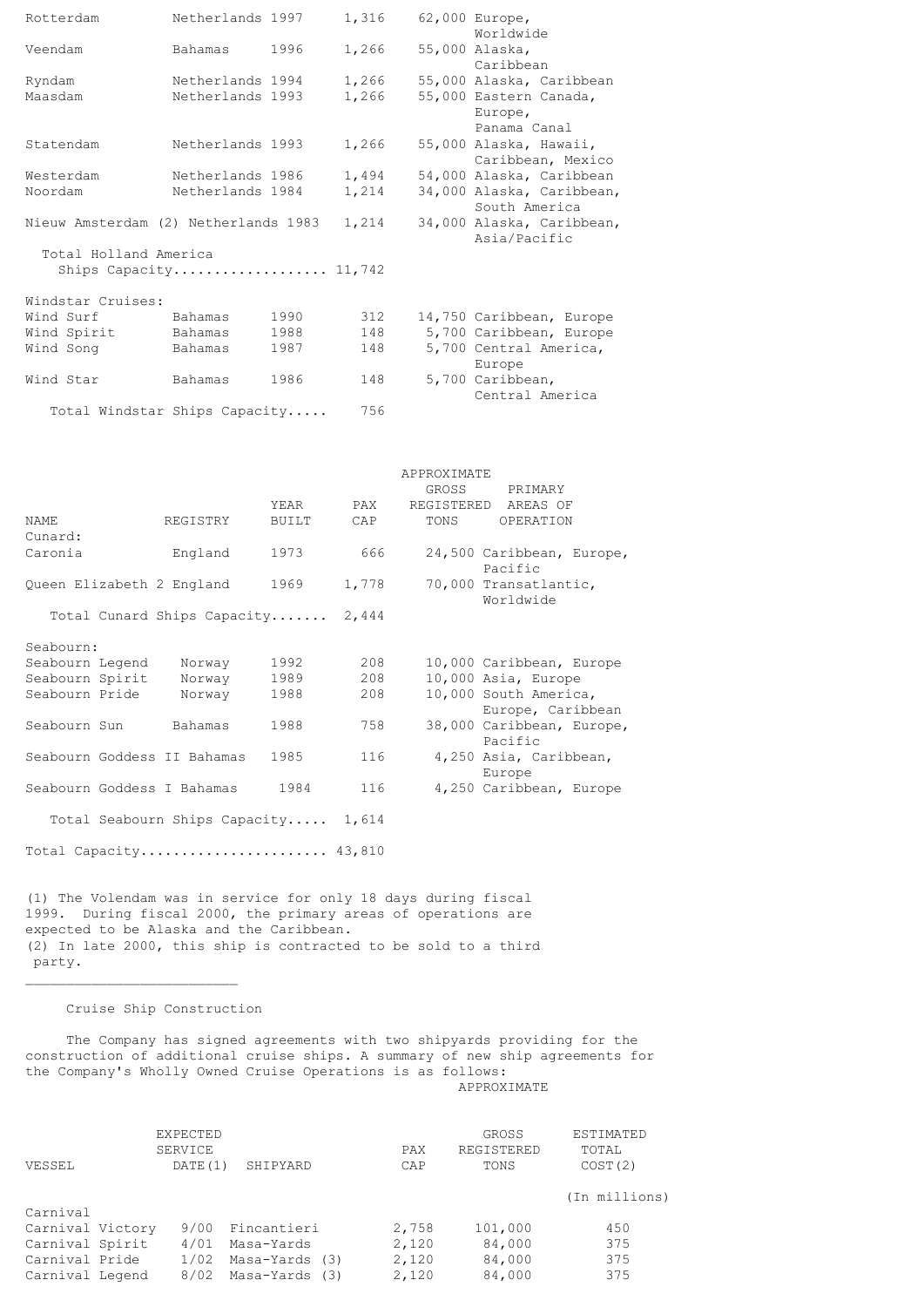| Rotterdam                                                                                                                                                                                                                                                | Netherlands 1997                     |               | 1,316          |             | 62,000 Europe,<br>Worldwide                                                                                                                             |
|----------------------------------------------------------------------------------------------------------------------------------------------------------------------------------------------------------------------------------------------------------|--------------------------------------|---------------|----------------|-------------|---------------------------------------------------------------------------------------------------------------------------------------------------------|
| Veendam                                                                                                                                                                                                                                                  | Bahamas                              | 1996          | 1,266          |             | 55,000 Alaska,<br>Caribbean                                                                                                                             |
| Ryndam                                                                                                                                                                                                                                                   | Netherlands 1994                     |               | 1,266          |             | 55,000 Alaska, Caribbean                                                                                                                                |
| Maasdam                                                                                                                                                                                                                                                  | Netherlands 1993                     |               | 1,266          |             | 55,000 Eastern Canada,<br>Europe,                                                                                                                       |
| Statendam                                                                                                                                                                                                                                                | Netherlands 1993                     |               | 1,266          |             | Panama Canal<br>55,000 Alaska, Hawaii,<br>Caribbean, Mexico                                                                                             |
| Westerdam<br>Noordam                                                                                                                                                                                                                                     | Netherlands 1986<br>Netherlands 1984 |               | 1,494<br>1,214 |             | 54,000 Alaska, Caribbean<br>34,000 Alaska, Caribbean,<br>South America                                                                                  |
| Nieuw Amsterdam (2) Netherlands 1983                                                                                                                                                                                                                     |                                      |               | 1,214          |             | 34,000 Alaska, Caribbean,<br>Asia/Pacific                                                                                                               |
| Total Holland America<br>Ships Capacity 11,742                                                                                                                                                                                                           |                                      |               |                |             |                                                                                                                                                         |
| Windstar Cruises:                                                                                                                                                                                                                                        |                                      |               |                |             |                                                                                                                                                         |
|                                                                                                                                                                                                                                                          | Bahamas                              |               |                |             | 14,750 Caribbean, Europe                                                                                                                                |
| Wind Surf                                                                                                                                                                                                                                                |                                      | 1990          | 312            |             |                                                                                                                                                         |
| Wind Spirit                                                                                                                                                                                                                                              | Bahamas                              | 1988          | 148            |             | 5,700 Caribbean, Europe                                                                                                                                 |
| Wind Song                                                                                                                                                                                                                                                | Bahamas                              | 1987          | 148            |             | 5,700 Central America,<br>Europe                                                                                                                        |
| Wind Star                                                                                                                                                                                                                                                | Bahamas                              | 1986          | 148            |             | 5,700 Caribbean,<br>Central America                                                                                                                     |
| Total Windstar Ships Capacity                                                                                                                                                                                                                            |                                      |               | 756            |             |                                                                                                                                                         |
|                                                                                                                                                                                                                                                          |                                      |               |                | APPROXIMATE |                                                                                                                                                         |
|                                                                                                                                                                                                                                                          |                                      |               |                | GROSS       | PRIMARY                                                                                                                                                 |
| NAME                                                                                                                                                                                                                                                     | REGISTRY                             | YEAR<br>BUILT | PAX<br>CAP     | TONS        | REGISTERED AREAS OF<br>OPERATION                                                                                                                        |
| Cunard:<br>Caronia                                                                                                                                                                                                                                       | England                              | 1973          | 666            |             | 24,500 Caribbean, Europe,<br>Pacific                                                                                                                    |
| Queen Elizabeth 2 England                                                                                                                                                                                                                                |                                      | 1969          | 1,778          |             | 70,000 Transatlantic,<br>Worldwide                                                                                                                      |
| Total Cunard Ships Capacity                                                                                                                                                                                                                              |                                      |               | 2,444          |             |                                                                                                                                                         |
| Seabourn:                                                                                                                                                                                                                                                |                                      |               |                |             |                                                                                                                                                         |
| Seabourn Legend                                                                                                                                                                                                                                          | Norway                               | 1992          | 208            |             | 10,000 Caribbean, Europe                                                                                                                                |
| Seabourn Spirit                                                                                                                                                                                                                                          | Norway                               | 1989          | 208            |             | 10,000 Asia, Europe                                                                                                                                     |
| Seabourn Pride                                                                                                                                                                                                                                           | Norway                               | 1988          | 208            |             | 10,000 South America,<br>Europe, Caribbean                                                                                                              |
| Seabourn Sun                                                                                                                                                                                                                                             | Bahamas                              | 1988          | 758            |             | 38,000 Caribbean, Europe,<br>Pacific                                                                                                                    |
| Seabourn Goddess II Bahamas                                                                                                                                                                                                                              |                                      | 1985          | 116            |             | 4,250 Asia, Caribbean,<br>Europe                                                                                                                        |
| Seabourn Goddess I Bahamas                                                                                                                                                                                                                               |                                      | 1984          | 116            |             | 4,250 Caribbean, Europe                                                                                                                                 |
| Total Seabourn Ships Capacity 1,614                                                                                                                                                                                                                      |                                      |               |                |             |                                                                                                                                                         |
| Total Capacity 43,810                                                                                                                                                                                                                                    |                                      |               |                |             |                                                                                                                                                         |
| (1) The Volendam was in service for only 18 days during fiscal<br>1999. During fiscal 2000, the primary areas of operations are<br>expected to be Alaska and the Caribbean.<br>(2) In late 2000, this ship is contracted to be sold to a third<br>party. |                                      |               |                |             |                                                                                                                                                         |
|                                                                                                                                                                                                                                                          | Cruise Ship Construction             |               |                |             |                                                                                                                                                         |
|                                                                                                                                                                                                                                                          |                                      |               |                |             | The Company has signed agreements with two shipyards providing for the<br>construction of additional cruise ships. A summary of new ship agreements for |
| the Company's Wholly Owned Cruise Operations is as follows:                                                                                                                                                                                              |                                      |               |                |             |                                                                                                                                                         |

APPROXIMATE

|                  | EXPECTED<br>SERVICE |                | PAX   | GROSS<br>REGISTERED | ESTIMATED<br>TOTAL |
|------------------|---------------------|----------------|-------|---------------------|--------------------|
| VESSEL           | DATE (1)            | SHIPYARD       | CAP   | TONS                | COST(2)            |
| Carnival         |                     |                |       |                     | (In millions)      |
| Carnival Victory | 9/00                | Fincantieri    | 2,758 | 101,000             | 450                |
| Carnival Spirit  | 4/01                | Masa-Yards     | 2,120 | 84,000              | 375                |
| Carnival Pride   | 1/02                | Masa-Yards (3) | 2,120 | 84,000              | 375                |
| Carnival Legend  | 8/02                | Masa-Yards (3) | 2,120 | 84,000              | 375                |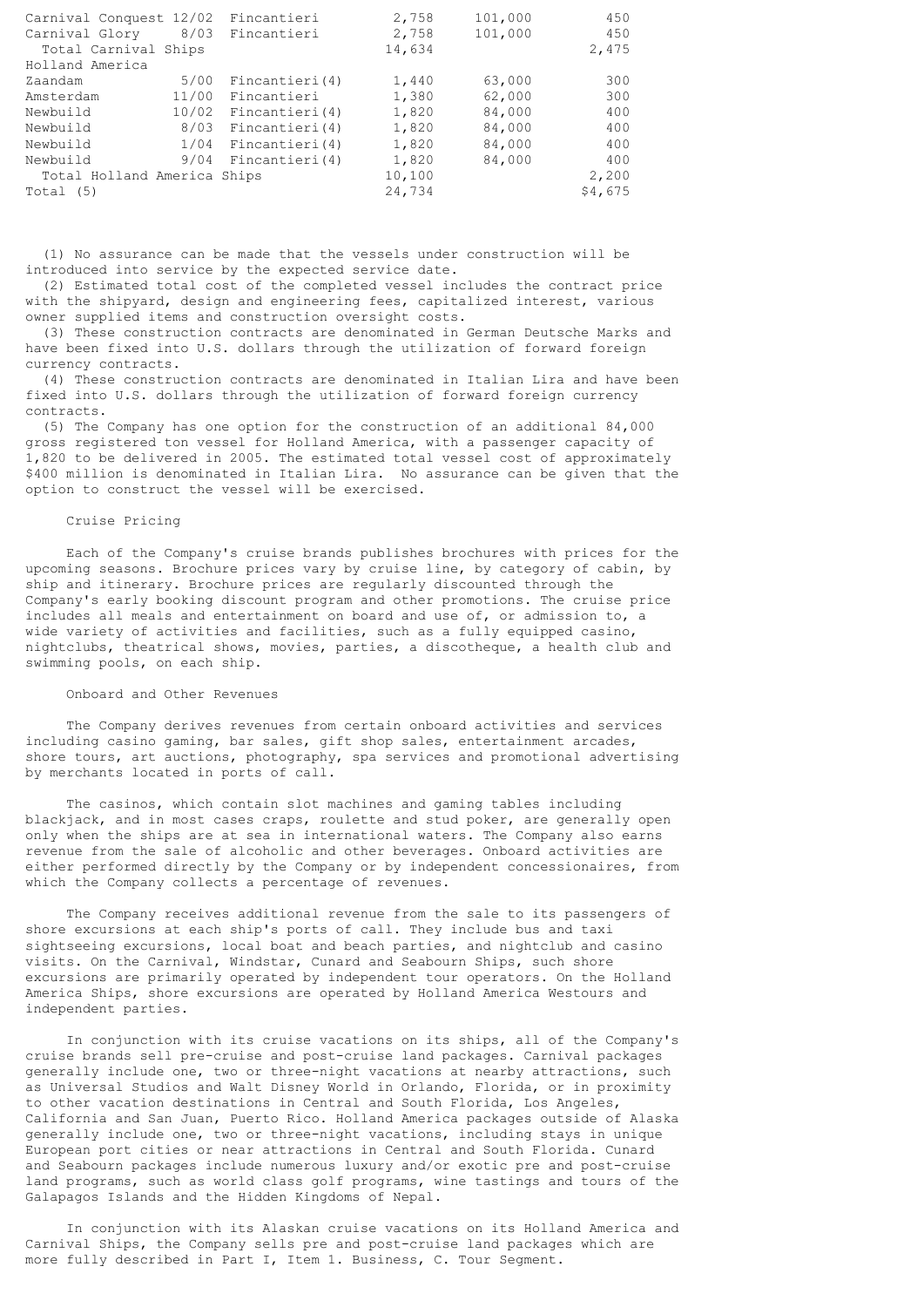| Carnival Conquest 12/02 Fincantieri |      |                          | 2,758  | 101,000 | 450     |
|-------------------------------------|------|--------------------------|--------|---------|---------|
| Carnival Glory                      |      | 8/03 Fincantieri         | 2,758  | 101,000 | 450     |
| Total Carnival Ships                |      |                          | 14,634 |         | 2,475   |
| Holland America                     |      |                          |        |         |         |
| Zaandam                             | 5/00 | Fincantieri (4)          | 1,440  | 63,000  | 300     |
| Amsterdam                           |      | 11/00 Fincantieri        | 1,380  | 62,000  | 300     |
| Newbuild                            |      | 10/02 Fincantieri(4)     | 1,820  | 84,000  | 400     |
| Newbuild                            |      | 8/03 Fincantieri(4)      | 1,820  | 84,000  | 400     |
| Newbuild                            |      | $1/04$ Fincantieri $(4)$ | 1,820  | 84,000  | 400     |
| Newbuild                            | 9/04 | Fincantieri (4)          | 1,820  | 84,000  | 400     |
| Total Holland America Ships         |      |                          | 10,100 |         | 2,200   |
| Total (5)                           |      |                          | 24,734 |         | \$4,675 |

 (1) No assurance can be made that the vessels under construction will be introduced into service by the expected service date.

 (2) Estimated total cost of the completed vessel includes the contract price with the shipyard, design and engineering fees, capitalized interest, various owner supplied items and construction oversight costs.

 (3) These construction contracts are denominated in German Deutsche Marks and have been fixed into U.S. dollars through the utilization of forward foreign currency contracts.

 (4) These construction contracts are denominated in Italian Lira and have been fixed into U.S. dollars through the utilization of forward foreign currency contracts.

 (5) The Company has one option for the construction of an additional 84,000 gross registered ton vessel for Holland America, with a passenger capacity of 1,820 to be delivered in 2005. The estimated total vessel cost of approximately \$400 million is denominated in Italian Lira. No assurance can be given that the option to construct the vessel will be exercised.

### Cruise Pricing

 Each of the Company's cruise brands publishes brochures with prices for the upcoming seasons. Brochure prices vary by cruise line, by category of cabin, by ship and itinerary. Brochure prices are regularly discounted through the Company's early booking discount program and other promotions. The cruise price includes all meals and entertainment on board and use of, or admission to, a wide variety of activities and facilities, such as a fully equipped casino, nightclubs, theatrical shows, movies, parties, a discotheque, a health club and swimming pools, on each ship.

# Onboard and Other Revenues

 The Company derives revenues from certain onboard activities and services including casino gaming, bar sales, gift shop sales, entertainment arcades, shore tours, art auctions, photography, spa services and promotional advertising by merchants located in ports of call.

 The casinos, which contain slot machines and gaming tables including blackjack, and in most cases craps, roulette and stud poker, are generally open only when the ships are at sea in international waters. The Company also earns revenue from the sale of alcoholic and other beverages. Onboard activities are either performed directly by the Company or by independent concessionaires, from which the Company collects a percentage of revenues.

 The Company receives additional revenue from the sale to its passengers of shore excursions at each ship's ports of call. They include bus and taxi sightseeing excursions, local boat and beach parties, and nightclub and casino visits. On the Carnival, Windstar, Cunard and Seabourn Ships, such shore excursions are primarily operated by independent tour operators. On the Holland America Ships, shore excursions are operated by Holland America Westours and independent parties.

 In conjunction with its cruise vacations on its ships, all of the Company's cruise brands sell pre-cruise and post-cruise land packages. Carnival packages generally include one, two or three-night vacations at nearby attractions, such as Universal Studios and Walt Disney World in Orlando, Florida, or in proximity to other vacation destinations in Central and South Florida, Los Angeles, California and San Juan, Puerto Rico. Holland America packages outside of Alaska generally include one, two or three-night vacations, including stays in unique European port cities or near attractions in Central and South Florida. Cunard and Seabourn packages include numerous luxury and/or exotic pre and post-cruise land programs, such as world class golf programs, wine tastings and tours of the Galapagos Islands and the Hidden Kingdoms of Nepal.

 In conjunction with its Alaskan cruise vacations on its Holland America and Carnival Ships, the Company sells pre and post-cruise land packages which are more fully described in Part I, Item 1. Business, C. Tour Segment.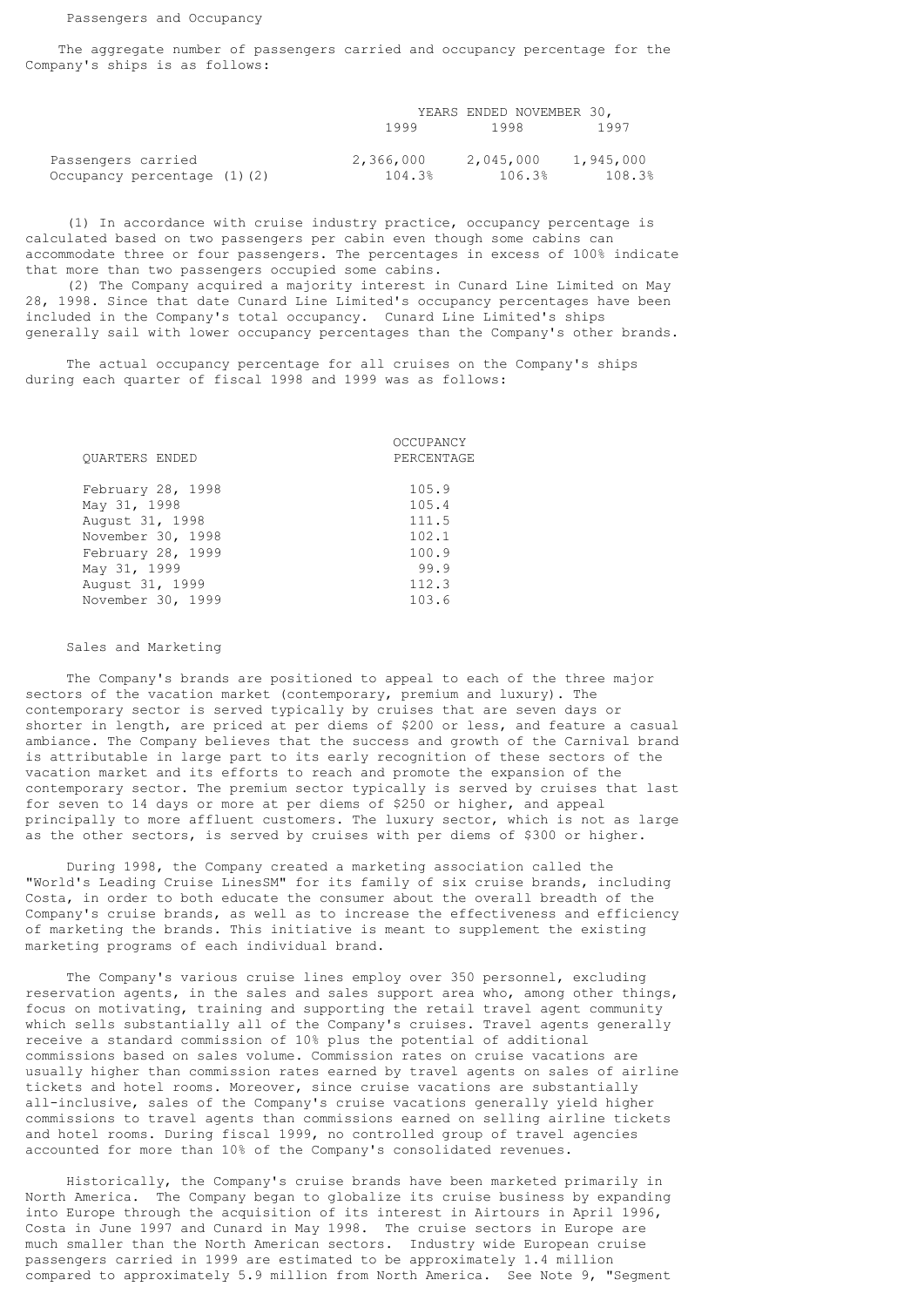The aggregate number of passengers carried and occupancy percentage for the Company's ships is as follows:

|                             |           | YEARS ENDED NOVEMBER 30, |           |
|-----------------------------|-----------|--------------------------|-----------|
|                             | 1999      | 1998                     | 1997      |
| Passengers carried          | 2,366,000 | 2,045,000                | 1,945,000 |
| Occupancy percentage (1)(2) | 104.3%    | 106.3%                   | 108.3%    |

 (1) In accordance with cruise industry practice, occupancy percentage is calculated based on two passengers per cabin even though some cabins can accommodate three or four passengers. The percentages in excess of 100% indicate that more than two passengers occupied some cabins.

 (2) The Company acquired a majority interest in Cunard Line Limited on May 28, 1998. Since that date Cunard Line Limited's occupancy percentages have been included in the Company's total occupancy. Cunard Line Limited's ships generally sail with lower occupancy percentages than the Company's other brands.

 The actual occupancy percentage for all cruises on the Company's ships during each quarter of fiscal 1998 and 1999 was as follows:

|                       | OCCUPANCY  |
|-----------------------|------------|
| <b>OUARTERS ENDED</b> | PERCENTAGE |
| February 28, 1998     | 105.9      |
| May 31, 1998          | 105.4      |
| August 31, 1998       | 111.5      |
| November 30, 1998     | 102.1      |
| February 28, 1999     | 100.9      |
| May 31, 1999          | 99.9       |
| August 31, 1999       | 112.3      |
| November 30, 1999     | 103.6      |
|                       |            |

Sales and Marketing

 The Company's brands are positioned to appeal to each of the three major sectors of the vacation market (contemporary, premium and luxury). The contemporary sector is served typically by cruises that are seven days or shorter in length, are priced at per diems of \$200 or less, and feature a casual ambiance. The Company believes that the success and growth of the Carnival brand is attributable in large part to its early recognition of these sectors of the vacation market and its efforts to reach and promote the expansion of the contemporary sector. The premium sector typically is served by cruises that last for seven to 14 days or more at per diems of \$250 or higher, and appeal principally to more affluent customers. The luxury sector, which is not as large as the other sectors, is served by cruises with per diems of \$300 or higher.

 During 1998, the Company created a marketing association called the "World's Leading Cruise LinesSM" for its family of six cruise brands, including Costa, in order to both educate the consumer about the overall breadth of the Company's cruise brands, as well as to increase the effectiveness and efficiency of marketing the brands. This initiative is meant to supplement the existing marketing programs of each individual brand.

 The Company's various cruise lines employ over 350 personnel, excluding reservation agents, in the sales and sales support area who, among other things, focus on motivating, training and supporting the retail travel agent community which sells substantially all of the Company's cruises. Travel agents generally receive a standard commission of 10% plus the potential of additional commissions based on sales volume. Commission rates on cruise vacations are usually higher than commission rates earned by travel agents on sales of airline tickets and hotel rooms. Moreover, since cruise vacations are substantially all-inclusive, sales of the Company's cruise vacations generally yield higher commissions to travel agents than commissions earned on selling airline tickets and hotel rooms. During fiscal 1999, no controlled group of travel agencies accounted for more than 10% of the Company's consolidated revenues.

 Historically, the Company's cruise brands have been marketed primarily in North America. The Company began to globalize its cruise business by expanding into Europe through the acquisition of its interest in Airtours in April 1996, Costa in June 1997 and Cunard in May 1998. The cruise sectors in Europe are much smaller than the North American sectors. Industry wide European cruise passengers carried in 1999 are estimated to be approximately 1.4 million compared to approximately 5.9 million from North America. See Note 9, "Segment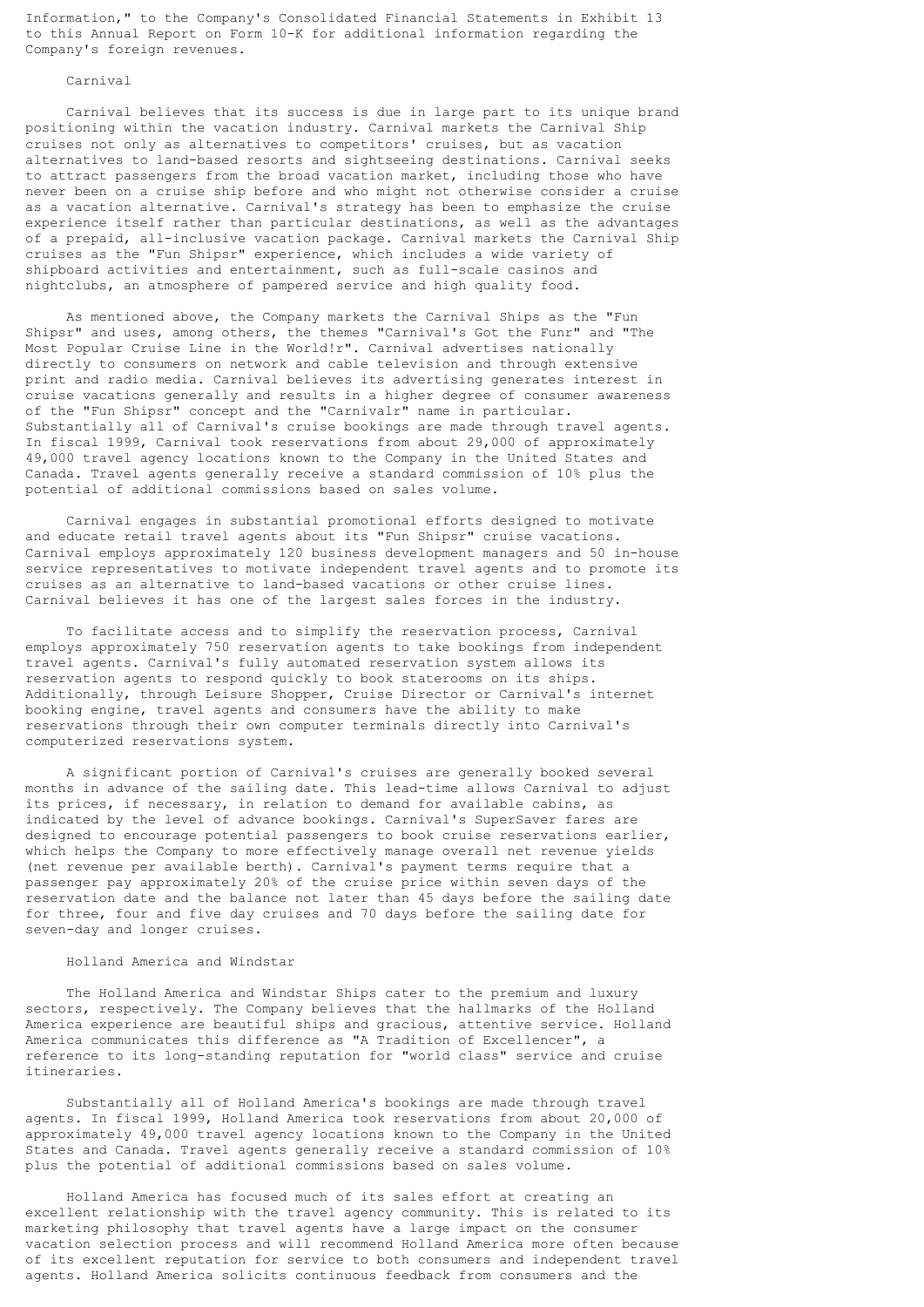Information," to the Company's Consolidated Financial Statements in Exhibit 13 to this Annual Report on Form 10-K for additional information regarding the Company's foreign revenues.

### Carnival

 Carnival believes that its success is due in large part to its unique brand positioning within the vacation industry. Carnival markets the Carnival Ship cruises not only as alternatives to competitors' cruises, but as vacation alternatives to land-based resorts and sightseeing destinations. Carnival seeks to attract passengers from the broad vacation market, including those who have never been on a cruise ship before and who might not otherwise consider a cruise as a vacation alternative. Carnival's strategy has been to emphasize the cruise experience itself rather than particular destinations, as well as the advantages of a prepaid, all-inclusive vacation package. Carnival markets the Carnival Ship cruises as the "Fun Shipsr" experience, which includes a wide variety of shipboard activities and entertainment, such as full-scale casinos and nightclubs, an atmosphere of pampered service and high quality food.

 As mentioned above, the Company markets the Carnival Ships as the "Fun Shipsr" and uses, among others, the themes "Carnival's Got the Funr" and "The Most Popular Cruise Line in the World!r". Carnival advertises nationally directly to consumers on network and cable television and through extensive print and radio media. Carnival believes its advertising generates interest in cruise vacations generally and results in a higher degree of consumer awareness of the "Fun Shipsr" concept and the "Carnivalr" name in particular. Substantially all of Carnival's cruise bookings are made through travel agents. In fiscal 1999, Carnival took reservations from about 29,000 of approximately 49,000 travel agency locations known to the Company in the United States and Canada. Travel agents generally receive a standard commission of 10% plus the potential of additional commissions based on sales volume.

 Carnival engages in substantial promotional efforts designed to motivate and educate retail travel agents about its "Fun Shipsr" cruise vacations. Carnival employs approximately 120 business development managers and 50 in-house service representatives to motivate independent travel agents and to promote its cruises as an alternative to land-based vacations or other cruise lines. Carnival believes it has one of the largest sales forces in the industry.

 To facilitate access and to simplify the reservation process, Carnival employs approximately 750 reservation agents to take bookings from independent travel agents. Carnival's fully automated reservation system allows its reservation agents to respond quickly to book staterooms on its ships. Additionally, through Leisure Shopper, Cruise Director or Carnival's internet booking engine, travel agents and consumers have the ability to make reservations through their own computer terminals directly into Carnival's computerized reservations system.

 A significant portion of Carnival's cruises are generally booked several months in advance of the sailing date. This lead-time allows Carnival to adjust its prices, if necessary, in relation to demand for available cabins, as indicated by the level of advance bookings. Carnival's SuperSaver fares are designed to encourage potential passengers to book cruise reservations earlier, which helps the Company to more effectively manage overall net revenue yields (net revenue per available berth). Carnival's payment terms require that a passenger pay approximately 20% of the cruise price within seven days of the reservation date and the balance not later than 45 days before the sailing date for three, four and five day cruises and 70 days before the sailing date for seven-day and longer cruises.

# Holland America and Windstar

 The Holland America and Windstar Ships cater to the premium and luxury sectors, respectively. The Company believes that the hallmarks of the Holland America experience are beautiful ships and gracious, attentive service. Holland America communicates this difference as "A Tradition of Excellencer", a reference to its long-standing reputation for "world class" service and cruise itineraries.

 Substantially all of Holland America's bookings are made through travel agents. In fiscal 1999, Holland America took reservations from about 20,000 of approximately 49,000 travel agency locations known to the Company in the United States and Canada. Travel agents generally receive a standard commission of 10% plus the potential of additional commissions based on sales volume.

 Holland America has focused much of its sales effort at creating an excellent relationship with the travel agency community. This is related to its marketing philosophy that travel agents have a large impact on the consumer vacation selection process and will recommend Holland America more often because of its excellent reputation for service to both consumers and independent travel agents. Holland America solicits continuous feedback from consumers and the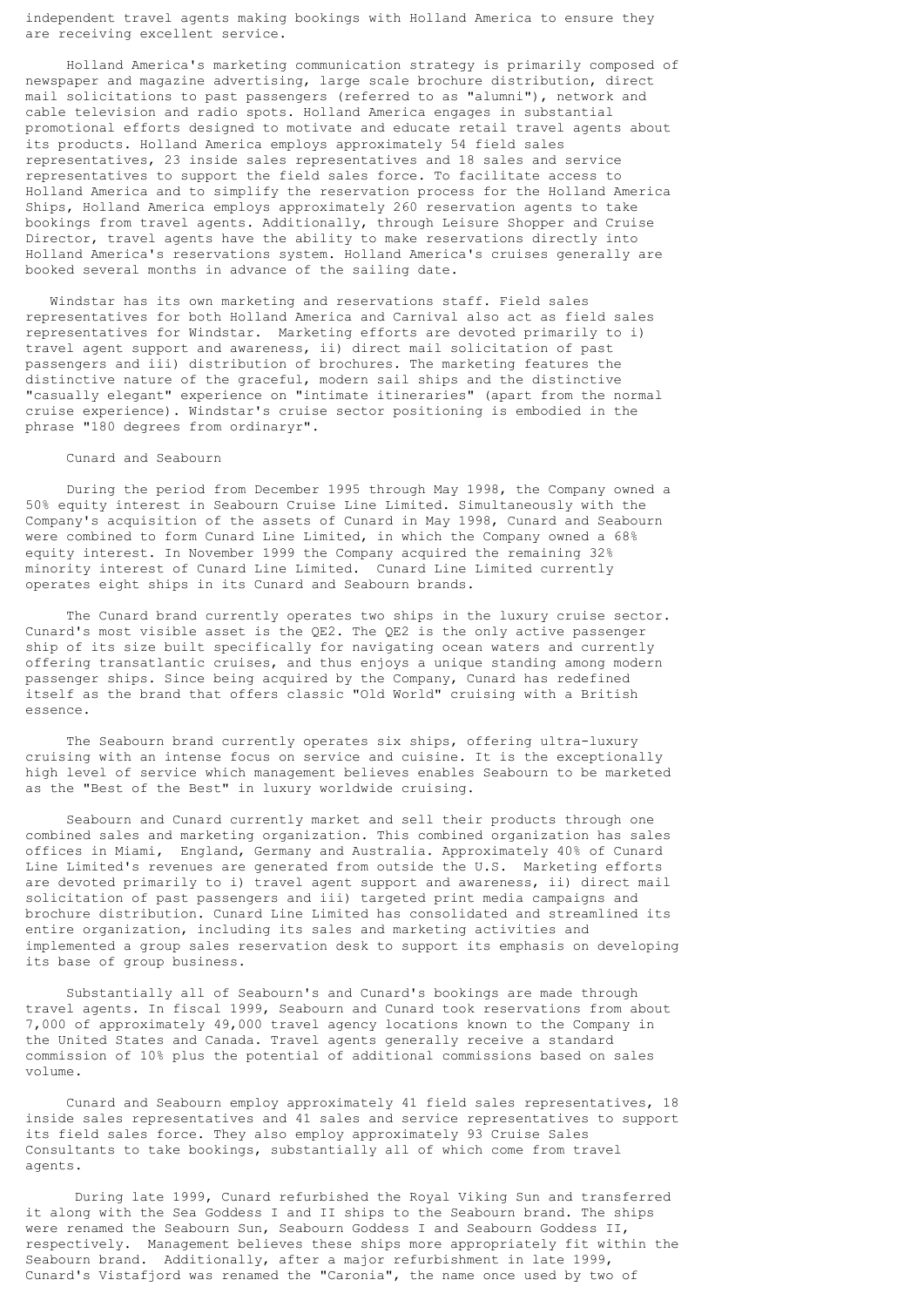independent travel agents making bookings with Holland America to ensure they are receiving excellent service.

 Holland America's marketing communication strategy is primarily composed of newspaper and magazine advertising, large scale brochure distribution, direct mail solicitations to past passengers (referred to as "alumni"), network and cable television and radio spots. Holland America engages in substantial promotional efforts designed to motivate and educate retail travel agents about its products. Holland America employs approximately 54 field sales representatives, 23 inside sales representatives and 18 sales and service representatives to support the field sales force. To facilitate access to Holland America and to simplify the reservation process for the Holland America Ships, Holland America employs approximately 260 reservation agents to take bookings from travel agents. Additionally, through Leisure Shopper and Cruise Director, travel agents have the ability to make reservations directly into Holland America's reservations system. Holland America's cruises generally are booked several months in advance of the sailing date.

 Windstar has its own marketing and reservations staff. Field sales representatives for both Holland America and Carnival also act as field sales representatives for Windstar. Marketing efforts are devoted primarily to i) travel agent support and awareness, ii) direct mail solicitation of past passengers and iii) distribution of brochures. The marketing features the distinctive nature of the graceful, modern sail ships and the distinctive "casually elegant" experience on "intimate itineraries" (apart from the normal cruise experience). Windstar's cruise sector positioning is embodied in the phrase "180 degrees from ordinaryr".

### Cunard and Seabourn

 During the period from December 1995 through May 1998, the Company owned a 50% equity interest in Seabourn Cruise Line Limited. Simultaneously with the Company's acquisition of the assets of Cunard in May 1998, Cunard and Seabourn were combined to form Cunard Line Limited, in which the Company owned a 68% equity interest. In November 1999 the Company acquired the remaining 32% minority interest of Cunard Line Limited. Cunard Line Limited currently operates eight ships in its Cunard and Seabourn brands.

 The Cunard brand currently operates two ships in the luxury cruise sector. Cunard's most visible asset is the QE2. The QE2 is the only active passenger ship of its size built specifically for navigating ocean waters and currently offering transatlantic cruises, and thus enjoys a unique standing among modern passenger ships. Since being acquired by the Company, Cunard has redefined itself as the brand that offers classic "Old World" cruising with a British essence.

 The Seabourn brand currently operates six ships, offering ultra-luxury cruising with an intense focus on service and cuisine. It is the exceptionally high level of service which management believes enables Seabourn to be marketed as the "Best of the Best" in luxury worldwide cruising.

 Seabourn and Cunard currently market and sell their products through one combined sales and marketing organization. This combined organization has sales offices in Miami, England, Germany and Australia. Approximately 40% of Cunard Line Limited's revenues are generated from outside the U.S. Marketing efforts are devoted primarily to i) travel agent support and awareness, ii) direct mail solicitation of past passengers and iii) targeted print media campaigns and brochure distribution. Cunard Line Limited has consolidated and streamlined its entire organization, including its sales and marketing activities and implemented a group sales reservation desk to support its emphasis on developing its base of group business.

 Substantially all of Seabourn's and Cunard's bookings are made through travel agents. In fiscal 1999, Seabourn and Cunard took reservations from about 7,000 of approximately 49,000 travel agency locations known to the Company in the United States and Canada. Travel agents generally receive a standard commission of 10% plus the potential of additional commissions based on sales volume.

 Cunard and Seabourn employ approximately 41 field sales representatives, 18 inside sales representatives and 41 sales and service representatives to support its field sales force. They also employ approximately 93 Cruise Sales Consultants to take bookings, substantially all of which come from travel agents.

 During late 1999, Cunard refurbished the Royal Viking Sun and transferred it along with the Sea Goddess I and II ships to the Seabourn brand. The ships were renamed the Seabourn Sun, Seabourn Goddess I and Seabourn Goddess II, respectively. Management believes these ships more appropriately fit within the Seabourn brand. Additionally, after a major refurbishment in late 1999, Cunard's Vistafjord was renamed the "Caronia", the name once used by two of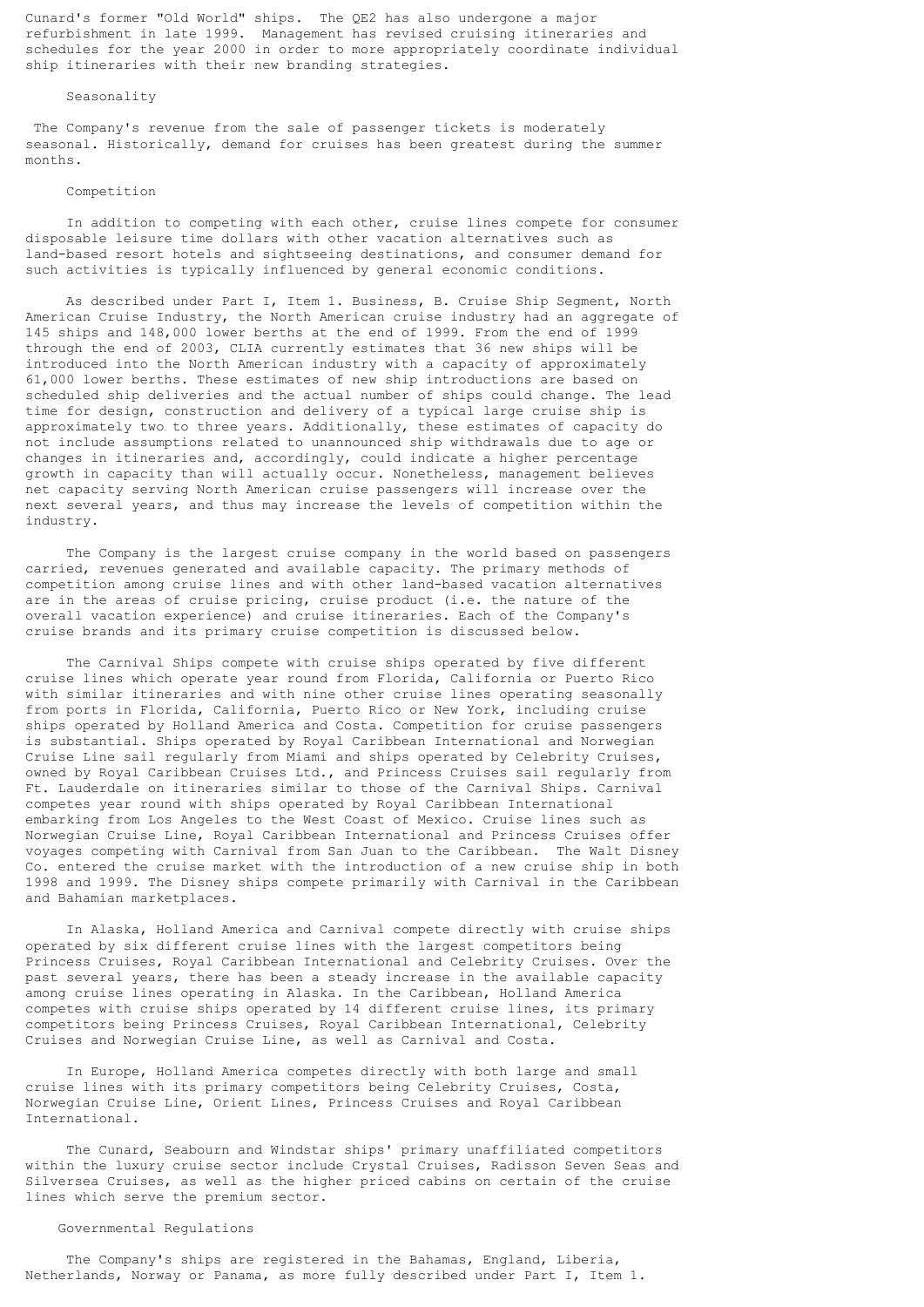Cunard's former "Old World" ships. The QE2 has also undergone a major refurbishment in late 1999. Management has revised cruising itineraries and schedules for the year 2000 in order to more appropriately coordinate individual ship itineraries with their new branding strategies.

# Seasonality

The Company's revenue from the sale of passenger tickets is moderately seasonal. Historically, demand for cruises has been greatest during the summer months.

#### Competition

 In addition to competing with each other, cruise lines compete for consumer disposable leisure time dollars with other vacation alternatives such as land-based resort hotels and sightseeing destinations, and consumer demand for such activities is typically influenced by general economic conditions.

 As described under Part I, Item 1. Business, B. Cruise Ship Segment, North American Cruise Industry, the North American cruise industry had an aggregate of 145 ships and 148,000 lower berths at the end of 1999. From the end of 1999 through the end of 2003, CLIA currently estimates that 36 new ships will be introduced into the North American industry with a capacity of approximately 61,000 lower berths. These estimates of new ship introductions are based on scheduled ship deliveries and the actual number of ships could change. The lead time for design, construction and delivery of a typical large cruise ship is approximately two to three years. Additionally, these estimates of capacity do not include assumptions related to unannounced ship withdrawals due to age or changes in itineraries and, accordingly, could indicate a higher percentage growth in capacity than will actually occur. Nonetheless, management believes net capacity serving North American cruise passengers will increase over the next several years, and thus may increase the levels of competition within the industry.

 The Company is the largest cruise company in the world based on passengers carried, revenues generated and available capacity. The primary methods of competition among cruise lines and with other land-based vacation alternatives are in the areas of cruise pricing, cruise product (i.e. the nature of the overall vacation experience) and cruise itineraries. Each of the Company's cruise brands and its primary cruise competition is discussed below.

 The Carnival Ships compete with cruise ships operated by five different cruise lines which operate year round from Florida, California or Puerto Rico with similar itineraries and with nine other cruise lines operating seasonally from ports in Florida, California, Puerto Rico or New York, including cruise ships operated by Holland America and Costa. Competition for cruise passengers is substantial. Ships operated by Royal Caribbean International and Norwegian Cruise Line sail regularly from Miami and ships operated by Celebrity Cruises, owned by Royal Caribbean Cruises Ltd., and Princess Cruises sail regularly from Ft. Lauderdale on itineraries similar to those of the Carnival Ships. Carnival competes year round with ships operated by Royal Caribbean International embarking from Los Angeles to the West Coast of Mexico. Cruise lines such as Norwegian Cruise Line, Royal Caribbean International and Princess Cruises offer voyages competing with Carnival from San Juan to the Caribbean. The Walt Disney Co. entered the cruise market with the introduction of a new cruise ship in both 1998 and 1999. The Disney ships compete primarily with Carnival in the Caribbean and Bahamian marketplaces.

 In Alaska, Holland America and Carnival compete directly with cruise ships operated by six different cruise lines with the largest competitors being Princess Cruises, Royal Caribbean International and Celebrity Cruises. Over the past several years, there has been a steady increase in the available capacity among cruise lines operating in Alaska. In the Caribbean, Holland America competes with cruise ships operated by 14 different cruise lines, its primary competitors being Princess Cruises, Royal Caribbean International, Celebrity Cruises and Norwegian Cruise Line, as well as Carnival and Costa.

 In Europe, Holland America competes directly with both large and small cruise lines with its primary competitors being Celebrity Cruises, Costa, Norwegian Cruise Line, Orient Lines, Princess Cruises and Royal Caribbean International.

 The Cunard, Seabourn and Windstar ships' primary unaffiliated competitors within the luxury cruise sector include Crystal Cruises, Radisson Seven Seas and Silversea Cruises, as well as the higher priced cabins on certain of the cruise lines which serve the premium sector.

### Governmental Regulations

 The Company's ships are registered in the Bahamas, England, Liberia, Netherlands, Norway or Panama, as more fully described under Part I, Item 1.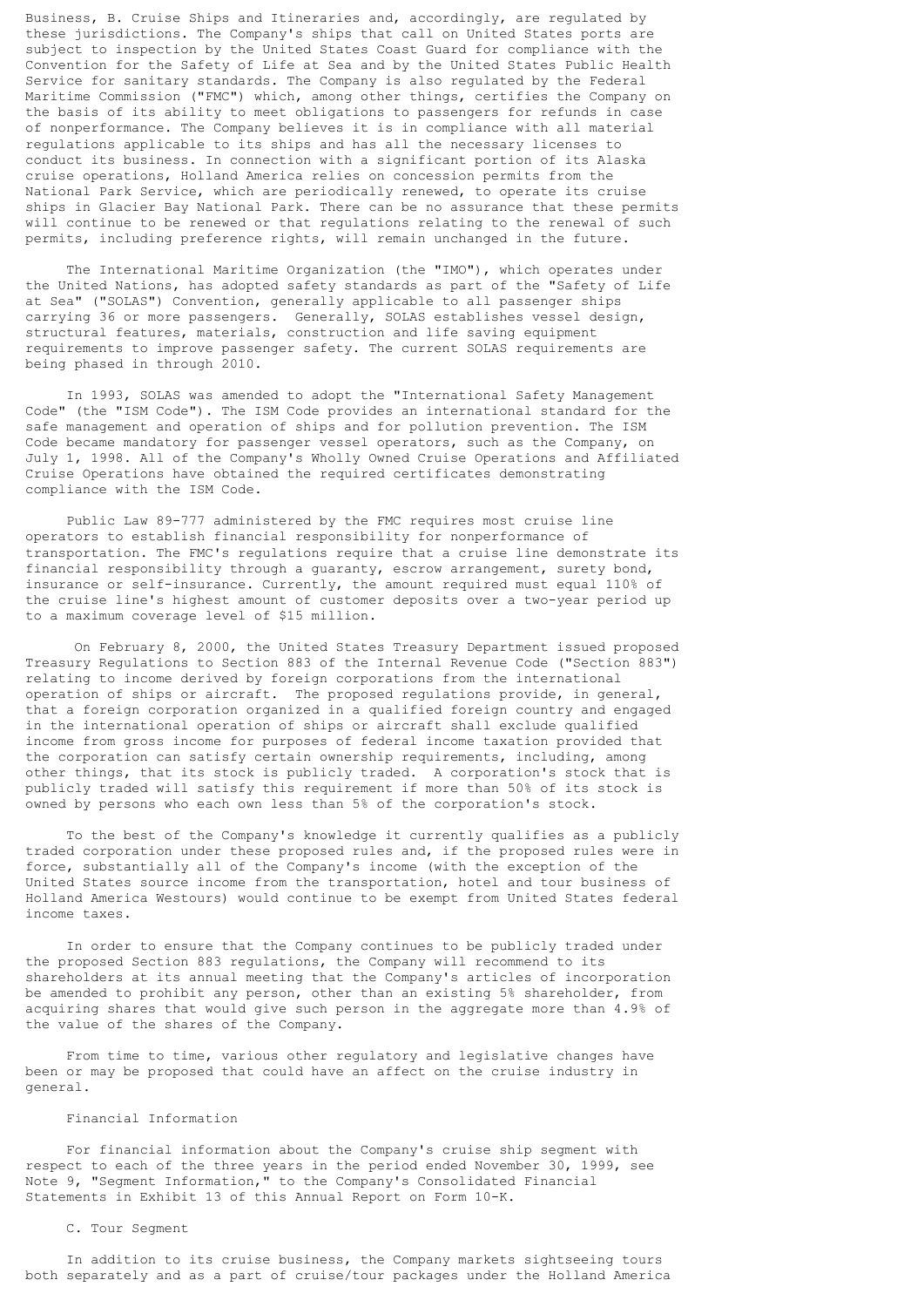Business, B. Cruise Ships and Itineraries and, accordingly, are regulated by these jurisdictions. The Company's ships that call on United States ports are subject to inspection by the United States Coast Guard for compliance with the Convention for the Safety of Life at Sea and by the United States Public Health Service for sanitary standards. The Company is also regulated by the Federal Maritime Commission ("FMC") which, among other things, certifies the Company on the basis of its ability to meet obligations to passengers for refunds in case of nonperformance. The Company believes it is in compliance with all material regulations applicable to its ships and has all the necessary licenses to conduct its business. In connection with a significant portion of its Alaska cruise operations, Holland America relies on concession permits from the National Park Service, which are periodically renewed, to operate its cruise ships in Glacier Bay National Park. There can be no assurance that these permits will continue to be renewed or that regulations relating to the renewal of such permits, including preference rights, will remain unchanged in the future.

 The International Maritime Organization (the "IMO"), which operates under the United Nations, has adopted safety standards as part of the "Safety of Life at Sea" ("SOLAS") Convention, generally applicable to all passenger ships carrying 36 or more passengers. Generally, SOLAS establishes vessel design, structural features, materials, construction and life saving equipment requirements to improve passenger safety. The current SOLAS requirements are being phased in through 2010.

 In 1993, SOLAS was amended to adopt the "International Safety Management Code" (the "ISM Code"). The ISM Code provides an international standard for the safe management and operation of ships and for pollution prevention. The ISM Code became mandatory for passenger vessel operators, such as the Company, on July 1, 1998. All of the Company's Wholly Owned Cruise Operations and Affiliated Cruise Operations have obtained the required certificates demonstrating compliance with the ISM Code.

 Public Law 89-777 administered by the FMC requires most cruise line operators to establish financial responsibility for nonperformance of transportation. The FMC's regulations require that a cruise line demonstrate its financial responsibility through a guaranty, escrow arrangement, surety bond, insurance or self-insurance. Currently, the amount required must equal 110% of the cruise line's highest amount of customer deposits over a two-year period up to a maximum coverage level of \$15 million.

 On February 8, 2000, the United States Treasury Department issued proposed Treasury Regulations to Section 883 of the Internal Revenue Code ("Section 883") relating to income derived by foreign corporations from the international operation of ships or aircraft. The proposed regulations provide, in general, that a foreign corporation organized in a qualified foreign country and engaged in the international operation of ships or aircraft shall exclude qualified income from gross income for purposes of federal income taxation provided that the corporation can satisfy certain ownership requirements, including, among other things, that its stock is publicly traded. A corporation's stock that is publicly traded will satisfy this requirement if more than 50% of its stock is owned by persons who each own less than 5% of the corporation's stock.

 To the best of the Company's knowledge it currently qualifies as a publicly traded corporation under these proposed rules and, if the proposed rules were in force, substantially all of the Company's income (with the exception of the United States source income from the transportation, hotel and tour business of Holland America Westours) would continue to be exempt from United States federal income taxes.

 In order to ensure that the Company continues to be publicly traded under the proposed Section 883 regulations, the Company will recommend to its shareholders at its annual meeting that the Company's articles of incorporation be amended to prohibit any person, other than an existing 5% shareholder, from acquiring shares that would give such person in the aggregate more than 4.9% of the value of the shares of the Company.

 From time to time, various other regulatory and legislative changes have been or may be proposed that could have an affect on the cruise industry in general.

### Financial Information

 For financial information about the Company's cruise ship segment with respect to each of the three years in the period ended November 30, 1999, see Note 9, "Segment Information," to the Company's Consolidated Financial Statements in Exhibit 13 of this Annual Report on Form 10-K.

# C. Tour Segment

 In addition to its cruise business, the Company markets sightseeing tours both separately and as a part of cruise/tour packages under the Holland America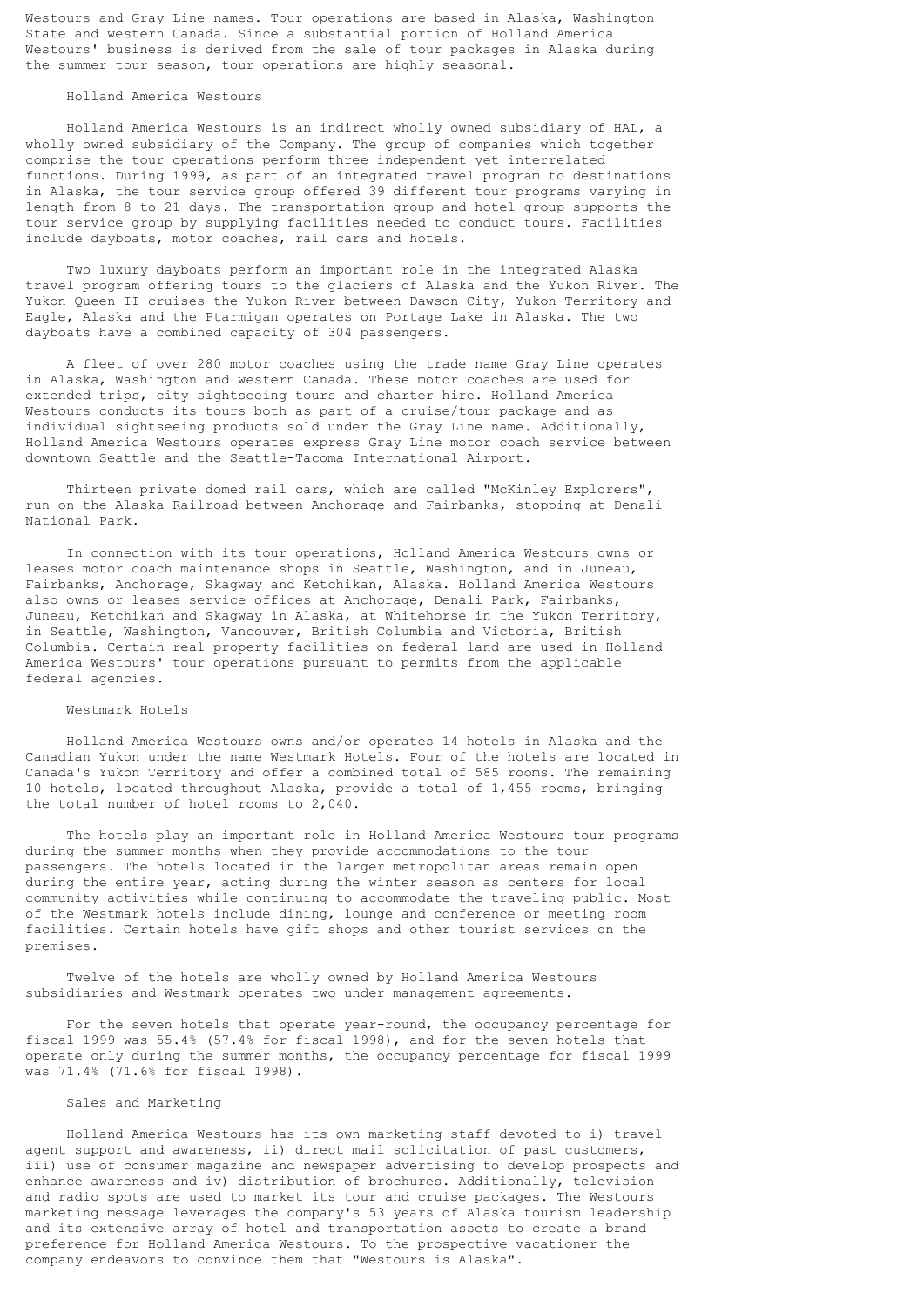Westours and Gray Line names. Tour operations are based in Alaska, Washington State and western Canada. Since a substantial portion of Holland America Westours' business is derived from the sale of tour packages in Alaska during the summer tour season, tour operations are highly seasonal.

# Holland America Westours

 Holland America Westours is an indirect wholly owned subsidiary of HAL, a wholly owned subsidiary of the Company. The group of companies which together comprise the tour operations perform three independent yet interrelated functions. During 1999, as part of an integrated travel program to destinations in Alaska, the tour service group offered 39 different tour programs varying in length from 8 to 21 days. The transportation group and hotel group supports the tour service group by supplying facilities needed to conduct tours. Facilities include dayboats, motor coaches, rail cars and hotels.

 Two luxury dayboats perform an important role in the integrated Alaska travel program offering tours to the glaciers of Alaska and the Yukon River. The Yukon Queen II cruises the Yukon River between Dawson City, Yukon Territory and Eagle, Alaska and the Ptarmigan operates on Portage Lake in Alaska. The two dayboats have a combined capacity of 304 passengers.

 A fleet of over 280 motor coaches using the trade name Gray Line operates in Alaska, Washington and western Canada. These motor coaches are used for extended trips, city sightseeing tours and charter hire. Holland America Westours conducts its tours both as part of a cruise/tour package and as individual sightseeing products sold under the Gray Line name. Additionally, Holland America Westours operates express Gray Line motor coach service between downtown Seattle and the Seattle-Tacoma International Airport.

 Thirteen private domed rail cars, which are called "McKinley Explorers", run on the Alaska Railroad between Anchorage and Fairbanks, stopping at Denali National Park.

 In connection with its tour operations, Holland America Westours owns or leases motor coach maintenance shops in Seattle, Washington, and in Juneau, Fairbanks, Anchorage, Skagway and Ketchikan, Alaska. Holland America Westours also owns or leases service offices at Anchorage, Denali Park, Fairbanks, Juneau, Ketchikan and Skagway in Alaska, at Whitehorse in the Yukon Territory, in Seattle, Washington, Vancouver, British Columbia and Victoria, British Columbia. Certain real property facilities on federal land are used in Holland America Westours' tour operations pursuant to permits from the applicable federal agencies.

### Westmark Hotels

 Holland America Westours owns and/or operates 14 hotels in Alaska and the Canadian Yukon under the name Westmark Hotels. Four of the hotels are located in Canada's Yukon Territory and offer a combined total of 585 rooms. The remaining 10 hotels, located throughout Alaska, provide a total of 1,455 rooms, bringing the total number of hotel rooms to 2,040.

 The hotels play an important role in Holland America Westours tour programs during the summer months when they provide accommodations to the tour passengers. The hotels located in the larger metropolitan areas remain open during the entire year, acting during the winter season as centers for local community activities while continuing to accommodate the traveling public. Most of the Westmark hotels include dining, lounge and conference or meeting room facilities. Certain hotels have gift shops and other tourist services on the premises.

 Twelve of the hotels are wholly owned by Holland America Westours subsidiaries and Westmark operates two under management agreements.

 For the seven hotels that operate year-round, the occupancy percentage for fiscal 1999 was 55.4% (57.4% for fiscal 1998), and for the seven hotels that operate only during the summer months, the occupancy percentage for fiscal 1999 was 71.4% (71.6% for fiscal 1998).

# Sales and Marketing

 Holland America Westours has its own marketing staff devoted to i) travel agent support and awareness, ii) direct mail solicitation of past customers, iii) use of consumer magazine and newspaper advertising to develop prospects and enhance awareness and iv) distribution of brochures. Additionally, television and radio spots are used to market its tour and cruise packages. The Westours marketing message leverages the company's 53 years of Alaska tourism leadership and its extensive array of hotel and transportation assets to create a brand preference for Holland America Westours. To the prospective vacationer the company endeavors to convince them that "Westours is Alaska".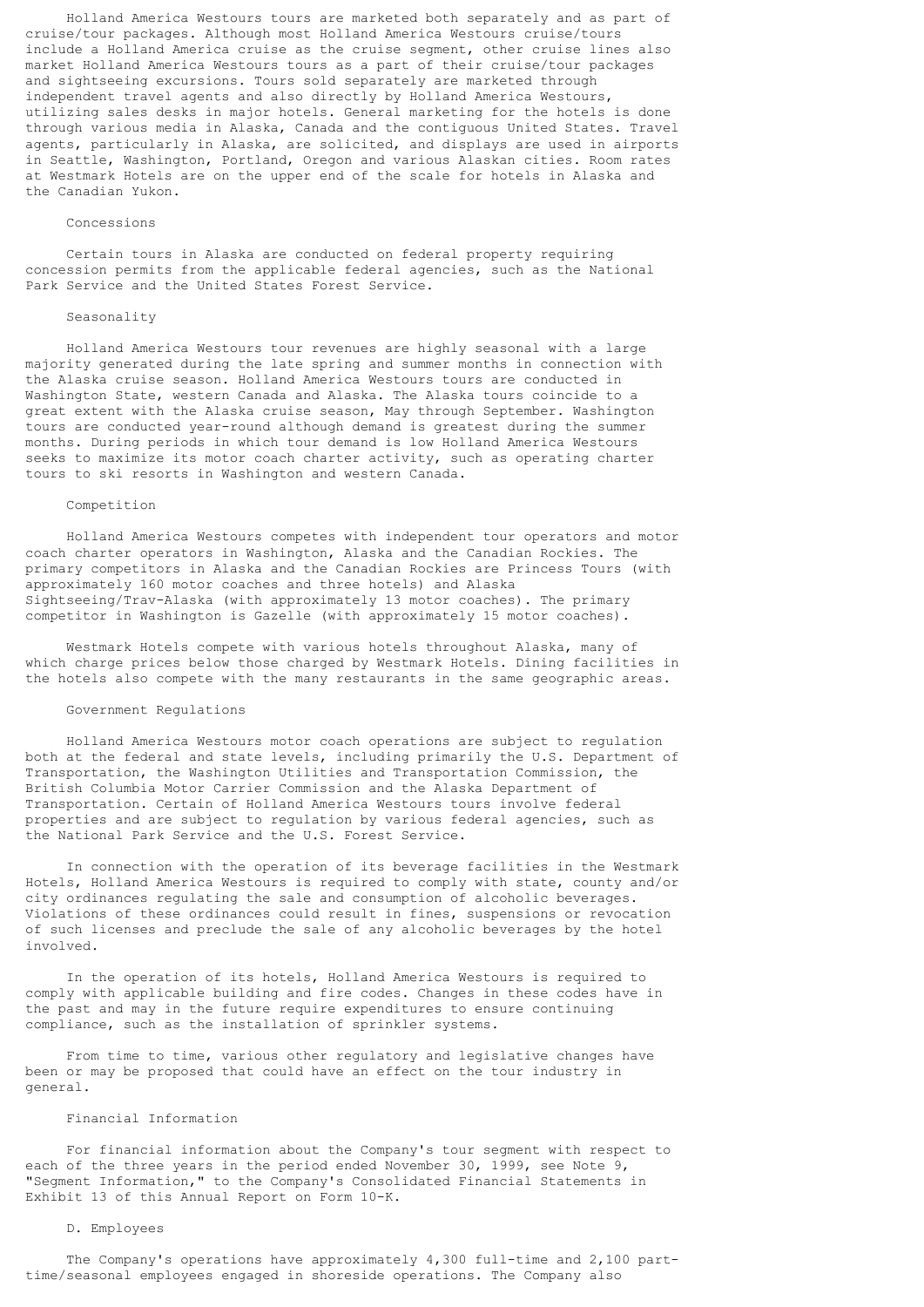Holland America Westours tours are marketed both separately and as part of cruise/tour packages. Although most Holland America Westours cruise/tours include a Holland America cruise as the cruise segment, other cruise lines also market Holland America Westours tours as a part of their cruise/tour packages and sightseeing excursions. Tours sold separately are marketed through independent travel agents and also directly by Holland America Westours, utilizing sales desks in major hotels. General marketing for the hotels is done through various media in Alaska, Canada and the contiguous United States. Travel agents, particularly in Alaska, are solicited, and displays are used in airports in Seattle, Washington, Portland, Oregon and various Alaskan cities. Room rates at Westmark Hotels are on the upper end of the scale for hotels in Alaska and the Canadian Yukon.

#### Concessions

 Certain tours in Alaska are conducted on federal property requiring concession permits from the applicable federal agencies, such as the National Park Service and the United States Forest Service.

### Seasonality

 Holland America Westours tour revenues are highly seasonal with a large majority generated during the late spring and summer months in connection with the Alaska cruise season. Holland America Westours tours are conducted in Washington State, western Canada and Alaska. The Alaska tours coincide to a great extent with the Alaska cruise season, May through September. Washington tours are conducted year-round although demand is greatest during the summer months. During periods in which tour demand is low Holland America Westours seeks to maximize its motor coach charter activity, such as operating charter tours to ski resorts in Washington and western Canada.

#### Competition

 Holland America Westours competes with independent tour operators and motor coach charter operators in Washington, Alaska and the Canadian Rockies. The primary competitors in Alaska and the Canadian Rockies are Princess Tours (with approximately 160 motor coaches and three hotels) and Alaska Sightseeing/Trav-Alaska (with approximately 13 motor coaches). The primary competitor in Washington is Gazelle (with approximately 15 motor coaches).

 Westmark Hotels compete with various hotels throughout Alaska, many of which charge prices below those charged by Westmark Hotels. Dining facilities in the hotels also compete with the many restaurants in the same geographic areas.

### Government Regulations

 Holland America Westours motor coach operations are subject to regulation both at the federal and state levels, including primarily the U.S. Department of Transportation, the Washington Utilities and Transportation Commission, the British Columbia Motor Carrier Commission and the Alaska Department of Transportation. Certain of Holland America Westours tours involve federal properties and are subject to regulation by various federal agencies, such as the National Park Service and the U.S. Forest Service.

 In connection with the operation of its beverage facilities in the Westmark Hotels, Holland America Westours is required to comply with state, county and/or city ordinances regulating the sale and consumption of alcoholic beverages. Violations of these ordinances could result in fines, suspensions or revocation of such licenses and preclude the sale of any alcoholic beverages by the hotel involved.

 In the operation of its hotels, Holland America Westours is required to comply with applicable building and fire codes. Changes in these codes have in the past and may in the future require expenditures to ensure continuing compliance, such as the installation of sprinkler systems.

 From time to time, various other regulatory and legislative changes have been or may be proposed that could have an effect on the tour industry in general.

### Financial Information

 For financial information about the Company's tour segment with respect to each of the three years in the period ended November 30, 1999, see Note 9, "Segment Information," to the Company's Consolidated Financial Statements in Exhibit 13 of this Annual Report on Form 10-K.

# D. Employees

 The Company's operations have approximately 4,300 full-time and 2,100 parttime/seasonal employees engaged in shoreside operations. The Company also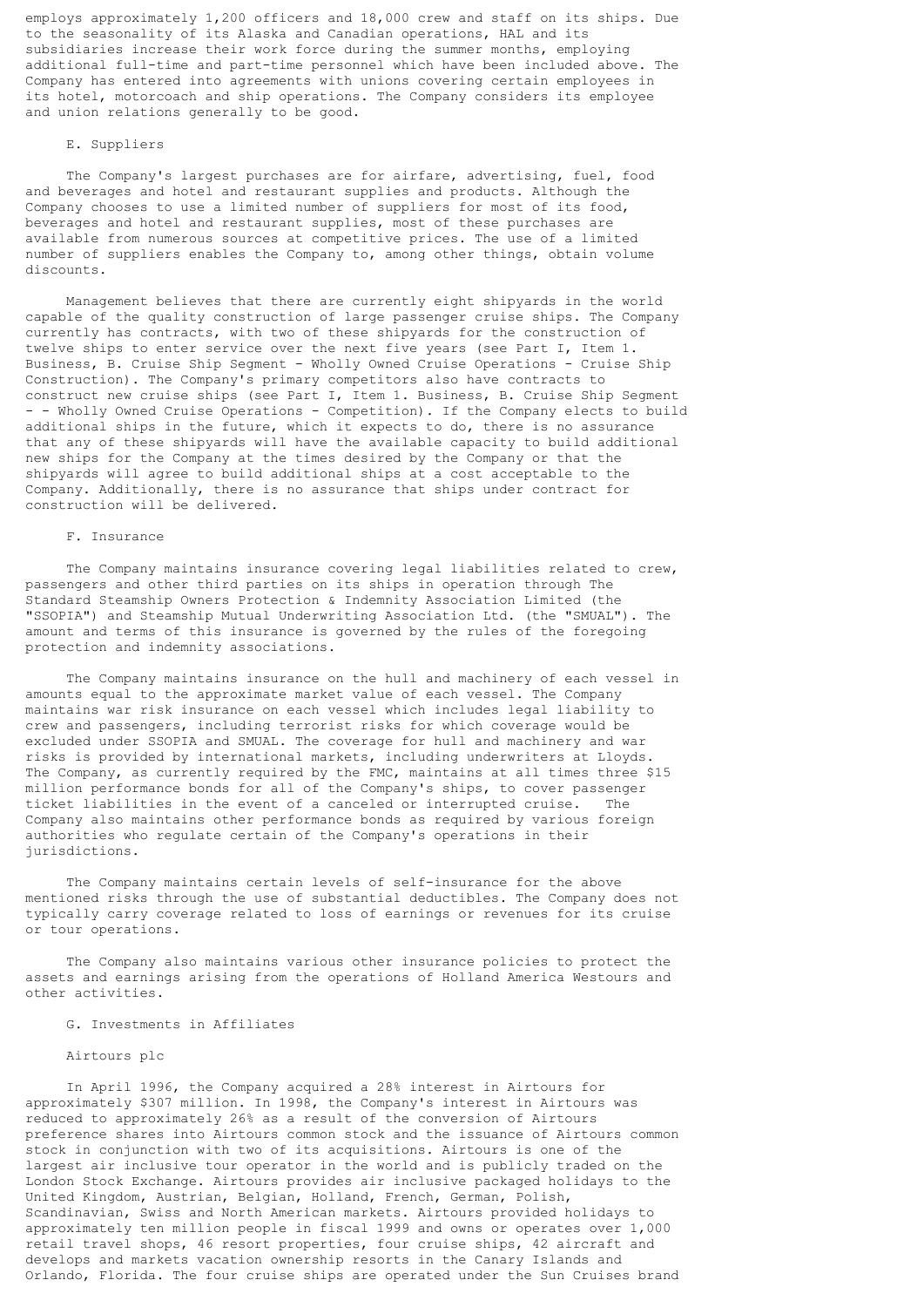employs approximately 1,200 officers and 18,000 crew and staff on its ships. Due to the seasonality of its Alaska and Canadian operations, HAL and its subsidiaries increase their work force during the summer months, employing additional full-time and part-time personnel which have been included above. The Company has entered into agreements with unions covering certain employees in its hotel, motorcoach and ship operations. The Company considers its employee and union relations generally to be good.

# E. Suppliers

 The Company's largest purchases are for airfare, advertising, fuel, food and beverages and hotel and restaurant supplies and products. Although the Company chooses to use a limited number of suppliers for most of its food, beverages and hotel and restaurant supplies, most of these purchases are available from numerous sources at competitive prices. The use of a limited number of suppliers enables the Company to, among other things, obtain volume discounts.

 Management believes that there are currently eight shipyards in the world capable of the quality construction of large passenger cruise ships. The Company currently has contracts, with two of these shipyards for the construction of twelve ships to enter service over the next five years (see Part I, Item 1. Business, B. Cruise Ship Segment - Wholly Owned Cruise Operations - Cruise Ship Construction). The Company's primary competitors also have contracts to construct new cruise ships (see Part I, Item 1. Business, B. Cruise Ship Segment - - Wholly Owned Cruise Operations - Competition). If the Company elects to build additional ships in the future, which it expects to do, there is no assurance that any of these shipyards will have the available capacity to build additional new ships for the Company at the times desired by the Company or that the shipyards will agree to build additional ships at a cost acceptable to the Company. Additionally, there is no assurance that ships under contract for construction will be delivered.

# F. Insurance

 The Company maintains insurance covering legal liabilities related to crew, passengers and other third parties on its ships in operation through The Standard Steamship Owners Protection & Indemnity Association Limited (the "SSOPIA") and Steamship Mutual Underwriting Association Ltd. (the "SMUAL"). The amount and terms of this insurance is governed by the rules of the foregoing protection and indemnity associations.

 The Company maintains insurance on the hull and machinery of each vessel in amounts equal to the approximate market value of each vessel. The Company maintains war risk insurance on each vessel which includes legal liability to crew and passengers, including terrorist risks for which coverage would be excluded under SSOPIA and SMUAL. The coverage for hull and machinery and war risks is provided by international markets, including underwriters at Lloyds. The Company, as currently required by the FMC, maintains at all times three \$15 million performance bonds for all of the Company's ships, to cover passenger ticket liabilities in the event of a canceled or interrupted cruise. The Company also maintains other performance bonds as required by various foreign authorities who regulate certain of the Company's operations in their jurisdictions.

 The Company maintains certain levels of self-insurance for the above mentioned risks through the use of substantial deductibles. The Company does not typically carry coverage related to loss of earnings or revenues for its cruise or tour operations.

 The Company also maintains various other insurance policies to protect the assets and earnings arising from the operations of Holland America Westours and other activities.

### G. Investments in Affiliates

#### Airtours plc

 In April 1996, the Company acquired a 28% interest in Airtours for approximately \$307 million. In 1998, the Company's interest in Airtours was reduced to approximately 26% as a result of the conversion of Airtours preference shares into Airtours common stock and the issuance of Airtours common stock in conjunction with two of its acquisitions. Airtours is one of the largest air inclusive tour operator in the world and is publicly traded on the London Stock Exchange. Airtours provides air inclusive packaged holidays to the United Kingdom, Austrian, Belgian, Holland, French, German, Polish, Scandinavian, Swiss and North American markets. Airtours provided holidays to approximately ten million people in fiscal 1999 and owns or operates over 1,000 retail travel shops, 46 resort properties, four cruise ships, 42 aircraft and develops and markets vacation ownership resorts in the Canary Islands and Orlando, Florida. The four cruise ships are operated under the Sun Cruises brand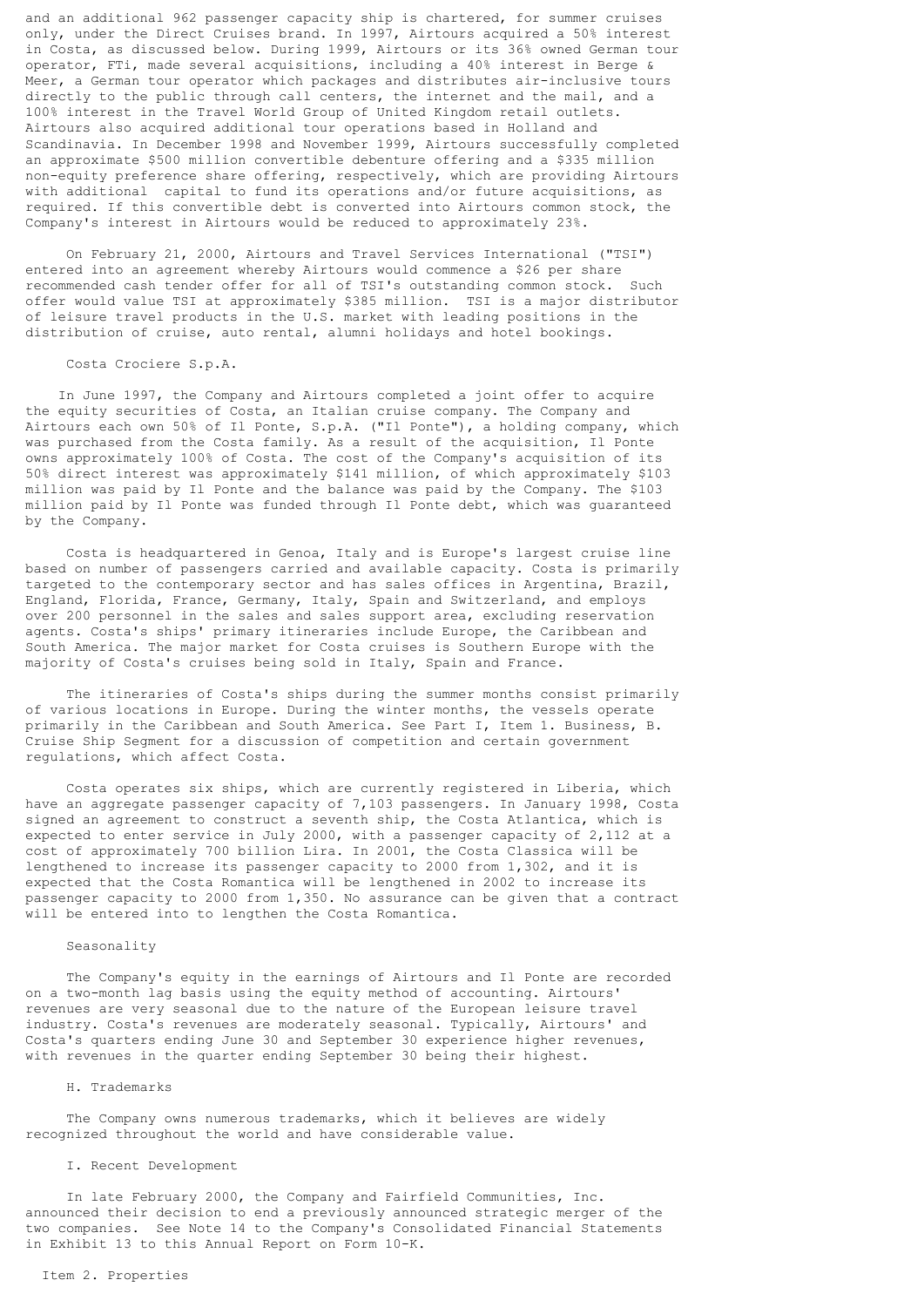and an additional 962 passenger capacity ship is chartered, for summer cruises only, under the Direct Cruises brand. In 1997, Airtours acquired a 50% interest in Costa, as discussed below. During 1999, Airtours or its 36% owned German tour operator, FTi, made several acquisitions, including a 40% interest in Berge & Meer, a German tour operator which packages and distributes air-inclusive tours directly to the public through call centers, the internet and the mail, and a 100% interest in the Travel World Group of United Kingdom retail outlets. Airtours also acquired additional tour operations based in Holland and Scandinavia. In December 1998 and November 1999, Airtours successfully completed an approximate \$500 million convertible debenture offering and a \$335 million non-equity preference share offering, respectively, which are providing Airtours with additional capital to fund its operations and/or future acquisitions, as required. If this convertible debt is converted into Airtours common stock, the Company's interest in Airtours would be reduced to approximately 23%.

 On February 21, 2000, Airtours and Travel Services International ("TSI") entered into an agreement whereby Airtours would commence a \$26 per share recommended cash tender offer for all of TSI's outstanding common stock. Such offer would value TSI at approximately \$385 million. TSI is a major distributor of leisure travel products in the U.S. market with leading positions in the distribution of cruise, auto rental, alumni holidays and hotel bookings.

### Costa Crociere S.p.A.

 In June 1997, the Company and Airtours completed a joint offer to acquire the equity securities of Costa, an Italian cruise company. The Company and Airtours each own 50% of Il Ponte, S.p.A. ("Il Ponte"), a holding company, which was purchased from the Costa family. As a result of the acquisition, Il Ponte owns approximately 100% of Costa. The cost of the Company's acquisition of its 50% direct interest was approximately \$141 million, of which approximately \$103 million was paid by Il Ponte and the balance was paid by the Company. The \$103 million paid by Il Ponte was funded through Il Ponte debt, which was guaranteed by the Company.

 Costa is headquartered in Genoa, Italy and is Europe's largest cruise line based on number of passengers carried and available capacity. Costa is primarily targeted to the contemporary sector and has sales offices in Argentina, Brazil, England, Florida, France, Germany, Italy, Spain and Switzerland, and employs over 200 personnel in the sales and sales support area, excluding reservation agents. Costa's ships' primary itineraries include Europe, the Caribbean and South America. The major market for Costa cruises is Southern Europe with the majority of Costa's cruises being sold in Italy, Spain and France.

 The itineraries of Costa's ships during the summer months consist primarily of various locations in Europe. During the winter months, the vessels operate primarily in the Caribbean and South America. See Part I, Item 1. Business, B. Cruise Ship Segment for a discussion of competition and certain government regulations, which affect Costa.

 Costa operates six ships, which are currently registered in Liberia, which have an aggregate passenger capacity of 7,103 passengers. In January 1998, Costa signed an agreement to construct a seventh ship, the Costa Atlantica, which is expected to enter service in July 2000, with a passenger capacity of 2,112 at a cost of approximately 700 billion Lira. In 2001, the Costa Classica will be lengthened to increase its passenger capacity to 2000 from 1,302, and it is expected that the Costa Romantica will be lengthened in 2002 to increase its passenger capacity to 2000 from 1,350. No assurance can be given that a contract will be entered into to lengthen the Costa Romantica.

### Seasonality

 The Company's equity in the earnings of Airtours and Il Ponte are recorded on a two-month lag basis using the equity method of accounting. Airtours' revenues are very seasonal due to the nature of the European leisure travel industry. Costa's revenues are moderately seasonal. Typically, Airtours' and Costa's quarters ending June 30 and September 30 experience higher revenues, with revenues in the quarter ending September 30 being their highest.

#### H. Trademarks

The Company owns numerous trademarks, which it believes are widely recognized throughout the world and have considerable value.

### I. Recent Development

 In late February 2000, the Company and Fairfield Communities, Inc. announced their decision to end a previously announced strategic merger of the two companies. See Note 14 to the Company's Consolidated Financial Statements in Exhibit 13 to this Annual Report on Form 10-K.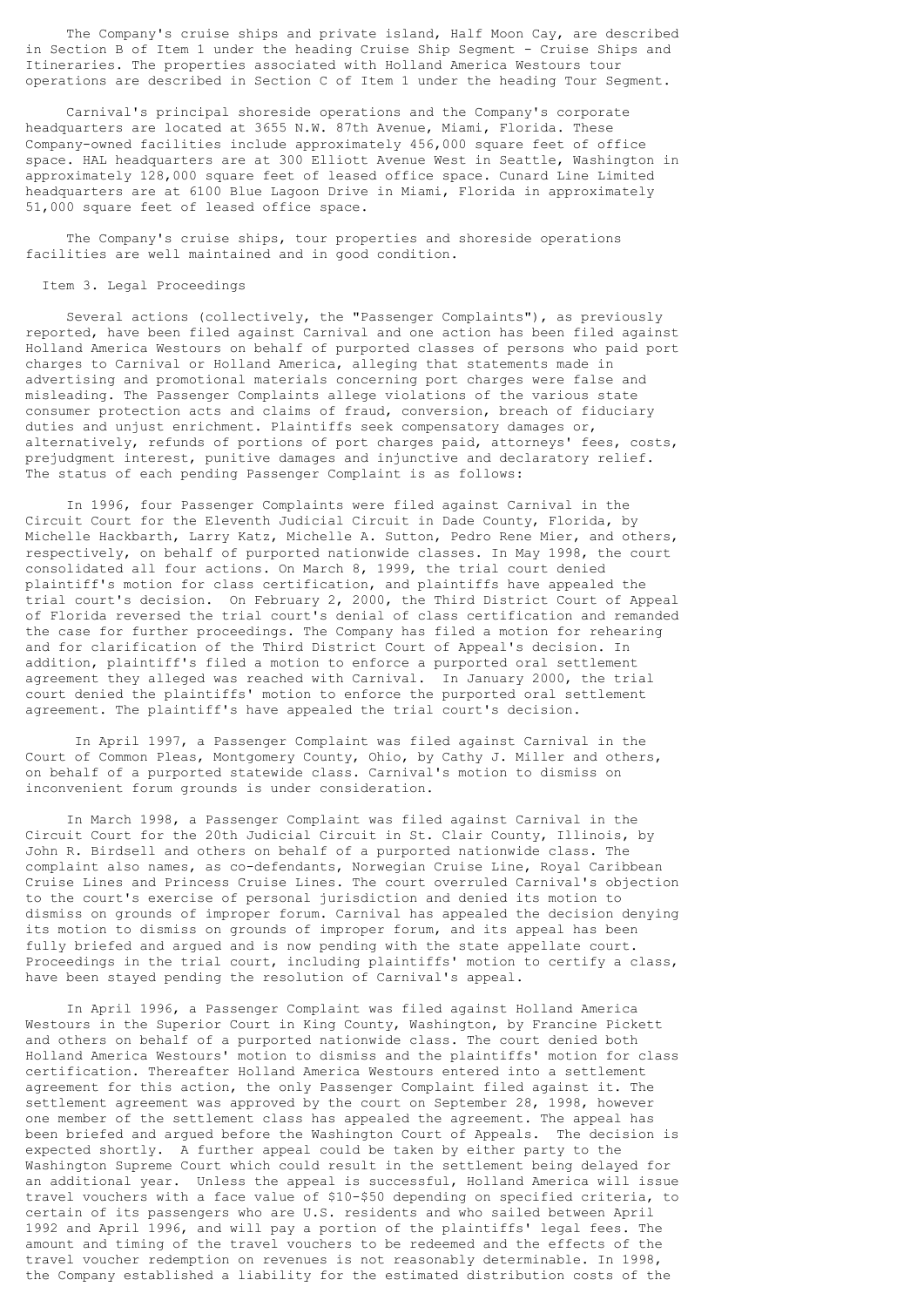The Company's cruise ships and private island, Half Moon Cay, are described in Section B of Item 1 under the heading Cruise Ship Segment - Cruise Ships and Itineraries. The properties associated with Holland America Westours tour operations are described in Section C of Item 1 under the heading Tour Segment.

 Carnival's principal shoreside operations and the Company's corporate headquarters are located at 3655 N.W. 87th Avenue, Miami, Florida. These Company-owned facilities include approximately 456,000 square feet of office space. HAL headquarters are at 300 Elliott Avenue West in Seattle, Washington in approximately 128,000 square feet of leased office space. Cunard Line Limited headquarters are at 6100 Blue Lagoon Drive in Miami, Florida in approximately 51,000 square feet of leased office space.

 The Company's cruise ships, tour properties and shoreside operations facilities are well maintained and in good condition.

#### Item 3. Legal Proceedings

 Several actions (collectively, the "Passenger Complaints"), as previously reported, have been filed against Carnival and one action has been filed against Holland America Westours on behalf of purported classes of persons who paid port charges to Carnival or Holland America, alleging that statements made in advertising and promotional materials concerning port charges were false and misleading. The Passenger Complaints allege violations of the various state consumer protection acts and claims of fraud, conversion, breach of fiduciary duties and unjust enrichment. Plaintiffs seek compensatory damages or, alternatively, refunds of portions of port charges paid, attorneys' fees, costs, prejudgment interest, punitive damages and injunctive and declaratory relief. The status of each pending Passenger Complaint is as follows:

 In 1996, four Passenger Complaints were filed against Carnival in the Circuit Court for the Eleventh Judicial Circuit in Dade County, Florida, by Michelle Hackbarth, Larry Katz, Michelle A. Sutton, Pedro Rene Mier, and others, respectively, on behalf of purported nationwide classes. In May 1998, the court consolidated all four actions. On March 8, 1999, the trial court denied plaintiff's motion for class certification, and plaintiffs have appealed the trial court's decision. On February 2, 2000, the Third District Court of Appeal of Florida reversed the trial court's denial of class certification and remanded the case for further proceedings. The Company has filed a motion for rehearing and for clarification of the Third District Court of Appeal's decision. In addition, plaintiff's filed a motion to enforce a purported oral settlement agreement they alleged was reached with Carnival. In January 2000, the trial court denied the plaintiffs' motion to enforce the purported oral settlement agreement. The plaintiff's have appealed the trial court's decision.

 In April 1997, a Passenger Complaint was filed against Carnival in the Court of Common Pleas, Montgomery County, Ohio, by Cathy J. Miller and others, on behalf of a purported statewide class. Carnival's motion to dismiss on inconvenient forum grounds is under consideration.

 In March 1998, a Passenger Complaint was filed against Carnival in the Circuit Court for the 20th Judicial Circuit in St. Clair County, Illinois, by John R. Birdsell and others on behalf of a purported nationwide class. The complaint also names, as co-defendants, Norwegian Cruise Line, Royal Caribbean Cruise Lines and Princess Cruise Lines. The court overruled Carnival's objection to the court's exercise of personal jurisdiction and denied its motion to dismiss on grounds of improper forum. Carnival has appealed the decision denying its motion to dismiss on grounds of improper forum, and its appeal has been fully briefed and argued and is now pending with the state appellate court. Proceedings in the trial court, including plaintiffs' motion to certify a class, have been stayed pending the resolution of Carnival's appeal.

 In April 1996, a Passenger Complaint was filed against Holland America Westours in the Superior Court in King County, Washington, by Francine Pickett and others on behalf of a purported nationwide class. The court denied both Holland America Westours' motion to dismiss and the plaintiffs' motion for class certification. Thereafter Holland America Westours entered into a settlement agreement for this action, the only Passenger Complaint filed against it. The settlement agreement was approved by the court on September 28, 1998, however one member of the settlement class has appealed the agreement. The appeal has been briefed and argued before the Washington Court of Appeals. The decision is expected shortly. A further appeal could be taken by either party to the Washington Supreme Court which could result in the settlement being delayed for an additional year. Unless the appeal is successful, Holland America will issue travel vouchers with a face value of \$10-\$50 depending on specified criteria, to certain of its passengers who are U.S. residents and who sailed between April 1992 and April 1996, and will pay a portion of the plaintiffs' legal fees. The amount and timing of the travel vouchers to be redeemed and the effects of the travel voucher redemption on revenues is not reasonably determinable. In 1998, the Company established a liability for the estimated distribution costs of the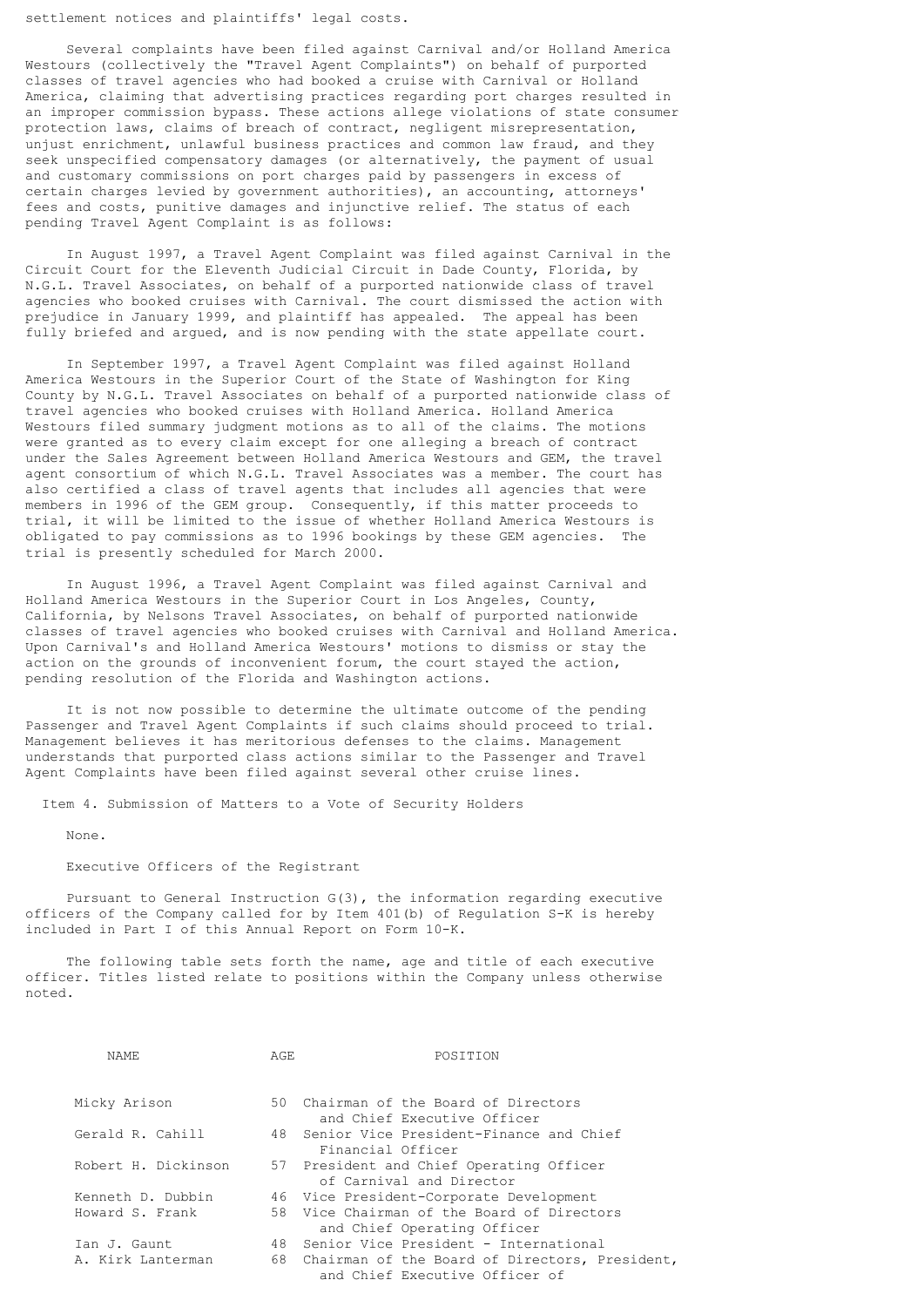settlement notices and plaintiffs' legal costs.

 Several complaints have been filed against Carnival and/or Holland America Westours (collectively the "Travel Agent Complaints") on behalf of purported classes of travel agencies who had booked a cruise with Carnival or Holland America, claiming that advertising practices regarding port charges resulted in an improper commission bypass. These actions allege violations of state consumer protection laws, claims of breach of contract, negligent misrepresentation, unjust enrichment, unlawful business practices and common law fraud, and they seek unspecified compensatory damages (or alternatively, the payment of usual and customary commissions on port charges paid by passengers in excess of certain charges levied by government authorities), an accounting, attorneys' fees and costs, punitive damages and injunctive relief. The status of each pending Travel Agent Complaint is as follows:

 In August 1997, a Travel Agent Complaint was filed against Carnival in the Circuit Court for the Eleventh Judicial Circuit in Dade County, Florida, by N.G.L. Travel Associates, on behalf of a purported nationwide class of travel agencies who booked cruises with Carnival. The court dismissed the action with prejudice in January 1999, and plaintiff has appealed. The appeal has been fully briefed and argued, and is now pending with the state appellate court.

 In September 1997, a Travel Agent Complaint was filed against Holland America Westours in the Superior Court of the State of Washington for King County by N.G.L. Travel Associates on behalf of a purported nationwide class of travel agencies who booked cruises with Holland America. Holland America Westours filed summary judgment motions as to all of the claims. The motions were granted as to every claim except for one alleging a breach of contract under the Sales Agreement between Holland America Westours and GEM, the travel agent consortium of which N.G.L. Travel Associates was a member. The court has also certified a class of travel agents that includes all agencies that were members in 1996 of the GEM group. Consequently, if this matter proceeds to trial, it will be limited to the issue of whether Holland America Westours is obligated to pay commissions as to 1996 bookings by these GEM agencies. The trial is presently scheduled for March 2000.

 In August 1996, a Travel Agent Complaint was filed against Carnival and Holland America Westours in the Superior Court in Los Angeles, County, California, by Nelsons Travel Associates, on behalf of purported nationwide classes of travel agencies who booked cruises with Carnival and Holland America. Upon Carnival's and Holland America Westours' motions to dismiss or stay the action on the grounds of inconvenient forum, the court stayed the action, pending resolution of the Florida and Washington actions.

 It is not now possible to determine the ultimate outcome of the pending Passenger and Travel Agent Complaints if such claims should proceed to trial. Management believes it has meritorious defenses to the claims. Management understands that purported class actions similar to the Passenger and Travel Agent Complaints have been filed against several other cruise lines.

Item 4. Submission of Matters to a Vote of Security Holders

None.

Executive Officers of the Registrant

 Pursuant to General Instruction G(3), the information regarding executive officers of the Company called for by Item 401(b) of Regulation S-K is hereby included in Part I of this Annual Report on Form 10-K.

 The following table sets forth the name, age and title of each executive officer. Titles listed relate to positions within the Company unless otherwise noted.

| NAME.               | AGE | POSTTION                                                                            |
|---------------------|-----|-------------------------------------------------------------------------------------|
|                     |     |                                                                                     |
| Micky Arison        |     | 50 Chairman of the Board of Directors<br>and Chief Executive Officer                |
| Gerald R. Cahill    |     | 48 Senior Vice President-Finance and Chief<br>Financial Officer                     |
| Robert H. Dickinson |     | 57 President and Chief Operating Officer<br>of Carnival and Director                |
| Kenneth D. Dubbin   |     | 46 Vice President-Corporate Development                                             |
| Howard S. Frank     |     | 58 Vice Chairman of the Board of Directors<br>and Chief Operating Officer           |
| Ian J. Gaunt        |     | 48 Senior Vice President - International                                            |
| A. Kirk Lanterman   |     | 68 Chairman of the Board of Directors, President,<br>and Chief Executive Officer of |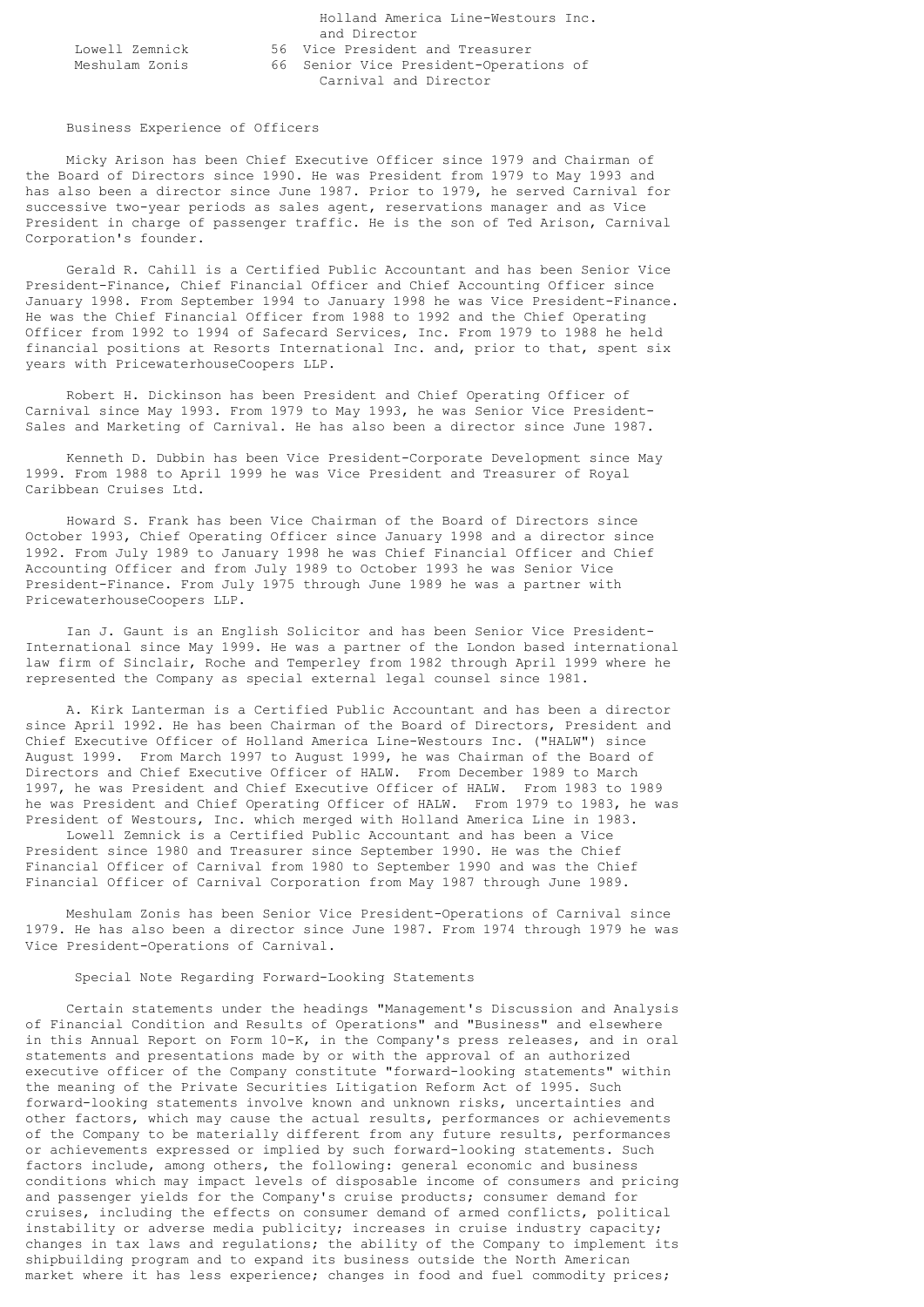|                | Holland America Line-Westours Inc.     |
|----------------|----------------------------------------|
|                | and Director                           |
| Lowell Zemnick | 56 Vice President and Treasurer        |
| Meshulam Zonis | 66 Senior Vice President-Operations of |
|                | Carnival and Director                  |

#### Business Experience of Officers

 Micky Arison has been Chief Executive Officer since 1979 and Chairman of the Board of Directors since 1990. He was President from 1979 to May 1993 and has also been a director since June 1987. Prior to 1979, he served Carnival for successive two-year periods as sales agent, reservations manager and as Vice President in charge of passenger traffic. He is the son of Ted Arison, Carnival Corporation's founder.

 Gerald R. Cahill is a Certified Public Accountant and has been Senior Vice President-Finance, Chief Financial Officer and Chief Accounting Officer since January 1998. From September 1994 to January 1998 he was Vice President-Finance. He was the Chief Financial Officer from 1988 to 1992 and the Chief Operating Officer from 1992 to 1994 of Safecard Services, Inc. From 1979 to 1988 he held financial positions at Resorts International Inc. and, prior to that, spent six years with PricewaterhouseCoopers LLP.

 Robert H. Dickinson has been President and Chief Operating Officer of Carnival since May 1993. From 1979 to May 1993, he was Senior Vice President-Sales and Marketing of Carnival. He has also been a director since June 1987.

 Kenneth D. Dubbin has been Vice President-Corporate Development since May 1999. From 1988 to April 1999 he was Vice President and Treasurer of Royal Caribbean Cruises Ltd.

 Howard S. Frank has been Vice Chairman of the Board of Directors since October 1993, Chief Operating Officer since January 1998 and a director since 1992. From July 1989 to January 1998 he was Chief Financial Officer and Chief Accounting Officer and from July 1989 to October 1993 he was Senior Vice President-Finance. From July 1975 through June 1989 he was a partner with PricewaterhouseCoopers LLP.

 Ian J. Gaunt is an English Solicitor and has been Senior Vice President-International since May 1999. He was a partner of the London based international law firm of Sinclair, Roche and Temperley from 1982 through April 1999 where he represented the Company as special external legal counsel since 1981.

 A. Kirk Lanterman is a Certified Public Accountant and has been a director since April 1992. He has been Chairman of the Board of Directors, President and Chief Executive Officer of Holland America Line-Westours Inc. ("HALW") since August 1999. From March 1997 to August 1999, he was Chairman of the Board of Directors and Chief Executive Officer of HALW. From December 1989 to March 1997, he was President and Chief Executive Officer of HALW. From 1983 to 1989 he was President and Chief Operating Officer of HALW. From 1979 to 1983, he was President of Westours, Inc. which merged with Holland America Line in 1983.

 Lowell Zemnick is a Certified Public Accountant and has been a Vice President since 1980 and Treasurer since September 1990. He was the Chief Financial Officer of Carnival from 1980 to September 1990 and was the Chief Financial Officer of Carnival Corporation from May 1987 through June 1989.

 Meshulam Zonis has been Senior Vice President-Operations of Carnival since 1979. He has also been a director since June 1987. From 1974 through 1979 he was Vice President-Operations of Carnival.

# Special Note Regarding Forward-Looking Statements

 Certain statements under the headings "Management's Discussion and Analysis of Financial Condition and Results of Operations" and "Business" and elsewhere in this Annual Report on Form 10-K, in the Company's press releases, and in oral statements and presentations made by or with the approval of an authorized executive officer of the Company constitute "forward-looking statements" within the meaning of the Private Securities Litigation Reform Act of 1995. Such forward-looking statements involve known and unknown risks, uncertainties and other factors, which may cause the actual results, performances or achievements of the Company to be materially different from any future results, performances or achievements expressed or implied by such forward-looking statements. Such factors include, among others, the following: general economic and business conditions which may impact levels of disposable income of consumers and pricing and passenger yields for the Company's cruise products; consumer demand for cruises, including the effects on consumer demand of armed conflicts, political instability or adverse media publicity; increases in cruise industry capacity; changes in tax laws and regulations; the ability of the Company to implement its shipbuilding program and to expand its business outside the North American market where it has less experience; changes in food and fuel commodity prices;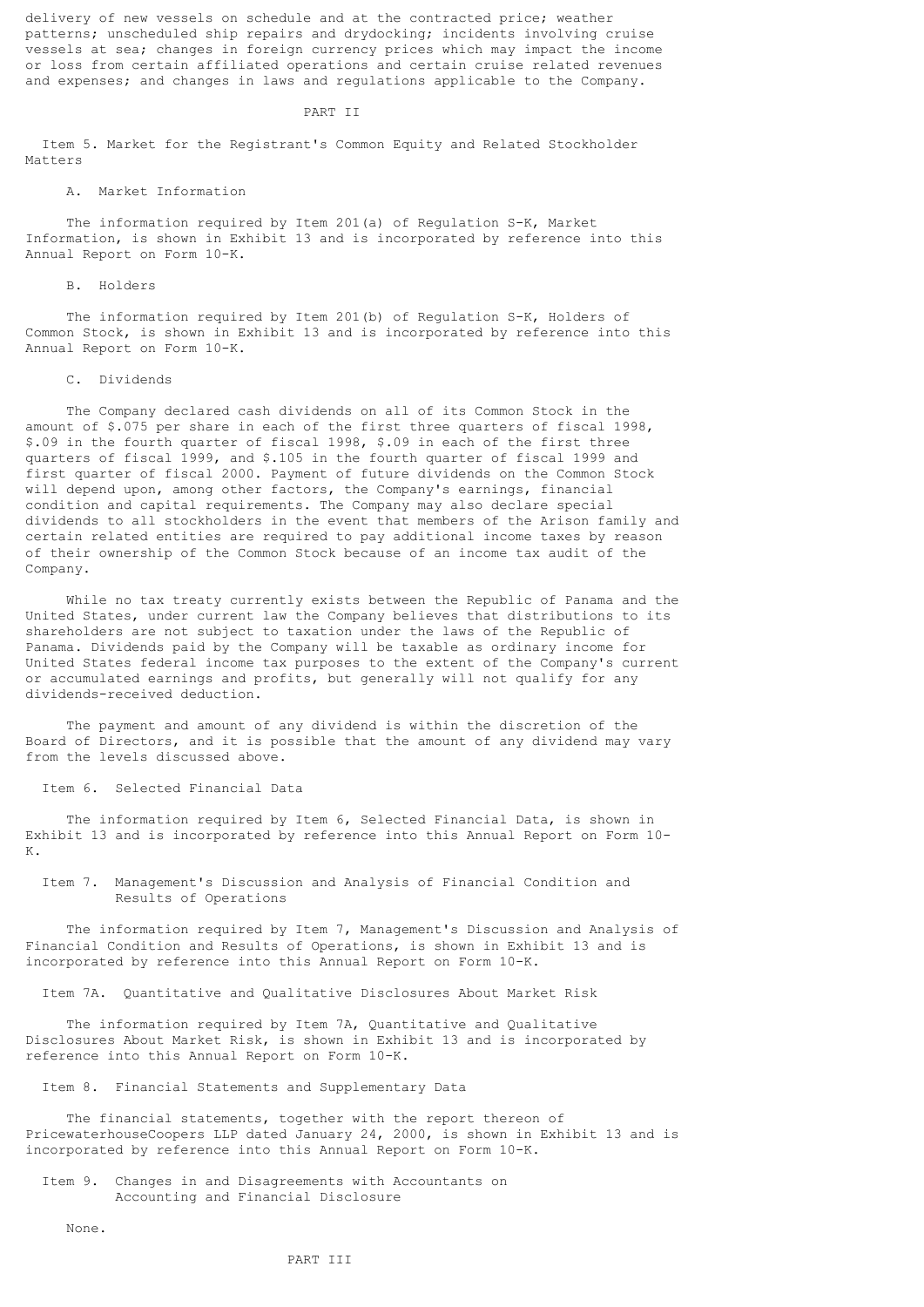delivery of new vessels on schedule and at the contracted price; weather patterns; unscheduled ship repairs and drydocking; incidents involving cruise vessels at sea; changes in foreign currency prices which may impact the income or loss from certain affiliated operations and certain cruise related revenues and expenses; and changes in laws and regulations applicable to the Company.

#### PART II

 Item 5. Market for the Registrant's Common Equity and Related Stockholder Matters

# A. Market Information

 The information required by Item 201(a) of Regulation S-K, Market Information, is shown in Exhibit 13 and is incorporated by reference into this Annual Report on Form 10-K.

# B. Holders

 The information required by Item 201(b) of Regulation S-K, Holders of Common Stock, is shown in Exhibit 13 and is incorporated by reference into this Annual Report on Form 10-K.

### C. Dividends

 The Company declared cash dividends on all of its Common Stock in the amount of \$.075 per share in each of the first three quarters of fiscal 1998, \$.09 in the fourth quarter of fiscal 1998, \$.09 in each of the first three quarters of fiscal 1999, and \$.105 in the fourth quarter of fiscal 1999 and first quarter of fiscal 2000. Payment of future dividends on the Common Stock will depend upon, among other factors, the Company's earnings, financial condition and capital requirements. The Company may also declare special dividends to all stockholders in the event that members of the Arison family and certain related entities are required to pay additional income taxes by reason of their ownership of the Common Stock because of an income tax audit of the Company.

 While no tax treaty currently exists between the Republic of Panama and the United States, under current law the Company believes that distributions to its shareholders are not subject to taxation under the laws of the Republic of Panama. Dividends paid by the Company will be taxable as ordinary income for United States federal income tax purposes to the extent of the Company's current or accumulated earnings and profits, but generally will not qualify for any dividends-received deduction.

 The payment and amount of any dividend is within the discretion of the Board of Directors, and it is possible that the amount of any dividend may vary from the levels discussed above.

# Item 6. Selected Financial Data

 The information required by Item 6, Selected Financial Data, is shown in Exhibit 13 and is incorporated by reference into this Annual Report on Form 10-  $\mathbb{K}$ .

 Item 7. Management's Discussion and Analysis of Financial Condition and Results of Operations

 The information required by Item 7, Management's Discussion and Analysis of Financial Condition and Results of Operations, is shown in Exhibit 13 and is incorporated by reference into this Annual Report on Form 10-K.

Item 7A. Quantitative and Qualitative Disclosures About Market Risk

 The information required by Item 7A, Quantitative and Qualitative Disclosures About Market Risk, is shown in Exhibit 13 and is incorporated by reference into this Annual Report on Form 10-K.

Item 8. Financial Statements and Supplementary Data

 The financial statements, together with the report thereon of PricewaterhouseCoopers LLP dated January 24, 2000, is shown in Exhibit 13 and is incorporated by reference into this Annual Report on Form 10-K.

 Item 9. Changes in and Disagreements with Accountants on Accounting and Financial Disclosure

None.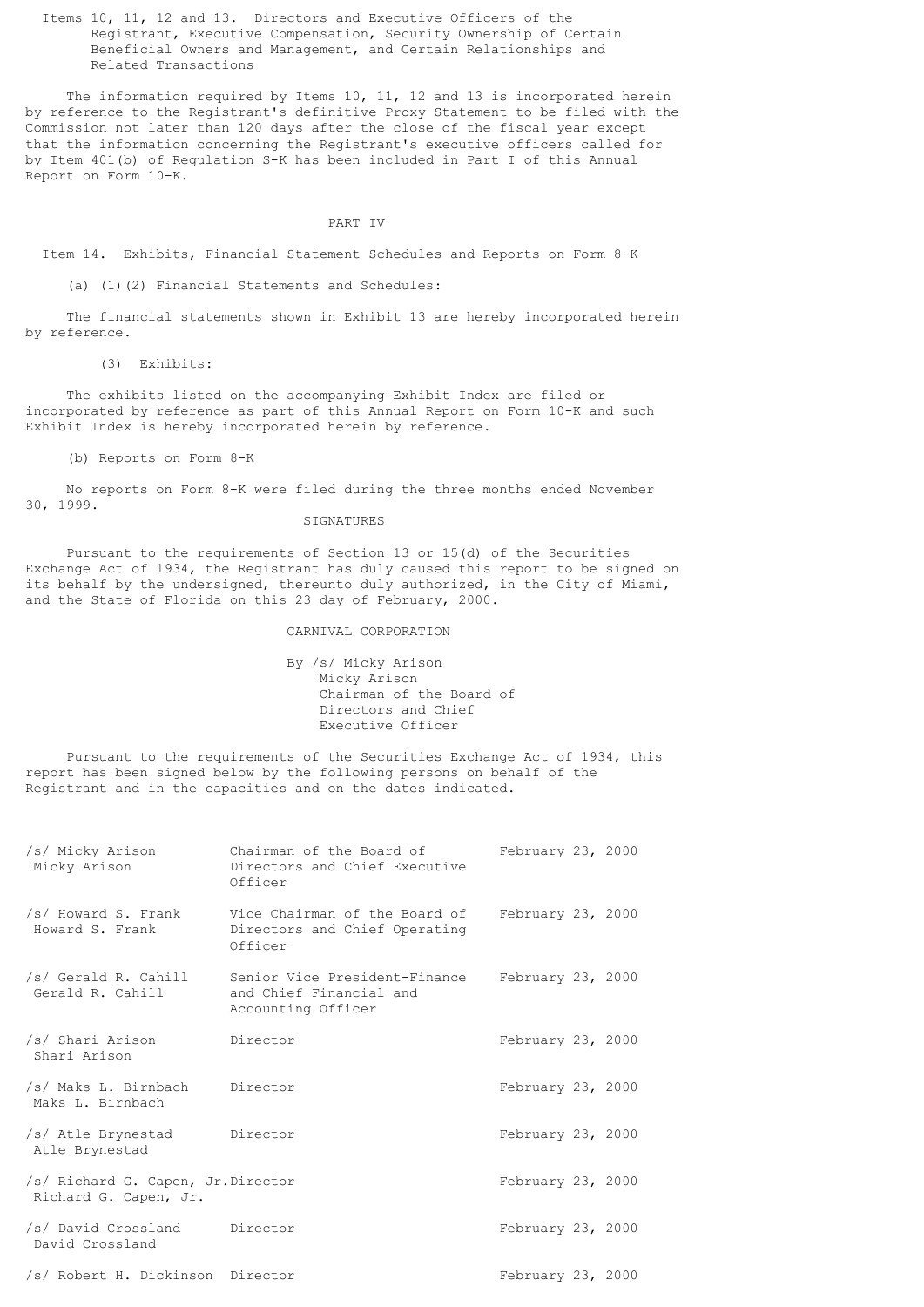Items 10, 11, 12 and 13. Directors and Executive Officers of the Registrant, Executive Compensation, Security Ownership of Certain Beneficial Owners and Management, and Certain Relationships and Related Transactions

The information required by Items 10, 11, 12 and 13 is incorporated herein by reference to the Registrant's definitive Proxy Statement to be filed with the Commission not later than 120 days after the close of the fiscal year except that the information concerning the Registrant's executive officers called for by Item 401(b) of Regulation S-K has been included in Part I of this Annual Report on Form 10-K.

# PART IV

Item 14. Exhibits, Financial Statement Schedules and Reports on Form 8-K

(a) (1)(2) Financial Statements and Schedules:

 The financial statements shown in Exhibit 13 are hereby incorporated herein by reference.

(3) Exhibits:

 The exhibits listed on the accompanying Exhibit Index are filed or incorporated by reference as part of this Annual Report on Form 10-K and such Exhibit Index is hereby incorporated herein by reference.

(b) Reports on Form 8-K

 No reports on Form 8-K were filed during the three months ended November 30, 1999.

### SIGNATURES

 Pursuant to the requirements of Section 13 or 15(d) of the Securities Exchange Act of 1934, the Registrant has duly caused this report to be signed on its behalf by the undersigned, thereunto duly authorized, in the City of Miami, and the State of Florida on this 23 day of February, 2000.

### CARNIVAL CORPORATION

 By /s/ Micky Arison Micky Arison Chairman of the Board of Directors and Chief Executive Officer

 Pursuant to the requirements of the Securities Exchange Act of 1934, this report has been signed below by the following persons on behalf of the Registrant and in the capacities and on the dates indicated.

| /s/ Micky Arison<br>Micky Arison                           | Chairman of the Board of February 23, 2000<br>Directors and Chief Executive<br>Officer                                |                   |  |
|------------------------------------------------------------|-----------------------------------------------------------------------------------------------------------------------|-------------------|--|
| Howard S. Frank                                            | /s/ Howard S. Frank Vice Chairman of the Board of February 23, 2000<br>Directors and Chief Operating<br>Officer       |                   |  |
| Gerald R. Cahill                                           | /s/ Gerald R. Cahill Senior Vice President-Finance February 23, 2000<br>and Chief Financial and<br>Accounting Officer |                   |  |
| /s/ Shari Arison Director<br>Shari Arison                  |                                                                                                                       | February 23, 2000 |  |
| /s/ Maks L. Birnbach Director<br>Maks L. Birnbach          |                                                                                                                       | February 23, 2000 |  |
| /s/ Atle Brynestad Director<br>Atle Brynestad              |                                                                                                                       | February 23, 2000 |  |
| /s/ Richard G. Capen, Jr.Director<br>Richard G. Capen, Jr. |                                                                                                                       | February 23, 2000 |  |
| /s/ David Crossland Director<br>David Crossland            |                                                                                                                       | February 23, 2000 |  |
| /s/ Robert H. Dickinson Director                           |                                                                                                                       | February 23, 2000 |  |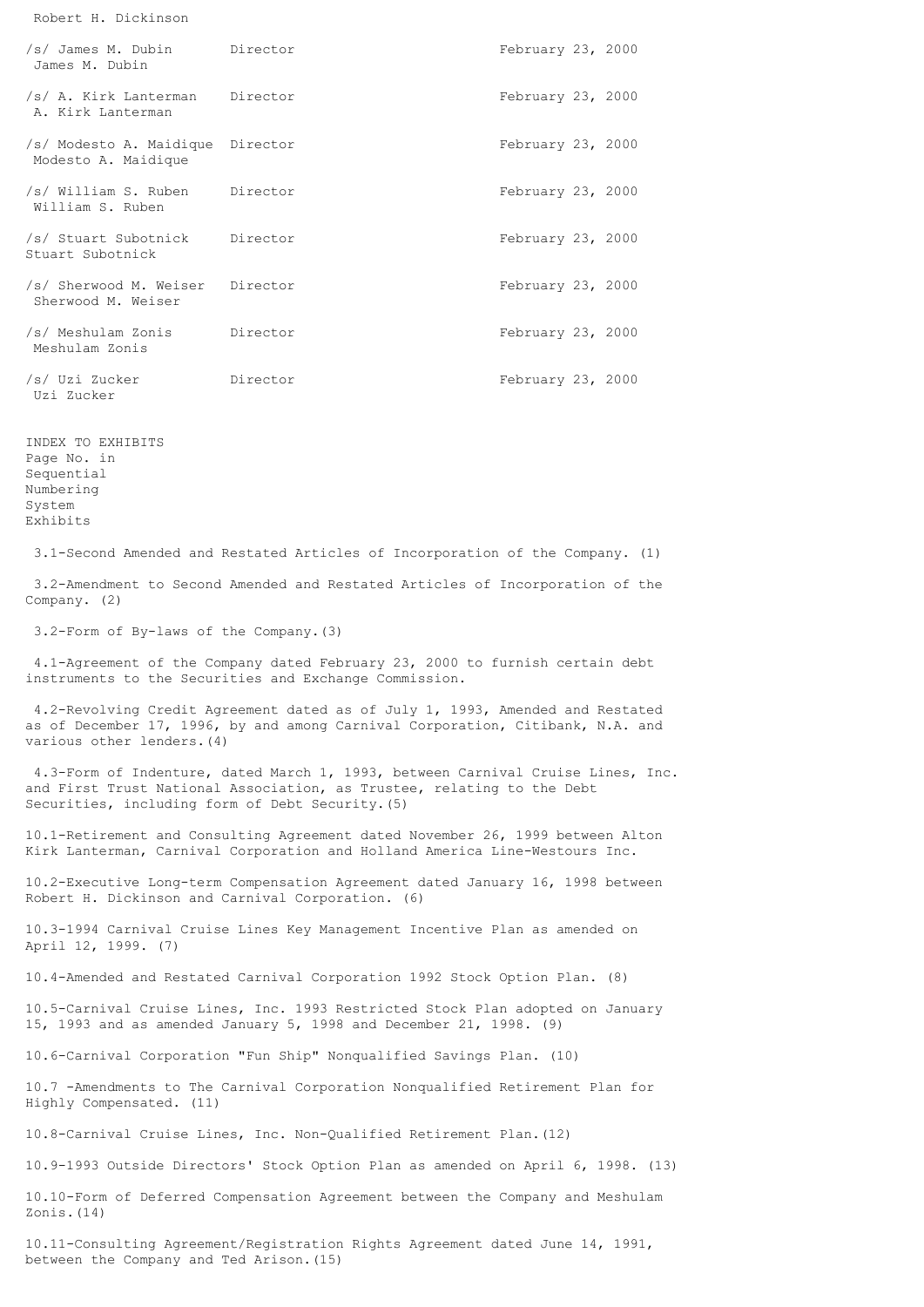Robert H. Dickinson

| /s/ James M. Dubin Director<br>James M. Dubin           |          | February 23, 2000 |  |
|---------------------------------------------------------|----------|-------------------|--|
| /s/ A. Kirk Lanterman Director<br>A. Kirk Lanterman     |          | February 23, 2000 |  |
| /s/ Modesto A. Maidique Director<br>Modesto A. Maidique |          | February 23, 2000 |  |
| /s/ William S. Ruben Director<br>William S. Ruben       |          | February 23, 2000 |  |
| /s/ Stuart Subotnick Director<br>Stuart Subotnick       |          | February 23, 2000 |  |
| /s/ Sherwood M. Weiser Director<br>Sherwood M. Weiser   |          | February 23, 2000 |  |
| /s/ Meshulam Zonis Director<br>Meshulam Zonis           |          | February 23, 2000 |  |
| /s/ Uzi Zucker<br>Uzi Zucker                            | Director | February 23, 2000 |  |

INDEX TO EXHIBITS Page No. in Sequential Numbering System Exhibits

3.1-Second Amended and Restated Articles of Incorporation of the Company. (1)

 3.2-Amendment to Second Amended and Restated Articles of Incorporation of the Company. (2)

3.2-Form of By-laws of the Company.(3)

 4.1-Agreement of the Company dated February 23, 2000 to furnish certain debt instruments to the Securities and Exchange Commission.

 4.2-Revolving Credit Agreement dated as of July 1, 1993, Amended and Restated as of December 17, 1996, by and among Carnival Corporation, Citibank, N.A. and various other lenders.(4)

 4.3-Form of Indenture, dated March 1, 1993, between Carnival Cruise Lines, Inc. and First Trust National Association, as Trustee, relating to the Debt Securities, including form of Debt Security.(5)

10.1-Retirement and Consulting Agreement dated November 26, 1999 between Alton Kirk Lanterman, Carnival Corporation and Holland America Line-Westours Inc.

10.2-Executive Long-term Compensation Agreement dated January 16, 1998 between Robert H. Dickinson and Carnival Corporation. (6)

10.3-1994 Carnival Cruise Lines Key Management Incentive Plan as amended on April 12, 1999. (7)

10.4-Amended and Restated Carnival Corporation 1992 Stock Option Plan. (8)

10.5-Carnival Cruise Lines, Inc. 1993 Restricted Stock Plan adopted on January 15, 1993 and as amended January 5, 1998 and December 21, 1998. (9)

10.6-Carnival Corporation "Fun Ship" Nonqualified Savings Plan. (10)

10.7 -Amendments to The Carnival Corporation Nonqualified Retirement Plan for Highly Compensated. (11)

10.8-Carnival Cruise Lines, Inc. Non-Qualified Retirement Plan.(12)

10.9-1993 Outside Directors' Stock Option Plan as amended on April 6, 1998. (13)

10.10-Form of Deferred Compensation Agreement between the Company and Meshulam Zonis.(14)

10.11-Consulting Agreement/Registration Rights Agreement dated June 14, 1991, between the Company and Ted Arison.(15)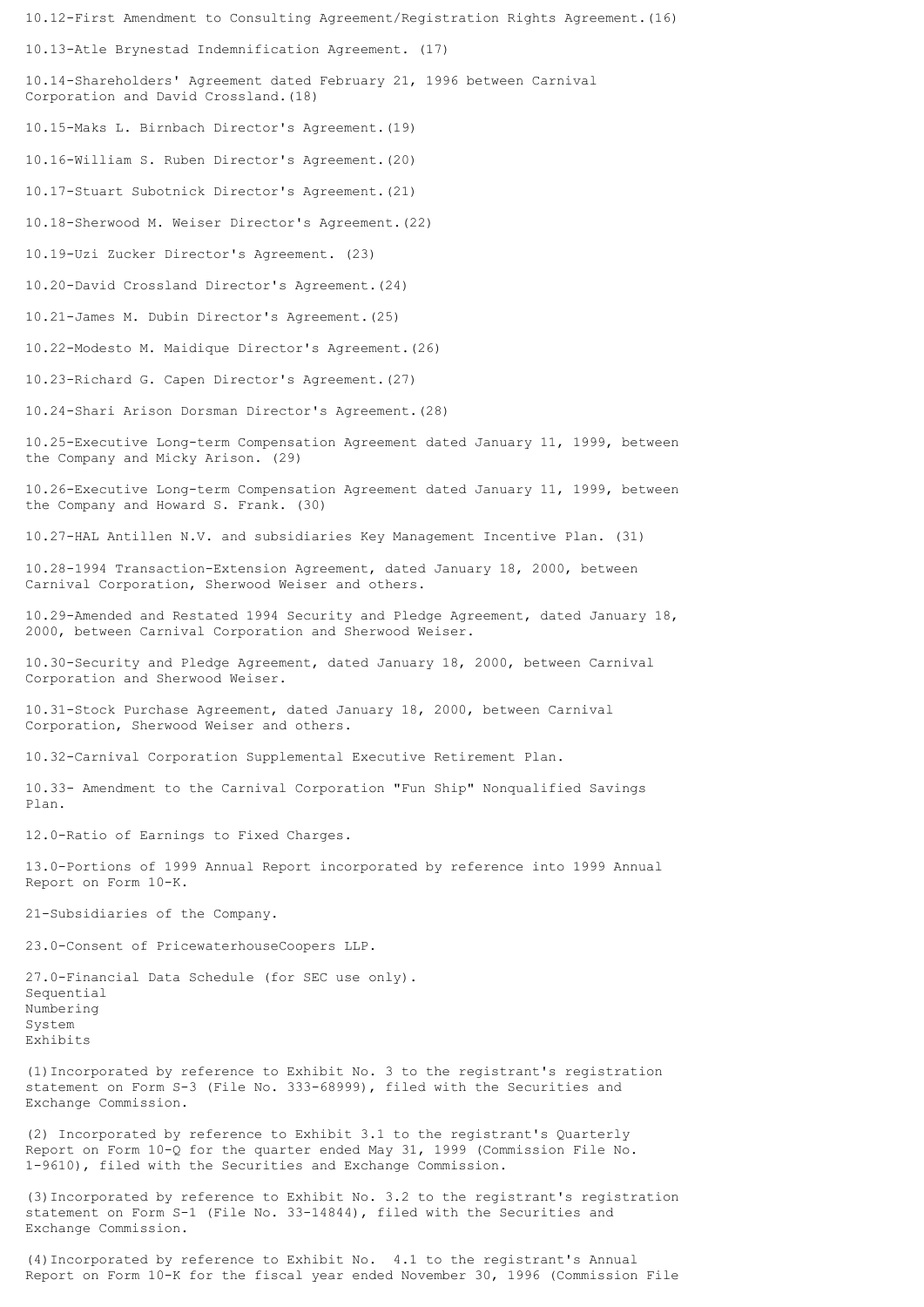10.12-First Amendment to Consulting Agreement/Registration Rights Agreement.(16) 10.13-Atle Brynestad Indemnification Agreement. (17) 10.14-Shareholders' Agreement dated February 21, 1996 between Carnival Corporation and David Crossland.(18) 10.15-Maks L. Birnbach Director's Agreement.(19) 10.16-William S. Ruben Director's Agreement.(20) 10.17-Stuart Subotnick Director's Agreement.(21) 10.18-Sherwood M. Weiser Director's Agreement.(22) 10.19-Uzi Zucker Director's Agreement. (23) 10.20-David Crossland Director's Agreement.(24) 10.21-James M. Dubin Director's Agreement.(25) 10.22-Modesto M. Maidique Director's Agreement.(26) 10.23-Richard G. Capen Director's Agreement.(27) 10.24-Shari Arison Dorsman Director's Agreement.(28) 10.25-Executive Long-term Compensation Agreement dated January 11, 1999, between the Company and Micky Arison. (29) 10.26-Executive Long-term Compensation Agreement dated January 11, 1999, between the Company and Howard S. Frank. (30) 10.27-HAL Antillen N.V. and subsidiaries Key Management Incentive Plan. (31) 10.28-1994 Transaction-Extension Agreement, dated January 18, 2000, between Carnival Corporation, Sherwood Weiser and others. 10.29-Amended and Restated 1994 Security and Pledge Agreement, dated January 18, 2000, between Carnival Corporation and Sherwood Weiser. 10.30-Security and Pledge Agreement, dated January 18, 2000, between Carnival Corporation and Sherwood Weiser. 10.31-Stock Purchase Agreement, dated January 18, 2000, between Carnival Corporation, Sherwood Weiser and others. 10.32-Carnival Corporation Supplemental Executive Retirement Plan. 10.33- Amendment to the Carnival Corporation "Fun Ship" Nonqualified Savings Plan. 12.0-Ratio of Earnings to Fixed Charges. 13.0-Portions of 1999 Annual Report incorporated by reference into 1999 Annual Report on Form 10-K. 21-Subsidiaries of the Company. 23.0-Consent of PricewaterhouseCoopers LLP. 27.0-Financial Data Schedule (for SEC use only). Sequential Numbering System Exhibits (1)Incorporated by reference to Exhibit No. 3 to the registrant's registration statement on Form S-3 (File No. 333-68999), filed with the Securities and Exchange Commission.

(2) Incorporated by reference to Exhibit 3.1 to the registrant's Quarterly Report on Form 10-Q for the quarter ended May 31, 1999 (Commission File No. 1-9610), filed with the Securities and Exchange Commission.

(3)Incorporated by reference to Exhibit No. 3.2 to the registrant's registration statement on Form S-1 (File No. 33-14844), filed with the Securities and Exchange Commission.

(4)Incorporated by reference to Exhibit No. 4.1 to the registrant's Annual Report on Form 10-K for the fiscal year ended November 30, 1996 (Commission File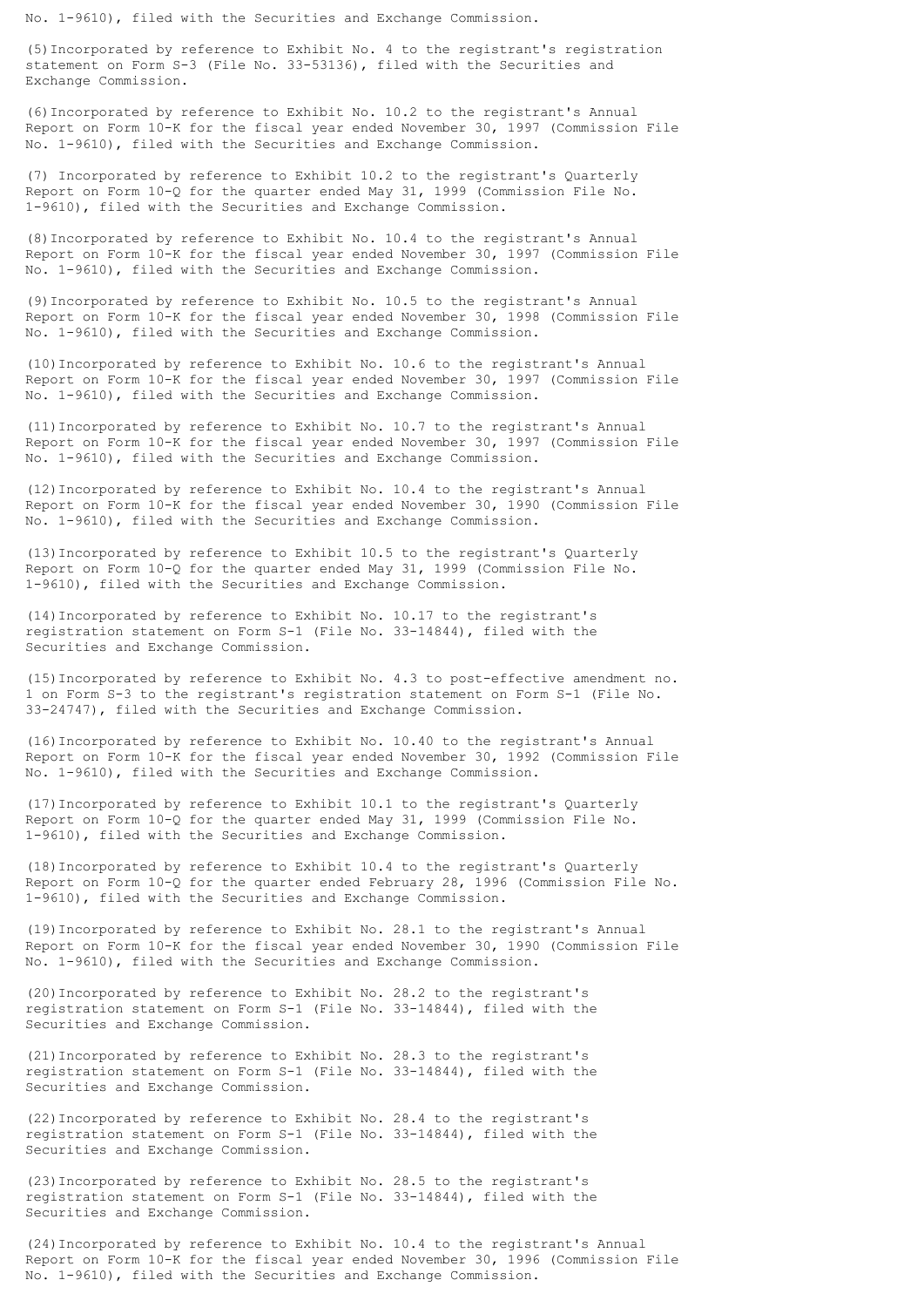No. 1-9610), filed with the Securities and Exchange Commission.

(5)Incorporated by reference to Exhibit No. 4 to the registrant's registration statement on Form S-3 (File No. 33-53136), filed with the Securities and Exchange Commission.

(6)Incorporated by reference to Exhibit No. 10.2 to the registrant's Annual Report on Form 10-K for the fiscal year ended November 30, 1997 (Commission File No. 1-9610), filed with the Securities and Exchange Commission.

(7) Incorporated by reference to Exhibit 10.2 to the registrant's Quarterly Report on Form 10-Q for the quarter ended May 31, 1999 (Commission File No. 1-9610), filed with the Securities and Exchange Commission.

(8)Incorporated by reference to Exhibit No. 10.4 to the registrant's Annual Report on Form 10-K for the fiscal year ended November 30, 1997 (Commission File No. 1-9610), filed with the Securities and Exchange Commission.

(9)Incorporated by reference to Exhibit No. 10.5 to the registrant's Annual Report on Form 10-K for the fiscal year ended November 30, 1998 (Commission File No. 1-9610), filed with the Securities and Exchange Commission.

(10)Incorporated by reference to Exhibit No. 10.6 to the registrant's Annual Report on Form 10-K for the fiscal year ended November 30, 1997 (Commission File No. 1-9610), filed with the Securities and Exchange Commission.

(11)Incorporated by reference to Exhibit No. 10.7 to the registrant's Annual Report on Form 10-K for the fiscal year ended November 30, 1997 (Commission File No. 1-9610), filed with the Securities and Exchange Commission.

(12)Incorporated by reference to Exhibit No. 10.4 to the registrant's Annual Report on Form 10-K for the fiscal year ended November 30, 1990 (Commission File No. 1-9610), filed with the Securities and Exchange Commission.

(13)Incorporated by reference to Exhibit 10.5 to the registrant's Quarterly Report on Form 10-Q for the quarter ended May 31, 1999 (Commission File No. 1-9610), filed with the Securities and Exchange Commission.

(14)Incorporated by reference to Exhibit No. 10.17 to the registrant's registration statement on Form S-1 (File No. 33-14844), filed with the Securities and Exchange Commission.

(15)Incorporated by reference to Exhibit No. 4.3 to post-effective amendment no. 1 on Form S-3 to the registrant's registration statement on Form S-1 (File No. 33-24747), filed with the Securities and Exchange Commission.

(16)Incorporated by reference to Exhibit No. 10.40 to the registrant's Annual Report on Form 10-K for the fiscal year ended November 30, 1992 (Commission File No. 1-9610), filed with the Securities and Exchange Commission.

(17)Incorporated by reference to Exhibit 10.1 to the registrant's Quarterly Report on Form 10-Q for the quarter ended May 31, 1999 (Commission File No. 1-9610), filed with the Securities and Exchange Commission.

(18)Incorporated by reference to Exhibit 10.4 to the registrant's Quarterly Report on Form 10-Q for the quarter ended February 28, 1996 (Commission File No. 1-9610), filed with the Securities and Exchange Commission.

(19)Incorporated by reference to Exhibit No. 28.1 to the registrant's Annual Report on Form 10-K for the fiscal year ended November 30, 1990 (Commission File No. 1-9610), filed with the Securities and Exchange Commission.

(20)Incorporated by reference to Exhibit No. 28.2 to the registrant's registration statement on Form S-1 (File No. 33-14844), filed with the Securities and Exchange Commission.

(21)Incorporated by reference to Exhibit No. 28.3 to the registrant's registration statement on Form S-1 (File No. 33-14844), filed with the Securities and Exchange Commission.

(22)Incorporated by reference to Exhibit No. 28.4 to the registrant's registration statement on Form S-1 (File No. 33-14844), filed with the Securities and Exchange Commission.

(23)Incorporated by reference to Exhibit No. 28.5 to the registrant's registration statement on Form S-1 (File No. 33-14844), filed with the Securities and Exchange Commission.

(24)Incorporated by reference to Exhibit No. 10.4 to the registrant's Annual Report on Form 10-K for the fiscal year ended November 30, 1996 (Commission File No. 1-9610), filed with the Securities and Exchange Commission.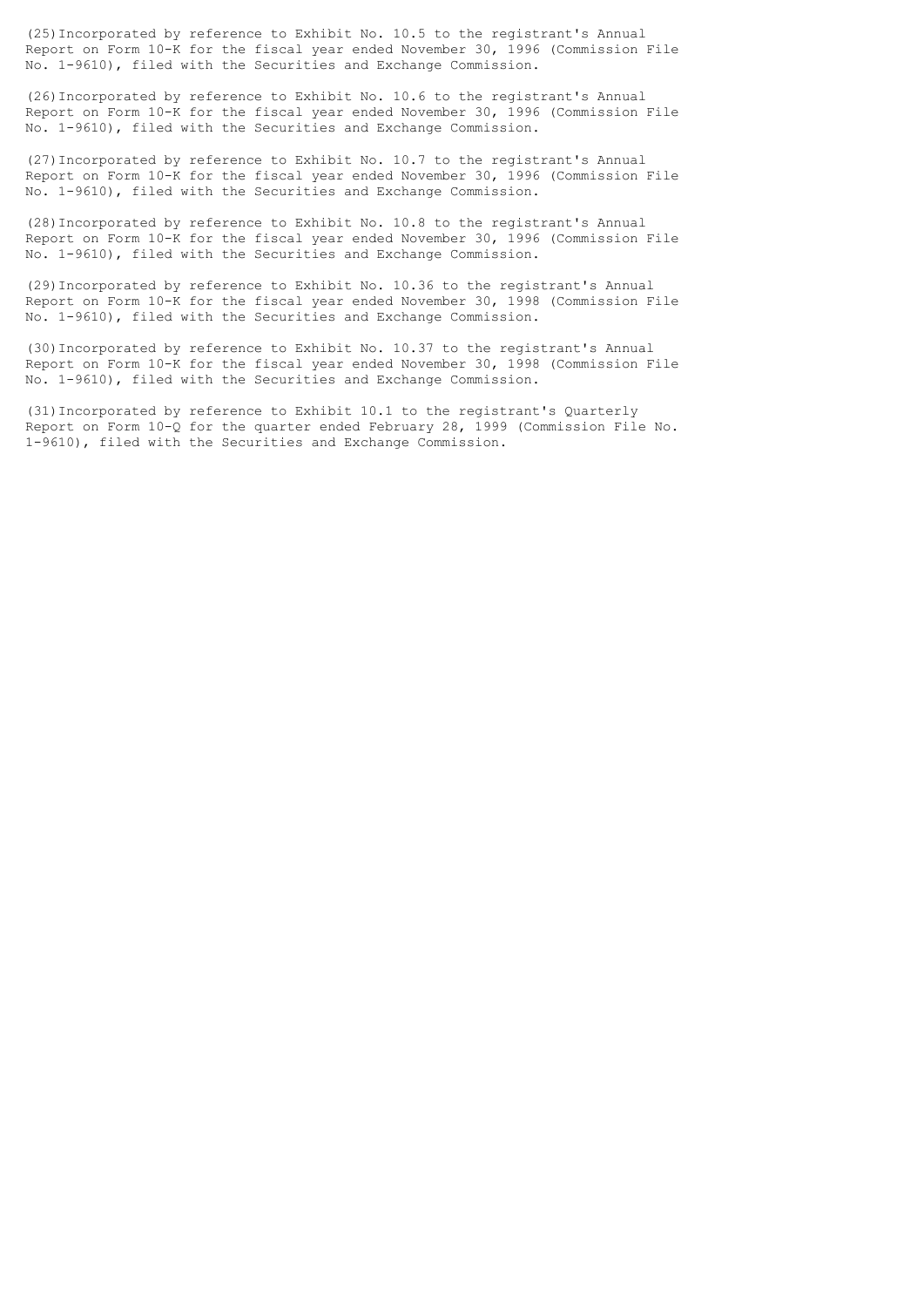(25)Incorporated by reference to Exhibit No. 10.5 to the registrant's Annual Report on Form 10-K for the fiscal year ended November 30, 1996 (Commission File No. 1-9610), filed with the Securities and Exchange Commission.

(26)Incorporated by reference to Exhibit No. 10.6 to the registrant's Annual Report on Form 10-K for the fiscal year ended November 30, 1996 (Commission File No. 1-9610), filed with the Securities and Exchange Commission.

(27)Incorporated by reference to Exhibit No. 10.7 to the registrant's Annual Report on Form 10-K for the fiscal year ended November 30, 1996 (Commission File No. 1-9610), filed with the Securities and Exchange Commission.

(28)Incorporated by reference to Exhibit No. 10.8 to the registrant's Annual Report on Form 10-K for the fiscal year ended November 30, 1996 (Commission File No. 1-9610), filed with the Securities and Exchange Commission.

(29)Incorporated by reference to Exhibit No. 10.36 to the registrant's Annual Report on Form 10-K for the fiscal year ended November 30, 1998 (Commission File No. 1-9610), filed with the Securities and Exchange Commission.

(30)Incorporated by reference to Exhibit No. 10.37 to the registrant's Annual Report on Form 10-K for the fiscal year ended November 30, 1998 (Commission File No. 1-9610), filed with the Securities and Exchange Commission.

(31)Incorporated by reference to Exhibit 10.1 to the registrant's Quarterly Report on Form 10-Q for the quarter ended February 28, 1999 (Commission File No. 1-9610), filed with the Securities and Exchange Commission.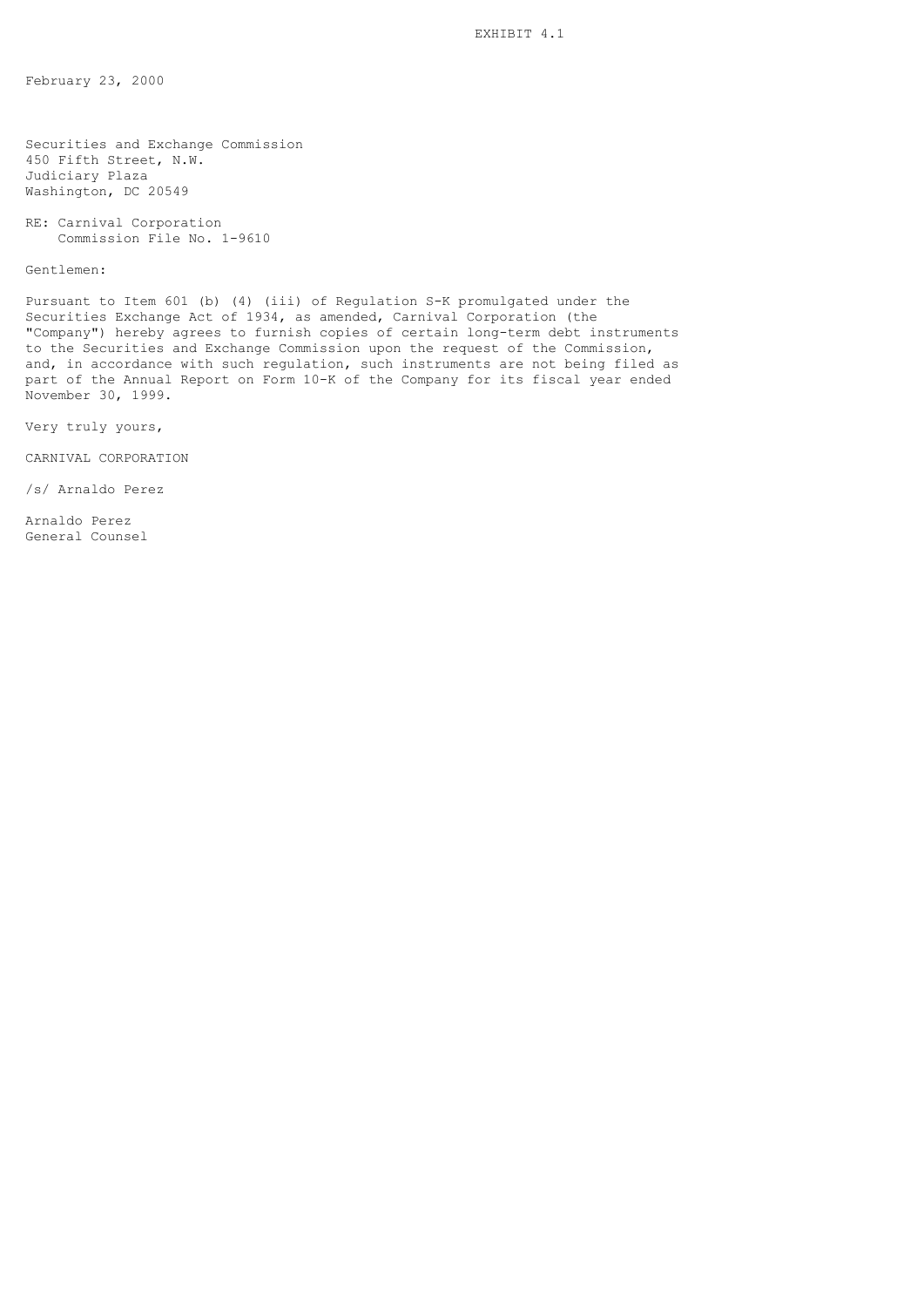February 23, 2000

Securities and Exchange Commission 450 Fifth Street, N.W. Judiciary Plaza Washington, DC 20549

RE: Carnival Corporation Commission File No. 1-9610

Gentlemen:

Pursuant to Item 601 (b) (4) (iii) of Regulation S-K promulgated under the Securities Exchange Act of 1934, as amended, Carnival Corporation (the "Company") hereby agrees to furnish copies of certain long-term debt instruments to the Securities and Exchange Commission upon the request of the Commission, and, in accordance with such regulation, such instruments are not being filed as part of the Annual Report on Form 10-K of the Company for its fiscal year ended November 30, 1999.

Very truly yours,

CARNIVAL CORPORATION

/s/ Arnaldo Perez

Arnaldo Perez General Counsel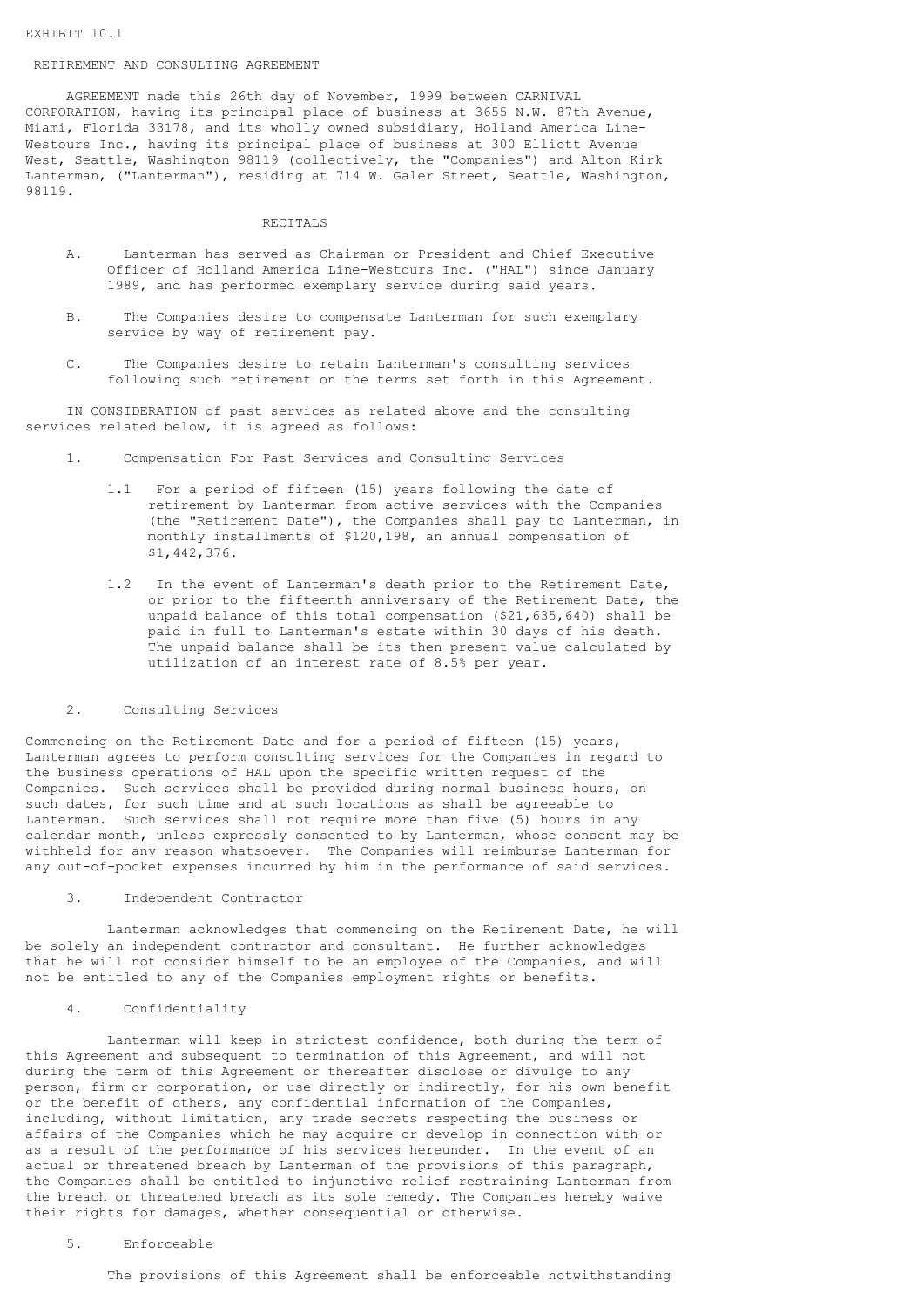### RETIREMENT AND CONSULTING AGREEMENT

 AGREEMENT made this 26th day of November, 1999 between CARNIVAL CORPORATION, having its principal place of business at 3655 N.W. 87th Avenue, Miami, Florida 33178, and its wholly owned subsidiary, Holland America Line-Westours Inc., having its principal place of business at 300 Elliott Avenue West, Seattle, Washington 98119 (collectively, the "Companies") and Alton Kirk Lanterman, ("Lanterman"), residing at 714 W. Galer Street, Seattle, Washington, 98119.

#### RECITALS

- A. Lanterman has served as Chairman or President and Chief Executive Officer of Holland America Line-Westours Inc. ("HAL") since January 1989, and has performed exemplary service during said years.
- B. The Companies desire to compensate Lanterman for such exemplary service by way of retirement pay.
- C. The Companies desire to retain Lanterman's consulting services following such retirement on the terms set forth in this Agreement.

 IN CONSIDERATION of past services as related above and the consulting services related below, it is agreed as follows:

- 1. Compensation For Past Services and Consulting Services
	- 1.1 For a period of fifteen (15) years following the date of retirement by Lanterman from active services with the Companies (the "Retirement Date"), the Companies shall pay to Lanterman, in monthly installments of \$120,198, an annual compensation of \$1,442,376.
	- 1.2 In the event of Lanterman's death prior to the Retirement Date, or prior to the fifteenth anniversary of the Retirement Date, the unpaid balance of this total compensation (\$21,635,640) shall be paid in full to Lanterman's estate within 30 days of his death. The unpaid balance shall be its then present value calculated by utilization of an interest rate of 8.5% per year.

#### 2. Consulting Services

Commencing on the Retirement Date and for a period of fifteen (15) years, Lanterman agrees to perform consulting services for the Companies in regard to the business operations of HAL upon the specific written request of the Companies. Such services shall be provided during normal business hours, on such dates, for such time and at such locations as shall be agreeable to Lanterman. Such services shall not require more than five (5) hours in any calendar month, unless expressly consented to by Lanterman, whose consent may be withheld for any reason whatsoever. The Companies will reimburse Lanterman for any out-of-pocket expenses incurred by him in the performance of said services.

### 3. Independent Contractor

 Lanterman acknowledges that commencing on the Retirement Date, he will be solely an independent contractor and consultant. He further acknowledges that he will not consider himself to be an employee of the Companies, and will not be entitled to any of the Companies employment rights or benefits.

### 4. Confidentiality

 Lanterman will keep in strictest confidence, both during the term of this Agreement and subsequent to termination of this Agreement, and will not during the term of this Agreement or thereafter disclose or divulge to any person, firm or corporation, or use directly or indirectly, for his own benefit or the benefit of others, any confidential information of the Companies, including, without limitation, any trade secrets respecting the business or affairs of the Companies which he may acquire or develop in connection with or as a result of the performance of his services hereunder. In the event of an actual or threatened breach by Lanterman of the provisions of this paragraph, the Companies shall be entitled to injunctive relief restraining Lanterman from the breach or threatened breach as its sole remedy. The Companies hereby waive their rights for damages, whether consequential or otherwise.

### 5. Enforceable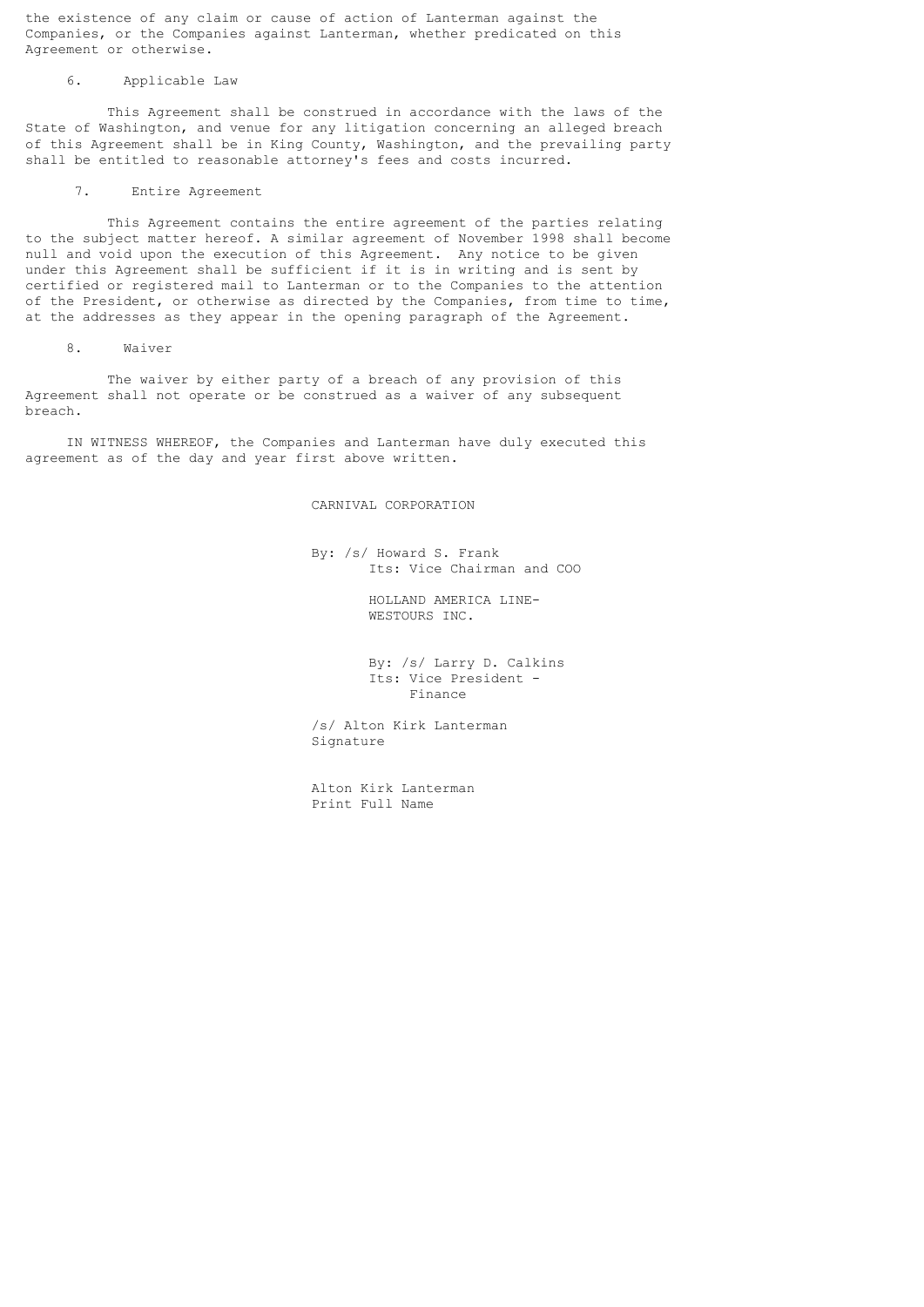the existence of any claim or cause of action of Lanterman against the Companies, or the Companies against Lanterman, whether predicated on this Agreement or otherwise.

# 6. Applicable Law

 This Agreement shall be construed in accordance with the laws of the State of Washington, and venue for any litigation concerning an alleged breach of this Agreement shall be in King County, Washington, and the prevailing party shall be entitled to reasonable attorney's fees and costs incurred.

### 7. Entire Agreement

 This Agreement contains the entire agreement of the parties relating to the subject matter hereof. A similar agreement of November 1998 shall become null and void upon the execution of this Agreement. Any notice to be given under this Agreement shall be sufficient if it is in writing and is sent by certified or registered mail to Lanterman or to the Companies to the attention of the President, or otherwise as directed by the Companies, from time to time, at the addresses as they appear in the opening paragraph of the Agreement.

# 8. Waiver

 The waiver by either party of a breach of any provision of this Agreement shall not operate or be construed as a waiver of any subsequent breach.

 IN WITNESS WHEREOF, the Companies and Lanterman have duly executed this agreement as of the day and year first above written.

# CARNIVAL CORPORATION

 By: /s/ Howard S. Frank Its: Vice Chairman and COO

> HOLLAND AMERICA LINE- WESTOURS INC.

 By: /s/ Larry D. Calkins Its: Vice President - Finance

 /s/ Alton Kirk Lanterman Signature

 Alton Kirk Lanterman Print Full Name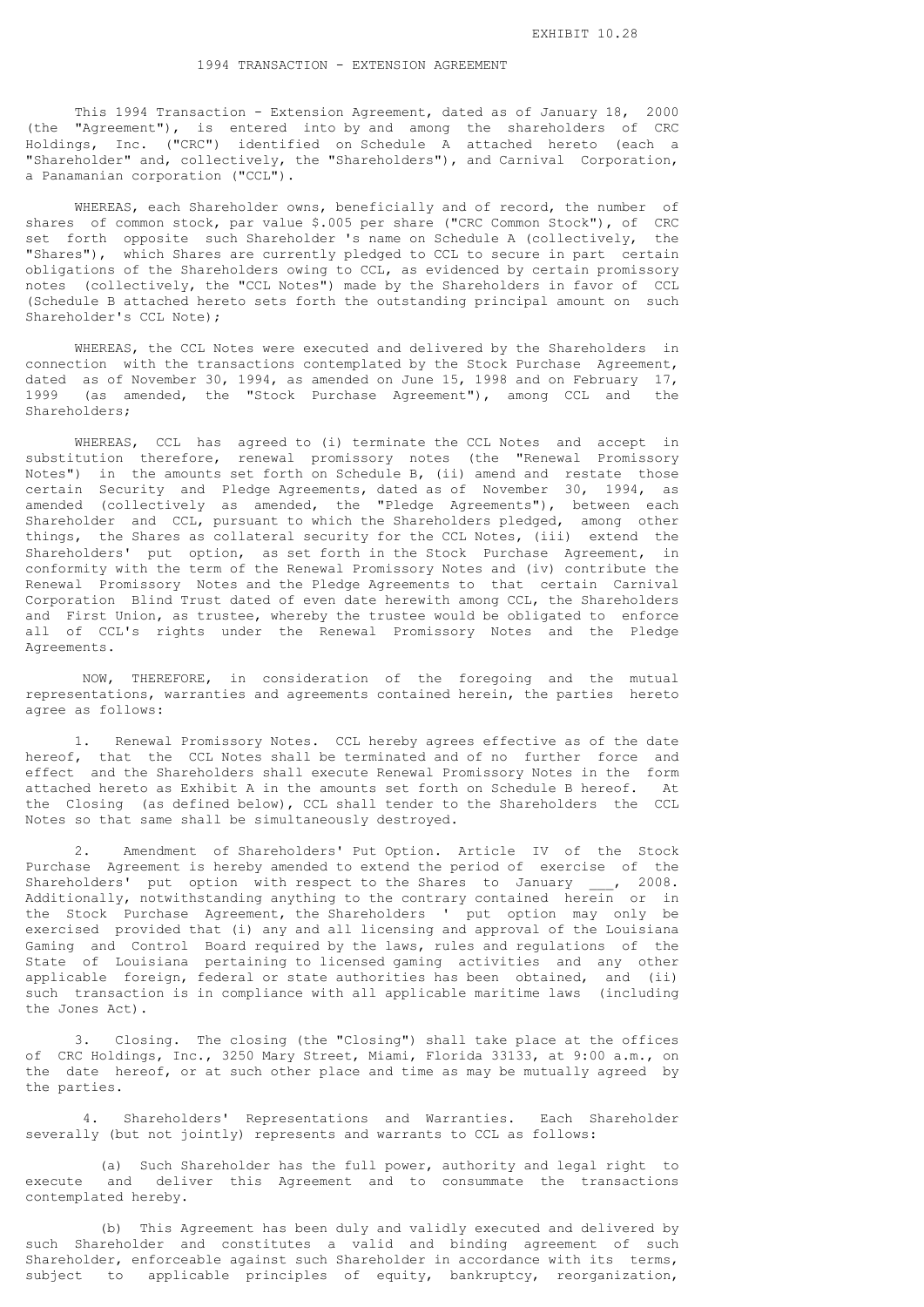# 1994 TRANSACTION - EXTENSION AGREEMENT

 This 1994 Transaction - Extension Agreement, dated as of January 18, 2000 (the "Agreement"), is entered into by and among the shareholders of CRC Holdings, Inc. ("CRC") identified on Schedule A attached hereto (each a "Shareholder" and, collectively, the "Shareholders"), and Carnival Corporation, a Panamanian corporation ("CCL").

 WHEREAS, each Shareholder owns, beneficially and of record, the number of shares of common stock, par value \$.005 per share ("CRC Common Stock"), of CRC set forth opposite such Shareholder 's name on Schedule A (collectively, the "Shares"), which Shares are currently pledged to CCL to secure in part certain obligations of the Shareholders owing to CCL, as evidenced by certain promissory notes (collectively, the "CCL Notes") made by the Shareholders in favor of CCL (Schedule B attached hereto sets forth the outstanding principal amount on such Shareholder's CCL Note);

 WHEREAS, the CCL Notes were executed and delivered by the Shareholders in connection with the transactions contemplated by the Stock Purchase Agreement, dated as of November 30, 1994, as amended on June 15, 1998 and on February 17, 1999 (as amended, the "Stock Purchase Agreement"), among CCL and the Shareholders;

 WHEREAS, CCL has agreed to (i) terminate the CCL Notes and accept in substitution therefore, renewal promissory notes (the "Renewal Promissory Notes") in the amounts set forth on Schedule B, (ii) amend and restate those certain Security and Pledge Agreements, dated as of November 30, 1994, as amended (collectively as amended, the "Pledge Agreements"), between each Shareholder and CCL, pursuant to which the Shareholders pledged, among other things, the Shares as collateral security for the CCL Notes, (iii) extend the Shareholders' put option, as set forth in the Stock Purchase Agreement, in conformity with the term of the Renewal Promissory Notes and (iv) contribute the Renewal Promissory Notes and the Pledge Agreements to that certain Carnival Corporation Blind Trust dated of even date herewith among CCL, the Shareholders and First Union, as trustee, whereby the trustee would be obligated to enforce all of CCL's rights under the Renewal Promissory Notes and the Pledge Agreements.

 NOW, THEREFORE, in consideration of the foregoing and the mutual representations, warranties and agreements contained herein, the parties hereto agree as follows:

 1. Renewal Promissory Notes. CCL hereby agrees effective as of the date hereof, that the CCL Notes shall be terminated and of no further force and effect and the Shareholders shall execute Renewal Promissory Notes in the form attached hereto as Exhibit A in the amounts set forth on Schedule B hereof. At the Closing (as defined below), CCL shall tender to the Shareholders the CCL Notes so that same shall be simultaneously destroyed.

 2. Amendment of Shareholders' Put Option. Article IV of the Stock Purchase Agreement is hereby amended to extend the period of exercise of the Shareholders' put option with respect to the Shares to January \_\_\_, 2008. Additionally, notwithstanding anything to the contrary contained herein or in the Stock Purchase Agreement, the Shareholders ' put option may only be exercised provided that (i) any and all licensing and approval of the Louisiana Gaming and Control Board required by the laws, rules and regulations of the State of Louisiana pertaining to licensed gaming activities and any other applicable foreign, federal or state authorities has been obtained, and (ii) such transaction is in compliance with all applicable maritime laws (including the Jones Act).

 3. Closing. The closing (the "Closing") shall take place at the offices of CRC Holdings, Inc., 3250 Mary Street, Miami, Florida 33133, at 9:00 a.m., on the date hereof, or at such other place and time as may be mutually agreed by the parties.

 4. Shareholders' Representations and Warranties. Each Shareholder severally (but not jointly) represents and warrants to CCL as follows:

 (a) Such Shareholder has the full power, authority and legal right to execute and deliver this Agreement and to consummate the transactions contemplated hereby.

 (b) This Agreement has been duly and validly executed and delivered by such Shareholder and constitutes a valid and binding agreement of such Shareholder, enforceable against such Shareholder in accordance with its terms, subject to applicable principles of equity, bankruptcy, reorganization,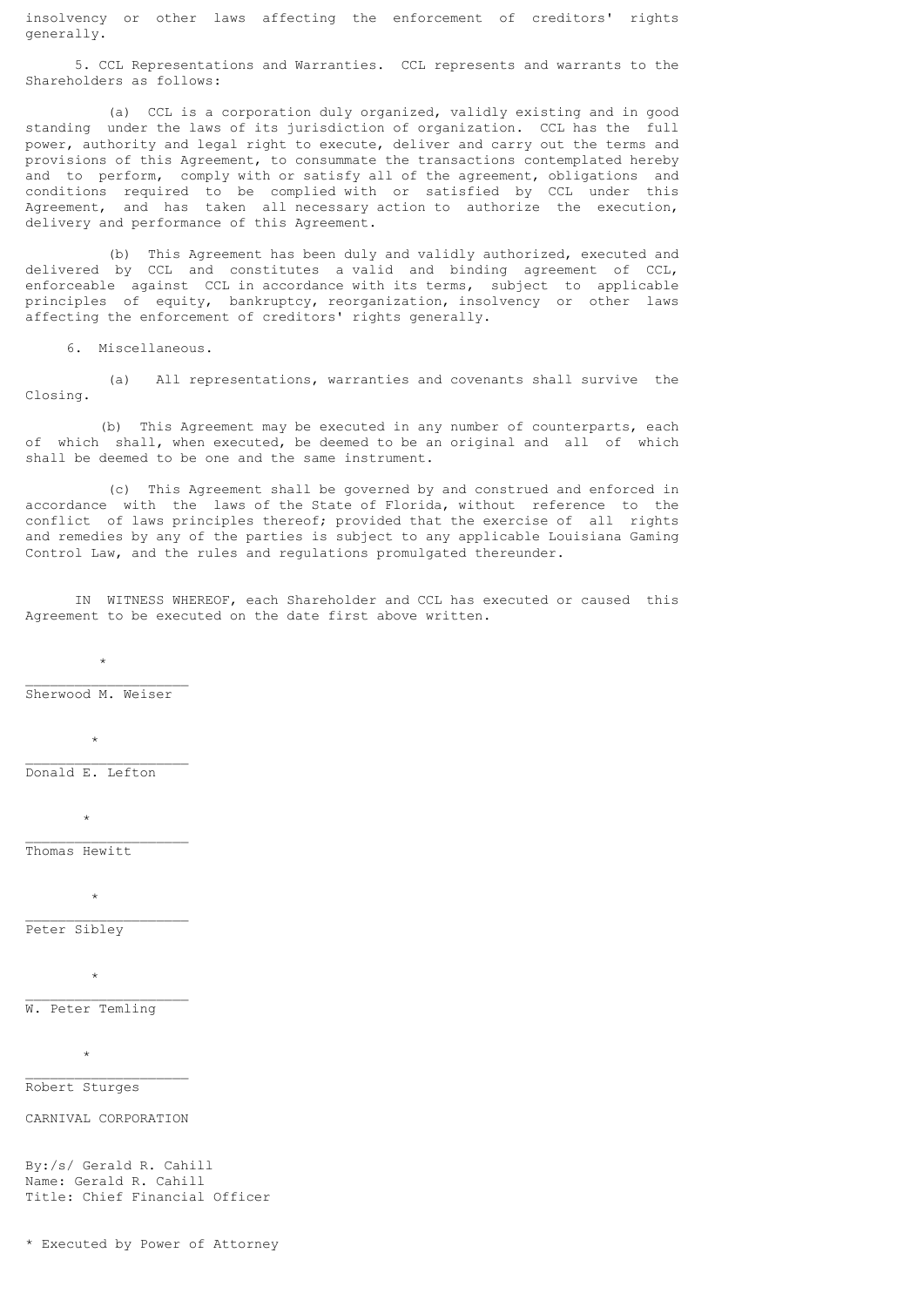insolvency or other laws affecting the enforcement of creditors' rights generally.

 5. CCL Representations and Warranties. CCL represents and warrants to the Shareholders as follows:

 (a) CCL is a corporation duly organized, validly existing and in good standing under the laws of its jurisdiction of organization. CCL has the full power, authority and legal right to execute, deliver and carry out the terms and provisions of this Agreement, to consummate the transactions contemplated hereby and to perform, comply with or satisfy all of the agreement, obligations and conditions required to be complied with or satisfied by CCL under this Agreement, and has taken all necessary action to authorize the execution, delivery and performance of this Agreement.

 (b) This Agreement has been duly and validly authorized, executed and delivered by CCL and constitutes a valid and binding agreement of CCL, enforceable against CCL in accordance with its terms, subject to applicable principles of equity, bankruptcy, reorganization, insolvency or other laws affecting the enforcement of creditors' rights generally.

6. Miscellaneous.

 (a) All representations, warranties and covenants shall survive the Closing.

 (b) This Agreement may be executed in any number of counterparts, each of which shall, when executed, be deemed to be an original and all of which shall be deemed to be one and the same instrument.

 (c) This Agreement shall be governed by and construed and enforced in accordance with the laws of the State of Florida, without reference to the conflict of laws principles thereof; provided that the exercise of all rights and remedies by any of the parties is subject to any applicable Louisiana Gaming Control Law, and the rules and regulations promulgated thereunder.

 IN WITNESS WHEREOF, each Shareholder and CCL has executed or caused this Agreement to be executed on the date first above written.

 $\_$ Sherwood M. Weiser

 $\star$ 

 $\star$  $\_$ 

Donald E. Lefton

 $\mathcal{A}^{\mathcal{A}}$  , where  $\mathcal{A}^{\mathcal{A}}$  $\_$ 

Thomas Hewitt

 $\star$ 

 $\_$ Peter Sibley

 $\star$  $\_$ 

W. Peter Temling

 $\star$ \_\_\_\_\_\_\_\_\_\_\_\_\_\_\_\_\_\_\_\_

Robert Sturges

CARNIVAL CORPORATION

By:/s/ Gerald R. Cahill Name: Gerald R. Cahill Title: Chief Financial Officer

\* Executed by Power of Attorney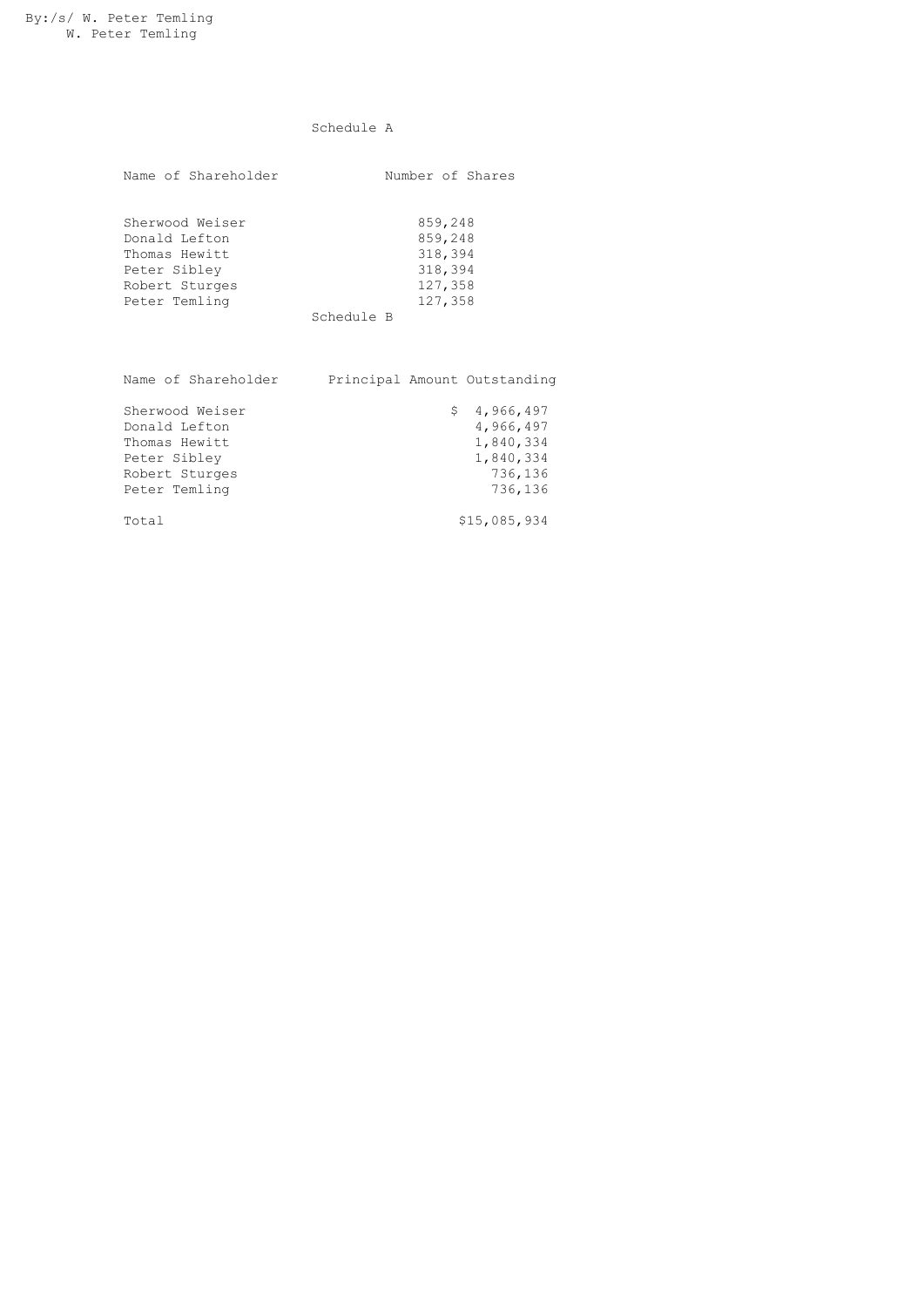# Schedule A

| Name of Shareholder | Number of Shares |
|---------------------|------------------|
| Sherwood Weiser     | 859,248          |
| Donald Lefton       | 859,248          |
| Thomas Hewitt       | 318,394          |
| Peter Sibley        | 318,394          |
| Robert Sturges      | 127,358          |
| Peter Temling       | 127,358          |

Schedule B

| Name of Shareholder                                                                                  |  | Principal Amount Outstanding                                             |
|------------------------------------------------------------------------------------------------------|--|--------------------------------------------------------------------------|
| Sherwood Weiser<br>Donald Lefton<br>Thomas Hewitt<br>Peter Sibley<br>Robert Sturges<br>Peter Temling |  | \$4,966,497<br>4,966,497<br>1,840,334<br>1,840,334<br>736,136<br>736,136 |
| Total                                                                                                |  | \$15,085,934                                                             |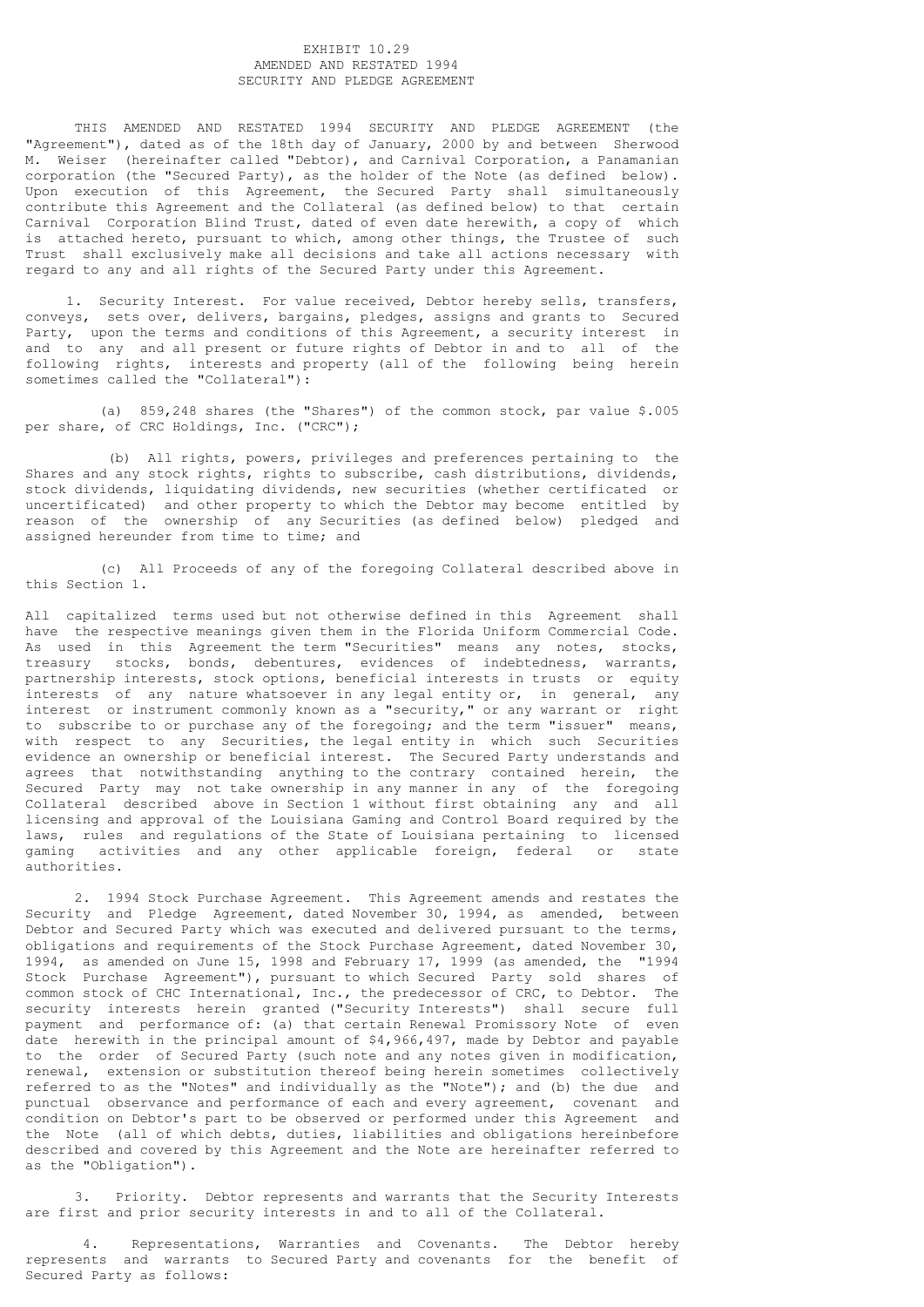# EXHIBIT 10.29 AMENDED AND RESTATED 1994 SECURITY AND PLEDGE AGREEMENT

 THIS AMENDED AND RESTATED 1994 SECURITY AND PLEDGE AGREEMENT (the "Agreement"), dated as of the 18th day of January, 2000 by and between Sherwood M. Weiser (hereinafter called "Debtor), and Carnival Corporation, a Panamanian corporation (the "Secured Party), as the holder of the Note (as defined below). Upon execution of this Agreement, the Secured Party shall simultaneously contribute this Agreement and the Collateral (as defined below) to that certain Carnival Corporation Blind Trust, dated of even date herewith, a copy of which is attached hereto, pursuant to which, among other things, the Trustee of such Trust shall exclusively make all decisions and take all actions necessary with regard to any and all rights of the Secured Party under this Agreement.

 1. Security Interest. For value received, Debtor hereby sells, transfers, conveys, sets over, delivers, bargains, pledges, assigns and grants to Secured Party, upon the terms and conditions of this Agreement, a security interest in and to any and all present or future rights of Debtor in and to all of the following rights, interests and property (all of the following being herein sometimes called the "Collateral"):

 (a) 859,248 shares (the "Shares") of the common stock, par value \$.005 per share, of CRC Holdings, Inc. ("CRC");

 (b) All rights, powers, privileges and preferences pertaining to the Shares and any stock rights, rights to subscribe, cash distributions, dividends, stock dividends, liquidating dividends, new securities (whether certificated or uncertificated) and other property to which the Debtor may become entitled by reason of the ownership of any Securities (as defined below) pledged and assigned hereunder from time to time; and

 (c) All Proceeds of any of the foregoing Collateral described above in this Section 1.

All capitalized terms used but not otherwise defined in this Agreement shall have the respective meanings given them in the Florida Uniform Commercial Code. As used in this Agreement the term "Securities" means any notes, stocks, treasury stocks, bonds, debentures, evidences of indebtedness, warrants, partnership interests, stock options, beneficial interests in trusts or equity interests of any nature whatsoever in any legal entity or, in general, any interest or instrument commonly known as a "security," or any warrant or right to subscribe to or purchase any of the foregoing; and the term "issuer" means, with respect to any Securities, the legal entity in which such Securities evidence an ownership or beneficial interest. The Secured Party understands and agrees that notwithstanding anything to the contrary contained herein, the Secured Party may not take ownership in any manner in any of the foregoing Collateral described above in Section 1 without first obtaining any and all licensing and approval of the Louisiana Gaming and Control Board required by the laws, rules and regulations of the State of Louisiana pertaining to licensed gaming activities and any other applicable foreign, federal or state authorities.

 2. 1994 Stock Purchase Agreement. This Agreement amends and restates the Security and Pledge Agreement, dated November 30, 1994, as amended, between Debtor and Secured Party which was executed and delivered pursuant to the terms, obligations and requirements of the Stock Purchase Agreement, dated November 30, 1994, as amended on June 15, 1998 and February 17, 1999 (as amended, the "1994 Stock Purchase Agreement"), pursuant to which Secured Party sold shares of common stock of CHC International, Inc., the predecessor of CRC, to Debtor. The security interests herein granted ("Security Interests") shall secure full payment and performance of: (a) that certain Renewal Promissory Note of even date herewith in the principal amount of \$4,966,497, made by Debtor and payable to the order of Secured Party (such note and any notes given in modification, renewal, extension or substitution thereof being herein sometimes collectively referred to as the "Notes" and individually as the "Note"); and (b) the due and punctual observance and performance of each and every agreement, covenant and condition on Debtor's part to be observed or performed under this Agreement and the Note (all of which debts, duties, liabilities and obligations hereinbefore described and covered by this Agreement and the Note are hereinafter referred to as the "Obligation").

 3. Priority. Debtor represents and warrants that the Security Interests are first and prior security interests in and to all of the Collateral.

 4. Representations, Warranties and Covenants. The Debtor hereby represents and warrants to Secured Party and covenants for the benefit of Secured Party as follows: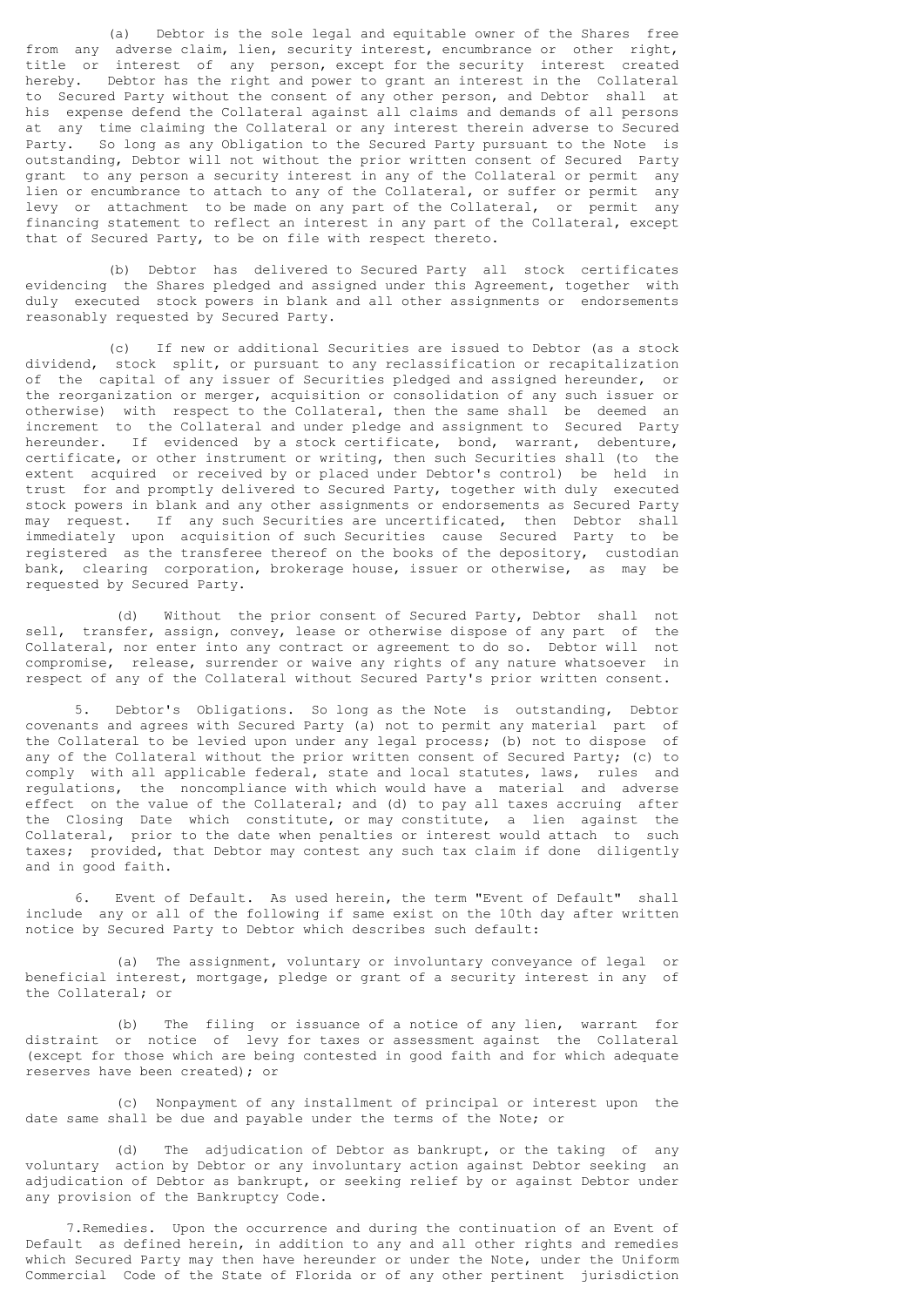(a) Debtor is the sole legal and equitable owner of the Shares free from any adverse claim, lien, security interest, encumbrance or other right, title or interest of any person, except for the security interest created hereby. Debtor has the right and power to grant an interest in the Collateral to Secured Party without the consent of any other person, and Debtor shall at his expense defend the Collateral against all claims and demands of all persons at any time claiming the Collateral or any interest therein adverse to Secured Party. So long as any Obligation to the Secured Party pursuant to the Note is outstanding, Debtor will not without the prior written consent of Secured Party grant to any person a security interest in any of the Collateral or permit any lien or encumbrance to attach to any of the Collateral, or suffer or permit any levy or attachment to be made on any part of the Collateral, or permit any financing statement to reflect an interest in any part of the Collateral, except that of Secured Party, to be on file with respect thereto.

 (b) Debtor has delivered to Secured Party all stock certificates evidencing the Shares pledged and assigned under this Agreement, together with duly executed stock powers in blank and all other assignments or endorsements reasonably requested by Secured Party.

 (c) If new or additional Securities are issued to Debtor (as a stock dividend, stock split, or pursuant to any reclassification or recapitalization of the capital of any issuer of Securities pledged and assigned hereunder, or the reorganization or merger, acquisition or consolidation of any such issuer or otherwise) with respect to the Collateral, then the same shall be deemed an increment to the Collateral and under pledge and assignment to Secured Party hereunder. If evidenced by a stock certificate, bond, warrant, debenture, certificate, or other instrument or writing, then such Securities shall (to the extent acquired or received by or placed under Debtor's control) be held in trust for and promptly delivered to Secured Party, together with duly executed stock powers in blank and any other assignments or endorsements as Secured Party may request. If any such Securities are uncertificated, then Debtor shall immediately upon acquisition of such Securities cause Secured Party to be registered as the transferee thereof on the books of the depository, custodian bank, clearing corporation, brokerage house, issuer or otherwise, as may be requested by Secured Party.

 (d) Without the prior consent of Secured Party, Debtor shall not sell, transfer, assign, convey, lease or otherwise dispose of any part of the Collateral, nor enter into any contract or agreement to do so. Debtor will not compromise, release, surrender or waive any rights of any nature whatsoever in respect of any of the Collateral without Secured Party's prior written consent.

 5. Debtor's Obligations. So long as the Note is outstanding, Debtor covenants and agrees with Secured Party (a) not to permit any material part of the Collateral to be levied upon under any legal process; (b) not to dispose of any of the Collateral without the prior written consent of Secured Party; (c) to comply with all applicable federal, state and local statutes, laws, rules and regulations, the noncompliance with which would have a material and adverse effect on the value of the Collateral; and (d) to pay all taxes accruing after the Closing Date which constitute, or may constitute, a lien against the Collateral, prior to the date when penalties or interest would attach to such taxes; provided, that Debtor may contest any such tax claim if done diligently and in good faith.

 6. Event of Default. As used herein, the term "Event of Default" shall include any or all of the following if same exist on the 10th day after written notice by Secured Party to Debtor which describes such default:

 (a) The assignment, voluntary or involuntary conveyance of legal or beneficial interest, mortgage, pledge or grant of a security interest in any of the Collateral; or

 (b) The filing or issuance of a notice of any lien, warrant for distraint or notice of levy for taxes or assessment against the Collateral (except for those which are being contested in good faith and for which adequate reserves have been created); or

 (c) Nonpayment of any installment of principal or interest upon the date same shall be due and payable under the terms of the Note; or

 (d) The adjudication of Debtor as bankrupt, or the taking of any voluntary action by Debtor or any involuntary action against Debtor seeking an adjudication of Debtor as bankrupt, or seeking relief by or against Debtor under any provision of the Bankruptcy Code.

 7.Remedies. Upon the occurrence and during the continuation of an Event of Default as defined herein, in addition to any and all other rights and remedies which Secured Party may then have hereunder or under the Note, under the Uniform Commercial Code of the State of Florida or of any other pertinent jurisdiction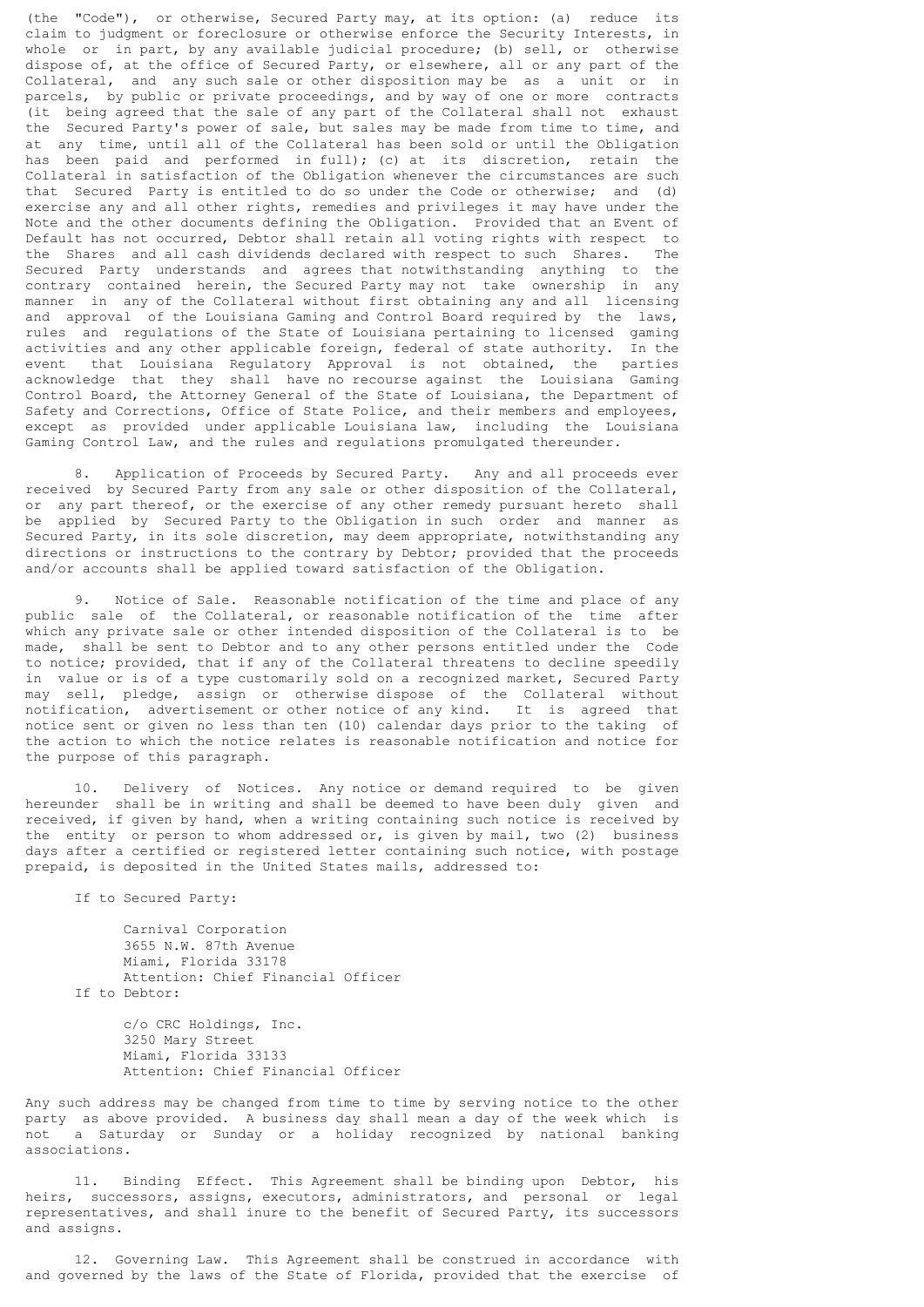(the "Code"), or otherwise, Secured Party may, at its option: (a) reduce its claim to judgment or foreclosure or otherwise enforce the Security Interests, in whole or in part, by any available judicial procedure; (b) sell, or otherwise dispose of, at the office of Secured Party, or elsewhere, all or any part of the Collateral, and any such sale or other disposition may be as a unit or in parcels, by public or private proceedings, and by way of one or more contracts (it being agreed that the sale of any part of the Collateral shall not exhaust the Secured Party's power of sale, but sales may be made from time to time, and at any time, until all of the Collateral has been sold or until the Obligation has been paid and performed in full); (c) at its discretion, retain the Collateral in satisfaction of the Obligation whenever the circumstances are such that Secured Party is entitled to do so under the Code or otherwise; and (d) exercise any and all other rights, remedies and privileges it may have under the Note and the other documents defining the Obligation. Provided that an Event of Default has not occurred, Debtor shall retain all voting rights with respect to the Shares and all cash dividends declared with respect to such Shares. The Secured Party understands and agrees that notwithstanding anything to the contrary contained herein, the Secured Party may not take ownership in any manner in any of the Collateral without first obtaining any and all licensing and approval of the Louisiana Gaming and Control Board required by the laws, rules and regulations of the State of Louisiana pertaining to licensed gaming activities and any other applicable foreign, federal of state authority. In the event that Louisiana Regulatory Approval is not obtained, the parties acknowledge that they shall have no recourse against the Louisiana Gaming Control Board, the Attorney General of the State of Louisiana, the Department of Safety and Corrections, Office of State Police, and their members and employees, except as provided under applicable Louisiana law, including the Louisiana Gaming Control Law, and the rules and regulations promulgated thereunder.

 8. Application of Proceeds by Secured Party. Any and all proceeds ever received by Secured Party from any sale or other disposition of the Collateral, or any part thereof, or the exercise of any other remedy pursuant hereto shall be applied by Secured Party to the Obligation in such order and manner as Secured Party, in its sole discretion, may deem appropriate, notwithstanding any directions or instructions to the contrary by Debtor; provided that the proceeds and/or accounts shall be applied toward satisfaction of the Obligation.

 9. Notice of Sale. Reasonable notification of the time and place of any public sale of the Collateral, or reasonable notification of the time after which any private sale or other intended disposition of the Collateral is to be made, shall be sent to Debtor and to any other persons entitled under the Code to notice; provided, that if any of the Collateral threatens to decline speedily in value or is of a type customarily sold on a recognized market, Secured Party may sell, pledge, assign or otherwise-dispose of the Collateral without notification, advertisement or other notice of any kind. It is agreed that notice sent or given no less than ten (10) calendar days prior to the taking of the action to which the notice relates is reasonable notification and notice for the purpose of this paragraph.

 10. Delivery of Notices. Any notice or demand required to be given hereunder shall be in writing and shall be deemed to have been duly given and received, if given by hand, when a writing containing such notice is received by the entity or person to whom addressed or, is given by mail, two (2) business days after a certified or registered letter containing such notice, with postage prepaid, is deposited in the United States mails, addressed to:

If to Secured Party:

 Carnival Corporation 3655 N.W. 87th Avenue Miami, Florida 33178 Attention: Chief Financial Officer If to Debtor:

> c/o CRC Holdings, Inc. 3250 Mary Street Miami, Florida 33133 Attention: Chief Financial Officer

Any such address may be changed from time to time by serving notice to the other party as above provided. A business day shall mean a day of the week which is not a Saturday or Sunday or a holiday recognized by national banking associations.

 11. Binding Effect. This Agreement shall be binding upon Debtor, his heirs, successors, assigns, executors, administrators, and personal or legal representatives, and shall inure to the benefit of Secured Party, its successors and assigns.

 12. Governing Law. This Agreement shall be construed in accordance with and governed by the laws of the State of Florida, provided that the exercise of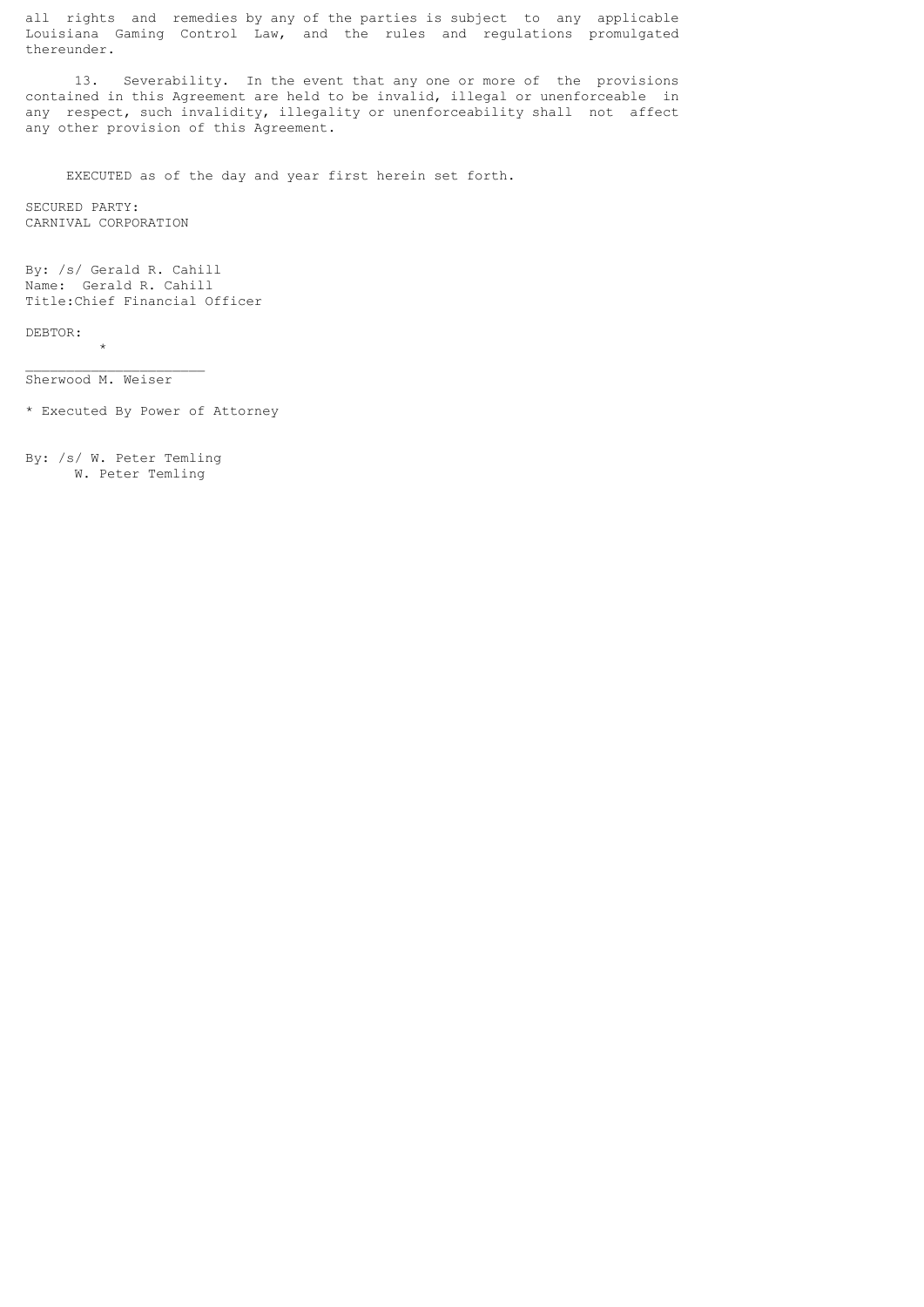all rights and remedies by any of the parties is subject to any applicable Louisiana Gaming Control Law, and the rules and regulations promulgated thereunder.

 13. Severability. In the event that any one or more of the provisions contained in this Agreement are held to be invalid, illegal or unenforceable in any respect, such invalidity, illegality or unenforceability shall not affect any other provision of this Agreement.

EXECUTED as of the day and year first herein set forth.

SECURED PARTY: CARNIVAL CORPORATION

By: /s/ Gerald R. Cahill Name: Gerald R. Cahill Title:Chief Financial Officer

DEBTOR:

 $\star$ 

Sherwood M. Weiser

\_\_\_\_\_\_\_\_\_\_\_\_\_\_\_\_\_\_\_\_\_\_

\* Executed By Power of Attorney

By: /s/ W. Peter Temling W. Peter Temling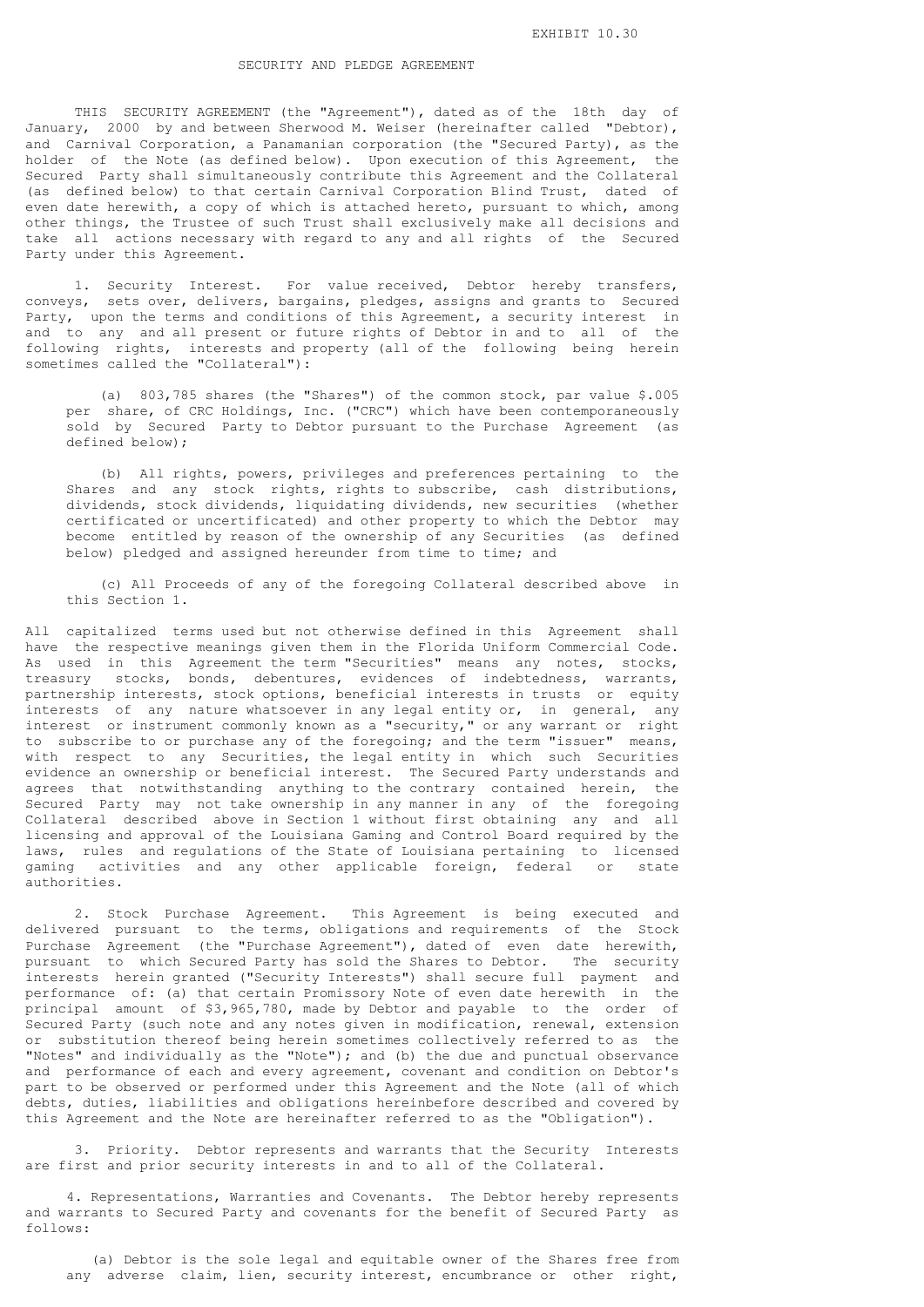### SECURITY AND PLEDGE AGREEMENT

 THIS SECURITY AGREEMENT (the "Agreement"), dated as of the 18th day of January, 2000 by and between Sherwood M. Weiser (hereinafter called "Debtor), and Carnival Corporation, a Panamanian corporation (the "Secured Party), as the holder of the Note (as defined below). Upon execution of this Agreement, the Secured Party shall simultaneously contribute this Agreement and the Collateral (as defined below) to that certain Carnival Corporation Blind Trust, dated of even date herewith, a copy of which is attached hereto, pursuant to which, among other things, the Trustee of such Trust shall exclusively make all decisions and take all actions necessary with regard to any and all rights of the Secured Party under this Agreement.

 1. Security Interest. For value received, Debtor hereby transfers, conveys, sets over, delivers, bargains, pledges, assigns and grants to Secured Party, upon the terms and conditions of this Agreement, a security interest in and to any and all present or future rights of Debtor in and to all of the following rights, interests and property (all of the following being herein sometimes called the "Collateral"):

 (a) 803,785 shares (the "Shares") of the common stock, par value \$.005 per share, of CRC Holdings, Inc. ("CRC") which have been contemporaneously sold by Secured Party to Debtor pursuant to the Purchase Agreement (as defined below);

 (b) All rights, powers, privileges and preferences pertaining to the Shares and any stock rights, rights to subscribe, cash distributions, dividends, stock dividends, liquidating dividends, new securities (whether certificated or uncertificated) and other property to which the Debtor may become entitled by reason of the ownership of any Securities (as defined below) pledged and assigned hereunder from time to time; and

 (c) All Proceeds of any of the foregoing Collateral described above in this Section 1.

All capitalized terms used but not otherwise defined in this Agreement shall have the respective meanings given them in the Florida Uniform Commercial Code. As used in this Agreement the term "Securities" means any notes, stocks, treasury stocks, bonds, debentures, evidences of indebtedness, warrants, partnership interests, stock options, beneficial interests in trusts or equity interests of any nature whatsoever in any legal entity or, in general, any interest or instrument commonly known as a "security," or any warrant or right to subscribe to or purchase any of the foregoing; and the term "issuer" means, with respect to any Securities, the legal entity in which such Securities evidence an ownership or beneficial interest. The Secured Party understands and agrees that notwithstanding anything to the contrary contained herein, the Secured Party may not take ownership in any manner in any of the foregoing Collateral described above in Section 1 without first obtaining any and all licensing and approval of the Louisiana Gaming and Control Board required by the laws, rules and regulations of the State of Louisiana pertaining to licensed gaming activities and any other applicable foreign, federal or state authorities.

 2. Stock Purchase Agreement. This Agreement is being executed and delivered pursuant to the terms, obligations and requirements of the Stock Purchase Agreement (the "Purchase Agreement"), dated of even date herewith, pursuant to which Secured Party has sold the Shares to Debtor. The security interests herein granted ("Security Interests") shall secure full payment and performance of: (a) that certain Promissory Note of even date herewith in the principal amount of \$3,965,780, made by Debtor and payable to the order of Secured Party (such note and any notes given in modification, renewal, extension or substitution thereof being herein sometimes collectively referred to as the "Notes" and individually as the "Note"); and (b) the due and punctual observance and performance of each and every agreement, covenant and condition on Debtor's part to be observed or performed under this Agreement and the Note (all of which debts, duties, liabilities and obligations hereinbefore described and covered by this Agreement and the Note are hereinafter referred to as the "Obligation").

 3. Priority. Debtor represents and warrants that the Security Interests are first and prior security interests in and to all of the Collateral.

 4. Representations, Warranties and Covenants. The Debtor hereby represents and warrants to Secured Party and covenants for the benefit of Secured Party as follows:

 (a) Debtor is the sole legal and equitable owner of the Shares free from any adverse claim, lien, security interest, encumbrance or other right,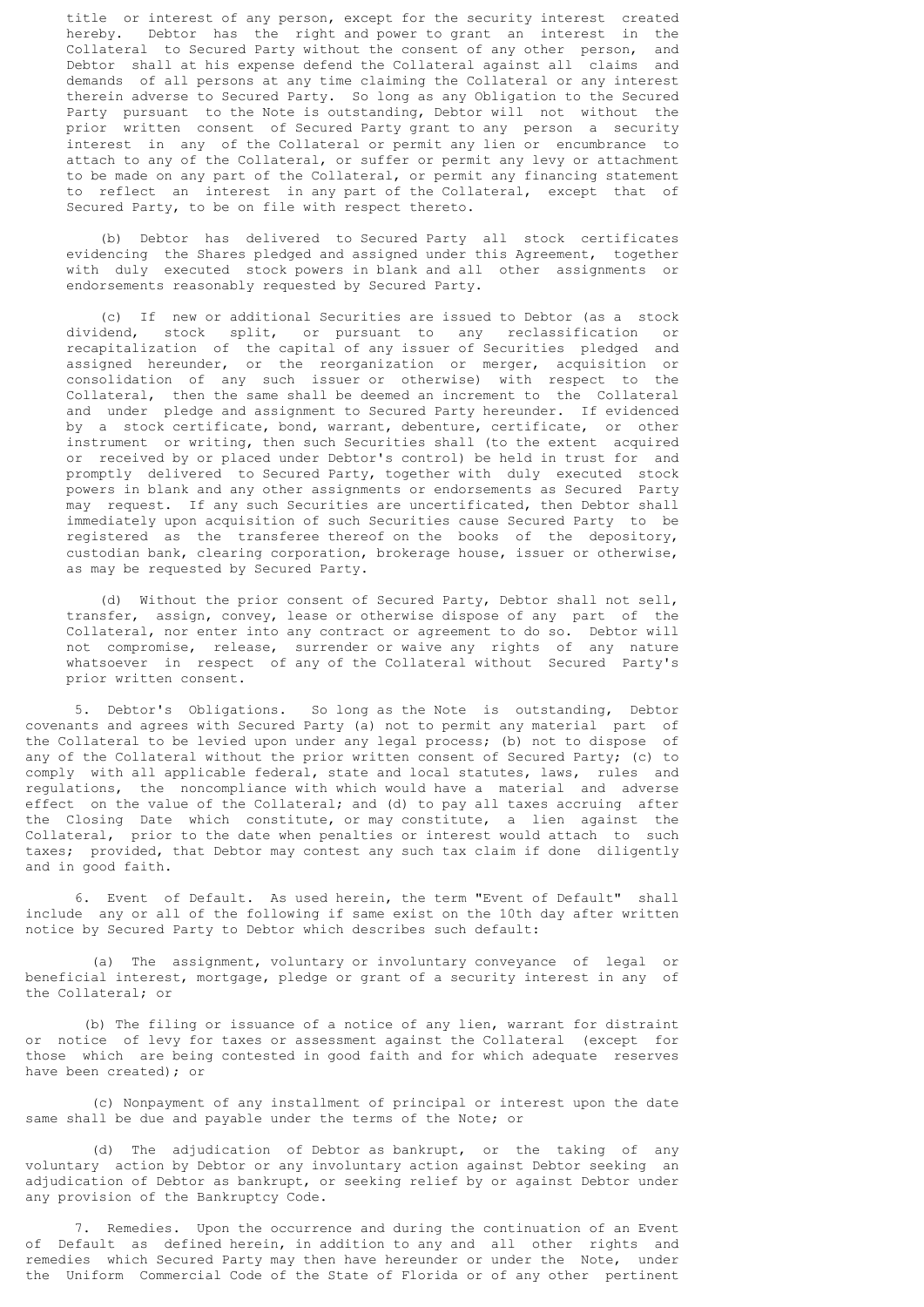title or interest of any person, except for the security interest created hereby. Debtor has the right and power to grant an interest in the Collateral to Secured Party without the consent of any other person, and Debtor shall at his expense defend the Collateral against all claims and demands of all persons at any time claiming the Collateral or any interest therein adverse to Secured Party. So long as any Obligation to the Secured Party pursuant to the Note is outstanding, Debtor will not without the prior written consent of Secured Party grant to any person a security interest in any of the Collateral or permit any lien or encumbrance to attach to any of the Collateral, or suffer or permit any levy or attachment to be made on any part of the Collateral, or permit any financing statement to reflect an interest in any part of the Collateral, except that of Secured Party, to be on file with respect thereto.

 (b) Debtor has delivered to Secured Party all stock certificates evidencing the Shares pledged and assigned under this Agreement, together with duly executed stock powers in blank and all other assignments or endorsements reasonably requested by Secured Party.

 (c) If new or additional Securities are issued to Debtor (as a stock dividend, stock split, or pursuant to any reclassification or recapitalization of the capital of any issuer of Securities pledged and assigned hereunder, or the reorganization or merger, acquisition or consolidation of any such issuer or otherwise) with respect to the Collateral, then the same shall be deemed an increment to the Collateral and under pledge and assignment to Secured Party hereunder. If evidenced by a stock certificate, bond, warrant, debenture, certificate, or other instrument or writing, then such Securities shall (to the extent acquired or received by or placed under Debtor's control) be held in trust for and promptly delivered to Secured Party, together with duly executed stock powers in blank and any other assignments or endorsements as Secured Party may request. If any such Securities are uncertificated, then Debtor shall immediately upon acquisition of such Securities cause Secured Party to be registered as the transferee thereof on the books of the depository, custodian bank, clearing corporation, brokerage house, issuer or otherwise, as may be requested by Secured Party.

 (d) Without the prior consent of Secured Party, Debtor shall not sell, transfer, assign, convey, lease or otherwise dispose of any part of the Collateral, nor enter into any contract or agreement to do so. Debtor will not compromise, release, surrender or waive any rights of any nature whatsoever in respect of any of the Collateral without Secured Party's prior written consent.

 5. Debtor's Obligations. So long as the Note is outstanding, Debtor covenants and agrees with Secured Party (a) not to permit any material part of the Collateral to be levied upon under any legal process; (b) not to dispose of any of the Collateral without the prior written consent of Secured Party; (c) to comply with all applicable federal, state and local statutes, laws, rules and regulations, the noncompliance with which would have a material and adverse effect on the value of the Collateral; and (d) to pay all taxes accruing after the Closing Date which constitute, or may constitute, a lien against the Collateral, prior to the date when penalties or interest would attach to such taxes; provided, that Debtor may contest any such tax claim if done diligently and in good faith.

 6. Event of Default. As used herein, the term "Event of Default" shall include any or all of the following if same exist on the 10th day after written notice by Secured Party to Debtor which describes such default:

 (a) The assignment, voluntary or involuntary conveyance of legal or beneficial interest, mortgage, pledge or grant of a security interest in any of the Collateral; or

 (b) The filing or issuance of a notice of any lien, warrant for distraint or notice of levy for taxes or assessment against the Collateral (except for those which are being contested in good faith and for which adequate reserves have been created); or

 (c) Nonpayment of any installment of principal or interest upon the date same shall be due and payable under the terms of the Note; or

 (d) The adjudication of Debtor as bankrupt, or the taking of any voluntary action by Debtor or any involuntary action against Debtor seeking an adjudication of Debtor as bankrupt, or seeking relief by or against Debtor under any provision of the Bankruptcy Code.

 7. Remedies. Upon the occurrence and during the continuation of an Event of Default as defined herein, in addition to any and all other rights and remedies which Secured Party may then have hereunder or under the Note, under the Uniform Commercial Code of the State of Florida or of any other pertinent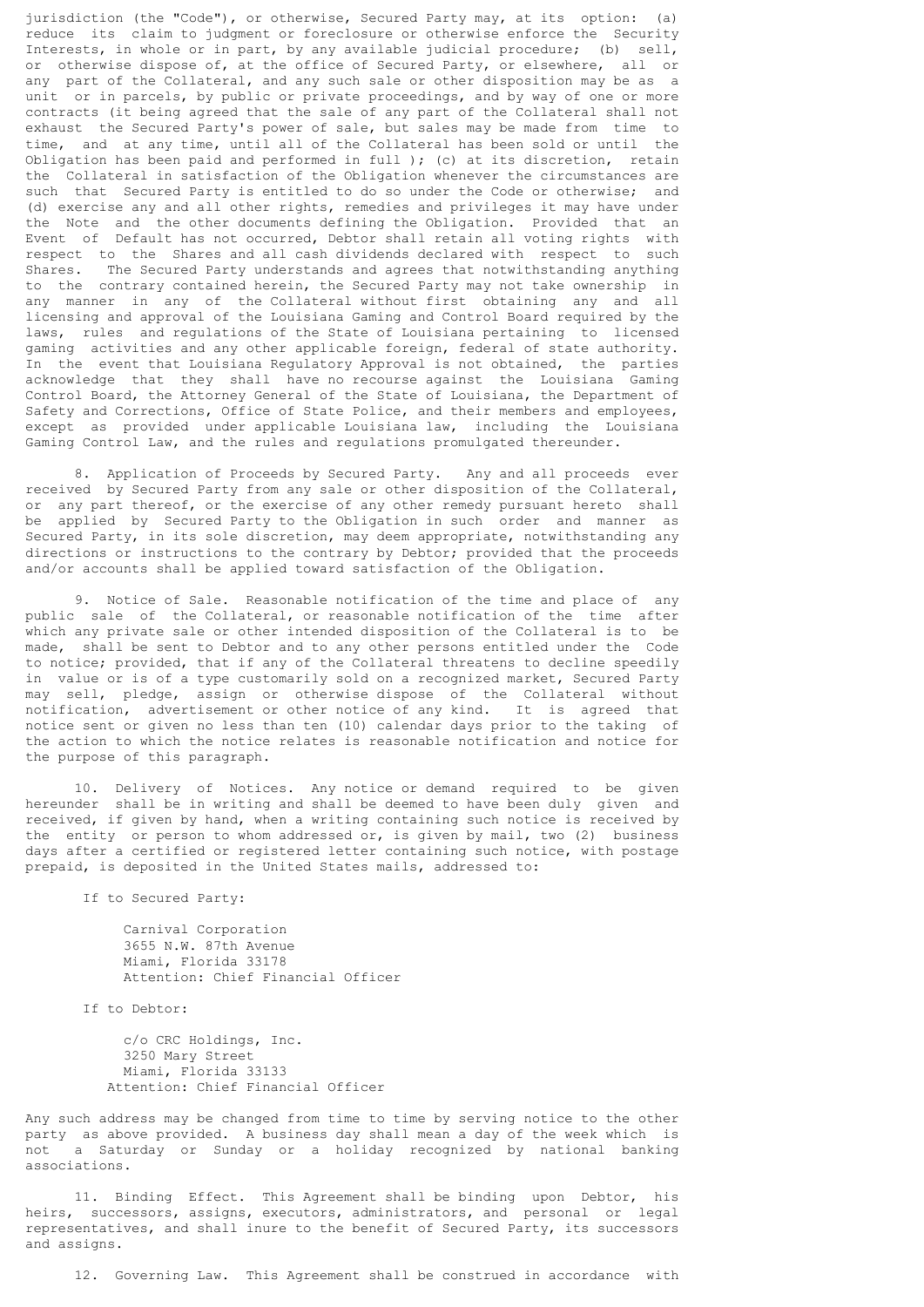jurisdiction (the "Code"), or otherwise, Secured Party may, at its option: (a) reduce its claim to judgment or foreclosure or otherwise enforce the Security Interests, in whole or in part, by any available judicial procedure; (b) sell, or otherwise dispose of, at the office of Secured Party, or elsewhere, all or any part of the Collateral, and any such sale or other disposition may be as a unit or in parcels, by public or private proceedings, and by way of one or more contracts (it being agreed that the sale of any part of the Collateral shall not exhaust the Secured Party's power of sale, but sales may be made from time to time, and at any time, until all of the Collateral has been sold or until the Obligation has been paid and performed in full ); (c) at its discretion, retain the Collateral in satisfaction of the Obligation whenever the circumstances are such that Secured Party is entitled to do so under the Code or otherwise; and (d) exercise any and all other rights, remedies and privileges it may have under the Note and the other documents defining the Obligation. Provided that an Event of Default has not occurred, Debtor shall retain all voting rights with respect to the Shares and all cash dividends declared with respect to such<br>Shares. The Secured Party understands and agrees that notwithstanding anything The Secured Party understands and agrees that notwithstanding anything to the contrary contained herein, the Secured Party may not take ownership in any manner in any of the Collateral without first obtaining any and all licensing and approval of the Louisiana Gaming and Control Board required by the laws, rules and regulations of the State of Louisiana pertaining to licensed gaming activities and any other applicable foreign, federal of state authority. In the event that Louisiana Regulatory Approval is not obtained, the parties acknowledge that they shall have no recourse against the Louisiana Gaming Control Board, the Attorney General of the State of Louisiana, the Department of Safety and Corrections, Office of State Police, and their members and employees, except as provided under applicable Louisiana law, including the Louisiana Gaming Control Law, and the rules and regulations promulgated thereunder.

 8. Application of Proceeds by Secured Party. Any and all proceeds ever received by Secured Party from any sale or other disposition of the Collateral, or any part thereof, or the exercise of any other remedy pursuant hereto shall be applied by Secured Party to the Obligation in such order and manner as Secured Party, in its sole discretion, may deem appropriate, notwithstanding any directions or instructions to the contrary by Debtor; provided that the proceeds and/or accounts shall be applied toward satisfaction of the Obligation.

 9. Notice of Sale. Reasonable notification of the time and place of any public sale of the Collateral, or reasonable notification of the time after which any private sale or other intended disposition of the Collateral is to be made, shall be sent to Debtor and to any other persons entitled under the Code to notice; provided, that if any of the Collateral threatens to decline speedily in value or is of a type customarily sold on a recognized market, Secured Party may sell, pledge, assign or otherwise-dispose of the Collateral without notification, advertisement or other notice of any kind. It is agreed that notice sent or given no less than ten (10) calendar days prior to the taking of the action to which the notice relates is reasonable notification and notice for the purpose of this paragraph.

 10. Delivery of Notices. Any notice or demand required to be given hereunder shall be in writing and shall be deemed to have been duly given and received, if given by hand, when a writing containing such notice is received by the entity or person to whom addressed or, is given by mail, two (2) business days after a certified or registered letter containing such notice, with postage prepaid, is deposited in the United States mails, addressed to:

If to Secured Party:

 Carnival Corporation 3655 N.W. 87th Avenue Miami, Florida 33178 Attention: Chief Financial Officer

If to Debtor:

 c/o CRC Holdings, Inc. 3250 Mary Street Miami, Florida 33133 Attention: Chief Financial Officer

Any such address may be changed from time to time by serving notice to the other party as above provided. A business day shall mean a day of the week which is not a Saturday or Sunday or a holiday recognized by national banking associations.

 11. Binding Effect. This Agreement shall be binding upon Debtor, his heirs, successors, assigns, executors, administrators, and personal or legal representatives, and shall inure to the benefit of Secured Party, its successors and assigns.

12. Governing Law. This Agreement shall be construed in accordance with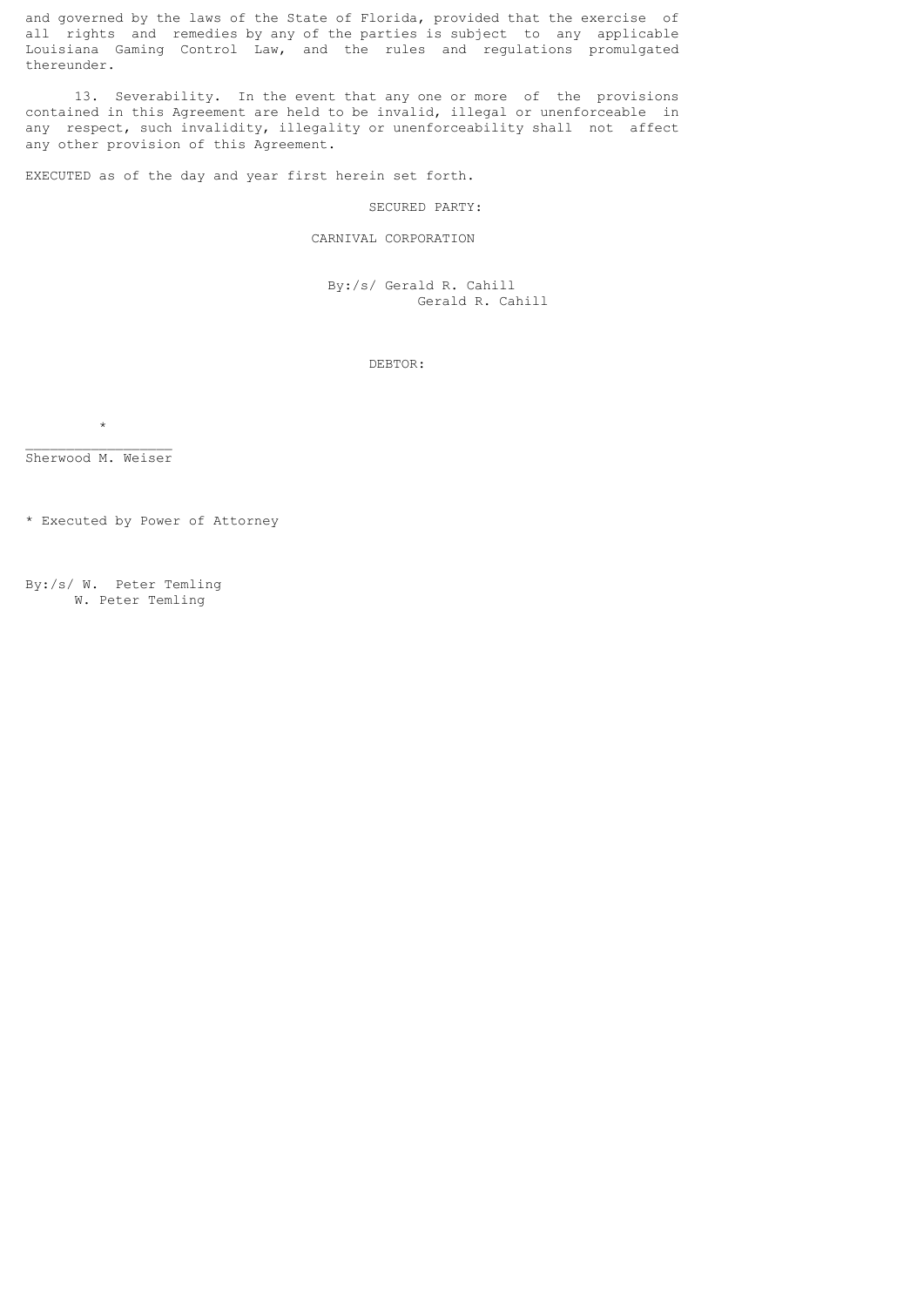and governed by the laws of the State of Florida, provided that the exercise of all rights and remedies by any of the parties is subject to any applicable Louisiana Gaming Control Law, and the rules and regulations promulgated thereunder.

 13. Severability. In the event that any one or more of the provisions contained in this Agreement are held to be invalid, illegal or unenforceable in any respect, such invalidity, illegality or unenforceability shall not affect any other provision of this Agreement.

EXECUTED as of the day and year first herein set forth.

#### SECURED PARTY:

# CARNIVAL CORPORATION

 By:/s/ Gerald R. Cahill Gerald R. Cahill

DEBTOR:

 $\_$ Sherwood M. Weiser

 $\star$ 

\* Executed by Power of Attorney

By:/s/ W. Peter Temling W. Peter Temling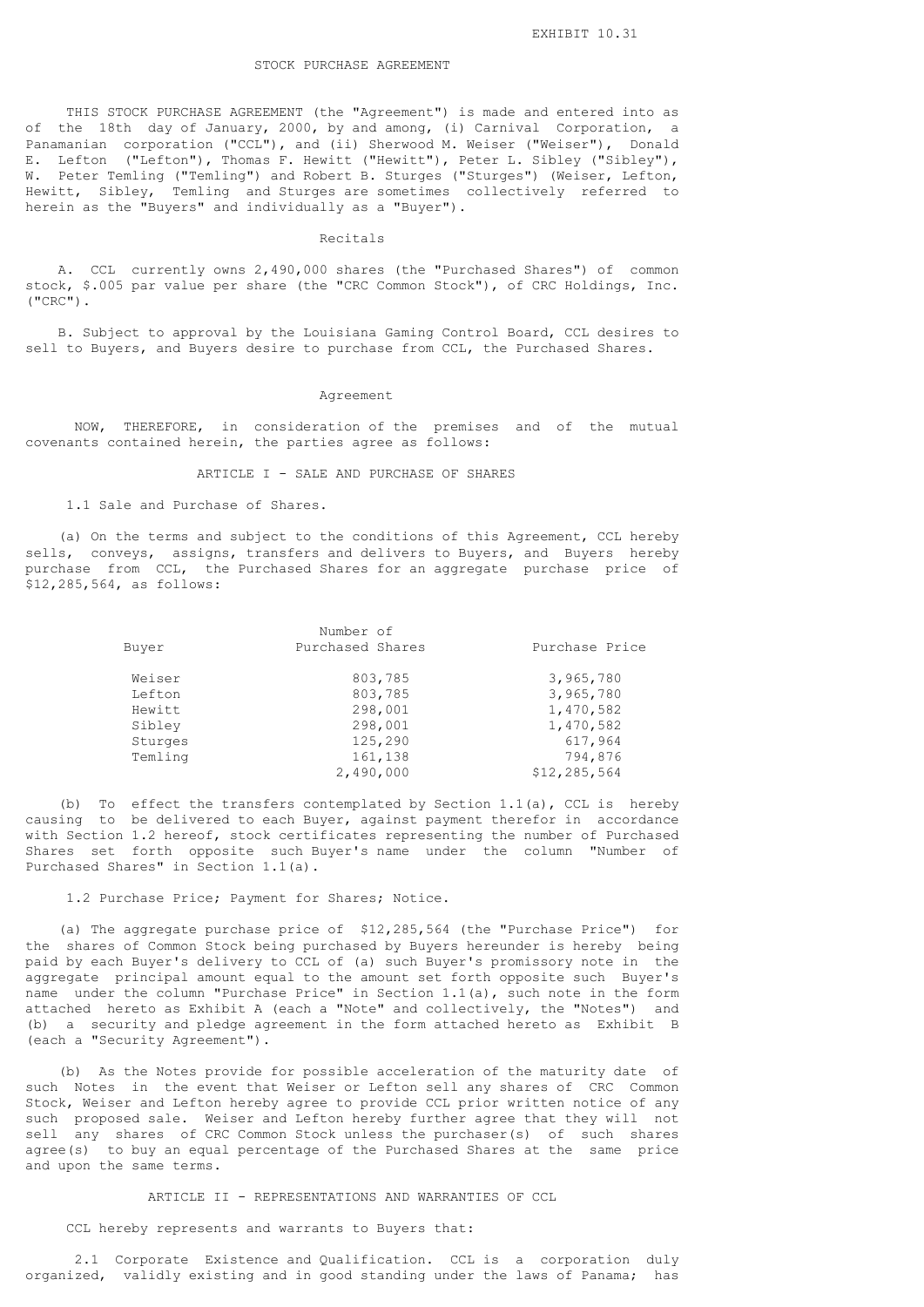## STOCK PURCHASE AGREEMENT

 THIS STOCK PURCHASE AGREEMENT (the "Agreement") is made and entered into as of the 18th day of January, 2000, by and among, (i) Carnival Corporation, a Panamanian corporation ("CCL"), and (ii) Sherwood M. Weiser ("Weiser"), Donald E. Lefton ("Lefton"), Thomas F. Hewitt ("Hewitt"), Peter L. Sibley ("Sibley"), W. Peter Temling ("Temling") and Robert B. Sturges ("Sturges") (Weiser, Lefton, Hewitt, Sibley, Temling and Sturges are sometimes collectively referred to herein as the "Buyers" and individually as a "Buyer").

#### Recitals

 A. CCL currently owns 2,490,000 shares (the "Purchased Shares") of common stock, \$.005 par value per share (the "CRC Common Stock"), of CRC Holdings, Inc. ("CRC").

 B. Subject to approval by the Louisiana Gaming Control Board, CCL desires to sell to Buyers, and Buyers desire to purchase from CCL, the Purchased Shares.

#### Agreement

 NOW, THEREFORE, in consideration of the premises and of the mutual covenants contained herein, the parties agree as follows:

#### ARTICLE I - SALE AND PURCHASE OF SHARES

1.1 Sale and Purchase of Shares.

 (a) On the terms and subject to the conditions of this Agreement, CCL hereby sells, conveys, assigns, transfers and delivers to Buyers, and Buyers hereby purchase from CCL, the Purchased Shares for an aggregate purchase price of \$12,285,564, as follows:

|         | Number of        |                |
|---------|------------------|----------------|
| Buyer   | Purchased Shares | Purchase Price |
| Weiser  | 803,785          | 3,965,780      |
| Lefton  | 803,785          | 3,965,780      |
| Hewitt  | 298,001          | 1,470,582      |
| Sibley  | 298,001          | 1,470,582      |
| Sturges | 125,290          | 617,964        |
| Temling | 161,138          | 794,876        |
|         | 2,490,000        | \$12,285,564   |
|         |                  |                |

 (b) To effect the transfers contemplated by Section 1.1(a), CCL is hereby causing to be delivered to each Buyer, against payment therefor in accordance with Section 1.2 hereof, stock certificates representing the number of Purchased Shares set forth opposite such Buyer's name under the column "Number of Purchased Shares" in Section 1.1(a).

1.2 Purchase Price; Payment for Shares; Notice.

 (a) The aggregate purchase price of \$12,285,564 (the "Purchase Price") for the shares of Common Stock being purchased by Buyers hereunder is hereby being paid by each Buyer's delivery to CCL of (a) such Buyer's promissory note in the aggregate principal amount equal to the amount set forth opposite such Buyer's name under the column "Purchase Price" in Section 1.1(a), such note in the form attached hereto as Exhibit A (each a "Note" and collectively, the "Notes") and (b) a security and pledge agreement in the form attached hereto as Exhibit B (each a "Security Agreement").

 (b) As the Notes provide for possible acceleration of the maturity date of such Notes in the event that Weiser or Lefton sell any shares of CRC Common Stock, Weiser and Lefton hereby agree to provide CCL prior written notice of any such proposed sale. Weiser and Lefton hereby further agree that they will not sell any shares of CRC Common Stock unless the purchaser(s) of such shares agree(s) to buy an equal percentage of the Purchased Shares at the same price and upon the same terms.

# ARTICLE II - REPRESENTATIONS AND WARRANTIES OF CCL

CCL hereby represents and warrants to Buyers that:

 2.1 Corporate Existence and Qualification. CCL is a corporation duly organized, validly existing and in good standing under the laws of Panama; has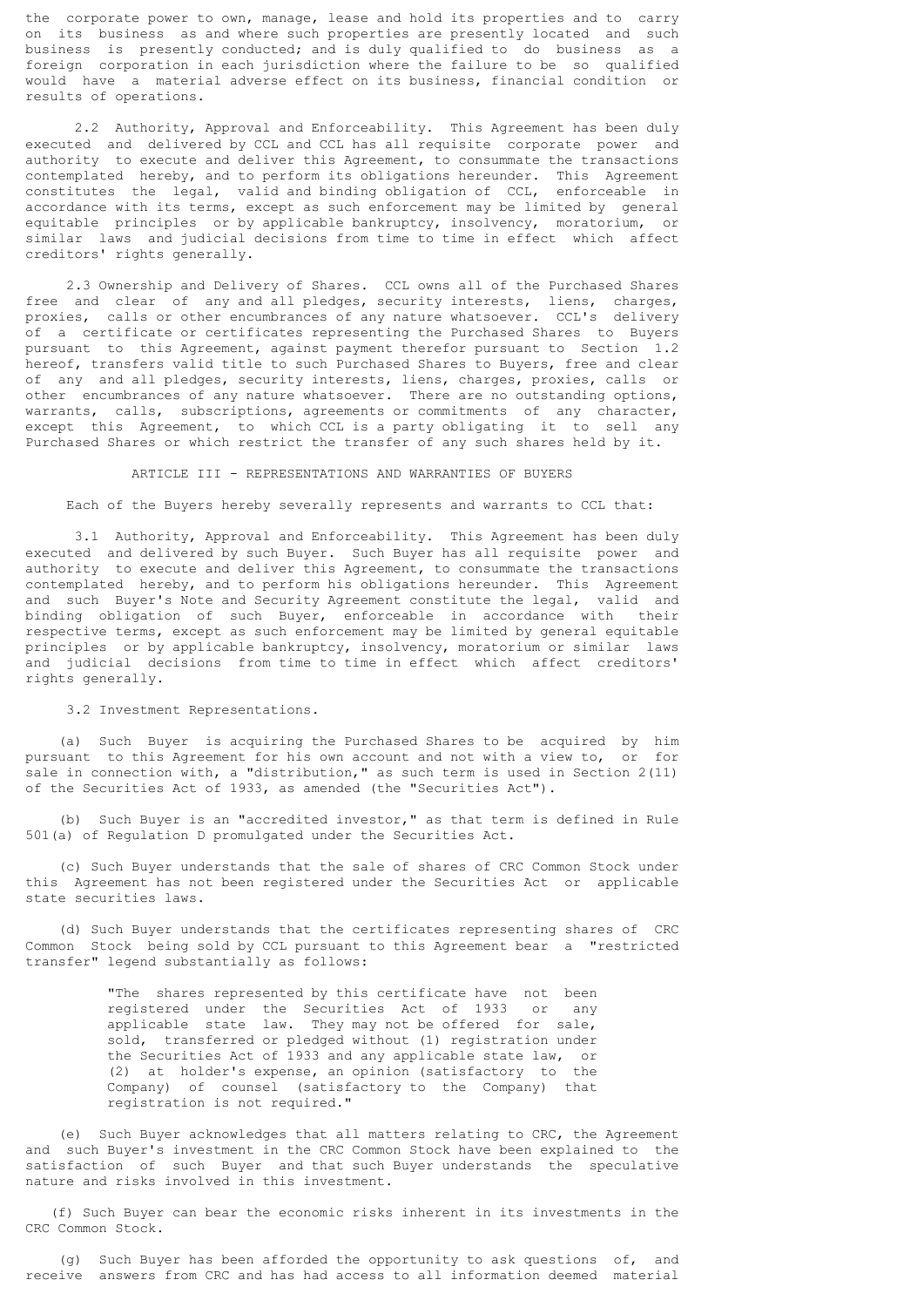the corporate power to own, manage, lease and hold its properties and to carry on its business as and where such properties are presently located and such business is presently conducted; and is duly qualified to do business as a foreign corporation in each jurisdiction where the failure to be so qualified would have a material adverse effect on its business, financial condition or results of operations.

 2.2 Authority, Approval and Enforceability. This Agreement has been duly executed and delivered by CCL and CCL has all requisite corporate power and authority to execute and deliver this Agreement, to consummate the transactions contemplated hereby, and to perform its obligations hereunder. This Agreement constitutes the legal, valid and binding obligation of CCL, enforceable in accordance with its terms, except as such enforcement may be limited by general equitable principles or by applicable bankruptcy, insolvency, moratorium, or similar laws and judicial decisions from time to time in effect which affect creditors' rights generally.

 2.3 Ownership and Delivery of Shares. CCL owns all of the Purchased Shares free and clear of any and all pledges, security interests, liens, charges, proxies, calls or other encumbrances of any nature whatsoever. CCL's delivery of a certificate or certificates representing the Purchased Shares to Buyers pursuant to this Agreement, against payment therefor pursuant to Section 1.2 hereof, transfers valid title to such Purchased Shares to Buyers, free and clear of any and all pledges, security interests, liens, charges, proxies, calls or other encumbrances of any nature whatsoever. There are no outstanding options, warrants, calls, subscriptions, agreements or commitments of any character, except this Agreement, to which CCL is a party obligating it to sell any Purchased Shares or which restrict the transfer of any such shares held by it.

#### ARTICLE III - REPRESENTATIONS AND WARRANTIES OF BUYERS

Each of the Buyers hereby severally represents and warrants to CCL that:

 3.1 Authority, Approval and Enforceability. This Agreement has been duly executed and delivered by such Buyer. Such Buyer has all requisite power and authority to execute and deliver this Agreement, to consummate the transactions contemplated hereby, and to perform his obligations hereunder. This Agreement and such Buyer's Note and Security Agreement constitute the legal, valid and binding obligation of such Buyer, enforceable in accordance with their respective terms, except as such enforcement may be limited by general equitable principles or by applicable bankruptcy, insolvency, moratorium or similar laws and judicial decisions from time to time in effect which affect creditors' rights generally.

3.2 Investment Representations.

 (a) Such Buyer is acquiring the Purchased Shares to be acquired by him pursuant to this Agreement for his own account and not with a view to, or for sale in connection with, a "distribution," as such term is used in Section 2(11) of the Securities Act of 1933, as amended (the "Securities Act").

 (b) Such Buyer is an "accredited investor," as that term is defined in Rule 501(a) of Regulation D promulgated under the Securities Act.

 (c) Such Buyer understands that the sale of shares of CRC Common Stock under this Agreement has not been registered under the Securities Act or applicable state securities laws.

 (d) Such Buyer understands that the certificates representing shares of CRC Common Stock being sold by CCL pursuant to this Agreement bear a "restricted transfer" legend substantially as follows:

> "The shares represented by this certificate have not been registered under the Securities Act of 1933 or any applicable state law. They may not be offered for sale, sold, transferred or pledged without (1) registration under the Securities Act of 1933 and any applicable state law, or (2) at holder's expense, an opinion (satisfactory to the Company) of counsel (satisfactory to the Company) that registration is not required."

 (e) Such Buyer acknowledges that all matters relating to CRC, the Agreement and such Buyer's investment in the CRC Common Stock have been explained to the satisfaction of such Buyer and that such Buyer understands the speculative nature and risks involved in this investment.

 (f) Such Buyer can bear the economic risks inherent in its investments in the CRC Common Stock.

 (g) Such Buyer has been afforded the opportunity to ask questions of, and receive answers from CRC and has had access to all information deemed material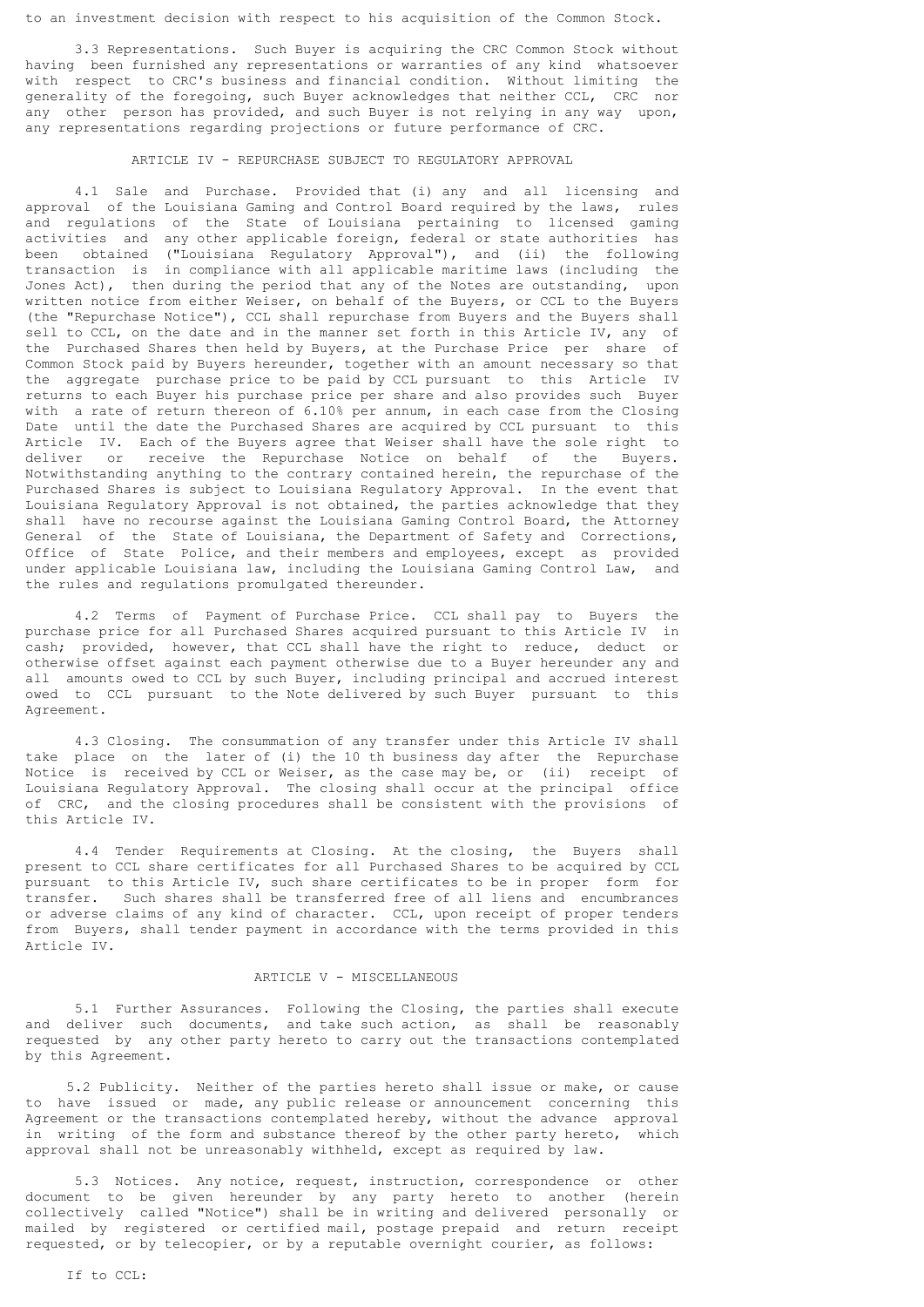to an investment decision with respect to his acquisition of the Common Stock.

 3.3 Representations. Such Buyer is acquiring the CRC Common Stock without having been furnished any representations or warranties of any kind whatsoever with respect to CRC's business and financial condition. Without limiting the generality of the foregoing, such Buyer acknowledges that neither CCL, CRC nor any other person has provided, and such Buyer is not relying in any way upon, any representations regarding projections or future performance of CRC.

# ARTICLE IV - REPURCHASE SUBJECT TO REGULATORY APPROVAL

 4.1 Sale and Purchase. Provided that (i) any and all licensing and approval of the Louisiana Gaming and Control Board required by the laws, rules and regulations of the State of Louisiana pertaining to licensed gaming activities and any other applicable foreign, federal or state authorities has been obtained ("Louisiana Regulatory Approval"), and (ii) the following transaction is in compliance with all applicable maritime laws (including the Jones Act), then during the period that any of the Notes are outstanding, upon written notice from either Weiser, on behalf of the Buyers, or CCL to the Buyers (the "Repurchase Notice"), CCL shall repurchase from Buyers and the Buyers shall sell to CCL, on the date and in the manner set forth in this Article IV, any of the Purchased Shares then held by Buyers, at the Purchase Price per share of Common Stock paid by Buyers hereunder, together with an amount necessary so that the aggregate purchase price to be paid by CCL pursuant to this Article IV returns to each Buyer his purchase price per share and also provides such Buyer with a rate of return thereon of 6.10% per annum, in each case from the Closing Date until the date the Purchased Shares are acquired by CCL pursuant to this Article IV. Each of the Buyers agree that Weiser shall have the sole right to deliver or receive the Repurchase Notice on behalf of the Ruyers or receive the Repurchase Notice on behalf of the Buyers. Notwithstanding anything to the contrary contained herein, the repurchase of the Purchased Shares is subject to Louisiana Regulatory Approval. In the event that Louisiana Regulatory Approval is not obtained, the parties acknowledge that they shall have no recourse against the Louisiana Gaming Control Board, the Attorney General of the State of Louisiana, the Department of Safety and Corrections, Office of State Police, and their members and employees, except as provided under applicable Louisiana law, including the Louisiana Gaming Control Law, and the rules and regulations promulgated thereunder.

 4.2 Terms of Payment of Purchase Price. CCL shall pay to Buyers the purchase price for all Purchased Shares acquired pursuant to this Article IV in cash; provided, however, that CCL shall have the right to reduce, deduct or otherwise offset against each payment otherwise due to a Buyer hereunder any and all amounts owed to CCL by such Buyer, including principal and accrued interest owed to CCL pursuant to the Note delivered by such Buyer pursuant to this Agreement.

 4.3 Closing. The consummation of any transfer under this Article IV shall take place on the later of (i) the 10 th business day after the Repurchase Notice is received by CCL or Weiser, as the case may be, or (ii) receipt of Louisiana Regulatory Approval. The closing shall occur at the principal office of CRC, and the closing procedures shall be consistent with the provisions of this Article IV.

 4.4 Tender Requirements at Closing. At the closing, the Buyers shall present to CCL share certificates for all Purchased Shares to be acquired by CCL pursuant to this Article IV, such share certificates to be in proper form for transfer. Such shares shall be transferred free of all liens and encumbrances or adverse claims of any kind of character. CCL, upon receipt of proper tenders from Buyers, shall tender payment in accordance with the terms provided in this Article IV.

## ARTICLE V - MISCELLANEOUS

 5.1 Further Assurances. Following the Closing, the parties shall execute and deliver such documents, and take such action, as shall be reasonably requested by any other party hereto to carry out the transactions contemplated by this Agreement.

 5.2 Publicity. Neither of the parties hereto shall issue or make, or cause to have issued or made, any public release or announcement concerning this Agreement or the transactions contemplated hereby, without the advance approval in writing of the form and substance thereof by the other party hereto, which approval shall not be unreasonably withheld, except as required by law.

 5.3 Notices. Any notice, request, instruction, correspondence or other document to be given hereunder by any party hereto to another (herein collectively called "Notice") shall be in writing and delivered personally or mailed by registered or certified mail, postage prepaid and return receipt requested, or by telecopier, or by a reputable overnight courier, as follows: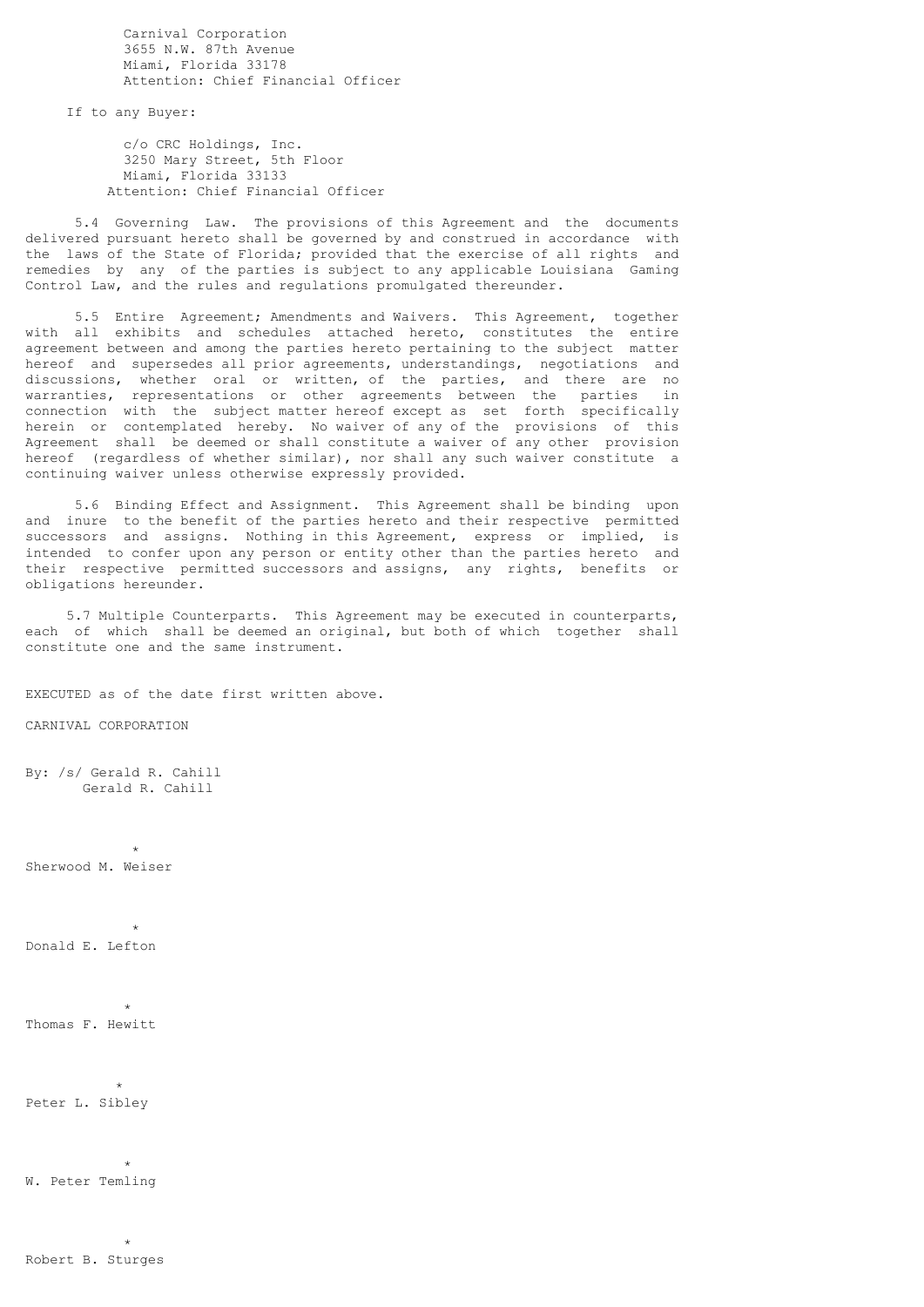Carnival Corporation 3655 N.W. 87th Avenue Miami, Florida 33178 Attention: Chief Financial Officer

If to any Buyer:

 c/o CRC Holdings, Inc. 3250 Mary Street, 5th Floor Miami, Florida 33133 Attention: Chief Financial Officer

 5.4 Governing Law. The provisions of this Agreement and the documents delivered pursuant hereto shall be governed by and construed in accordance with the laws of the State of Florida; provided that the exercise of all rights and remedies by any of the parties is subject to any applicable Louisiana Gaming Control Law, and the rules and regulations promulgated thereunder.

 5.5 Entire Agreement; Amendments and Waivers. This Agreement, together with all exhibits and schedules attached hereto, constitutes the entire agreement between and among the parties hereto pertaining to the subject matter hereof and supersedes all prior agreements, understandings, negotiations and discussions, whether oral or written, of the parties, and there are no warranties, representations or other agreements between the parties in connection with the subject matter hereof except as set forth specifically herein or contemplated hereby. No waiver of any of the provisions of this Agreement shall be deemed or shall constitute a waiver of any other provision hereof (regardless of whether similar), nor shall any such waiver constitute a continuing waiver unless otherwise expressly provided.

 5.6 Binding Effect and Assignment. This Agreement shall be binding upon and inure to the benefit of the parties hereto and their respective permitted successors and assigns. Nothing in this Agreement, express or implied, is intended to confer upon any person or entity other than the parties hereto and their respective permitted successors and assigns, any rights, benefits or obligations hereunder.

 5.7 Multiple Counterparts. This Agreement may be executed in counterparts, each of which shall be deemed an original, but both of which together shall constitute one and the same instrument.

EXECUTED as of the date first written above.

CARNIVAL CORPORATION

By: /s/ Gerald R. Cahill Gerald R. Cahill

 $\star$ Sherwood M. Weiser

 $\star$ Donald E. Lefton

 $\star$ Thomas F. Hewitt

 $\star$ Peter L. Sibley

 $\star$ W. Peter Temling

 $\star$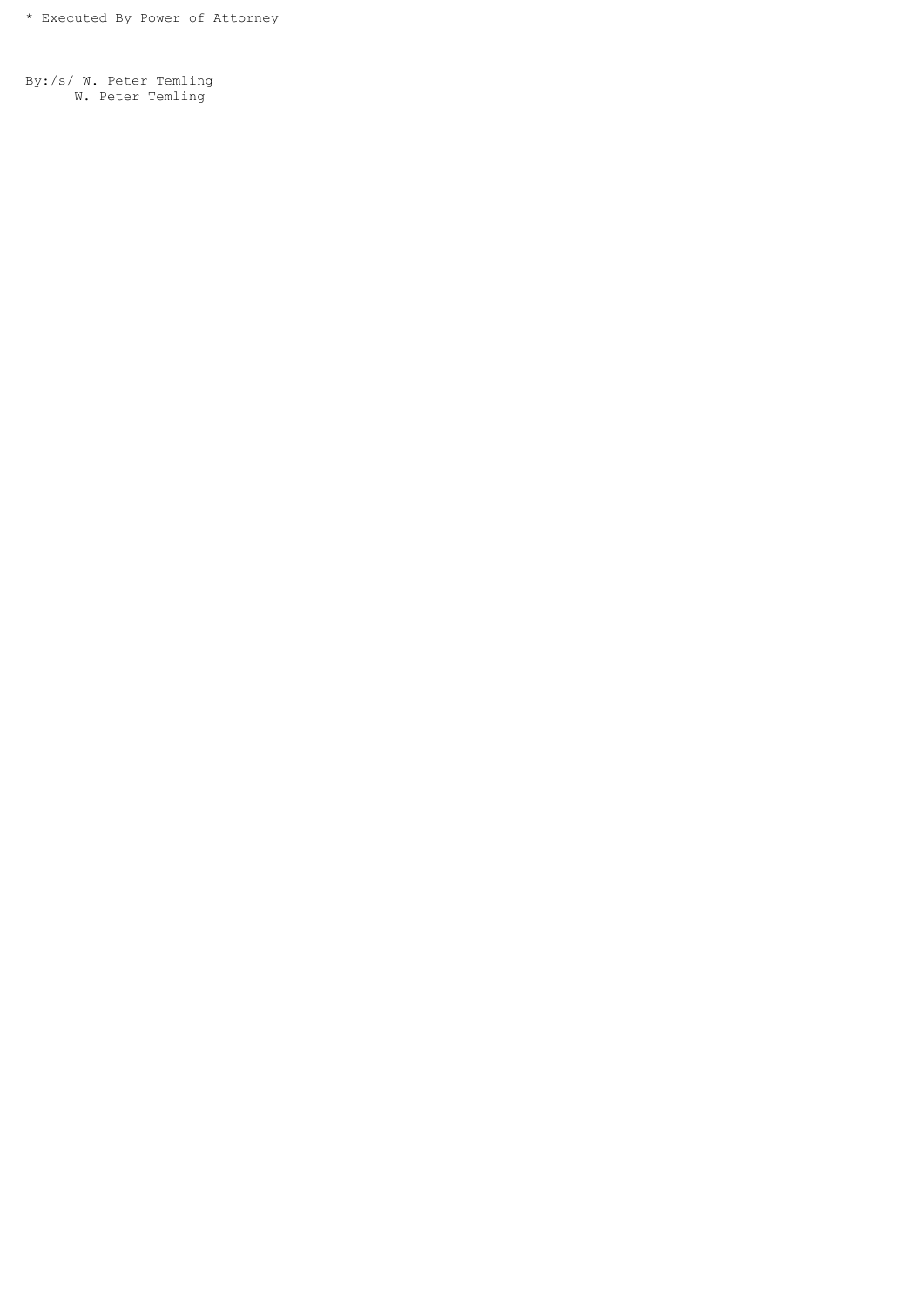By:/s/ W. Peter Temling W. Peter Temling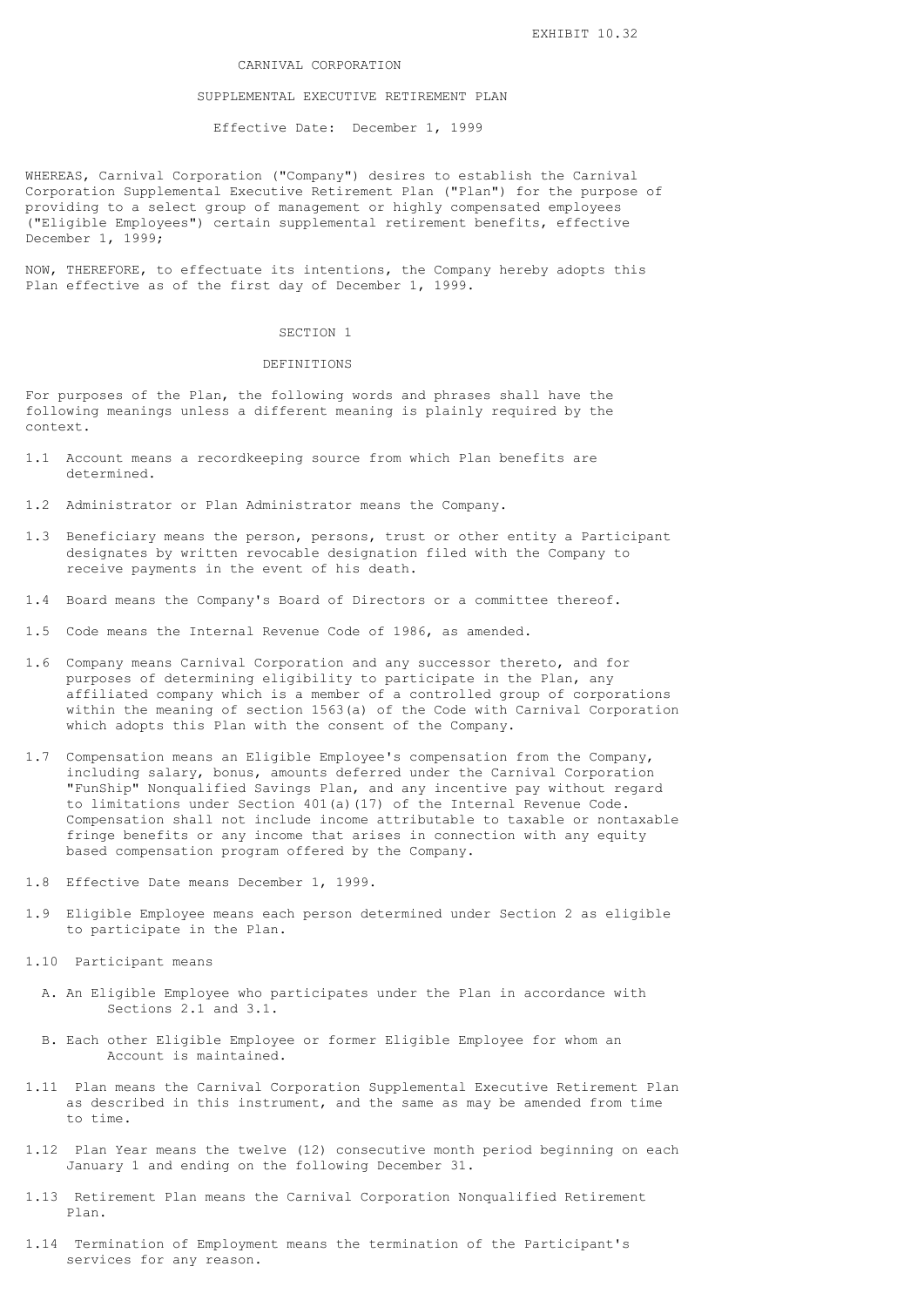# CARNIVAL CORPORATION

# SUPPLEMENTAL EXECUTIVE RETIREMENT PLAN

Effective Date: December 1, 1999

WHEREAS, Carnival Corporation ("Company") desires to establish the Carnival Corporation Supplemental Executive Retirement Plan ("Plan") for the purpose of providing to a select group of management or highly compensated employees ("Eligible Employees") certain supplemental retirement benefits, effective December 1, 1999;

NOW, THEREFORE, to effectuate its intentions, the Company hereby adopts this Plan effective as of the first day of December 1, 1999.

# SECTION 1

#### DEFINITIONS

For purposes of the Plan, the following words and phrases shall have the following meanings unless a different meaning is plainly required by the context.

- 1.1 Account means a recordkeeping source from which Plan benefits are determined.
- 1.2 Administrator or Plan Administrator means the Company.
- 1.3 Beneficiary means the person, persons, trust or other entity a Participant designates by written revocable designation filed with the Company to receive payments in the event of his death.
- 1.4 Board means the Company's Board of Directors or a committee thereof.
- 1.5 Code means the Internal Revenue Code of 1986, as amended.
- 1.6 Company means Carnival Corporation and any successor thereto, and for purposes of determining eligibility to participate in the Plan, any affiliated company which is a member of a controlled group of corporations within the meaning of section 1563(a) of the Code with Carnival Corporation which adopts this Plan with the consent of the Company.
- 1.7 Compensation means an Eligible Employee's compensation from the Company, including salary, bonus, amounts deferred under the Carnival Corporation "FunShip" Nonqualified Savings Plan, and any incentive pay without regard to limitations under Section 401(a)(17) of the Internal Revenue Code. Compensation shall not include income attributable to taxable or nontaxable fringe benefits or any income that arises in connection with any equity based compensation program offered by the Company.
- 1.8 Effective Date means December 1, 1999.
- 1.9 Eligible Employee means each person determined under Section 2 as eligible to participate in the Plan.
- 1.10 Participant means
	- A. An Eligible Employee who participates under the Plan in accordance with Sections 2.1 and 3.1.
	- B. Each other Eligible Employee or former Eligible Employee for whom an Account is maintained.
- 1.11 Plan means the Carnival Corporation Supplemental Executive Retirement Plan as described in this instrument, and the same as may be amended from time to time.
- 1.12 Plan Year means the twelve (12) consecutive month period beginning on each January 1 and ending on the following December 31.
- 1.13 Retirement Plan means the Carnival Corporation Nonqualified Retirement Plan.
- 1.14 Termination of Employment means the termination of the Participant's services for any reason.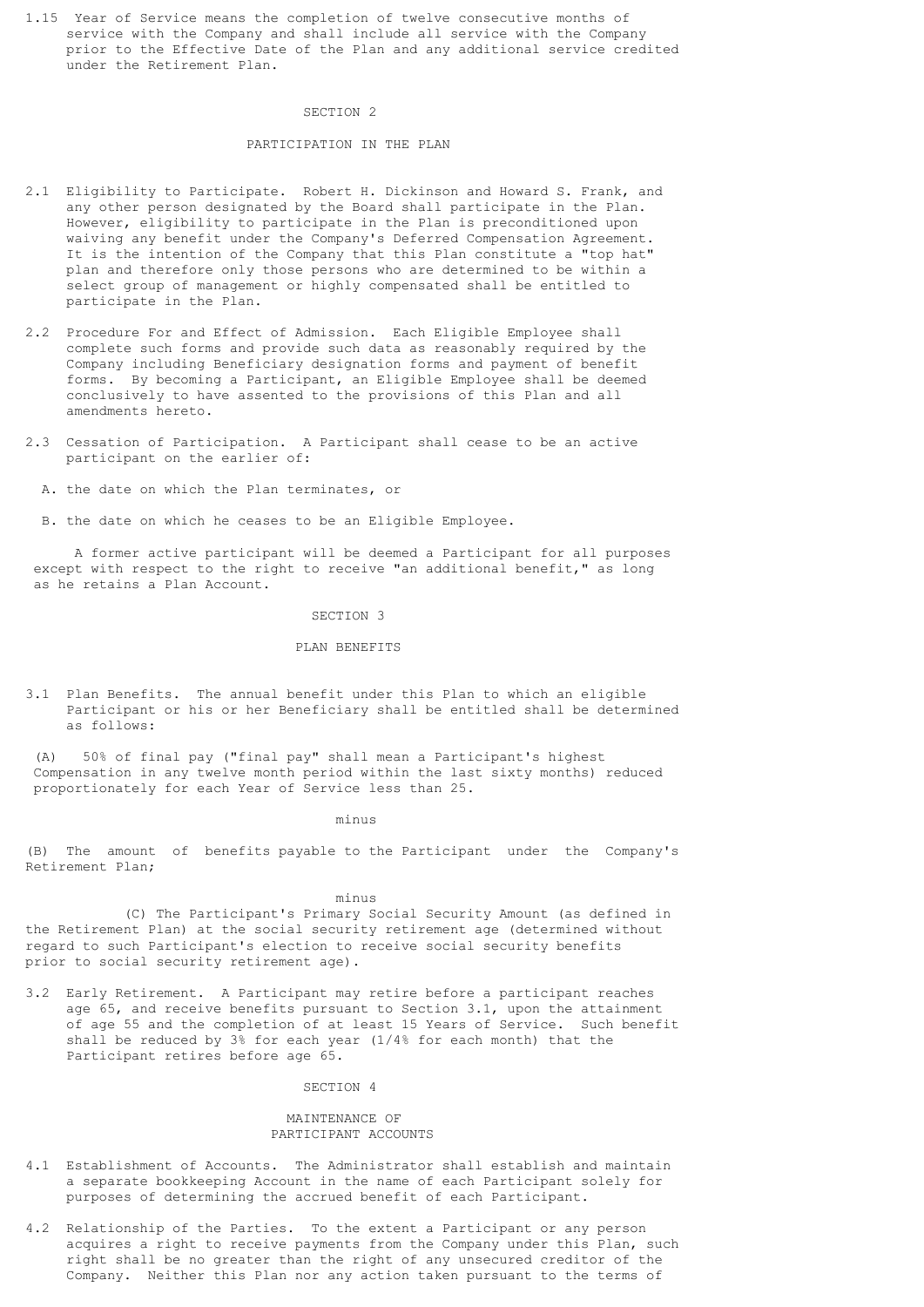1.15 Year of Service means the completion of twelve consecutive months of service with the Company and shall include all service with the Company prior to the Effective Date of the Plan and any additional service credited under the Retirement Plan.

## SECTION 2

# PARTICIPATION IN THE PLAN

- 2.1 Eligibility to Participate. Robert H. Dickinson and Howard S. Frank, and any other person designated by the Board shall participate in the Plan. However, eligibility to participate in the Plan is preconditioned upon waiving any benefit under the Company's Deferred Compensation Agreement. It is the intention of the Company that this Plan constitute a "top hat" plan and therefore only those persons who are determined to be within a select group of management or highly compensated shall be entitled to participate in the Plan.
- 2.2 Procedure For and Effect of Admission. Each Eligible Employee shall complete such forms and provide such data as reasonably required by the Company including Beneficiary designation forms and payment of benefit forms. By becoming a Participant, an Eligible Employee shall be deemed conclusively to have assented to the provisions of this Plan and all amendments hereto.
- 2.3 Cessation of Participation. A Participant shall cease to be an active participant on the earlier of:
	- A. the date on which the Plan terminates, or
	- B. the date on which he ceases to be an Eligible Employee.

 A former active participant will be deemed a Participant for all purposes except with respect to the right to receive "an additional benefit," as long as he retains a Plan Account.

#### SECTION 3

#### PLAN BENEFITS

3.1 Plan Benefits. The annual benefit under this Plan to which an eligible Participant or his or her Beneficiary shall be entitled shall be determined as follows:

 (A) 50% of final pay ("final pay" shall mean a Participant's highest Compensation in any twelve month period within the last sixty months) reduced proportionately for each Year of Service less than 25.

minus

(B) The amount of benefits payable to the Participant under the Company's Retirement Plan;

minus

 (C) The Participant's Primary Social Security Amount (as defined in the Retirement Plan) at the social security retirement age (determined without regard to such Participant's election to receive social security benefits prior to social security retirement age).

3.2 Early Retirement. A Participant may retire before a participant reaches age 65, and receive benefits pursuant to Section 3.1, upon the attainment of age 55 and the completion of at least 15 Years of Service. Such benefit shall be reduced by 3% for each year (1/4% for each month) that the Participant retires before age 65.

SECTION 4

# MAINTENANCE OF PARTICIPANT ACCOUNTS

- 4.1 Establishment of Accounts. The Administrator shall establish and maintain a separate bookkeeping Account in the name of each Participant solely for purposes of determining the accrued benefit of each Participant.
- 4.2 Relationship of the Parties. To the extent a Participant or any person acquires a right to receive payments from the Company under this Plan, such right shall be no greater than the right of any unsecured creditor of the Company. Neither this Plan nor any action taken pursuant to the terms of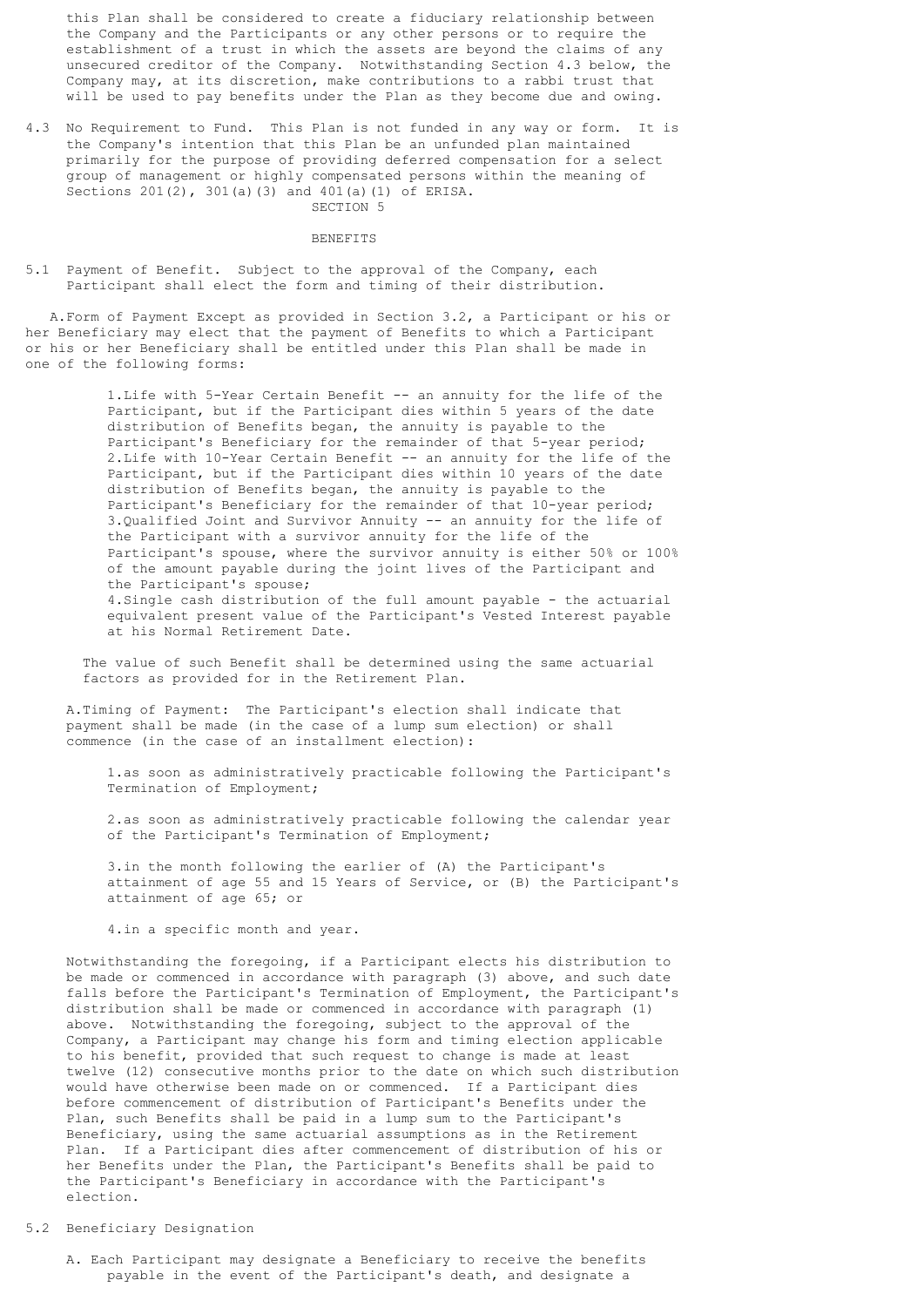this Plan shall be considered to create a fiduciary relationship between the Company and the Participants or any other persons or to require the establishment of a trust in which the assets are beyond the claims of any unsecured creditor of the Company. Notwithstanding Section 4.3 below, the Company may, at its discretion, make contributions to a rabbi trust that will be used to pay benefits under the Plan as they become due and owing.

4.3 No Requirement to Fund. This Plan is not funded in any way or form. It is the Company's intention that this Plan be an unfunded plan maintained primarily for the purpose of providing deferred compensation for a select group of management or highly compensated persons within the meaning of Sections 201(2), 301(a)(3) and 401(a)(1) of ERISA. SECTION 5

#### BENEFITS

5.1 Payment of Benefit. Subject to the approval of the Company, each Participant shall elect the form and timing of their distribution.

 A.Form of Payment Except as provided in Section 3.2, a Participant or his or her Beneficiary may elect that the payment of Benefits to which a Participant or his or her Beneficiary shall be entitled under this Plan shall be made in one of the following forms:

> 1.Life with 5-Year Certain Benefit -- an annuity for the life of the Participant, but if the Participant dies within 5 years of the date distribution of Benefits began, the annuity is payable to the Participant's Beneficiary for the remainder of that 5-year period; 2.Life with 10-Year Certain Benefit -- an annuity for the life of the Participant, but if the Participant dies within 10 years of the date distribution of Benefits began, the annuity is payable to the Participant's Beneficiary for the remainder of that 10-year period; 3.Qualified Joint and Survivor Annuity -- an annuity for the life of the Participant with a survivor annuity for the life of the Participant's spouse, where the survivor annuity is either 50% or 100% of the amount payable during the joint lives of the Participant and the Participant's spouse; 4.Single cash distribution of the full amount payable - the actuarial equivalent present value of the Participant's Vested Interest payable at his Normal Retirement Date.

 The value of such Benefit shall be determined using the same actuarial factors as provided for in the Retirement Plan.

 A.Timing of Payment: The Participant's election shall indicate that payment shall be made (in the case of a lump sum election) or shall commence (in the case of an installment election):

 1.as soon as administratively practicable following the Participant's Termination of Employment;

 2.as soon as administratively practicable following the calendar year of the Participant's Termination of Employment;

 3.in the month following the earlier of (A) the Participant's attainment of age 55 and 15 Years of Service, or (B) the Participant's attainment of age 65; or

4.in a specific month and year.

 Notwithstanding the foregoing, if a Participant elects his distribution to be made or commenced in accordance with paragraph (3) above, and such date falls before the Participant's Termination of Employment, the Participant's distribution shall be made or commenced in accordance with paragraph (1) above. Notwithstanding the foregoing, subject to the approval of the Company, a Participant may change his form and timing election applicable to his benefit, provided that such request to change is made at least twelve (12) consecutive months prior to the date on which such distribution would have otherwise been made on or commenced. If a Participant dies before commencement of distribution of Participant's Benefits under the Plan, such Benefits shall be paid in a lump sum to the Participant's Beneficiary, using the same actuarial assumptions as in the Retirement Plan. If a Participant dies after commencement of distribution of his or her Benefits under the Plan, the Participant's Benefits shall be paid to the Participant's Beneficiary in accordance with the Participant's election.

# 5.2 Beneficiary Designation

 A. Each Participant may designate a Beneficiary to receive the benefits payable in the event of the Participant's death, and designate a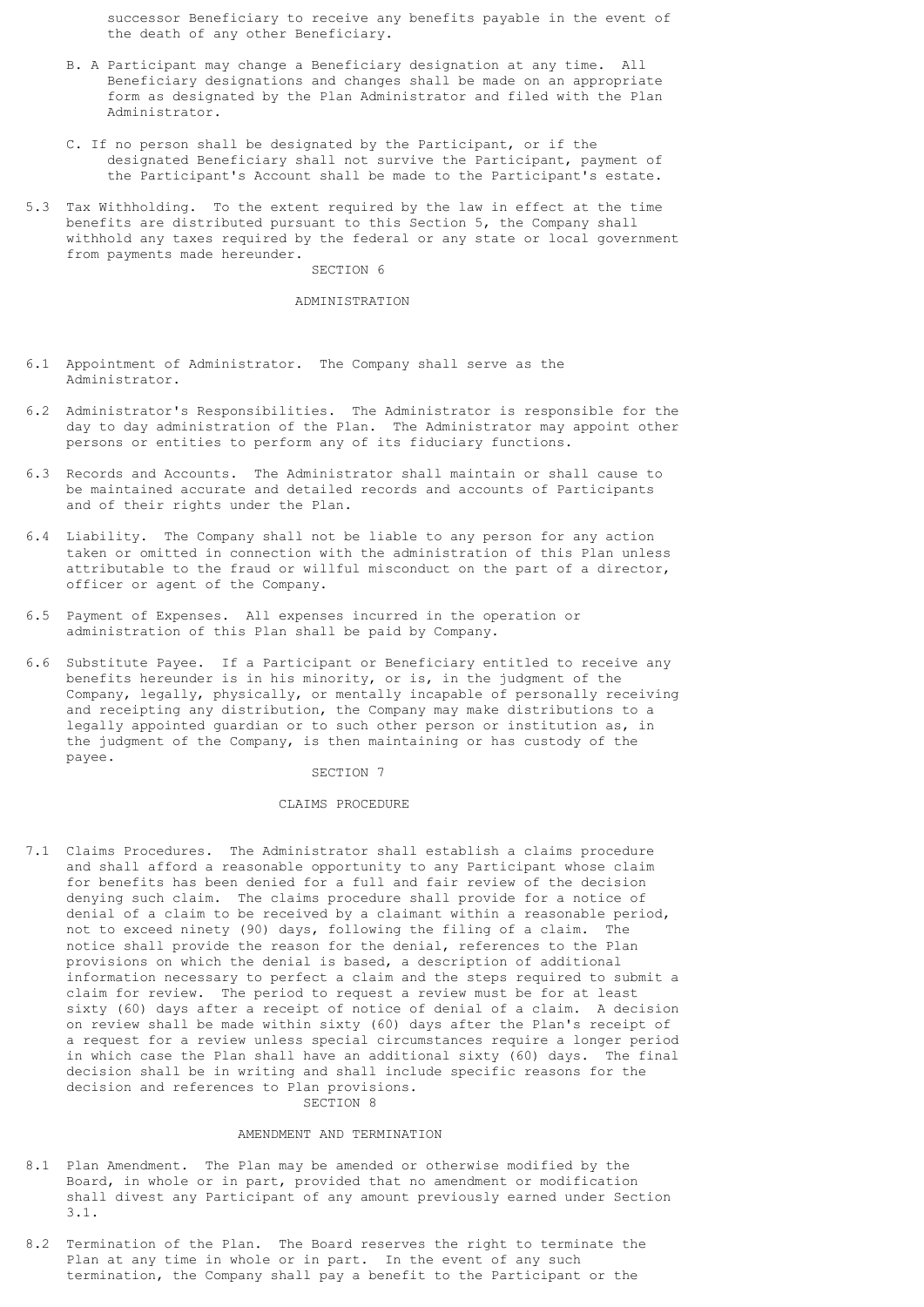successor Beneficiary to receive any benefits payable in the event of the death of any other Beneficiary.

- B. A Participant may change a Beneficiary designation at any time. All Beneficiary designations and changes shall be made on an appropriate form as designated by the Plan Administrator and filed with the Plan Administrator.
- C. If no person shall be designated by the Participant, or if the designated Beneficiary shall not survive the Participant, payment of the Participant's Account shall be made to the Participant's estate.
- 5.3 Tax Withholding. To the extent required by the law in effect at the time benefits are distributed pursuant to this Section 5, the Company shall withhold any taxes required by the federal or any state or local government from payments made hereunder.

SECTION 6

## ADMINISTRATION

- 6.1 Appointment of Administrator. The Company shall serve as the Administrator.
- 6.2 Administrator's Responsibilities. The Administrator is responsible for the day to day administration of the Plan. The Administrator may appoint other persons or entities to perform any of its fiduciary functions.
- 6.3 Records and Accounts. The Administrator shall maintain or shall cause to be maintained accurate and detailed records and accounts of Participants and of their rights under the Plan.
- 6.4 Liability. The Company shall not be liable to any person for any action taken or omitted in connection with the administration of this Plan unless attributable to the fraud or willful misconduct on the part of a director, officer or agent of the Company.
- 6.5 Payment of Expenses. All expenses incurred in the operation or administration of this Plan shall be paid by Company.
- 6.6 Substitute Payee. If a Participant or Beneficiary entitled to receive any benefits hereunder is in his minority, or is, in the judgment of the Company, legally, physically, or mentally incapable of personally receiving and receipting any distribution, the Company may make distributions to a legally appointed guardian or to such other person or institution as, in the judgment of the Company, is then maintaining or has custody of the payee.

# SECTION 7

# CLAIMS PROCEDURE

7.1 Claims Procedures. The Administrator shall establish a claims procedure and shall afford a reasonable opportunity to any Participant whose claim for benefits has been denied for a full and fair review of the decision denying such claim. The claims procedure shall provide for a notice of denial of a claim to be received by a claimant within a reasonable period, not to exceed ninety (90) days, following the filing of a claim. The notice shall provide the reason for the denial, references to the Plan provisions on which the denial is based, a description of additional information necessary to perfect a claim and the steps required to submit a claim for review. The period to request a review must be for at least sixty (60) days after a receipt of notice of denial of a claim. A decision on review shall be made within sixty (60) days after the Plan's receipt of a request for a review unless special circumstances require a longer period in which case the Plan shall have an additional sixty (60) days. The final decision shall be in writing and shall include specific reasons for the decision and references to Plan provisions. SECTION 8

# AMENDMENT AND TERMINATION

- 8.1 Plan Amendment. The Plan may be amended or otherwise modified by the Board, in whole or in part, provided that no amendment or modification shall divest any Participant of any amount previously earned under Section 3.1.
- 8.2 Termination of the Plan. The Board reserves the right to terminate the Plan at any time in whole or in part. In the event of any such termination, the Company shall pay a benefit to the Participant or the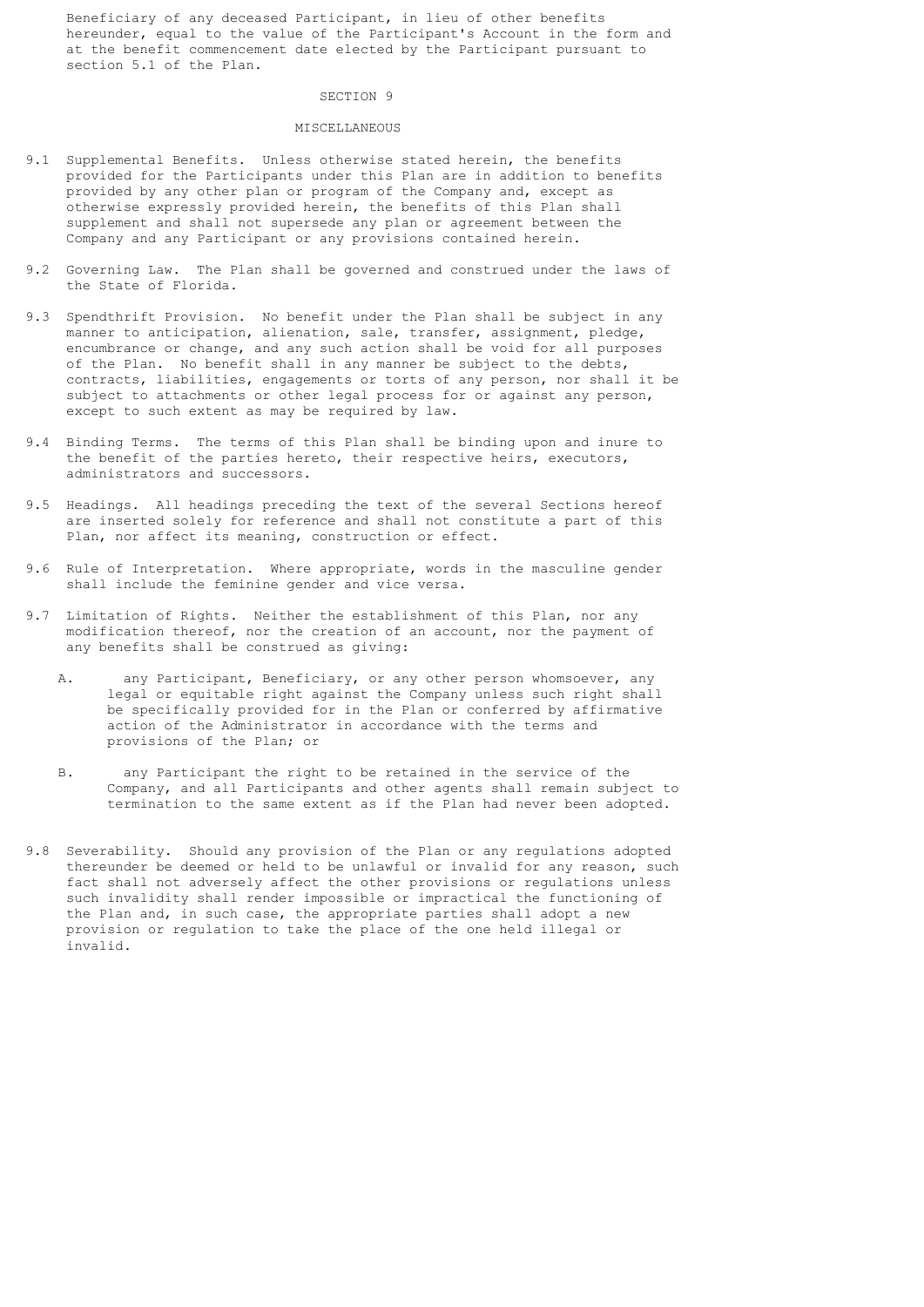Beneficiary of any deceased Participant, in lieu of other benefits hereunder, equal to the value of the Participant's Account in the form and at the benefit commencement date elected by the Participant pursuant to section 5.1 of the Plan.

#### SECTION 9

# MISCELLANEOUS

- 9.1 Supplemental Benefits. Unless otherwise stated herein, the benefits provided for the Participants under this Plan are in addition to benefits provided by any other plan or program of the Company and, except as otherwise expressly provided herein, the benefits of this Plan shall supplement and shall not supersede any plan or agreement between the Company and any Participant or any provisions contained herein.
- 9.2 Governing Law. The Plan shall be governed and construed under the laws of the State of Florida.
- 9.3 Spendthrift Provision. No benefit under the Plan shall be subject in any manner to anticipation, alienation, sale, transfer, assignment, pledge, encumbrance or change, and any such action shall be void for all purposes of the Plan. No benefit shall in any manner be subject to the debts, contracts, liabilities, engagements or torts of any person, nor shall it be subject to attachments or other legal process for or against any person, except to such extent as may be required by law.
- 9.4 Binding Terms. The terms of this Plan shall be binding upon and inure to the benefit of the parties hereto, their respective heirs, executors, administrators and successors.
- 9.5 Headings. All headings preceding the text of the several Sections hereof are inserted solely for reference and shall not constitute a part of this Plan, nor affect its meaning, construction or effect.
- 9.6 Rule of Interpretation. Where appropriate, words in the masculine gender shall include the feminine gender and vice versa.
- 9.7 Limitation of Rights. Neither the establishment of this Plan, nor any modification thereof, nor the creation of an account, nor the payment of any benefits shall be construed as giving:
	- A. any Participant, Beneficiary, or any other person whomsoever, any legal or equitable right against the Company unless such right shall be specifically provided for in the Plan or conferred by affirmative action of the Administrator in accordance with the terms and provisions of the Plan; or
	- B. any Participant the right to be retained in the service of the Company, and all Participants and other agents shall remain subject to termination to the same extent as if the Plan had never been adopted.
- 9.8 Severability. Should any provision of the Plan or any regulations adopted thereunder be deemed or held to be unlawful or invalid for any reason, such fact shall not adversely affect the other provisions or regulations unless such invalidity shall render impossible or impractical the functioning of the Plan and, in such case, the appropriate parties shall adopt a new provision or regulation to take the place of the one held illegal or invalid.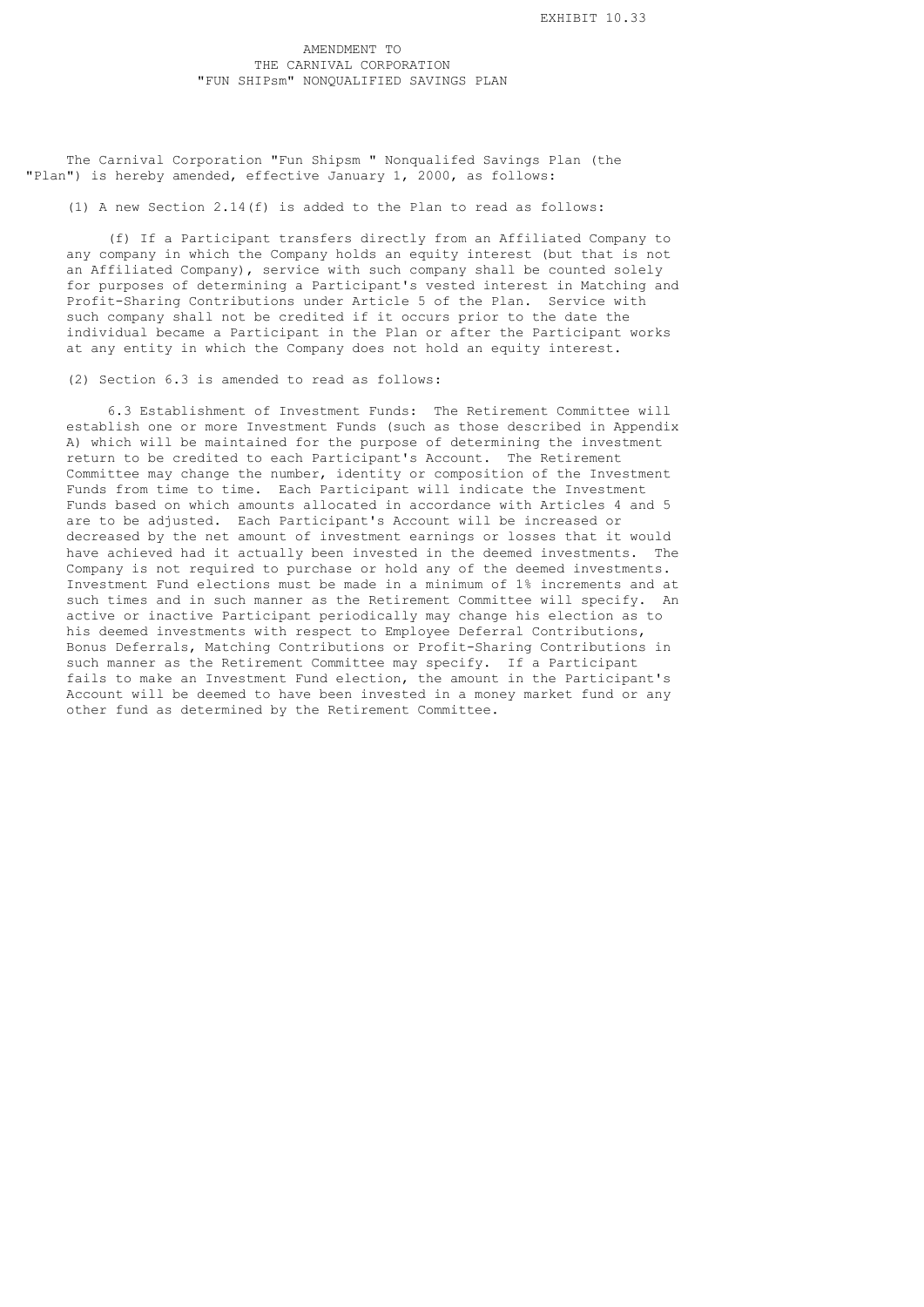The Carnival Corporation "Fun Shipsm " Nonqualifed Savings Plan (the "Plan") is hereby amended, effective January 1, 2000, as follows:

(1) A new Section 2.14(f) is added to the Plan to read as follows:

 (f) If a Participant transfers directly from an Affiliated Company to any company in which the Company holds an equity interest (but that is not an Affiliated Company), service with such company shall be counted solely for purposes of determining a Participant's vested interest in Matching and Profit-Sharing Contributions under Article 5 of the Plan. Service with such company shall not be credited if it occurs prior to the date the individual became a Participant in the Plan or after the Participant works at any entity in which the Company does not hold an equity interest.

(2) Section 6.3 is amended to read as follows:

 6.3 Establishment of Investment Funds: The Retirement Committee will establish one or more Investment Funds (such as those described in Appendix A) which will be maintained for the purpose of determining the investment return to be credited to each Participant's Account. The Retirement Committee may change the number, identity or composition of the Investment Funds from time to time. Each Participant will indicate the Investment Funds based on which amounts allocated in accordance with Articles 4 and 5 are to be adjusted. Each Participant's Account will be increased or decreased by the net amount of investment earnings or losses that it would have achieved had it actually been invested in the deemed investments. The Company is not required to purchase or hold any of the deemed investments. Investment Fund elections must be made in a minimum of 1% increments and at such times and in such manner as the Retirement Committee will specify. An active or inactive Participant periodically may change his election as to his deemed investments with respect to Employee Deferral Contributions, Bonus Deferrals, Matching Contributions or Profit-Sharing Contributions in such manner as the Retirement Committee may specify. If a Participant fails to make an Investment Fund election, the amount in the Participant's Account will be deemed to have been invested in a money market fund or any other fund as determined by the Retirement Committee.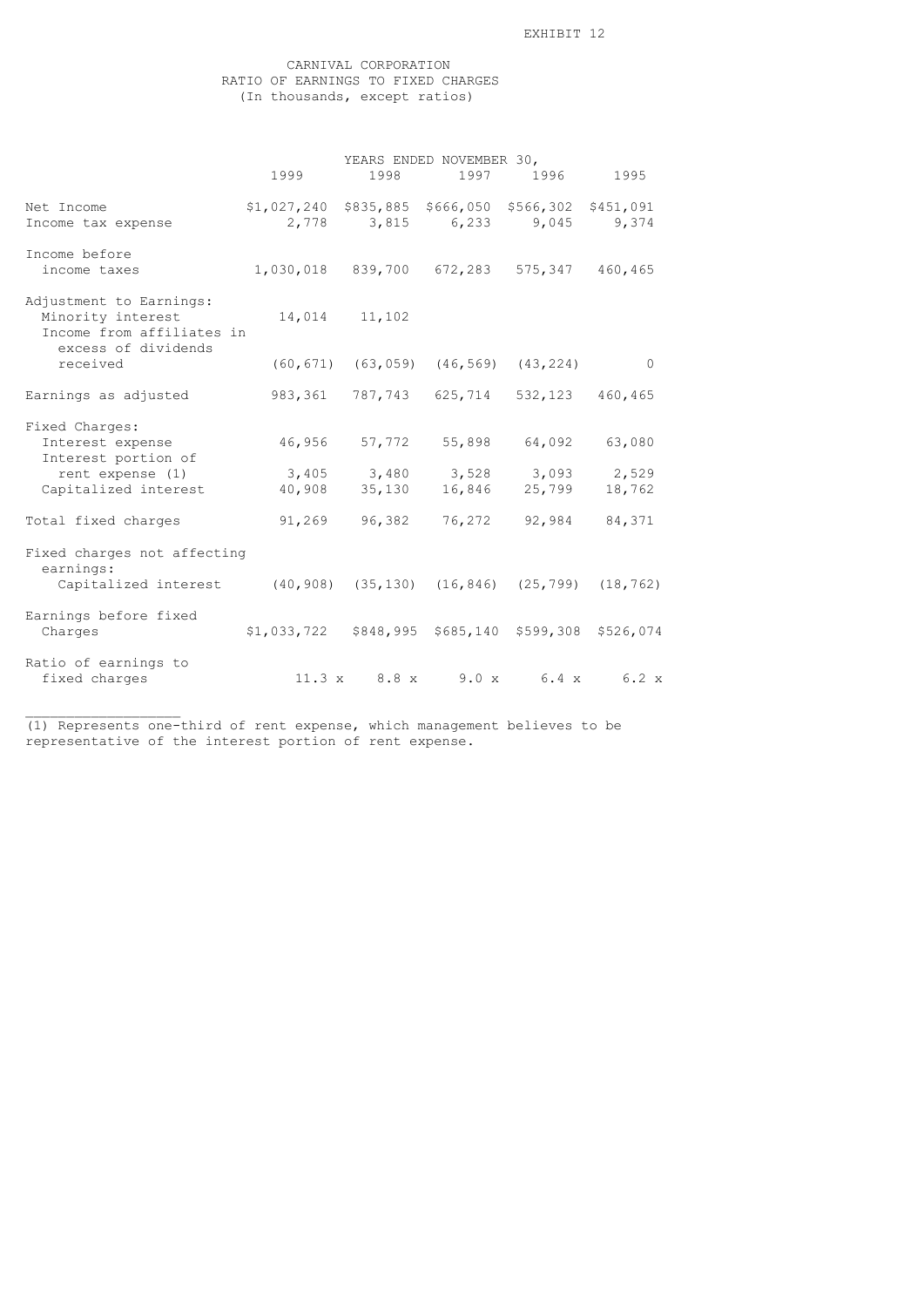# CARNIVAL CORPORATION RATIO OF EARNINGS TO FIXED CHARGES (In thousands, except ratios)

|                                                                                                                                   | YEARS ENDED NOVEMBER 30,                                                             |                          |                                                                               |  |                     |
|-----------------------------------------------------------------------------------------------------------------------------------|--------------------------------------------------------------------------------------|--------------------------|-------------------------------------------------------------------------------|--|---------------------|
|                                                                                                                                   | 1999                                                                                 |                          | 1998 1997 1996 1995                                                           |  |                     |
| Net Income<br>Income tax expense                                                                                                  | \$1,027,240 \$835,885 \$666,050 \$566,302 \$451,091<br>2,778 3,815 6,233 9,045 9,374 |                          |                                                                               |  |                     |
| Income before<br>income taxes                                                                                                     | 1,030,018 839,700 672,283 575,347 460,465                                            |                          |                                                                               |  |                     |
| Adjustment to Earnings:<br>Minority interest<br>Income from affiliates in<br>excess of dividends                                  |                                                                                      | 14,014 11,102            |                                                                               |  |                     |
| received                                                                                                                          |                                                                                      |                          | $(60, 671)$ $(63, 059)$ $(46, 569)$ $(43, 224)$                               |  | $\overline{0}$      |
| Earnings as adjusted                                                                                                              |                                                                                      |                          | 983,361 787,743 625,714 532,123 460,465                                       |  |                     |
| Fixed Charges:<br>Interest expense<br>Interest portion of<br>rent expense (1)<br>Capitalized interest 40,908 35,130 16,846 25,799 |                                                                                      |                          | 46,956 57,772 55,898 64,092 63,080<br>$3,405$ $3,480$ $3,528$ $3,093$ $2,529$ |  | 18,762              |
| Total fixed charges                                                                                                               |                                                                                      |                          | $91,269$ $96,382$ $76,272$ $92,984$                                           |  | 84,371              |
| Fixed charges not affecting<br>earnings:<br>Capitalized interest (40,908) (35,130) (16,846) (25,799) (18,762)                     |                                                                                      |                          |                                                                               |  |                     |
| Earnings before fixed<br>Charges                                                                                                  | \$1,033,722 \$848,995 \$685,140 \$599,308 \$526,074                                  |                          |                                                                               |  |                     |
| Ratio of earnings to<br>fixed charges                                                                                             |                                                                                      | $11.3 \times 8.8 \times$ |                                                                               |  | $9.0 x$ 6.4 x 6.2 x |

(1) Represents one-third of rent expense, which management believes to be representative of the interest portion of rent expense.

\_\_\_\_\_\_\_\_\_\_\_\_\_\_\_\_\_\_\_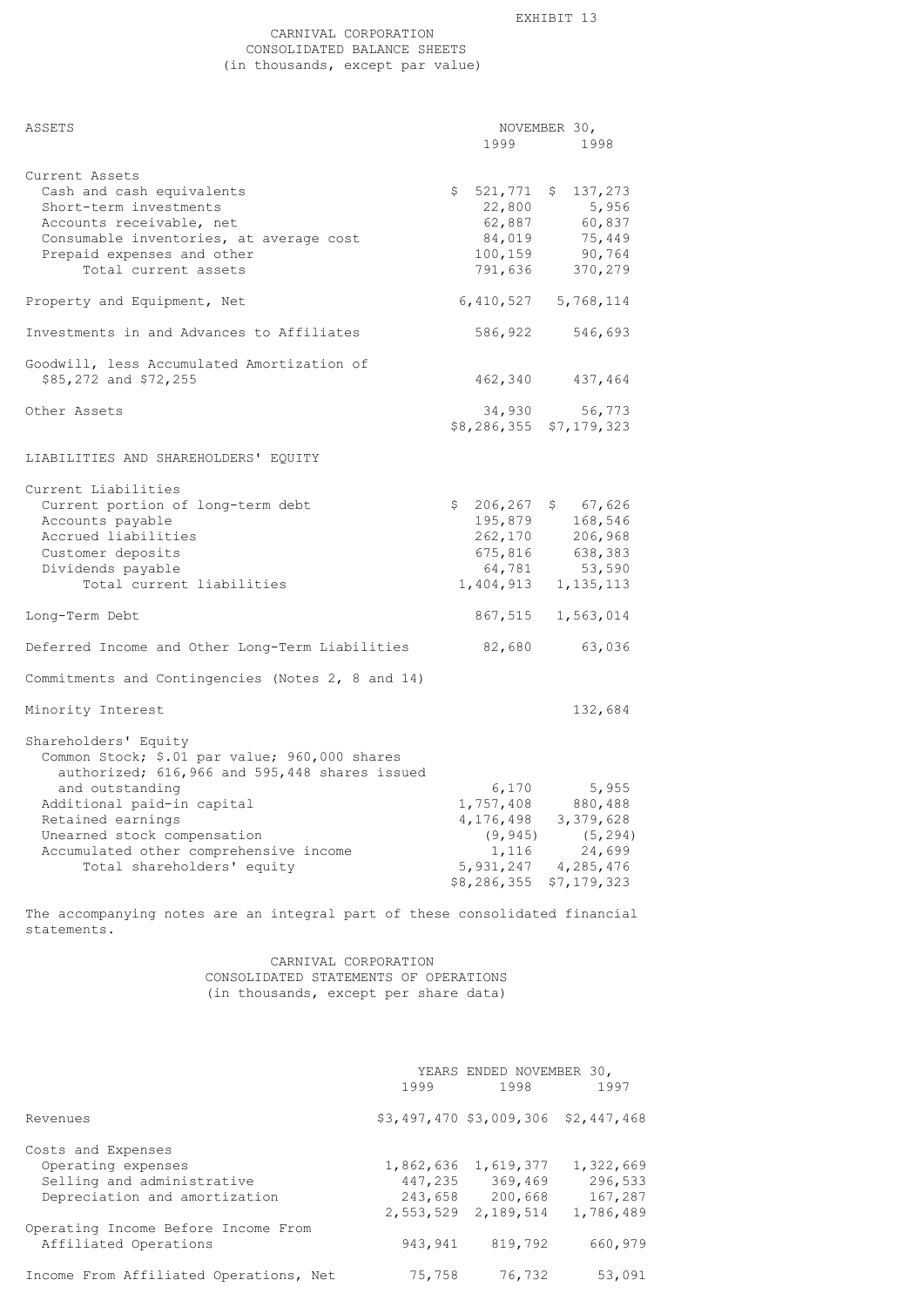# CARNIVAL CORPORATION CONSOLIDATED BALANCE SHEETS (in thousands, except par value)

| ASSETS                                                                                                                                                                                                                                                                                              | 1999                                             | NOVEMBER 30,<br>1998                                                                                                                    |
|-----------------------------------------------------------------------------------------------------------------------------------------------------------------------------------------------------------------------------------------------------------------------------------------------------|--------------------------------------------------|-----------------------------------------------------------------------------------------------------------------------------------------|
| Current Assets<br>Cash and cash equivalents<br>Short-term investments<br>Accounts receivable, net<br>Consumable inventories, at average cost<br>Prepaid expenses and other<br>Total current assets                                                                                                  | 22,800<br>62,887<br>84,019<br>100,159<br>791,636 | $$521,771$ $$137,273$<br>5,956<br>60,837<br>75,449<br>90,764<br>370,279                                                                 |
| Property and Equipment, Net                                                                                                                                                                                                                                                                         |                                                  | 6, 410, 527 5, 768, 114                                                                                                                 |
| Investments in and Advances to Affiliates                                                                                                                                                                                                                                                           |                                                  | 586,922 546,693                                                                                                                         |
| Goodwill, less Accumulated Amortization of<br>\$85,272 and \$72,255                                                                                                                                                                                                                                 |                                                  | 462,340 437,464                                                                                                                         |
| Other Assets                                                                                                                                                                                                                                                                                        | 34,930                                           | 56,773<br>\$8,286,355 \$7,179,323                                                                                                       |
| LIABILITIES AND SHAREHOLDERS' EQUITY                                                                                                                                                                                                                                                                |                                                  |                                                                                                                                         |
| Current Liabilities<br>Current portion of long-term debt<br>Accounts payable<br>Accrued liabilities<br>Customer deposits<br>Dividends payable<br>Total current liabilities                                                                                                                          | 195,879<br>262,170<br>675,816<br>64,781          | $$206, 267$ \$67,626<br>168,546<br>206,968<br>638,383<br>53,590<br>1,404,913 1,135,113                                                  |
| Long-Term Debt                                                                                                                                                                                                                                                                                      |                                                  | 867,515 1,563,014                                                                                                                       |
| Deferred Income and Other Long-Term Liabilities                                                                                                                                                                                                                                                     | 82,680                                           | 63,036                                                                                                                                  |
| Commitments and Contingencies (Notes 2, 8 and 14)                                                                                                                                                                                                                                                   |                                                  |                                                                                                                                         |
| Minority Interest                                                                                                                                                                                                                                                                                   |                                                  | 132,684                                                                                                                                 |
| Shareholders' Equity<br>Common Stock; \$.01 par value; 960,000 shares<br>authorized; 616,966 and 595,448 shares issued<br>and outstanding<br>Additional paid-in capital<br>Retained earnings<br>Unearned stock compensation<br>Accumulated other comprehensive income<br>Total shareholders' equity | 6,170<br>(9, 945)<br>\$8,286,355                 | 5,955<br>1,757,408 880,488<br>4, 176, 498 3, 379, 628<br>(5, 294)<br>24,699<br>1, 116 24, 699<br>5, 931, 247 4, 285, 476<br>\$7,179,323 |

The accompanying notes are an integral part of these consolidated financial statements.

> CARNIVAL CORPORATION CONSOLIDATED STATEMENTS OF OPERATIONS (in thousands, except per share data)

|                                        | 1999      | YEARS ENDED NOVEMBER 30,<br>1998    | 1997      |
|----------------------------------------|-----------|-------------------------------------|-----------|
| Revenues                               |           | \$3,497,470 \$3,009,306 \$2,447,468 |           |
| Costs and Expenses                     |           |                                     |           |
| Operating expenses                     |           | 1,862,636 1,619,377                 | 1,322,669 |
| Selling and administrative             |           | 447,235 369,469                     | 296,533   |
| Depreciation and amortization          |           | 243,658 200,668                     | 167,287   |
|                                        | 2,553,529 | 2,189,514                           | 1,786,489 |
| Operating Income Before Income From    |           |                                     |           |
| Affiliated Operations                  | 943,941   | 819,792                             | 660,979   |
| Income From Affiliated Operations, Net | 75,758    | 76,732                              | 53,091    |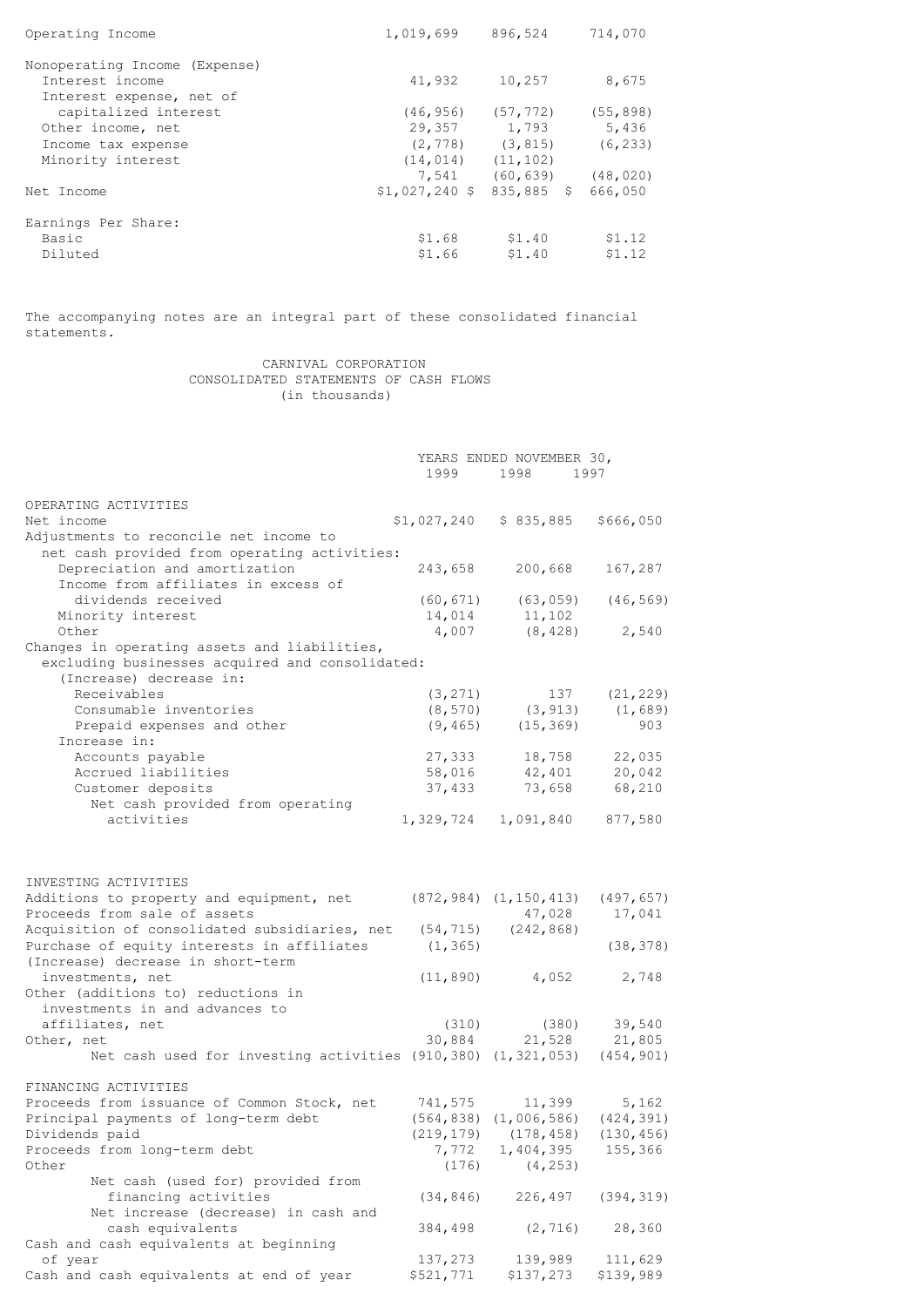| Operating Income              | 1,019,699                  | 896,524               | 714,070   |
|-------------------------------|----------------------------|-----------------------|-----------|
| Nonoperating Income (Expense) |                            |                       |           |
| Interest income               | 41,932                     | 10,257                | 8,675     |
| Interest expense, net of      |                            |                       |           |
| capitalized interest          | (46, 956)                  | (57, 772)             | (55, 898) |
| Other income, net             | 29,357                     | 1,793                 | 5,436     |
| Income tax expense            |                            | $(2, 778)$ $(3, 815)$ | (6, 233)  |
| Minority interest             | $(14, 014)$ $(11, 102)$    |                       |           |
|                               | 7,541                      | (60, 639)             | (48, 020) |
| Net Income                    | $$1,027,240$ \$ 835,885 \$ |                       | 666,050   |
| Earnings Per Share:           |                            |                       |           |
| Basic                         | \$1.68                     | \$1.40                | \$1.12    |
| Diluted                       | \$1.66                     | \$1.40                | \$1.12    |

The accompanying notes are an integral part of these consolidated financial statements.

> CARNIVAL CORPORATION CONSOLIDATED STATEMENTS OF CASH FLOWS (in thousands)

|                                                              | YEARS ENDED NOVEMBER 30, |                              |            |
|--------------------------------------------------------------|--------------------------|------------------------------|------------|
|                                                              | 1999                     | 1998                         | 1997       |
| OPERATING ACTIVITIES                                         |                          |                              |            |
| Net income                                                   | \$1,027,240              | \$835,885                    | \$666,050  |
| Adjustments to reconcile net income to                       |                          |                              |            |
| net cash provided from operating activities:                 |                          |                              |            |
| Depreciation and amortization                                | 243,658                  | 200,668                      | 167,287    |
| Income from affiliates in excess of                          |                          |                              |            |
| dividends received                                           | (60, 671)                | (63, 059)                    | (46, 569)  |
| Minority interest                                            | 14,014                   | 11,102                       |            |
| Other                                                        | 4,007                    | (8, 428)                     | 2,540      |
| Changes in operating assets and liabilities,                 |                          |                              |            |
| excluding businesses acquired and consolidated:              |                          |                              |            |
| (Increase) decrease in:                                      |                          |                              |            |
| Receivables                                                  | (3, 271)                 | 137                          | (21, 229)  |
| Consumable inventories                                       | (8, 570)                 | (3, 913)                     | (1, 689)   |
| Prepaid expenses and other                                   | (9, 465)                 | (15, 369)                    | 903        |
| Increase in:                                                 |                          |                              |            |
| Accounts payable                                             | 27,333                   | 18,758                       | 22,035     |
| Accrued liabilities                                          | 58,016                   | 42,401                       | 20,042     |
| Customer deposits                                            | 37,433                   | 73,658                       | 68,210     |
| Net cash provided from operating                             |                          |                              |            |
| activities                                                   | 1,329,724                | 1,091,840                    | 877,580    |
| INVESTING ACTIVITIES                                         |                          |                              |            |
| Additions to property and equipment, net                     |                          | $(872, 984)$ $(1, 150, 413)$ | (497, 657) |
| Proceeds from sale of assets                                 |                          | 47,028                       | 17,041     |
| Acquisition of consolidated subsidiaries, net                | (54, 715)                | (242, 868)                   |            |
| Purchase of equity interests in affiliates                   | (1, 365)                 |                              | (38, 378)  |
| (Increase) decrease in short-term                            |                          |                              |            |
| investments, net                                             | (11, 890)                | 4,052                        | 2,748      |
| Other (additions to) reductions in                           |                          |                              |            |
| investments in and advances to                               |                          |                              |            |
| affiliates, net                                              | (310)                    | (380)                        | 39,540     |
| Other, net                                                   | 30,884                   | 21,528                       | 21,805     |
| Net cash used for investing activities (910,380) (1,321,053) |                          |                              | (454, 901) |
|                                                              |                          |                              |            |
| FINANCING ACTIVITIES                                         |                          |                              |            |
| Proceeds from issuance of Common Stock, net                  | 741,575                  | 11,399                       | 5,162      |
| Principal payments of long-term debt                         |                          | $(564, 838)$ $(1, 006, 586)$ | (424, 391) |
| Dividends paid                                               | (219, 179)               | (178, 458)                   | (130, 456) |
| Proceeds from long-term debt                                 | 7,772                    | 1,404,395                    | 155,366    |
| Other                                                        | (176)                    | (4, 253)                     |            |
| Net cash (used for) provided from                            |                          |                              |            |
| financing activities                                         | (34, 846)                | 226,497                      | (394, 319) |
| Net increase (decrease) in cash and                          |                          |                              |            |
| cash equivalents                                             | 384,498                  | (2, 716)                     | 28,360     |
| Cash and cash equivalents at beginning                       |                          |                              |            |
| of year                                                      | 137,273                  | 139,989                      | 111,629    |
| Cash and cash equivalents at end of year                     | \$521,771                | \$137,273                    | \$139,989  |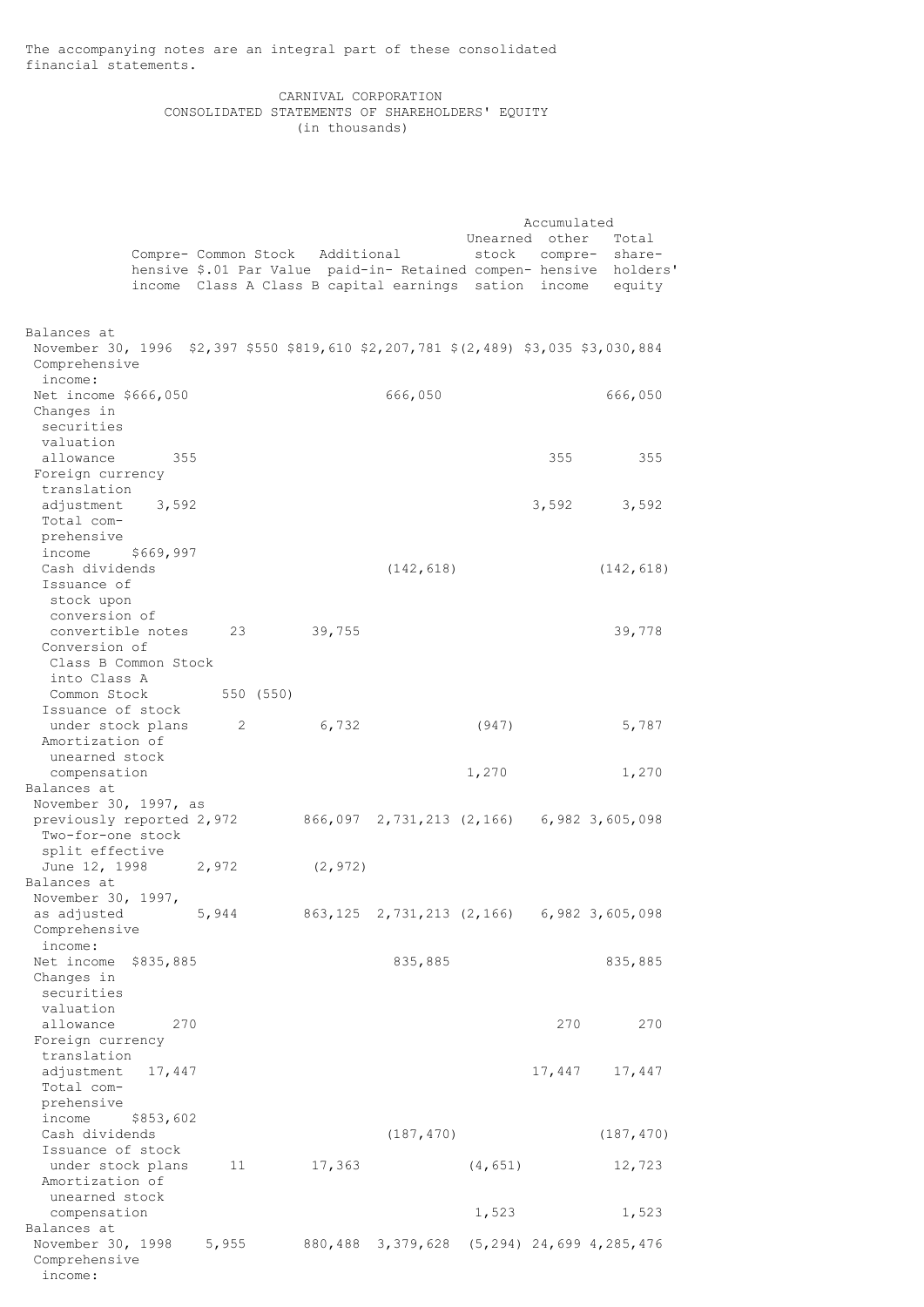The accompanying notes are an integral part of these consolidated financial statements.

# CARNIVAL CORPORATION CONSOLIDATED STATEMENTS OF SHAREHOLDERS' EQUITY (in thousands)

|                                                                                                                     |           |       |           |          |                                                       |                | Accumulated |                                                                                                     |
|---------------------------------------------------------------------------------------------------------------------|-----------|-------|-----------|----------|-------------------------------------------------------|----------------|-------------|-----------------------------------------------------------------------------------------------------|
|                                                                                                                     |           |       |           |          | Compre- Common Stock Additional                       | Unearned other |             | Total<br>stock compre- share-<br>hensive \$.01 Par Value paid-in- Retained compen- hensive holders' |
|                                                                                                                     |           |       |           |          | income Class A Class B capital earnings sation income |                |             | equity                                                                                              |
|                                                                                                                     |           |       |           |          |                                                       |                |             |                                                                                                     |
| Balances at<br>November 30, 1996 \$2,397 \$550 \$819,610 \$2,207,781 \$(2,489) \$3,035 \$3,030,884<br>Comprehensive |           |       |           |          |                                                       |                |             |                                                                                                     |
| income:<br>Net income \$666,050                                                                                     |           |       |           |          | 666,050                                               |                |             | 666,050                                                                                             |
| Changes in                                                                                                          |           |       |           |          |                                                       |                |             |                                                                                                     |
| securities<br>valuation                                                                                             |           |       |           |          |                                                       |                |             |                                                                                                     |
| allowance                                                                                                           | 355       |       |           |          |                                                       |                | 355         | 355                                                                                                 |
| Foreign currency<br>translation                                                                                     |           |       |           |          |                                                       |                |             |                                                                                                     |
| adjustment                                                                                                          | 3,592     |       |           |          |                                                       |                | 3,592       | 3,592                                                                                               |
| Total com-                                                                                                          |           |       |           |          |                                                       |                |             |                                                                                                     |
| prehensive<br>income                                                                                                | \$669,997 |       |           |          |                                                       |                |             |                                                                                                     |
| Cash dividends                                                                                                      |           |       |           |          | (142, 618)                                            |                |             | (142, 618)                                                                                          |
| Issuance of<br>stock upon                                                                                           |           |       |           |          |                                                       |                |             |                                                                                                     |
| conversion of                                                                                                       |           |       |           |          |                                                       |                |             |                                                                                                     |
| convertible notes                                                                                                   |           | 23    |           | 39,755   |                                                       |                |             | 39,778                                                                                              |
| Conversion of<br>Class B Common Stock                                                                               |           |       |           |          |                                                       |                |             |                                                                                                     |
| into Class A                                                                                                        |           |       |           |          |                                                       |                |             |                                                                                                     |
| Common Stock<br>Issuance of stock                                                                                   |           |       | 550 (550) |          |                                                       |                |             |                                                                                                     |
| under stock plans                                                                                                   |           | 2     |           | 6,732    |                                                       | (947)          |             | 5,787                                                                                               |
| Amortization of                                                                                                     |           |       |           |          |                                                       |                |             |                                                                                                     |
| unearned stock<br>compensation                                                                                      |           |       |           |          |                                                       | 1,270          |             | 1,270                                                                                               |
| Balances at                                                                                                         |           |       |           |          |                                                       |                |             |                                                                                                     |
| November 30, 1997, as                                                                                               |           |       |           |          | 866,097 2,731,213 (2,166) 6,982 3,605,098             |                |             |                                                                                                     |
| previously reported 2,972<br>Two-for-one stock                                                                      |           |       |           |          |                                                       |                |             |                                                                                                     |
| split effective                                                                                                     |           |       |           |          |                                                       |                |             |                                                                                                     |
| June 12, 1998<br>Balances at                                                                                        |           | 2,972 |           | (2, 972) |                                                       |                |             |                                                                                                     |
| November 30, 1997,                                                                                                  |           |       |           |          |                                                       |                |             |                                                                                                     |
| as adjusted                                                                                                         |           | 5,944 |           | 863,125  | 2,731,213 (2,166)                                     |                |             | 6,982 3,605,098                                                                                     |
| Comprehensive<br>income:                                                                                            |           |       |           |          |                                                       |                |             |                                                                                                     |
| Net income                                                                                                          | \$835,885 |       |           |          | 835,885                                               |                |             | 835,885                                                                                             |
| Changes in<br>securities                                                                                            |           |       |           |          |                                                       |                |             |                                                                                                     |
| valuation                                                                                                           |           |       |           |          |                                                       |                |             |                                                                                                     |
| allowance                                                                                                           | 270       |       |           |          |                                                       |                | 270         | 270                                                                                                 |
| Foreign currency<br>translation                                                                                     |           |       |           |          |                                                       |                |             |                                                                                                     |
| adjustment                                                                                                          | 17,447    |       |           |          |                                                       |                | 17,447      | 17,447                                                                                              |
| Total com-                                                                                                          |           |       |           |          |                                                       |                |             |                                                                                                     |
| prehensive<br>income                                                                                                | \$853,602 |       |           |          |                                                       |                |             |                                                                                                     |
| Cash dividends                                                                                                      |           |       |           |          | (187, 470)                                            |                |             | (187, 470)                                                                                          |
| Issuance of stock<br>under stock plans                                                                              |           | 11    |           | 17,363   |                                                       | (4, 651)       |             | 12,723                                                                                              |
| Amortization of                                                                                                     |           |       |           |          |                                                       |                |             |                                                                                                     |
| unearned stock                                                                                                      |           |       |           |          |                                                       |                |             |                                                                                                     |
| compensation<br>Balances at                                                                                         |           |       |           |          |                                                       | 1,523          |             | 1,523                                                                                               |
| November 30, 1998                                                                                                   |           | 5,955 |           |          | 880,488 3,379,628                                     |                |             | $(5, 294)$ 24,699 4,285,476                                                                         |
| Comprehensive<br>income:                                                                                            |           |       |           |          |                                                       |                |             |                                                                                                     |
|                                                                                                                     |           |       |           |          |                                                       |                |             |                                                                                                     |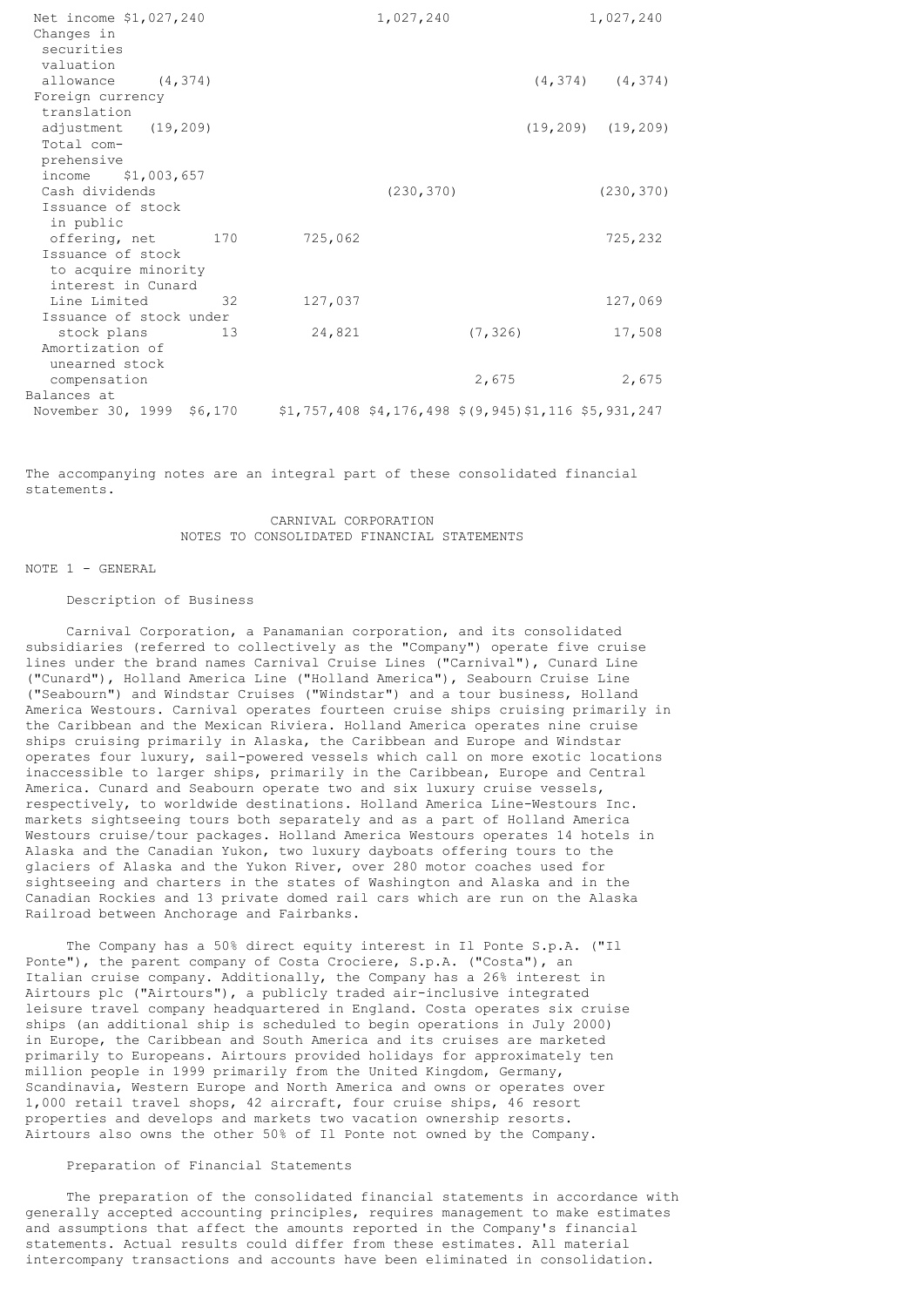| Net income \$1,027,240<br>Changes in<br>securities |         | 1,027,240  |                                                            | 1,027,240               |
|----------------------------------------------------|---------|------------|------------------------------------------------------------|-------------------------|
| valuation                                          |         |            |                                                            |                         |
| allowance (4,374)<br>Foreign currency              |         |            |                                                            | $(4, 374)$ $(4, 374)$   |
| translation                                        |         |            |                                                            |                         |
| adjustment (19,209)                                |         |            |                                                            | $(19, 209)$ $(19, 209)$ |
| Total com-                                         |         |            |                                                            |                         |
| prehensive                                         |         |            |                                                            |                         |
| income \$1,003,657                                 |         |            |                                                            |                         |
| Cash dividends                                     |         | (230, 370) |                                                            | (230, 370)              |
| Issuance of stock                                  |         |            |                                                            |                         |
| in public                                          |         |            |                                                            |                         |
| offering, net 170                                  | 725,062 |            |                                                            | 725,232                 |
| Issuance of stock                                  |         |            |                                                            |                         |
| to acquire minority                                |         |            |                                                            |                         |
| interest in Cunard                                 |         |            |                                                            |                         |
| Line Limited<br>32                                 | 127,037 |            |                                                            | 127,069                 |
| Issuance of stock under                            |         |            |                                                            |                         |
| stock plans<br>13                                  | 24,821  |            | (7, 326)                                                   | 17,508                  |
| Amortization of                                    |         |            |                                                            |                         |
| unearned stock                                     |         |            |                                                            |                         |
| compensation                                       |         |            | 2,675                                                      | 2,675                   |
| Balances at                                        |         |            |                                                            |                         |
| November 30, 1999 \$6,170                          |         |            | $$1,757,408$ $$4,176,498$ $$(9,945)$ $$1,116$ $$5,931,247$ |                         |

The accompanying notes are an integral part of these consolidated financial statements.

# CARNIVAL CORPORATION NOTES TO CONSOLIDATED FINANCIAL STATEMENTS

NOTE 1 - GENERAL

## Description of Business

 Carnival Corporation, a Panamanian corporation, and its consolidated subsidiaries (referred to collectively as the "Company") operate five cruise lines under the brand names Carnival Cruise Lines ("Carnival"), Cunard Line ("Cunard"), Holland America Line ("Holland America"), Seabourn Cruise Line ("Seabourn") and Windstar Cruises ("Windstar") and a tour business, Holland America Westours. Carnival operates fourteen cruise ships cruising primarily in the Caribbean and the Mexican Riviera. Holland America operates nine cruise ships cruising primarily in Alaska, the Caribbean and Europe and Windstar operates four luxury, sail-powered vessels which call on more exotic locations inaccessible to larger ships, primarily in the Caribbean, Europe and Central America. Cunard and Seabourn operate two and six luxury cruise vessels, respectively, to worldwide destinations. Holland America Line-Westours Inc. markets sightseeing tours both separately and as a part of Holland America Westours cruise/tour packages. Holland America Westours operates 14 hotels in Alaska and the Canadian Yukon, two luxury dayboats offering tours to the glaciers of Alaska and the Yukon River, over 280 motor coaches used for sightseeing and charters in the states of Washington and Alaska and in the Canadian Rockies and 13 private domed rail cars which are run on the Alaska Railroad between Anchorage and Fairbanks.

 The Company has a 50% direct equity interest in Il Ponte S.p.A. ("Il Ponte"), the parent company of Costa Crociere, S.p.A. ("Costa"), an Italian cruise company. Additionally, the Company has a 26% interest in Airtours plc ("Airtours"), a publicly traded air-inclusive integrated leisure travel company headquartered in England. Costa operates six cruise ships (an additional ship is scheduled to begin operations in July 2000) in Europe, the Caribbean and South America and its cruises are marketed primarily to Europeans. Airtours provided holidays for approximately ten million people in 1999 primarily from the United Kingdom, Germany, Scandinavia, Western Europe and North America and owns or operates over 1,000 retail travel shops, 42 aircraft, four cruise ships, 46 resort properties and develops and markets two vacation ownership resorts. Airtours also owns the other 50% of Il Ponte not owned by the Company.

### Preparation of Financial Statements

 The preparation of the consolidated financial statements in accordance with generally accepted accounting principles, requires management to make estimates and assumptions that affect the amounts reported in the Company's financial statements. Actual results could differ from these estimates. All material intercompany transactions and accounts have been eliminated in consolidation.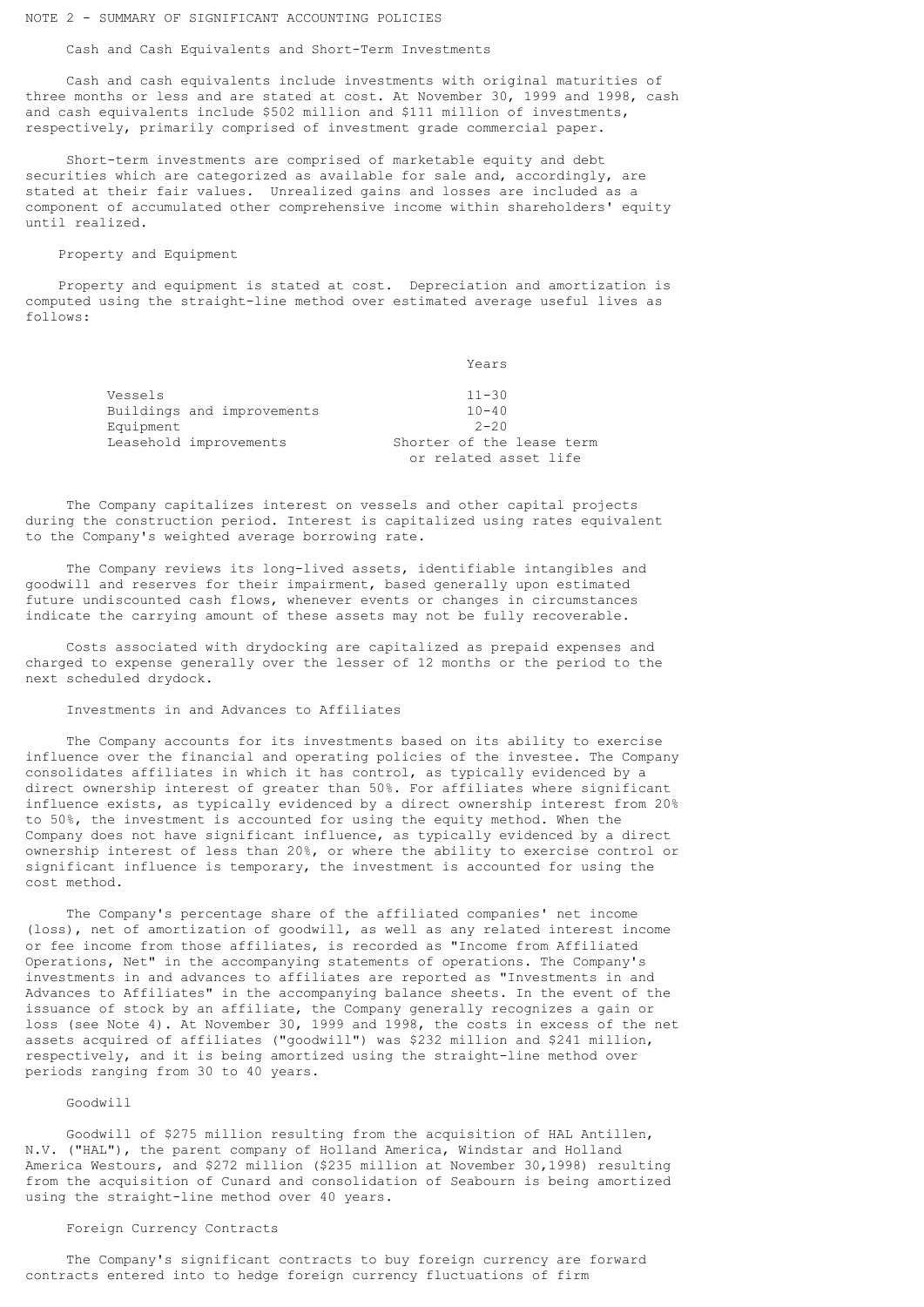## NOTE 2 - SUMMARY OF SIGNIFICANT ACCOUNTING POLICIES

Cash and Cash Equivalents and Short-Term Investments

 Cash and cash equivalents include investments with original maturities of three months or less and are stated at cost. At November 30, 1999 and 1998, cash and cash equivalents include \$502 million and \$111 million of investments, respectively, primarily comprised of investment grade commercial paper.

 Short-term investments are comprised of marketable equity and debt securities which are categorized as available for sale and, accordingly, are stated at their fair values. Unrealized gains and losses are included as a component of accumulated other comprehensive income within shareholders' equity until realized.

# Property and Equipment

 Property and equipment is stated at cost. Depreciation and amortization is computed using the straight-line method over estimated average useful lives as follows:

Years

| Vessels   |                            | $11 - 30$                 |
|-----------|----------------------------|---------------------------|
|           | Buildings and improvements | $10 - 40$                 |
| Equipment |                            | $2 - 20$                  |
|           | Leasehold improvements     | Shorter of the lease term |
|           |                            | or related asset life     |

 The Company capitalizes interest on vessels and other capital projects during the construction period. Interest is capitalized using rates equivalent to the Company's weighted average borrowing rate.

 The Company reviews its long-lived assets, identifiable intangibles and goodwill and reserves for their impairment, based generally upon estimated future undiscounted cash flows, whenever events or changes in circumstances indicate the carrying amount of these assets may not be fully recoverable.

 Costs associated with drydocking are capitalized as prepaid expenses and charged to expense generally over the lesser of 12 months or the period to the next scheduled drydock.

#### Investments in and Advances to Affiliates

 The Company accounts for its investments based on its ability to exercise influence over the financial and operating policies of the investee. The Company consolidates affiliates in which it has control, as typically evidenced by a direct ownership interest of greater than 50%. For affiliates where significant influence exists, as typically evidenced by a direct ownership interest from 20% to 50%, the investment is accounted for using the equity method. When the Company does not have significant influence, as typically evidenced by a direct ownership interest of less than 20%, or where the ability to exercise control or significant influence is temporary, the investment is accounted for using the cost method.

 The Company's percentage share of the affiliated companies' net income (loss), net of amortization of goodwill, as well as any related interest income or fee income from those affiliates, is recorded as "Income from Affiliated Operations, Net" in the accompanying statements of operations. The Company's investments in and advances to affiliates are reported as "Investments in and Advances to Affiliates" in the accompanying balance sheets. In the event of the issuance of stock by an affiliate, the Company generally recognizes a gain or loss (see Note 4). At November 30, 1999 and 1998, the costs in excess of the net assets acquired of affiliates ("goodwill") was \$232 million and \$241 million, respectively, and it is being amortized using the straight-line method over periods ranging from 30 to 40 years.

#### Goodwill

 Goodwill of \$275 million resulting from the acquisition of HAL Antillen, N.V. ("HAL"), the parent company of Holland America, Windstar and Holland America Westours, and \$272 million (\$235 million at November 30,1998) resulting from the acquisition of Cunard and consolidation of Seabourn is being amortized using the straight-line method over 40 years.

## Foreign Currency Contracts

 The Company's significant contracts to buy foreign currency are forward contracts entered into to hedge foreign currency fluctuations of firm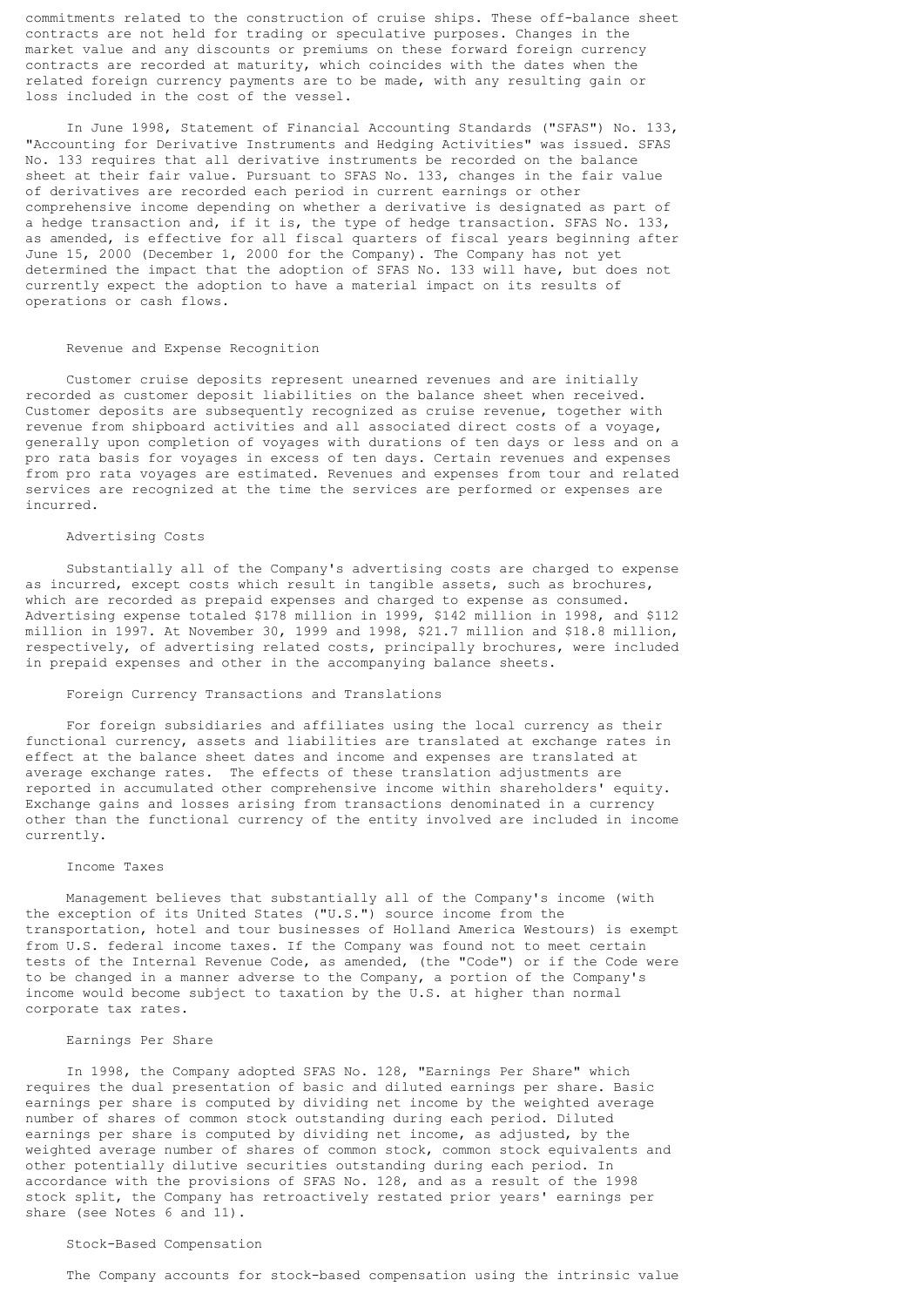commitments related to the construction of cruise ships. These off-balance sheet contracts are not held for trading or speculative purposes. Changes in the market value and any discounts or premiums on these forward foreign currency contracts are recorded at maturity, which coincides with the dates when the related foreign currency payments are to be made, with any resulting gain or loss included in the cost of the vessel.

 In June 1998, Statement of Financial Accounting Standards ("SFAS") No. 133, "Accounting for Derivative Instruments and Hedging Activities" was issued. SFAS No. 133 requires that all derivative instruments be recorded on the balance sheet at their fair value. Pursuant to SFAS No. 133, changes in the fair value of derivatives are recorded each period in current earnings or other comprehensive income depending on whether a derivative is designated as part of a hedge transaction and, if it is, the type of hedge transaction. SFAS No. 133, as amended, is effective for all fiscal quarters of fiscal years beginning after June 15, 2000 (December 1, 2000 for the Company). The Company has not yet determined the impact that the adoption of SFAS No. 133 will have, but does not currently expect the adoption to have a material impact on its results of operations or cash flows.

# Revenue and Expense Recognition

 Customer cruise deposits represent unearned revenues and are initially recorded as customer deposit liabilities on the balance sheet when received. Customer deposits are subsequently recognized as cruise revenue, together with revenue from shipboard activities and all associated direct costs of a voyage, generally upon completion of voyages with durations of ten days or less and on a pro rata basis for voyages in excess of ten days. Certain revenues and expenses from pro rata voyages are estimated. Revenues and expenses from tour and related services are recognized at the time the services are performed or expenses are incurred.

# Advertising Costs

 Substantially all of the Company's advertising costs are charged to expense as incurred, except costs which result in tangible assets, such as brochures, which are recorded as prepaid expenses and charged to expense as consumed. Advertising expense totaled \$178 million in 1999, \$142 million in 1998, and \$112 million in 1997. At November 30, 1999 and 1998, \$21.7 million and \$18.8 million, respectively, of advertising related costs, principally brochures, were included in prepaid expenses and other in the accompanying balance sheets.

# Foreign Currency Transactions and Translations

 For foreign subsidiaries and affiliates using the local currency as their functional currency, assets and liabilities are translated at exchange rates in effect at the balance sheet dates and income and expenses are translated at average exchange rates. The effects of these translation adjustments are reported in accumulated other comprehensive income within shareholders' equity. Exchange gains and losses arising from transactions denominated in a currency other than the functional currency of the entity involved are included in income currently.

#### Income Taxes

 Management believes that substantially all of the Company's income (with the exception of its United States ("U.S.") source income from the transportation, hotel and tour businesses of Holland America Westours) is exempt from U.S. federal income taxes. If the Company was found not to meet certain tests of the Internal Revenue Code, as amended, (the "Code") or if the Code were to be changed in a manner adverse to the Company, a portion of the Company's income would become subject to taxation by the U.S. at higher than normal corporate tax rates.

#### Earnings Per Share

 In 1998, the Company adopted SFAS No. 128, "Earnings Per Share" which requires the dual presentation of basic and diluted earnings per share. Basic earnings per share is computed by dividing net income by the weighted average number of shares of common stock outstanding during each period. Diluted earnings per share is computed by dividing net income, as adjusted, by the weighted average number of shares of common stock, common stock equivalents and other potentially dilutive securities outstanding during each period. In accordance with the provisions of SFAS No. 128, and as a result of the 1998 stock split, the Company has retroactively restated prior years' earnings per share (see Notes 6 and 11).

# Stock-Based Compensation

The Company accounts for stock-based compensation using the intrinsic value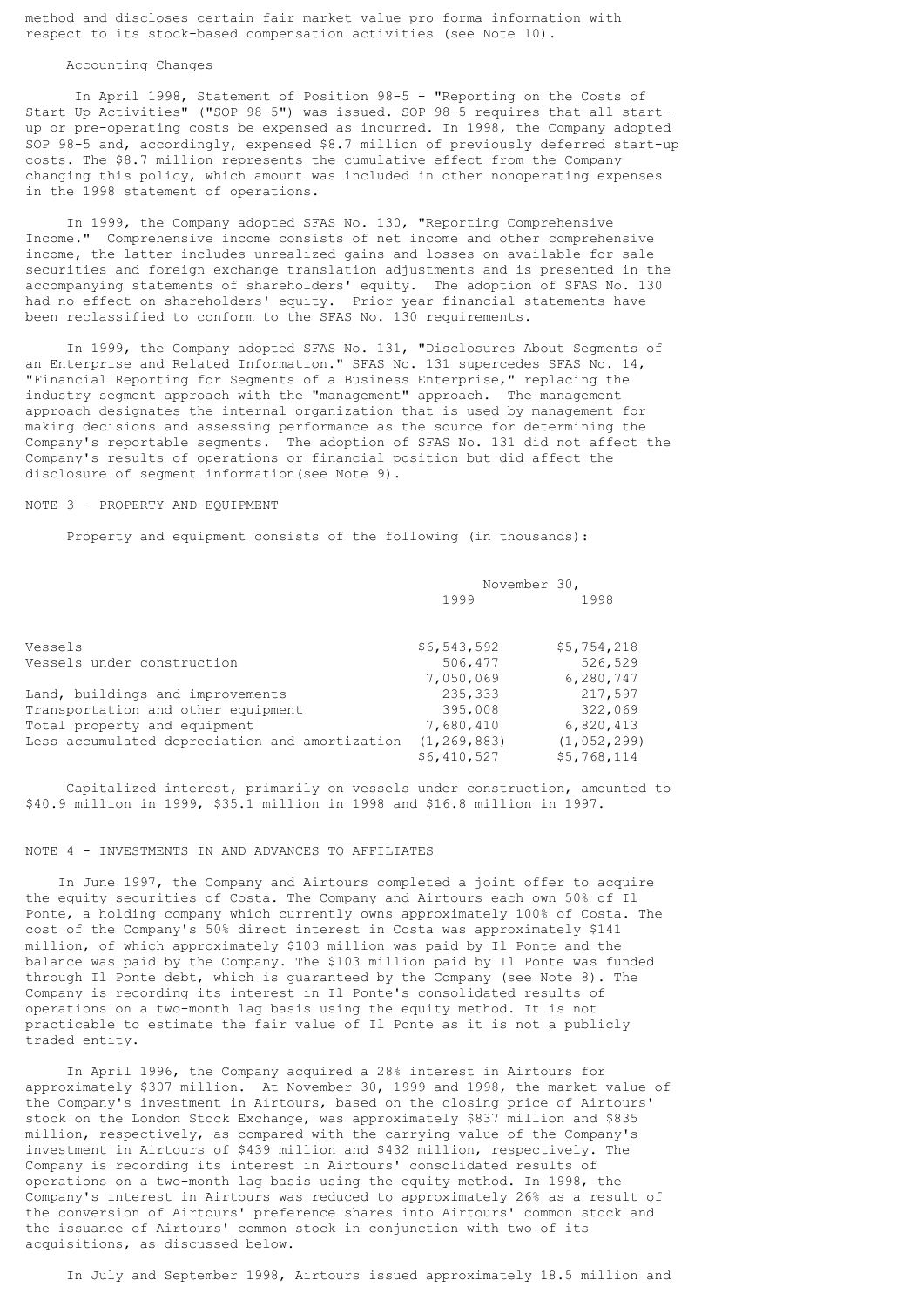method and discloses certain fair market value pro forma information with respect to its stock-based compensation activities (see Note 10).

#### Accounting Changes

 In April 1998, Statement of Position 98-5 - "Reporting on the Costs of Start-Up Activities" ("SOP 98-5") was issued. SOP 98-5 requires that all startup or pre-operating costs be expensed as incurred. In 1998, the Company adopted SOP 98-5 and, accordingly, expensed \$8.7 million of previously deferred start-up costs. The \$8.7 million represents the cumulative effect from the Company changing this policy, which amount was included in other nonoperating expenses in the 1998 statement of operations.

 In 1999, the Company adopted SFAS No. 130, "Reporting Comprehensive Income." Comprehensive income consists of net income and other comprehensive income, the latter includes unrealized gains and losses on available for sale securities and foreign exchange translation adjustments and is presented in the accompanying statements of shareholders' equity. The adoption of SFAS No. 130 had no effect on shareholders' equity. Prior year financial statements have been reclassified to conform to the SFAS No. 130 requirements.

 In 1999, the Company adopted SFAS No. 131, "Disclosures About Segments of an Enterprise and Related Information." SFAS No. 131 supercedes SFAS No. 14, "Financial Reporting for Segments of a Business Enterprise," replacing the industry segment approach with the "management" approach. The management approach designates the internal organization that is used by management for making decisions and assessing performance as the source for determining the Company's reportable segments. The adoption of SFAS No. 131 did not affect the Company's results of operations or financial position but did affect the disclosure of segment information(see Note 9).

## NOTE 3 - PROPERTY AND EQUIPMENT

Property and equipment consists of the following (in thousands):

|                                                | November 30,  |               |
|------------------------------------------------|---------------|---------------|
|                                                | 1999          | 1998          |
|                                                |               |               |
| Vessels                                        | \$6,543,592   | \$5,754,218   |
| Vessels under construction                     | 506,477       | 526,529       |
|                                                | 7,050,069     | 6,280,747     |
| Land, buildings and improvements               | 235,333       | 217,597       |
| Transportation and other equipment             | 395,008       | 322,069       |
| Total property and equipment                   | 7,680,410     | 6,820,413     |
| Less accumulated depreciation and amortization | (1, 269, 883) | (1, 052, 299) |
|                                                | \$6,410,527   | \$5,768,114   |

 Capitalized interest, primarily on vessels under construction, amounted to \$40.9 million in 1999, \$35.1 million in 1998 and \$16.8 million in 1997.

# NOTE 4 - INVESTMENTS IN AND ADVANCES TO AFFILIATES

 In June 1997, the Company and Airtours completed a joint offer to acquire the equity securities of Costa. The Company and Airtours each own 50% of Il Ponte, a holding company which currently owns approximately 100% of Costa. The cost of the Company's 50% direct interest in Costa was approximately \$141 million, of which approximately \$103 million was paid by Il Ponte and the balance was paid by the Company. The \$103 million paid by Il Ponte was funded through Il Ponte debt, which is guaranteed by the Company (see Note 8). The Company is recording its interest in Il Ponte's consolidated results of operations on a two-month lag basis using the equity method. It is not practicable to estimate the fair value of Il Ponte as it is not a publicly traded entity.

 In April 1996, the Company acquired a 28% interest in Airtours for approximately \$307 million. At November 30, 1999 and 1998, the market value of the Company's investment in Airtours, based on the closing price of Airtours' stock on the London Stock Exchange, was approximately \$837 million and \$835 million, respectively, as compared with the carrying value of the Company's investment in Airtours of \$439 million and \$432 million, respectively. The Company is recording its interest in Airtours' consolidated results of operations on a two-month lag basis using the equity method. In 1998, the Company's interest in Airtours was reduced to approximately 26% as a result of the conversion of Airtours' preference shares into Airtours' common stock and the issuance of Airtours' common stock in conjunction with two of its acquisitions, as discussed below.

In July and September 1998, Airtours issued approximately 18.5 million and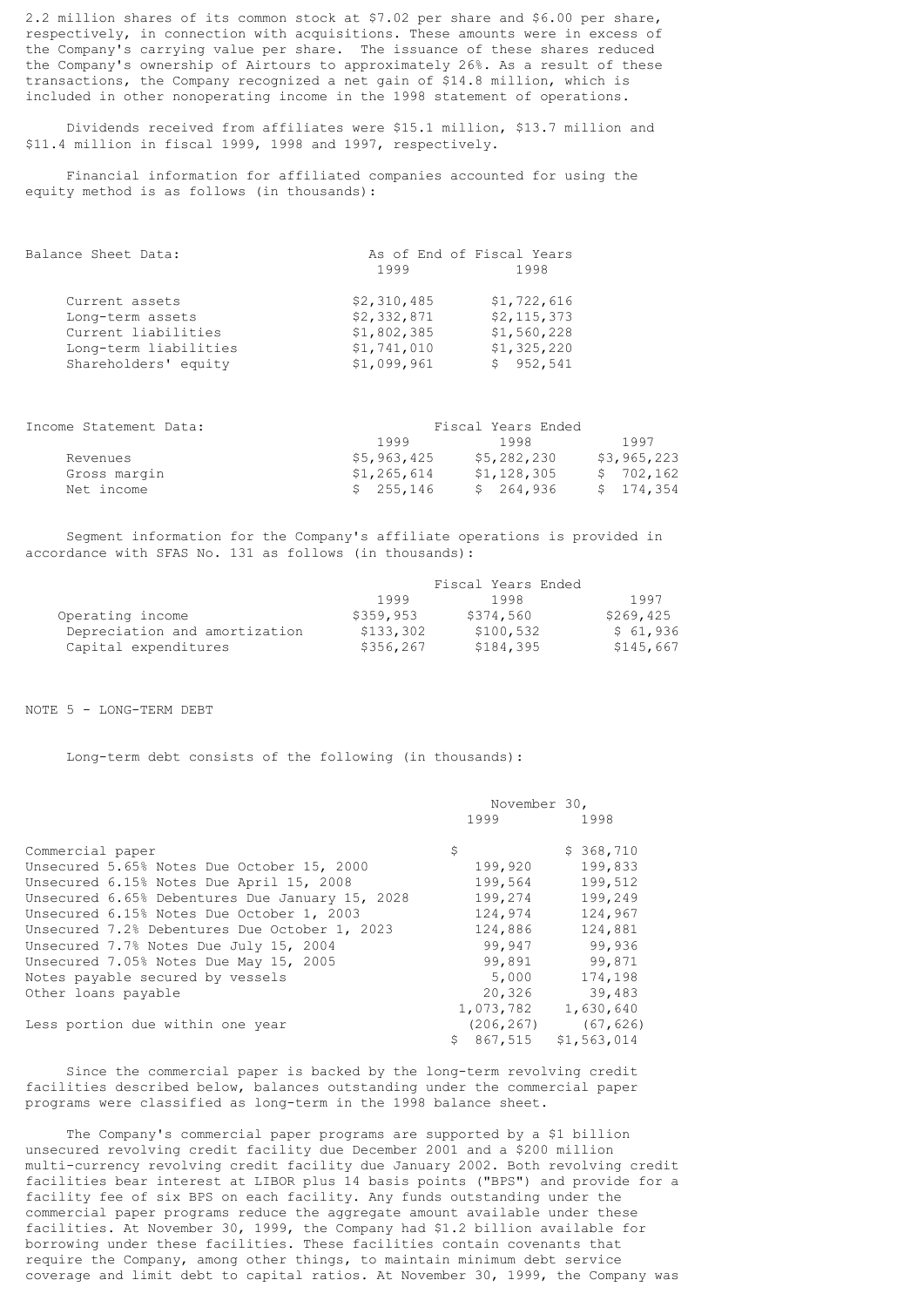2.2 million shares of its common stock at \$7.02 per share and \$6.00 per share, respectively, in connection with acquisitions. These amounts were in excess of the Company's carrying value per share. The issuance of these shares reduced the Company's ownership of Airtours to approximately 26%. As a result of these transactions, the Company recognized a net gain of \$14.8 million, which is included in other nonoperating income in the 1998 statement of operations.

 Dividends received from affiliates were \$15.1 million, \$13.7 million and \$11.4 million in fiscal 1999, 1998 and 1997, respectively.

 Financial information for affiliated companies accounted for using the equity method is as follows (in thousands):

| 1999        | As of End of Fiscal Years<br>1998 |
|-------------|-----------------------------------|
| \$2,310,485 | \$1,722,616                       |
| \$2,332,871 | \$2, 115, 373                     |
| \$1,802,385 | \$1,560,228                       |
| \$1,741,010 | \$1,325,220                       |
| \$1,099,961 | \$952,541                         |
|             |                                   |

| Income Statement Data: |             | Fiscal Years Ended |             |  |  |
|------------------------|-------------|--------------------|-------------|--|--|
|                        | 1999        | 1998               | 1997        |  |  |
| Revenues               | \$5,963,425 | \$5,282,230        | \$3,965,223 |  |  |
| Gross margin           | \$1,265,614 | \$1,128,305        | \$702,162   |  |  |
| Net income             | \$255,146   | \$264,936          | \$174,354   |  |  |

 Segment information for the Company's affiliate operations is provided in accordance with SFAS No. 131 as follows (in thousands):

|                               |            | Fiscal Years Ended |           |
|-------------------------------|------------|--------------------|-----------|
|                               | 1999       | 1998               | 1997      |
| Operating income              | \$359,953  | \$374,560          | \$269,425 |
| Depreciation and amortization | \$133,302  | \$100,532          | \$61,936  |
| Capital expenditures          | \$356, 267 | \$184,395          | \$145,667 |

NOTE 5 - LONG-TERM DEBT

Long-term debt consists of the following (in thousands):

|                                                 | November 30, |             |  |
|-------------------------------------------------|--------------|-------------|--|
|                                                 | 1999         | 1998        |  |
| Commercial paper                                | \$           | \$368,710   |  |
| Unsecured 5.65% Notes Due October 15, 2000      | 199,920      | 199,833     |  |
| Unsecured 6.15% Notes Due April 15, 2008        | 199,564      | 199,512     |  |
| Unsecured 6.65% Debentures Due January 15, 2028 | 199,274      | 199,249     |  |
| Unsecured 6.15% Notes Due October 1, 2003       | 124,974      | 124,967     |  |
| Unsecured 7.2% Debentures Due October 1, 2023   | 124,886      | 124,881     |  |
| Unsecured 7.7% Notes Due July 15, 2004          | 99,947       | 99,936      |  |
| Unsecured 7.05% Notes Due May 15, 2005          | 99,891       | 99,871      |  |
| Notes payable secured by vessels                | 5,000        | 174,198     |  |
| Other loans payable                             | 20,326       | 39,483      |  |
|                                                 | 1,073,782    | 1,630,640   |  |
| Less portion due within one year                | (206, 267)   | (67, 626)   |  |
|                                                 | \$867,515    | \$1,563,014 |  |
|                                                 |              |             |  |

 Since the commercial paper is backed by the long-term revolving credit facilities described below, balances outstanding under the commercial paper programs were classified as long-term in the 1998 balance sheet.

 The Company's commercial paper programs are supported by a \$1 billion unsecured revolving credit facility due December 2001 and a \$200 million multi-currency revolving credit facility due January 2002. Both revolving credit facilities bear interest at LIBOR plus 14 basis points ("BPS") and provide for a facility fee of six BPS on each facility. Any funds outstanding under the commercial paper programs reduce the aggregate amount available under these facilities. At November 30, 1999, the Company had \$1.2 billion available for borrowing under these facilities. These facilities contain covenants that require the Company, among other things, to maintain minimum debt service coverage and limit debt to capital ratios. At November 30, 1999, the Company was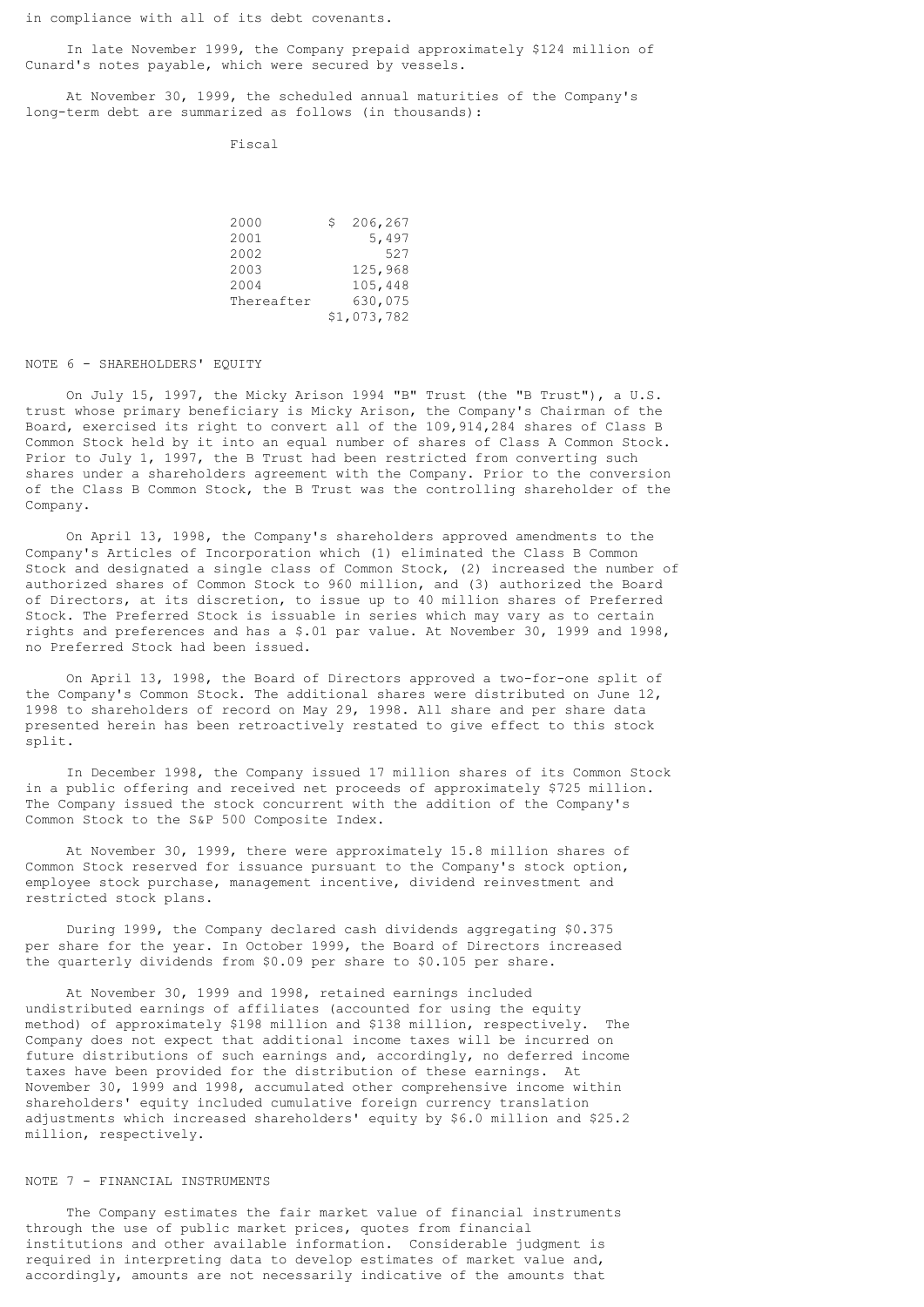in compliance with all of its debt covenants.

 In late November 1999, the Company prepaid approximately \$124 million of Cunard's notes payable, which were secured by vessels.

 At November 30, 1999, the scheduled annual maturities of the Company's long-term debt are summarized as follows (in thousands):

Fiscal

| 2000 |            | 206,267     |
|------|------------|-------------|
| 2001 |            | 5,497       |
| 2002 |            | 527         |
| 2003 |            | 125,968     |
| 2004 |            | 105,448     |
|      | Thereafter | 630,075     |
|      |            | \$1,073,782 |

#### NOTE 6 - SHAREHOLDERS' EQUITY

 On July 15, 1997, the Micky Arison 1994 "B" Trust (the "B Trust"), a U.S. trust whose primary beneficiary is Micky Arison, the Company's Chairman of the Board, exercised its right to convert all of the 109,914,284 shares of Class B Common Stock held by it into an equal number of shares of Class A Common Stock. Prior to July 1, 1997, the B Trust had been restricted from converting such shares under a shareholders agreement with the Company. Prior to the conversion of the Class B Common Stock, the B Trust was the controlling shareholder of the Company.

 On April 13, 1998, the Company's shareholders approved amendments to the Company's Articles of Incorporation which (1) eliminated the Class B Common Stock and designated a single class of Common Stock, (2) increased the number of authorized shares of Common Stock to 960 million, and (3) authorized the Board of Directors, at its discretion, to issue up to 40 million shares of Preferred Stock. The Preferred Stock is issuable in series which may vary as to certain rights and preferences and has a \$.01 par value. At November 30, 1999 and 1998, no Preferred Stock had been issued.

 On April 13, 1998, the Board of Directors approved a two-for-one split of the Company's Common Stock. The additional shares were distributed on June 12, 1998 to shareholders of record on May 29, 1998. All share and per share data presented herein has been retroactively restated to give effect to this stock split.

 In December 1998, the Company issued 17 million shares of its Common Stock in a public offering and received net proceeds of approximately \$725 million. The Company issued the stock concurrent with the addition of the Company's Common Stock to the S&P 500 Composite Index.

 At November 30, 1999, there were approximately 15.8 million shares of Common Stock reserved for issuance pursuant to the Company's stock option, employee stock purchase, management incentive, dividend reinvestment and restricted stock plans.

 During 1999, the Company declared cash dividends aggregating \$0.375 per share for the year. In October 1999, the Board of Directors increased the quarterly dividends from \$0.09 per share to \$0.105 per share.

 At November 30, 1999 and 1998, retained earnings included undistributed earnings of affiliates (accounted for using the equity method) of approximately \$198 million and \$138 million, respectively. The Company does not expect that additional income taxes will be incurred on future distributions of such earnings and, accordingly, no deferred income taxes have been provided for the distribution of these earnings. At November 30, 1999 and 1998, accumulated other comprehensive income within shareholders' equity included cumulative foreign currency translation adjustments which increased shareholders' equity by \$6.0 million and \$25.2 million, respectively.

# NOTE 7 - FINANCIAL INSTRUMENTS

 The Company estimates the fair market value of financial instruments through the use of public market prices, quotes from financial institutions and other available information. Considerable judgment is required in interpreting data to develop estimates of market value and, accordingly, amounts are not necessarily indicative of the amounts that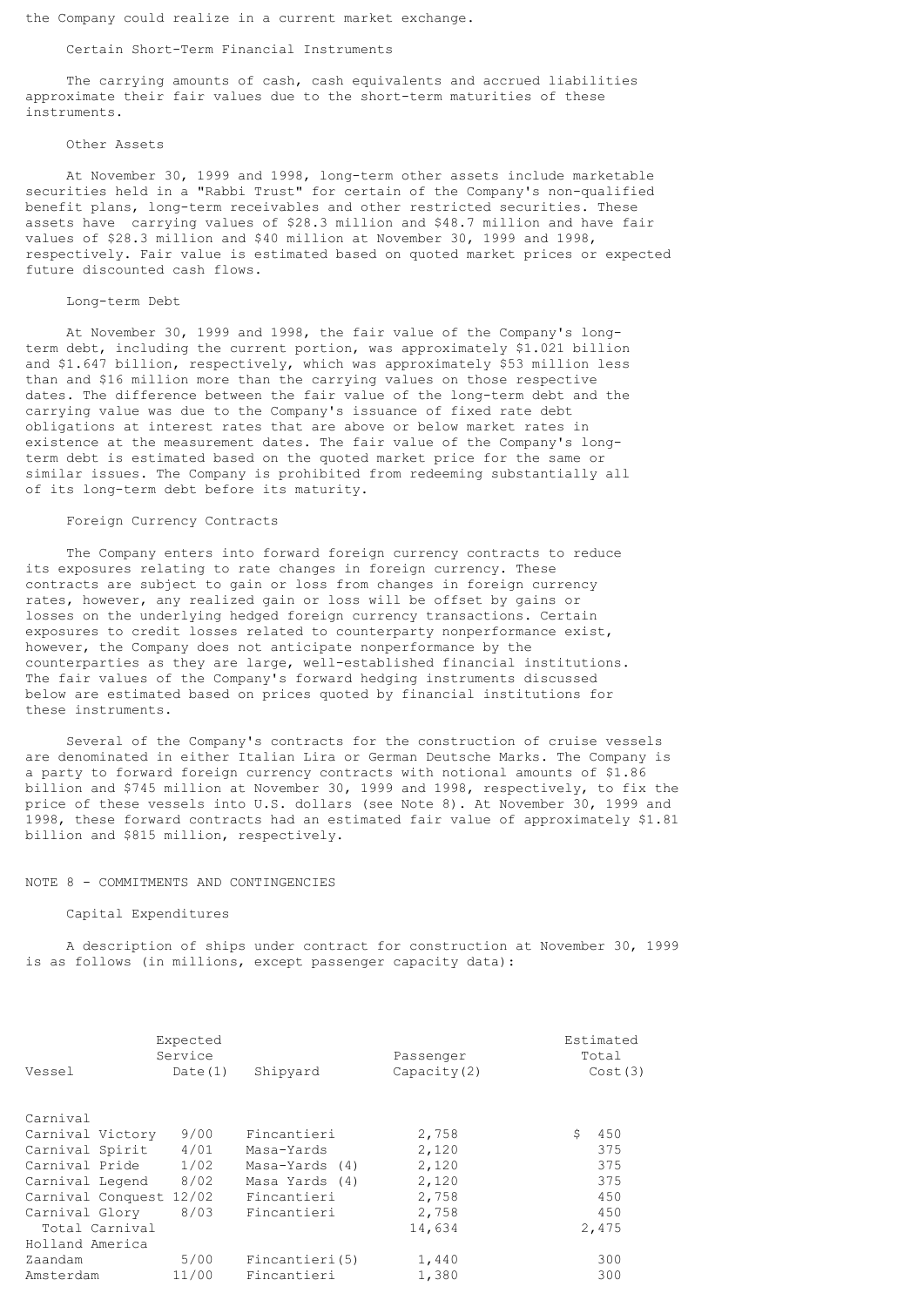the Company could realize in a current market exchange.

### Certain Short-Term Financial Instruments

 The carrying amounts of cash, cash equivalents and accrued liabilities approximate their fair values due to the short-term maturities of these instruments.

#### Other Assets

 At November 30, 1999 and 1998, long-term other assets include marketable securities held in a "Rabbi Trust" for certain of the Company's non-qualified benefit plans, long-term receivables and other restricted securities. These assets have carrying values of \$28.3 million and \$48.7 million and have fair values of \$28.3 million and \$40 million at November 30, 1999 and 1998, respectively. Fair value is estimated based on quoted market prices or expected future discounted cash flows.

#### Long-term Debt

 At November 30, 1999 and 1998, the fair value of the Company's longterm debt, including the current portion, was approximately \$1.021 billion and \$1.647 billion, respectively, which was approximately \$53 million less than and \$16 million more than the carrying values on those respective dates. The difference between the fair value of the long-term debt and the carrying value was due to the Company's issuance of fixed rate debt obligations at interest rates that are above or below market rates in existence at the measurement dates. The fair value of the Company's longterm debt is estimated based on the quoted market price for the same or similar issues. The Company is prohibited from redeeming substantially all of its long-term debt before its maturity.

## Foreign Currency Contracts

 The Company enters into forward foreign currency contracts to reduce its exposures relating to rate changes in foreign currency. These contracts are subject to gain or loss from changes in foreign currency rates, however, any realized gain or loss will be offset by gains or losses on the underlying hedged foreign currency transactions. Certain exposures to credit losses related to counterparty nonperformance exist, however, the Company does not anticipate nonperformance by the counterparties as they are large, well-established financial institutions. The fair values of the Company's forward hedging instruments discussed below are estimated based on prices quoted by financial institutions for these instruments.

 Several of the Company's contracts for the construction of cruise vessels are denominated in either Italian Lira or German Deutsche Marks. The Company is a party to forward foreign currency contracts with notional amounts of \$1.86 billion and \$745 million at November 30, 1999 and 1998, respectively, to fix the price of these vessels into U.S. dollars (see Note 8). At November 30, 1999 and 1998, these forward contracts had an estimated fair value of approximately \$1.81 billion and \$815 million, respectively.

#### NOTE 8 - COMMITMENTS AND CONTINGENCIES

### Capital Expenditures

 A description of ships under contract for construction at November 30, 1999 is as follows (in millions, except passenger capacity data):

|                         | Expected<br>Service |                 | Passenger   | Estimated<br>Total |
|-------------------------|---------------------|-----------------|-------------|--------------------|
| Vessel                  | Date $(1)$          | Shipyard        | Capacity(2) | Cost(3)            |
|                         |                     |                 |             |                    |
| Carnival                |                     |                 |             |                    |
| Carnival Victory        | 9/00                | Fincantieri     | 2,758       | Ŝ.<br>450          |
| Carnival Spirit         | 4/01                | Masa-Yards      | 2,120       | 375                |
| Carnival Pride          | 1/02                | Masa-Yards (4)  | 2,120       | 375                |
| Carnival Legend         | 8/02                | Masa Yards (4)  | 2,120       | 375                |
| Carnival Conquest 12/02 |                     | Fincantieri     | 2,758       | 450                |
| Carnival Glory          | 8/03                | Fincantieri     | 2,758       | 450                |
| Total Carnival          |                     |                 | 14,634      | 2,475              |
| Holland America         |                     |                 |             |                    |
| Zaandam                 | 5/00                | Fincantieri (5) | 1,440       | 300                |
| Amsterdam               | 11/00               | Fincantieri     | 1,380       | 300                |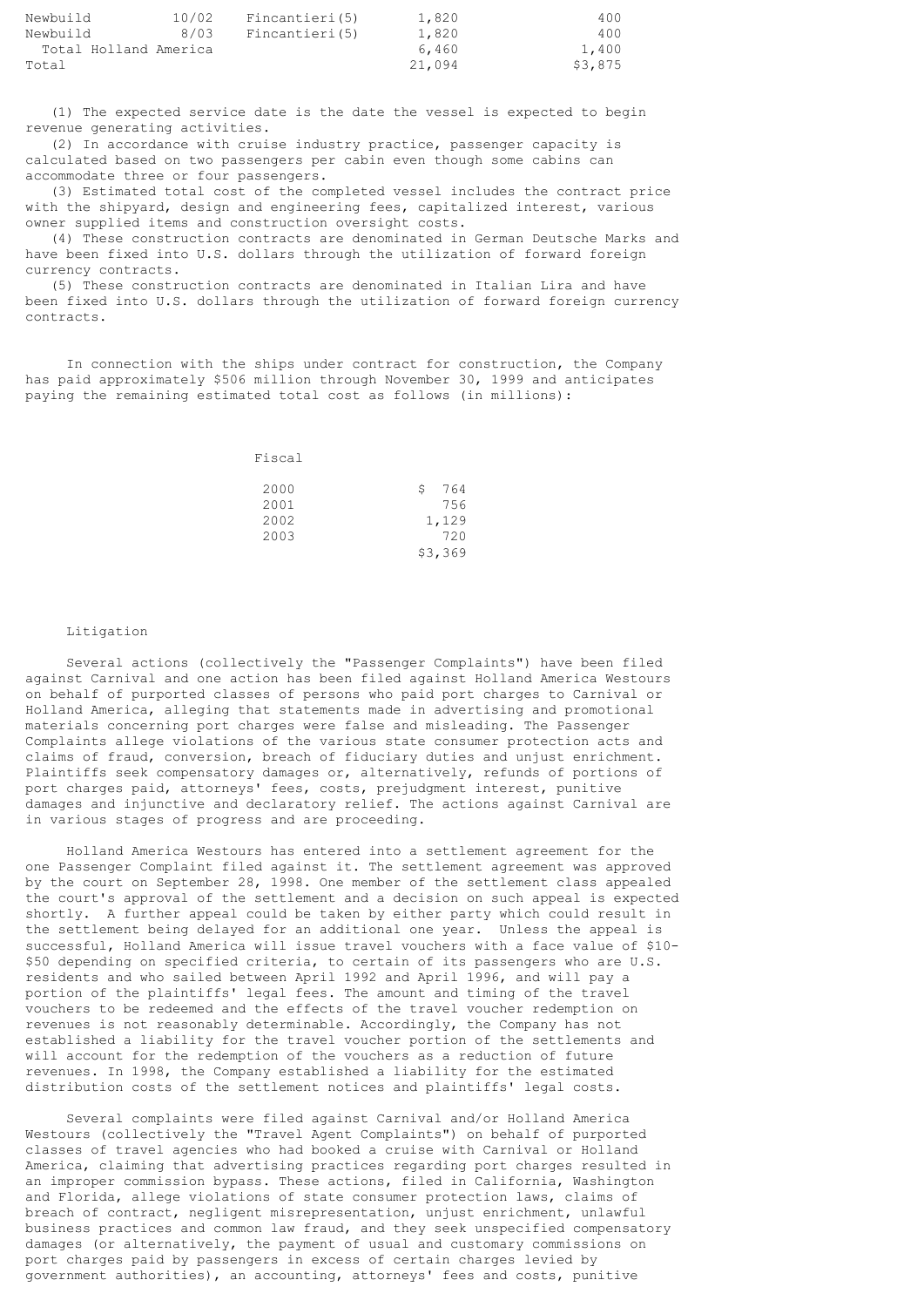| Newbuild              | 10/02 | Fincantieri (5) | 1,820  | 400     |
|-----------------------|-------|-----------------|--------|---------|
| Newbuild              | 8/03  | Fincantieri (5) | 1,820  | 400     |
| Total Holland America |       |                 | 6,460  | 1,400   |
| Total                 |       |                 | 21,094 | \$3,875 |

 (1) The expected service date is the date the vessel is expected to begin revenue generating activities.

 (2) In accordance with cruise industry practice, passenger capacity is calculated based on two passengers per cabin even though some cabins can accommodate three or four passengers.

 (3) Estimated total cost of the completed vessel includes the contract price with the shipyard, design and engineering fees, capitalized interest, various owner supplied items and construction oversight costs.

 (4) These construction contracts are denominated in German Deutsche Marks and have been fixed into U.S. dollars through the utilization of forward foreign currency contracts.

 (5) These construction contracts are denominated in Italian Lira and have been fixed into U.S. dollars through the utilization of forward foreign currency contracts.

 In connection with the ships under contract for construction, the Company has paid approximately \$506 million through November 30, 1999 and anticipates paying the remaining estimated total cost as follows (in millions):

| Fiscal |          |
|--------|----------|
| 2000   | 764<br>S |
| 2001   | 756      |
| 2002   | 1,129    |
| 2003   | 720      |
|        | \$3,369  |

### Litigation

 Several actions (collectively the "Passenger Complaints") have been filed against Carnival and one action has been filed against Holland America Westours on behalf of purported classes of persons who paid port charges to Carnival or Holland America, alleging that statements made in advertising and promotional materials concerning port charges were false and misleading. The Passenger Complaints allege violations of the various state consumer protection acts and claims of fraud, conversion, breach of fiduciary duties and unjust enrichment. Plaintiffs seek compensatory damages or, alternatively, refunds of portions of port charges paid, attorneys' fees, costs, prejudgment interest, punitive damages and injunctive and declaratory relief. The actions against Carnival are in various stages of progress and are proceeding.

 Holland America Westours has entered into a settlement agreement for the one Passenger Complaint filed against it. The settlement agreement was approved by the court on September 28, 1998. One member of the settlement class appealed the court's approval of the settlement and a decision on such appeal is expected shortly. A further appeal could be taken by either party which could result in the settlement being delayed for an additional one year. Unless the appeal is successful, Holland America will issue travel vouchers with a face value of \$10- \$50 depending on specified criteria, to certain of its passengers who are U.S. residents and who sailed between April 1992 and April 1996, and will pay a portion of the plaintiffs' legal fees. The amount and timing of the travel vouchers to be redeemed and the effects of the travel voucher redemption on revenues is not reasonably determinable. Accordingly, the Company has not established a liability for the travel voucher portion of the settlements and will account for the redemption of the vouchers as a reduction of future revenues. In 1998, the Company established a liability for the estimated distribution costs of the settlement notices and plaintiffs' legal costs.

 Several complaints were filed against Carnival and/or Holland America Westours (collectively the "Travel Agent Complaints") on behalf of purported classes of travel agencies who had booked a cruise with Carnival or Holland America, claiming that advertising practices regarding port charges resulted in an improper commission bypass. These actions, filed in California, Washington and Florida, allege violations of state consumer protection laws, claims of breach of contract, negligent misrepresentation, unjust enrichment, unlawful business practices and common law fraud, and they seek unspecified compensatory damages (or alternatively, the payment of usual and customary commissions on port charges paid by passengers in excess of certain charges levied by government authorities), an accounting, attorneys' fees and costs, punitive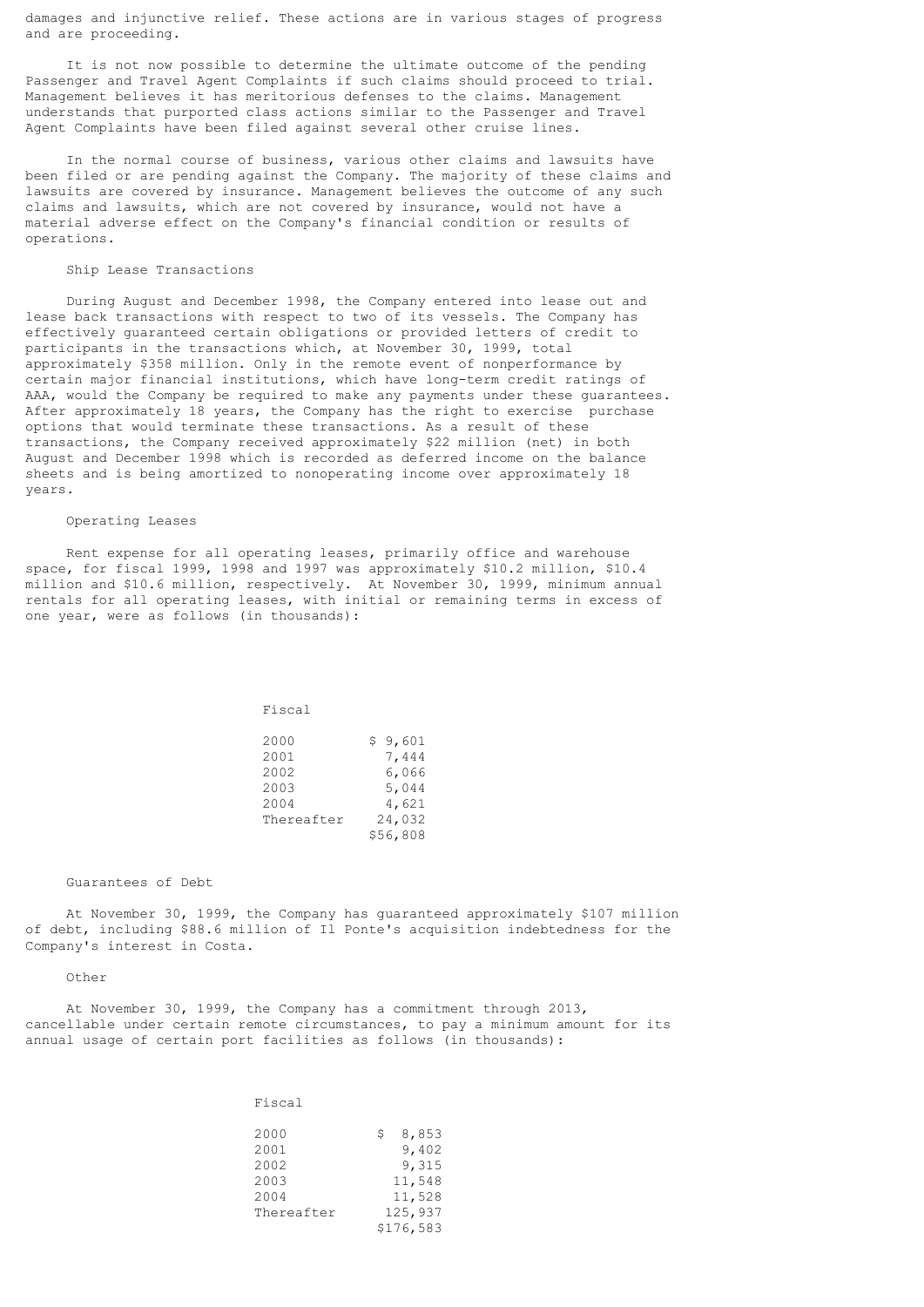damages and injunctive relief. These actions are in various stages of progress and are proceeding.

 It is not now possible to determine the ultimate outcome of the pending Passenger and Travel Agent Complaints if such claims should proceed to trial. Management believes it has meritorious defenses to the claims. Management understands that purported class actions similar to the Passenger and Travel Agent Complaints have been filed against several other cruise lines.

 In the normal course of business, various other claims and lawsuits have been filed or are pending against the Company. The majority of these claims and lawsuits are covered by insurance. Management believes the outcome of any such claims and lawsuits, which are not covered by insurance, would not have a material adverse effect on the Company's financial condition or results of operations.

# Ship Lease Transactions

 During August and December 1998, the Company entered into lease out and lease back transactions with respect to two of its vessels. The Company has effectively guaranteed certain obligations or provided letters of credit to participants in the transactions which, at November 30, 1999, total approximately \$358 million. Only in the remote event of nonperformance by certain major financial institutions, which have long-term credit ratings of AAA, would the Company be required to make any payments under these guarantees. After approximately 18 years, the Company has the right to exercise purchase options that would terminate these transactions. As a result of these transactions, the Company received approximately \$22 million (net) in both August and December 1998 which is recorded as deferred income on the balance sheets and is being amortized to nonoperating income over approximately 18 years.

#### Operating Leases

 Rent expense for all operating leases, primarily office and warehouse space, for fiscal 1999, 1998 and 1997 was approximately \$10.2 million, \$10.4 million and \$10.6 million, respectively. At November 30, 1999, minimum annual rentals for all operating leases, with initial or remaining terms in excess of one year, were as follows (in thousands):

Fiscal

| 2000       | \$9,601  |
|------------|----------|
| 2001       | 7,444    |
| 2002       | 6,066    |
| 2003       | 5,044    |
| 2004       | 4,621    |
| Thereafter | 24,032   |
|            | \$56,808 |

#### Guarantees of Debt

 At November 30, 1999, the Company has guaranteed approximately \$107 million of debt, including \$88.6 million of Il Ponte's acquisition indebtedness for the Company's interest in Costa.

Other

 At November 30, 1999, the Company has a commitment through 2013, cancellable under certain remote circumstances, to pay a minimum amount for its annual usage of certain port facilities as follows (in thousands):

Fiscal

| 2000       | 8,853     |
|------------|-----------|
| 2001       | 9,402     |
| 2002       | 9,315     |
| 2003       | 11,548    |
| 2004       | 11,528    |
| Thereafter | 125,937   |
|            | \$176,583 |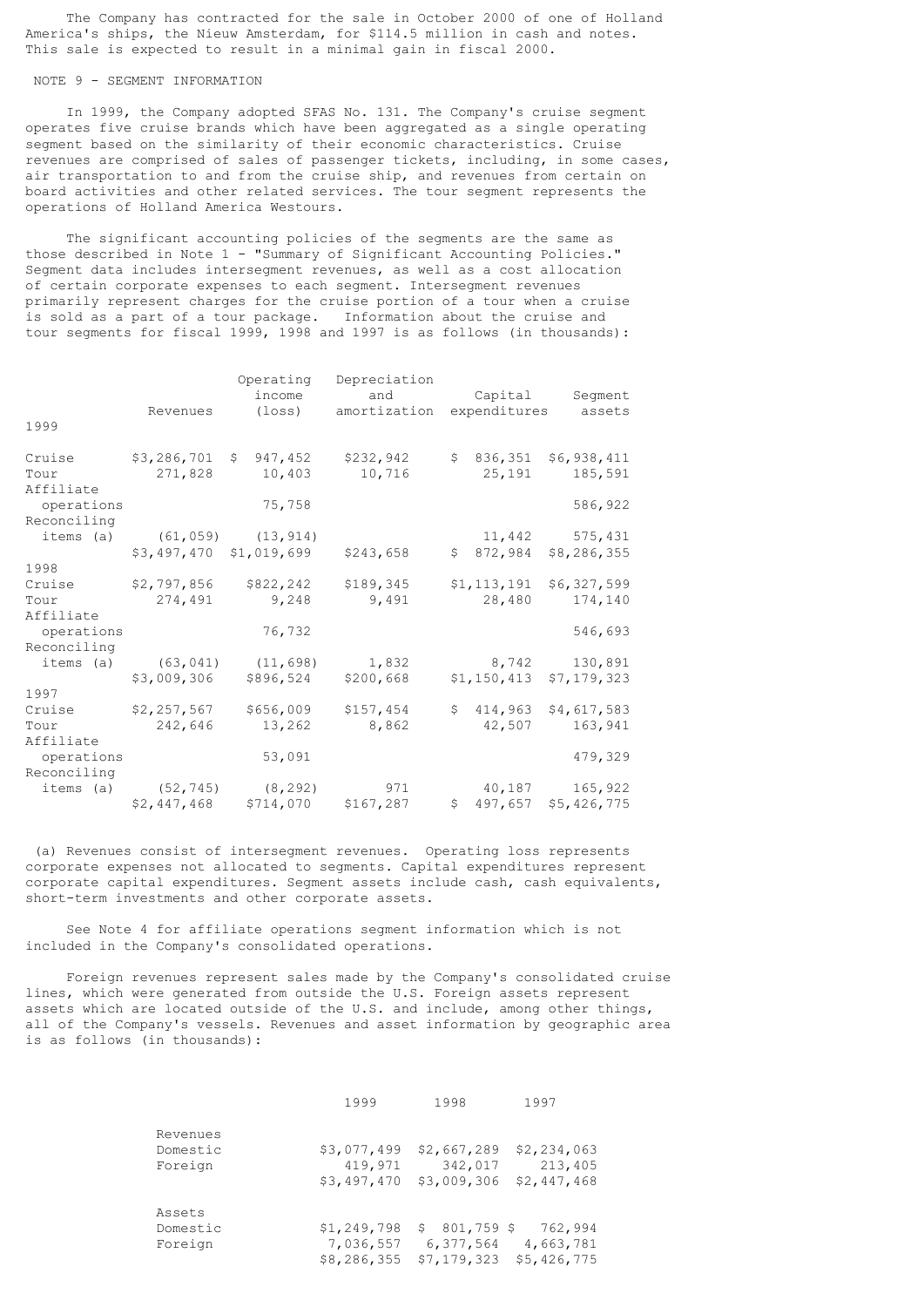The Company has contracted for the sale in October 2000 of one of Holland America's ships, the Nieuw Amsterdam, for \$114.5 million in cash and notes. This sale is expected to result in a minimal gain in fiscal 2000.

# NOTE 9 - SEGMENT INFORMATION

 In 1999, the Company adopted SFAS No. 131. The Company's cruise segment operates five cruise brands which have been aggregated as a single operating segment based on the similarity of their economic characteristics. Cruise revenues are comprised of sales of passenger tickets, including, in some cases, air transportation to and from the cruise ship, and revenues from certain on board activities and other related services. The tour segment represents the operations of Holland America Westours.

 The significant accounting policies of the segments are the same as those described in Note 1 - "Summary of Significant Accounting Policies." Segment data includes intersegment revenues, as well as a cost allocation of certain corporate expenses to each segment. Intersegment revenues primarily represent charges for the cruise portion of a tour when a cruise is sold as a part of a tour package. Information about the cruise and tour segments for fiscal 1999, 1998 and 1997 is as follows (in thousands):

|             |                         | Operating               | Depreciation |                               |             |
|-------------|-------------------------|-------------------------|--------------|-------------------------------|-------------|
|             |                         | income                  | and          | Capital                       | Segment     |
|             | Revenues                | (loss)                  | amortization | expenditures                  | assets      |
| 1999        |                         |                         |              |                               |             |
| Cruise      | $$3,286,701$ \$         | 947,452                 | \$232,942    | \$836,351                     | \$6,938,411 |
| Tour        | 271,828                 | 10,403                  | 10,716       | 25,191                        | 185,591     |
| Affiliate   |                         |                         |              |                               |             |
| operations  |                         | 75,758                  |              |                               | 586,922     |
| Reconciling |                         |                         |              |                               |             |
| items (a)   |                         | $(61, 059)$ $(13, 914)$ |              | 11,442                        | 575,431     |
|             | \$3,497,470 \$1,019,699 |                         | \$243,658    | \$872,984                     | \$8,286,355 |
| 1998        |                         |                         |              |                               |             |
| Cruise      | \$2,797,856             | \$822,242               | \$189,345    | \$1,113,191                   | \$6,327,599 |
| Tour        | 274,491                 | 9,248                   | 9,491        | 28,480                        | 174,140     |
| Affiliate   |                         |                         |              |                               |             |
| operations  |                         | 76,732                  |              |                               | 546,693     |
| Reconciling |                         |                         |              |                               |             |
| items (a)   | (63, 041)               | (11, 698)               | 1,832        | 8,742                         | 130,891     |
|             | \$3,009,306             | \$896,524               | \$200,668    | $$1, 150, 413$ $$7, 179, 323$ |             |
| 1997        |                         |                         |              |                               |             |
| Cruise      | \$2,257,567             | \$656,009               | \$157,454    | \$414,963                     | \$4,617,583 |
| Tour        | 242,646                 | 13,262                  | 8,862        | 42,507                        | 163,941     |
| Affiliate   |                         |                         |              |                               |             |
| operations  |                         | 53,091                  |              |                               | 479,329     |
| Reconciling |                         |                         |              |                               |             |
| items (a)   | (52, 745)               | (8, 292)                | 971          | 40,187                        | 165,922     |
|             | \$2,447,468             | \$714,070               | \$167, 287   | $$497,657$ \$5,426,775        |             |

 (a) Revenues consist of intersegment revenues. Operating loss represents corporate expenses not allocated to segments. Capital expenditures represent corporate capital expenditures. Segment assets include cash, cash equivalents, short-term investments and other corporate assets.

 See Note 4 for affiliate operations segment information which is not included in the Company's consolidated operations.

 Foreign revenues represent sales made by the Company's consolidated cruise lines, which were generated from outside the U.S. Foreign assets represent assets which are located outside of the U.S. and include, among other things, all of the Company's vessels. Revenues and asset information by geographic area is as follows (in thousands):

|                                 | 1999                                    | 1998                                           | 1997                                  |
|---------------------------------|-----------------------------------------|------------------------------------------------|---------------------------------------|
| Revenues<br>Domestic<br>Foreign | \$3,077,499<br>419,971<br>\$3,497,470   | \$2,667,289<br>342,017<br>\$3,009,306          | \$2,234,063<br>213,405<br>\$2,447,468 |
| Assets<br>Domestic<br>Foreign   | \$1,249,798<br>7,036,557<br>\$8,286,355 | $801,759$ \$<br>\$<br>6,377,564<br>\$7,179,323 | 762,994<br>4,663,781<br>\$5,426,775   |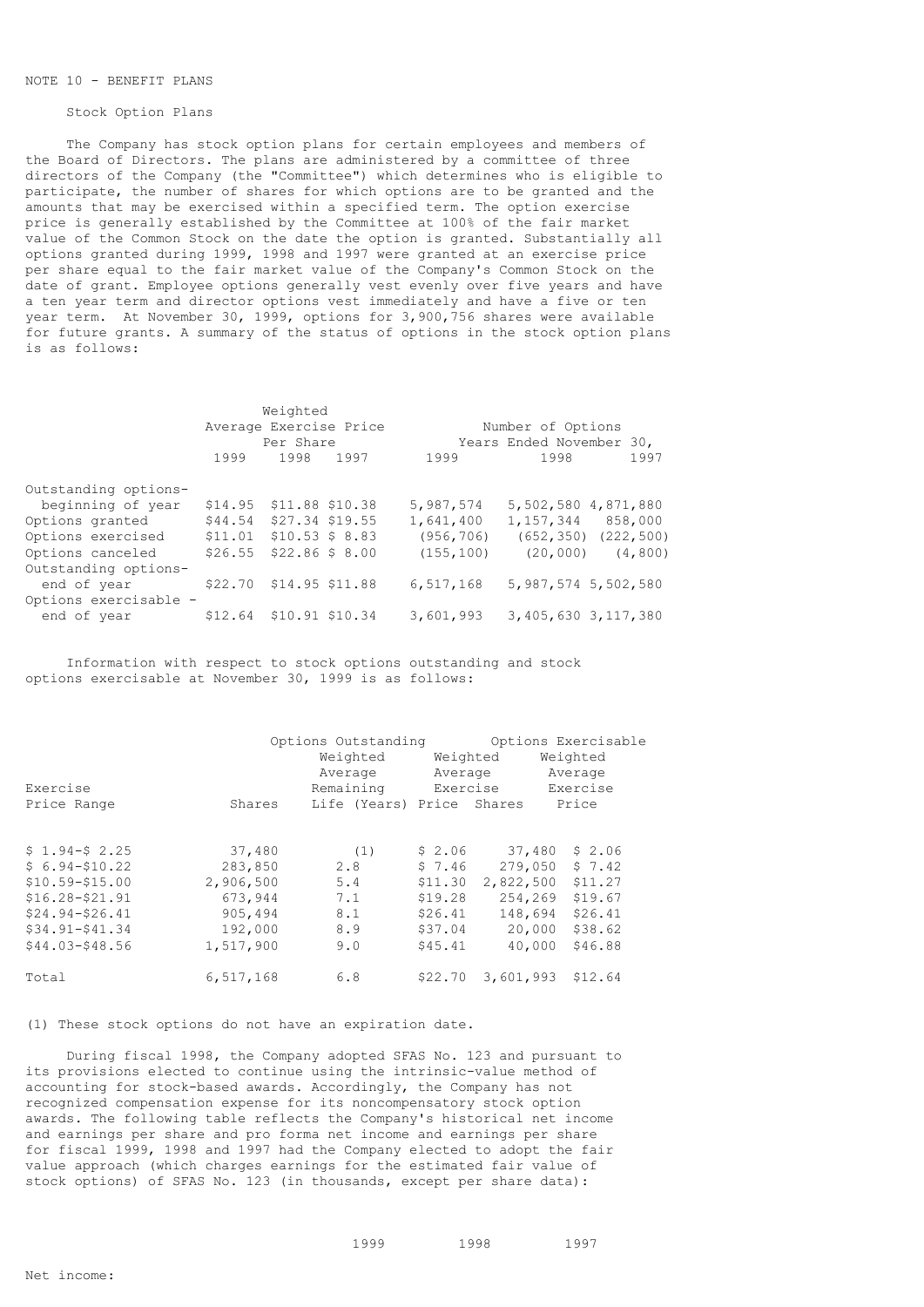## NOTE 10 - BENEFIT PLANS

## Stock Option Plans

 The Company has stock option plans for certain employees and members of the Board of Directors. The plans are administered by a committee of three directors of the Company (the "Committee") which determines who is eligible to participate, the number of shares for which options are to be granted and the amounts that may be exercised within a specified term. The option exercise price is generally established by the Committee at 100% of the fair market value of the Common Stock on the date the option is granted. Substantially all options granted during 1999, 1998 and 1997 were granted at an exercise price per share equal to the fair market value of the Company's Common Stock on the date of grant. Employee options generally vest evenly over five years and have a ten year term and director options vest immediately and have a five or ten year term. At November 30, 1999, options for 3,900,756 shares were available for future grants. A summary of the status of options in the stock option plans is as follows:

|                       |                           | Weighted        |      |                          |                           |      |
|-----------------------|---------------------------|-----------------|------|--------------------------|---------------------------|------|
|                       | Average Exercise Price    |                 |      | Number of Options        |                           |      |
|                       |                           | Per Share       |      | Years Ended November 30, |                           |      |
|                       | 1999                      | 1998            | 1997 | 1999                     | 1998                      | 1997 |
| Outstanding options-  |                           |                 |      |                          |                           |      |
| beginning of year     | \$14.95                   | \$11.88 \$10.38 |      | 5,987,574                | 5,502,580 4,871,880       |      |
| Options granted       | \$44.54 \$27.34 \$19.55   |                 |      | 1,641,400                | 1, 157, 344 858, 000      |      |
| Options exercised     | $$11.01$ \$10.53 \$ 8.83  |                 |      | (956, 706)               | $(652, 350)$ $(222, 500)$ |      |
| Options canceled      | $$26.55$ $$22.86$ \$ 8.00 |                 |      | (155, 100)               | $(20,000)$ $(4,800)$      |      |
| Outstanding options-  |                           |                 |      |                          |                           |      |
| end of year           | \$22.70 \$14.95 \$11.88   |                 |      | 6,517,168                | 5,987,574 5,502,580       |      |
| Options exercisable - |                           |                 |      |                          |                           |      |
| end of year           | \$12.64 \$10.91 \$10.34   |                 |      | 3,601,993                | 3,405,630 3,117,380       |      |

 Information with respect to stock options outstanding and stock options exercisable at November 30, 1999 is as follows:

| Exercise          |           | Options Outstanding<br>Weighted<br>Average<br>Remaining | Weighted<br>Average<br>Exercise |           | Options Exercisable<br>Weighted<br>Average<br>Exercise |
|-------------------|-----------|---------------------------------------------------------|---------------------------------|-----------|--------------------------------------------------------|
| Price Range       | Shares    | Life (Years) Price Shares                               |                                 |           | Price                                                  |
|                   |           |                                                         |                                 |           |                                                        |
| $$1.94-$2.25$     | 37,480    | (1)                                                     | \$2.06                          | 37,480    | \$2.06                                                 |
| $$6.94 - $10.22$  | 283,850   | 2.8                                                     | \$7.46                          | 279,050   | \$7.42                                                 |
| $$10.59 - $15.00$ | 2,906,500 | 5.4                                                     | \$11.30                         | 2,822,500 | \$11.27                                                |
| $$16.28 - $21.91$ | 673,944   | 7.1                                                     | \$19.28                         | 254,269   | \$19.67                                                |
| $$24.94 - $26.41$ | 905,494   | 8.1                                                     | \$26.41                         | 148,694   | \$26.41                                                |
| $$34.91 - $41.34$ | 192,000   | 8.9                                                     | \$37.04                         | 20,000    | \$38.62                                                |
| $$44.03 - $48.56$ | 1,517,900 | 9.0                                                     | \$45.41                         | 40,000    | \$46.88                                                |
| Total             | 6,517,168 | 6.8                                                     | \$22.70                         | 3,601,993 | \$12.64                                                |

(1) These stock options do not have an expiration date.

 During fiscal 1998, the Company adopted SFAS No. 123 and pursuant to its provisions elected to continue using the intrinsic-value method of accounting for stock-based awards. Accordingly, the Company has not recognized compensation expense for its noncompensatory stock option awards. The following table reflects the Company's historical net income and earnings per share and pro forma net income and earnings per share for fiscal 1999, 1998 and 1997 had the Company elected to adopt the fair value approach (which charges earnings for the estimated fair value of stock options) of SFAS No. 123 (in thousands, except per share data):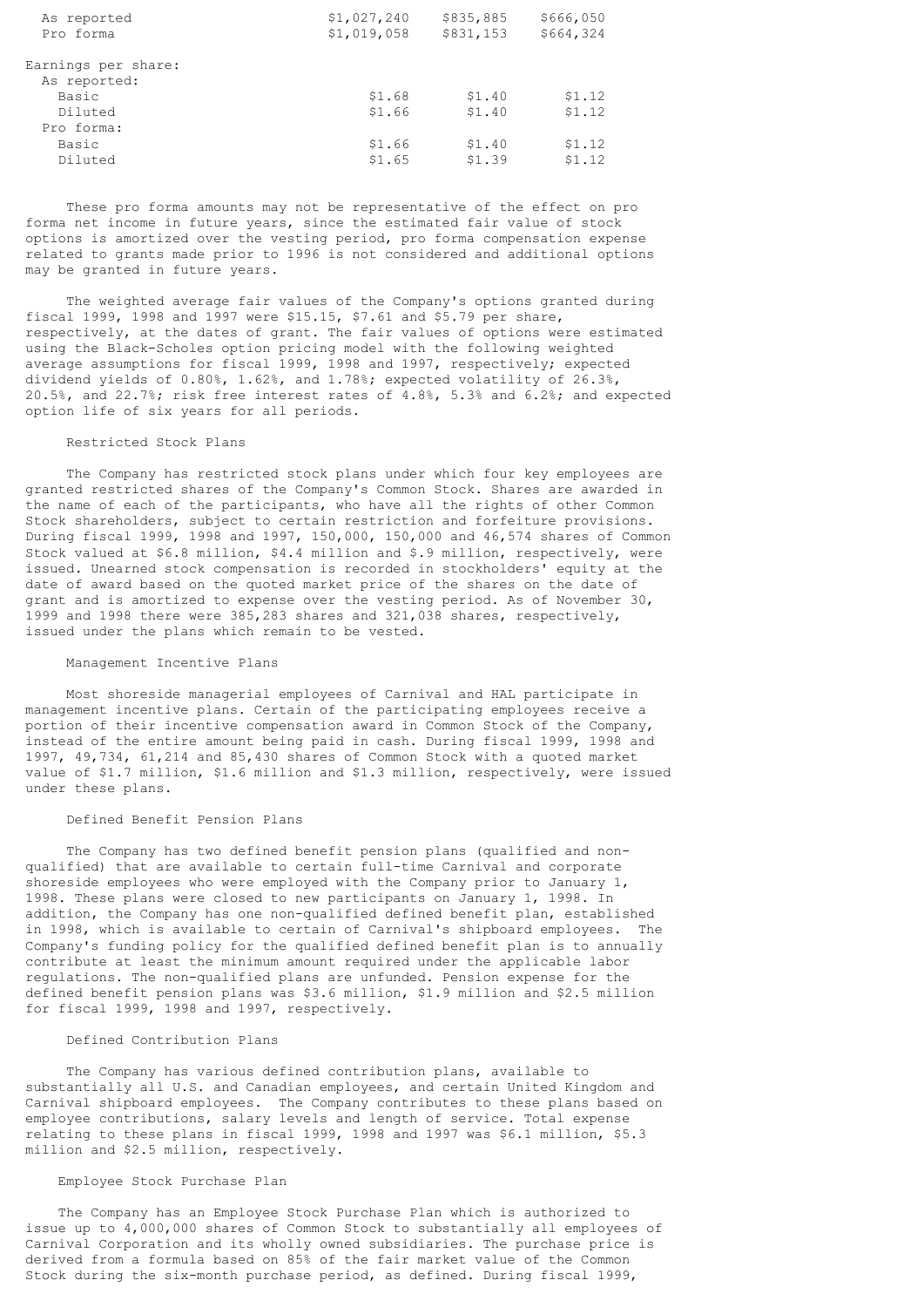| As reported         | \$1,027,240 | \$835,885 | \$666,050 |
|---------------------|-------------|-----------|-----------|
| Pro forma           | \$1,019,058 | \$831,153 | \$664,324 |
| Earnings per share: |             |           |           |
| As reported:        |             |           |           |
| Basic               | \$1.68      | \$1.40    | \$1.12    |
| Diluted             | \$1.66      | \$1.40    | \$1.12    |
| Pro forma:          |             |           |           |
| Basic               | \$1.66      | \$1.40    | \$1.12    |
| Diluted             | \$1.65      | \$1.39    | \$1.12    |

 These pro forma amounts may not be representative of the effect on pro forma net income in future years, since the estimated fair value of stock options is amortized over the vesting period, pro forma compensation expense related to grants made prior to 1996 is not considered and additional options may be granted in future years.

 The weighted average fair values of the Company's options granted during fiscal 1999, 1998 and 1997 were \$15.15, \$7.61 and \$5.79 per share, respectively, at the dates of grant. The fair values of options were estimated using the Black-Scholes option pricing model with the following weighted average assumptions for fiscal 1999, 1998 and 1997, respectively; expected dividend yields of 0.80%, 1.62%, and 1.78%; expected volatility of 26.3%, 20.5%, and 22.7%; risk free interest rates of 4.8%, 5.3% and 6.2%; and expected option life of six years for all periods.

# Restricted Stock Plans

 The Company has restricted stock plans under which four key employees are granted restricted shares of the Company's Common Stock. Shares are awarded in the name of each of the participants, who have all the rights of other Common Stock shareholders, subject to certain restriction and forfeiture provisions. During fiscal 1999, 1998 and 1997, 150,000, 150,000 and 46,574 shares of Common Stock valued at \$6.8 million, \$4.4 million and \$.9 million, respectively, were issued. Unearned stock compensation is recorded in stockholders' equity at the date of award based on the quoted market price of the shares on the date of grant and is amortized to expense over the vesting period. As of November 30, 1999 and 1998 there were 385,283 shares and 321,038 shares, respectively, issued under the plans which remain to be vested.

#### Management Incentive Plans

 Most shoreside managerial employees of Carnival and HAL participate in management incentive plans. Certain of the participating employees receive a portion of their incentive compensation award in Common Stock of the Company, instead of the entire amount being paid in cash. During fiscal 1999, 1998 and 1997, 49,734, 61,214 and 85,430 shares of Common Stock with a quoted market value of \$1.7 million, \$1.6 million and \$1.3 million, respectively, were issued under these plans.

#### Defined Benefit Pension Plans

 The Company has two defined benefit pension plans (qualified and nonqualified) that are available to certain full-time Carnival and corporate shoreside employees who were employed with the Company prior to January 1, 1998. These plans were closed to new participants on January 1, 1998. In addition, the Company has one non-qualified defined benefit plan, established in 1998, which is available to certain of Carnival's shipboard employees. The Company's funding policy for the qualified defined benefit plan is to annually contribute at least the minimum amount required under the applicable labor regulations. The non-qualified plans are unfunded. Pension expense for the defined benefit pension plans was \$3.6 million, \$1.9 million and \$2.5 million for fiscal 1999, 1998 and 1997, respectively.

### Defined Contribution Plans

 The Company has various defined contribution plans, available to substantially all U.S. and Canadian employees, and certain United Kingdom and Carnival shipboard employees. The Company contributes to these plans based on employee contributions, salary levels and length of service. Total expense relating to these plans in fiscal 1999, 1998 and 1997 was \$6.1 million, \$5.3 million and \$2.5 million, respectively.

# Employee Stock Purchase Plan

 The Company has an Employee Stock Purchase Plan which is authorized to issue up to 4,000,000 shares of Common Stock to substantially all employees of Carnival Corporation and its wholly owned subsidiaries. The purchase price is derived from a formula based on 85% of the fair market value of the Common Stock during the six-month purchase period, as defined. During fiscal 1999,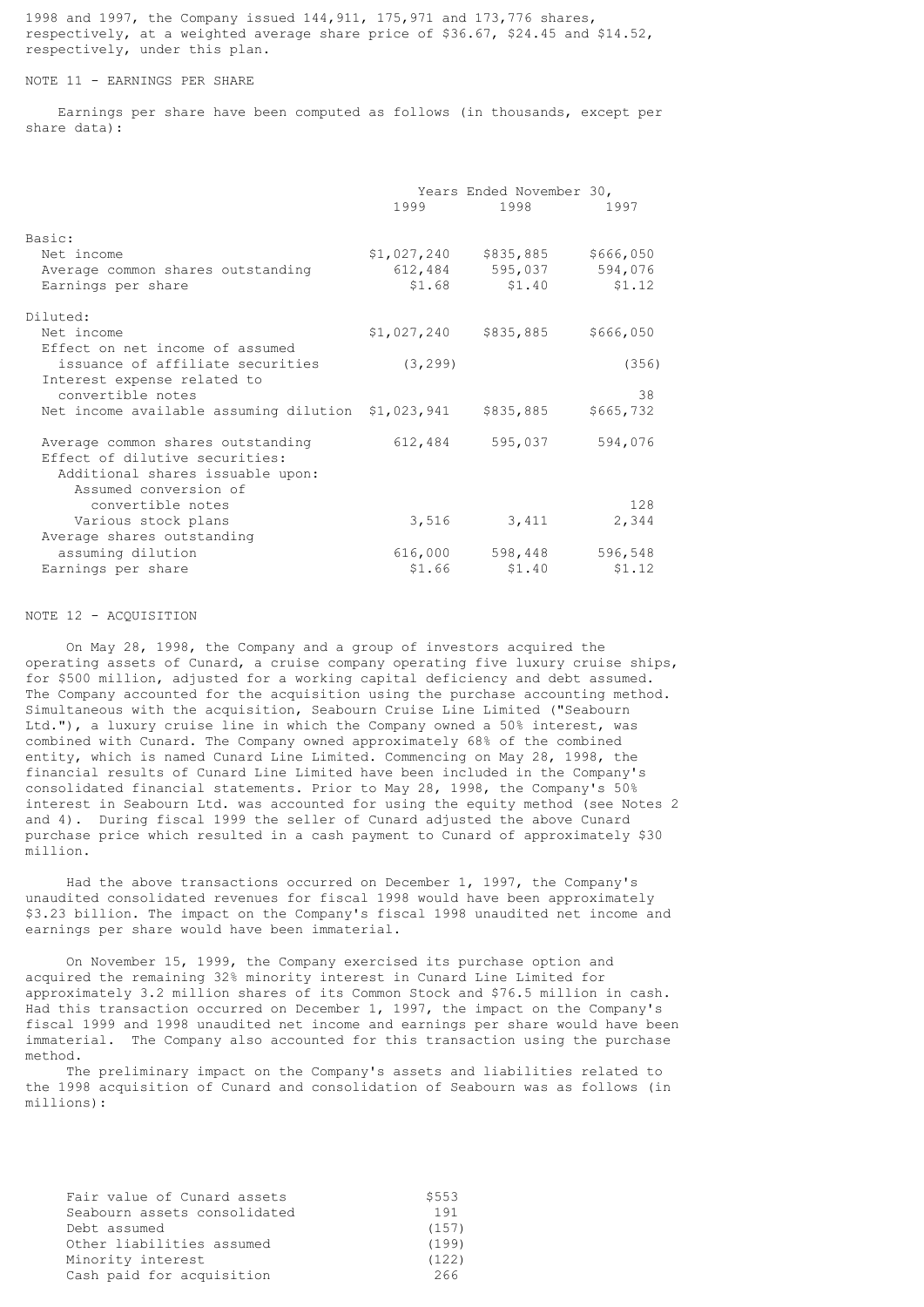1998 and 1997, the Company issued 144,911, 175,971 and 173,776 shares, respectively, at a weighted average share price of \$36.67, \$24.45 and \$14.52, respectively, under this plan.

# NOTE 11 - EARNINGS PER SHARE

 Earnings per share have been computed as follows (in thousands, except per share data):

|                                                    | 1999 — 1999 — 1990 — 1990 — 1990 — 1990 — 1990 — 1990 — 1990 — 1990 — 1990 — 1990 — 1990 — 1990 — 1990 — 1990 — 1990 — 1990 — 1990 — 1990 — 1990 — 1990 — 1990 — 1990 — 1990 — 1990 — 1990 — 1990 — 1990 — 1990 — 1990 — 1990 — | Years Ended November 30,<br>1998 — 1998 — 1998 — 1998 — 1998 — 1998 — 1998 — 1998 — 1998 — 1998 — 1998 — 1998 — 1998 — 1998 — 1998 — 1998 — 199 | 1997      |
|----------------------------------------------------|---------------------------------------------------------------------------------------------------------------------------------------------------------------------------------------------------------------------------------|-------------------------------------------------------------------------------------------------------------------------------------------------|-----------|
| Basic:                                             |                                                                                                                                                                                                                                 |                                                                                                                                                 |           |
| Net income                                         | \$1,027,240                                                                                                                                                                                                                     | \$835,885                                                                                                                                       | \$666,050 |
| Average common shares outstanding                  |                                                                                                                                                                                                                                 | 612,484 595,037                                                                                                                                 | 594,076   |
| Earnings per share                                 |                                                                                                                                                                                                                                 | $$1.68$ $$1.40$                                                                                                                                 | \$1.12    |
| Diluted:                                           |                                                                                                                                                                                                                                 |                                                                                                                                                 |           |
| Net income                                         | \$1,027,240                                                                                                                                                                                                                     | \$835,885                                                                                                                                       | \$666,050 |
| Effect on net income of assumed                    |                                                                                                                                                                                                                                 |                                                                                                                                                 |           |
| issuance of affiliate securities                   | (3, 299)                                                                                                                                                                                                                        |                                                                                                                                                 | (356)     |
| Interest expense related to                        |                                                                                                                                                                                                                                 |                                                                                                                                                 |           |
| convertible notes                                  |                                                                                                                                                                                                                                 |                                                                                                                                                 | 38        |
| Net income available assuming dilution \$1,023,941 |                                                                                                                                                                                                                                 | \$835,885                                                                                                                                       | \$665,732 |
| Average common shares outstanding                  | 612,484                                                                                                                                                                                                                         | 595,037                                                                                                                                         | 594,076   |
| Effect of dilutive securities:                     |                                                                                                                                                                                                                                 |                                                                                                                                                 |           |
| Additional shares issuable upon:                   |                                                                                                                                                                                                                                 |                                                                                                                                                 |           |
| Assumed conversion of                              |                                                                                                                                                                                                                                 |                                                                                                                                                 |           |
| convertible notes                                  |                                                                                                                                                                                                                                 |                                                                                                                                                 | 128       |
| Various stock plans                                | 3,516                                                                                                                                                                                                                           | 3,411                                                                                                                                           | 2,344     |
| Average shares outstanding                         |                                                                                                                                                                                                                                 |                                                                                                                                                 |           |
| assuming dilution                                  | 616,000                                                                                                                                                                                                                         | 598,448                                                                                                                                         | 596,548   |
| Earnings per share                                 | \$1.66                                                                                                                                                                                                                          | \$1.40                                                                                                                                          | \$1.12    |

#### NOTE 12 - ACQUISITION

 On May 28, 1998, the Company and a group of investors acquired the operating assets of Cunard, a cruise company operating five luxury cruise ships, for \$500 million, adjusted for a working capital deficiency and debt assumed. The Company accounted for the acquisition using the purchase accounting method. Simultaneous with the acquisition, Seabourn Cruise Line Limited ("Seabourn Ltd."), a luxury cruise line in which the Company owned a 50% interest, was combined with Cunard. The Company owned approximately 68% of the combined entity, which is named Cunard Line Limited. Commencing on May 28, 1998, the financial results of Cunard Line Limited have been included in the Company's consolidated financial statements. Prior to May 28, 1998, the Company's 50% interest in Seabourn Ltd. was accounted for using the equity method (see Notes 2 and 4). During fiscal 1999 the seller of Cunard adjusted the above Cunard purchase price which resulted in a cash payment to Cunard of approximately \$30 million.

 Had the above transactions occurred on December 1, 1997, the Company's unaudited consolidated revenues for fiscal 1998 would have been approximately \$3.23 billion. The impact on the Company's fiscal 1998 unaudited net income and earnings per share would have been immaterial.

 On November 15, 1999, the Company exercised its purchase option and acquired the remaining 32% minority interest in Cunard Line Limited for approximately 3.2 million shares of its Common Stock and \$76.5 million in cash. Had this transaction occurred on December 1, 1997, the impact on the Company's fiscal 1999 and 1998 unaudited net income and earnings per share would have been immaterial. The Company also accounted for this transaction using the purchase method.

 The preliminary impact on the Company's assets and liabilities related to the 1998 acquisition of Cunard and consolidation of Seabourn was as follows (in millions):

| \$553 |
|-------|
| 191   |
| (157) |
| (199) |
| (122) |
| 266   |
|       |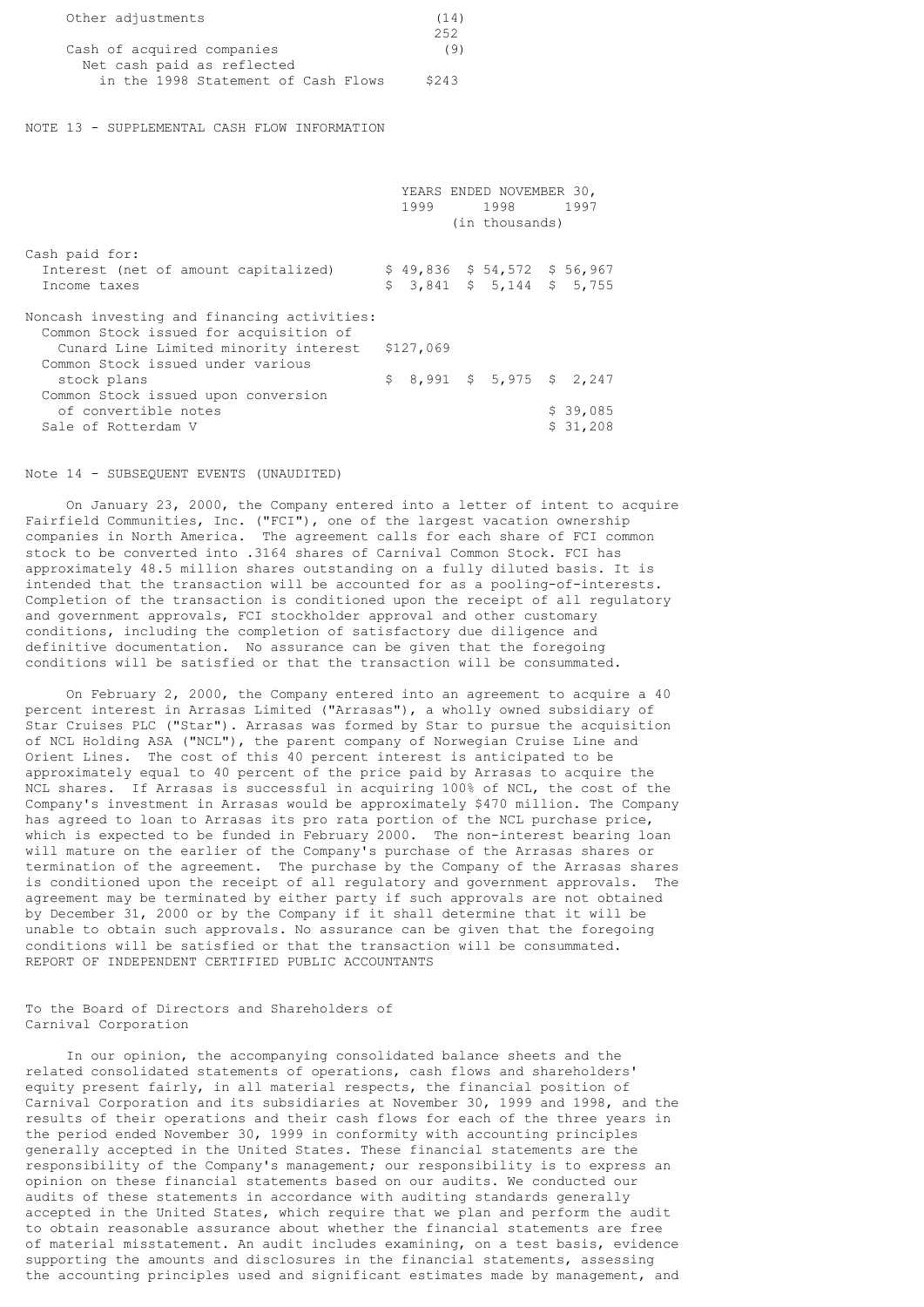| Other adjustments                   | (14)  |
|-------------------------------------|-------|
|                                     | 252   |
| Cash of acquired companies          | (9)   |
| Net cash paid as reflected          |       |
| in the 1998 Statement of Cash Flows | \$243 |

NOTE 13 - SUPPLEMENTAL CASH FLOW INFORMATION

|                                                                                       |           | YEARS ENDED NOVEMBER 30,<br>1999 1998 1997 |          |
|---------------------------------------------------------------------------------------|-----------|--------------------------------------------|----------|
|                                                                                       |           | (in thousands)                             |          |
| Cash paid for:                                                                        |           |                                            |          |
| Interest (net of amount capitalized)                                                  |           | $$49,836$ $$54,572$ $$56,967$              |          |
| Income taxes                                                                          |           | $$3,841$ $$5,144$ $$5,755$                 |          |
| Noncash investing and financing activities:<br>Common Stock issued for acquisition of |           |                                            |          |
| Cunard Line Limited minority interest                                                 | \$127,069 |                                            |          |
| Common Stock issued under various                                                     |           |                                            |          |
| stock plans                                                                           |           | $$8,991$ $$5,975$ $$2,247$                 |          |
| Common Stock issued upon conversion                                                   |           |                                            |          |
| of convertible notes                                                                  |           |                                            | \$39,085 |
| Sale of Rotterdam V                                                                   |           |                                            | \$31,208 |

Note 14 - SUBSEQUENT EVENTS (UNAUDITED)

 On January 23, 2000, the Company entered into a letter of intent to acquire Fairfield Communities, Inc. ("FCI"), one of the largest vacation ownership companies in North America. The agreement calls for each share of FCI common stock to be converted into .3164 shares of Carnival Common Stock. FCI has approximately 48.5 million shares outstanding on a fully diluted basis. It is intended that the transaction will be accounted for as a pooling-of-interests. Completion of the transaction is conditioned upon the receipt of all regulatory and government approvals, FCI stockholder approval and other customary conditions, including the completion of satisfactory due diligence and definitive documentation. No assurance can be given that the foregoing conditions will be satisfied or that the transaction will be consummated.

 On February 2, 2000, the Company entered into an agreement to acquire a 40 percent interest in Arrasas Limited ("Arrasas"), a wholly owned subsidiary of Star Cruises PLC ("Star"). Arrasas was formed by Star to pursue the acquisition of NCL Holding ASA ("NCL"), the parent company of Norwegian Cruise Line and Orient Lines. The cost of this 40 percent interest is anticipated to be approximately equal to 40 percent of the price paid by Arrasas to acquire the NCL shares. If Arrasas is successful in acquiring 100% of NCL, the cost of the Company's investment in Arrasas would be approximately \$470 million. The Company has agreed to loan to Arrasas its pro rata portion of the NCL purchase price, which is expected to be funded in February 2000. The non-interest bearing loan will mature on the earlier of the Company's purchase of the Arrasas shares or termination of the agreement. The purchase by the Company of the Arrasas shares is conditioned upon the receipt of all regulatory and government approvals. The agreement may be terminated by either party if such approvals are not obtained by December 31, 2000 or by the Company if it shall determine that it will be unable to obtain such approvals. No assurance can be given that the foregoing conditions will be satisfied or that the transaction will be consummated. REPORT OF INDEPENDENT CERTIFIED PUBLIC ACCOUNTANTS

To the Board of Directors and Shareholders of Carnival Corporation

 In our opinion, the accompanying consolidated balance sheets and the related consolidated statements of operations, cash flows and shareholders' equity present fairly, in all material respects, the financial position of Carnival Corporation and its subsidiaries at November 30, 1999 and 1998, and the results of their operations and their cash flows for each of the three years in the period ended November 30, 1999 in conformity with accounting principles generally accepted in the United States. These financial statements are the responsibility of the Company's management; our responsibility is to express an opinion on these financial statements based on our audits. We conducted our audits of these statements in accordance with auditing standards generally accepted in the United States, which require that we plan and perform the audit to obtain reasonable assurance about whether the financial statements are free of material misstatement. An audit includes examining, on a test basis, evidence supporting the amounts and disclosures in the financial statements, assessing the accounting principles used and significant estimates made by management, and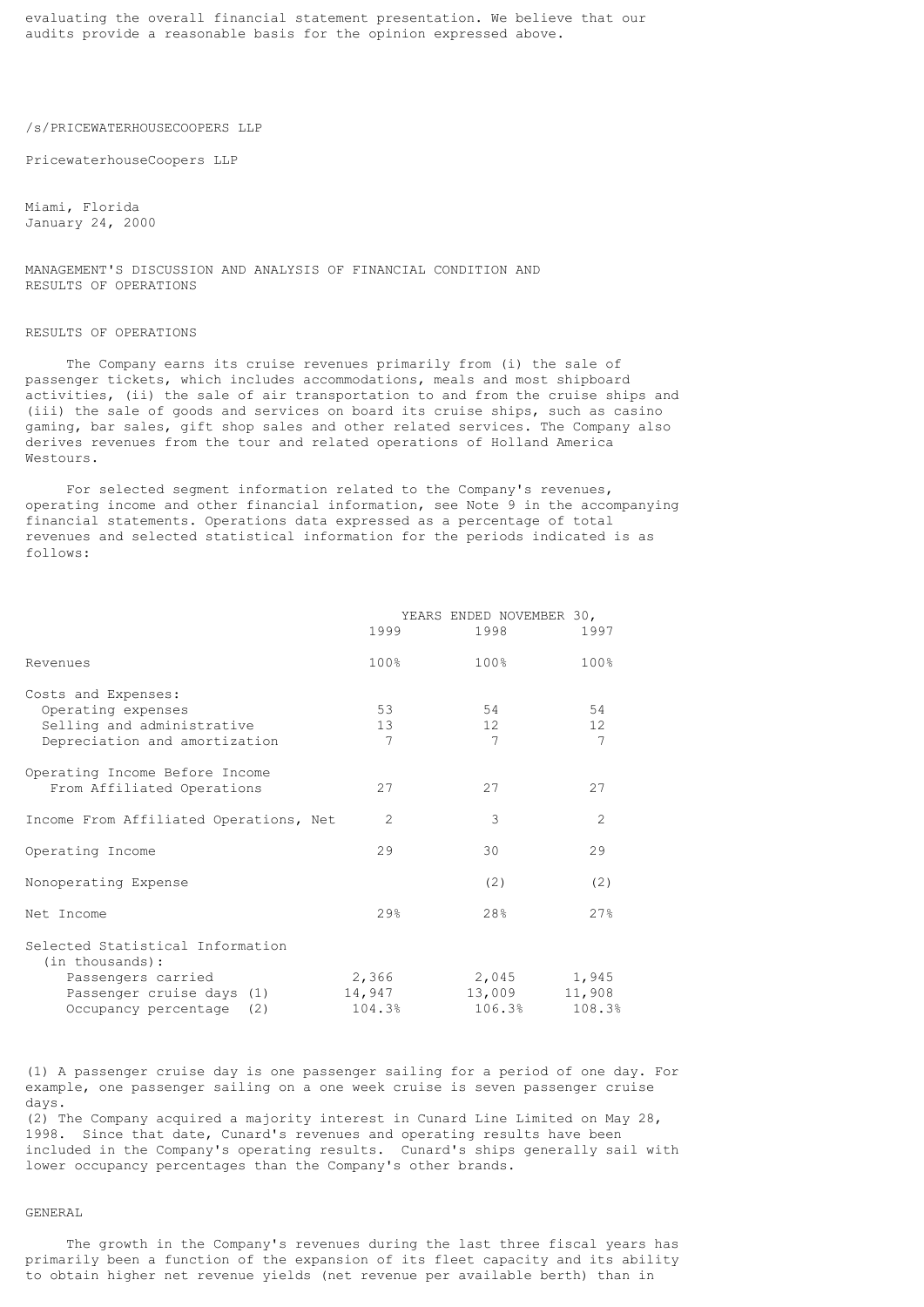evaluating the overall financial statement presentation. We believe that our audits provide a reasonable basis for the opinion expressed above.

# /s/PRICEWATERHOUSECOOPERS LLP

PricewaterhouseCoopers LLP

Miami, Florida January 24, 2000

MANAGEMENT'S DISCUSSION AND ANALYSIS OF FINANCIAL CONDITION AND RESULTS OF OPERATIONS

# RESULTS OF OPERATIONS

 The Company earns its cruise revenues primarily from (i) the sale of passenger tickets, which includes accommodations, meals and most shipboard activities, (ii) the sale of air transportation to and from the cruise ships and (iii) the sale of goods and services on board its cruise ships, such as casino gaming, bar sales, gift shop sales and other related services. The Company also derives revenues from the tour and related operations of Holland America Westours.

 For selected segment information related to the Company's revenues, operating income and other financial information, see Note 9 in the accompanying financial statements. Operations data expressed as a percentage of total revenues and selected statistical information for the periods indicated is as follows:

|                                                                                                                                       | 1999                       | YEARS ENDED NOVEMBER 30,<br>1998        | 1997                       |
|---------------------------------------------------------------------------------------------------------------------------------------|----------------------------|-----------------------------------------|----------------------------|
| Revenues                                                                                                                              | 100%                       | 100%                                    | 100%                       |
| Costs and Expenses:<br>Operating expenses<br>Selling and administrative<br>Depreciation and amortization                              | 53<br>13 <sup>°</sup><br>7 | 54<br>12 <sup>1</sup><br>$\overline{7}$ | 54<br>12<br>$\overline{7}$ |
| Operating Income Before Income<br>From Affiliated Operations                                                                          | 27                         | 27                                      | 27                         |
| Income From Affiliated Operations, Net                                                                                                | $\overline{2}$             | 3                                       | $\mathfrak{D}$             |
| Operating Income                                                                                                                      | 29                         | 30                                      | 29                         |
| Nonoperating Expense                                                                                                                  |                            | (2)                                     | (2)                        |
| Net Income                                                                                                                            | $29$ <sup>8</sup>          | 28%                                     | 27%                        |
| Selected Statistical Information<br>(in thousands):<br>Passengers carried<br>Passenger cruise days (1)<br>Occupancy percentage<br>(2) | 2,366<br>14,947<br>104.3%  | 2,045<br>13,009<br>106.3%               | 1,945<br>11,908<br>108.3%  |

(1) A passenger cruise day is one passenger sailing for a period of one day. For example, one passenger sailing on a one week cruise is seven passenger cruise days.

(2) The Company acquired a majority interest in Cunard Line Limited on May 28, 1998. Since that date, Cunard's revenues and operating results have been included in the Company's operating results. Cunard's ships generally sail with lower occupancy percentages than the Company's other brands.

# GENERAL

 The growth in the Company's revenues during the last three fiscal years has primarily been a function of the expansion of its fleet capacity and its ability to obtain higher net revenue yields (net revenue per available berth) than in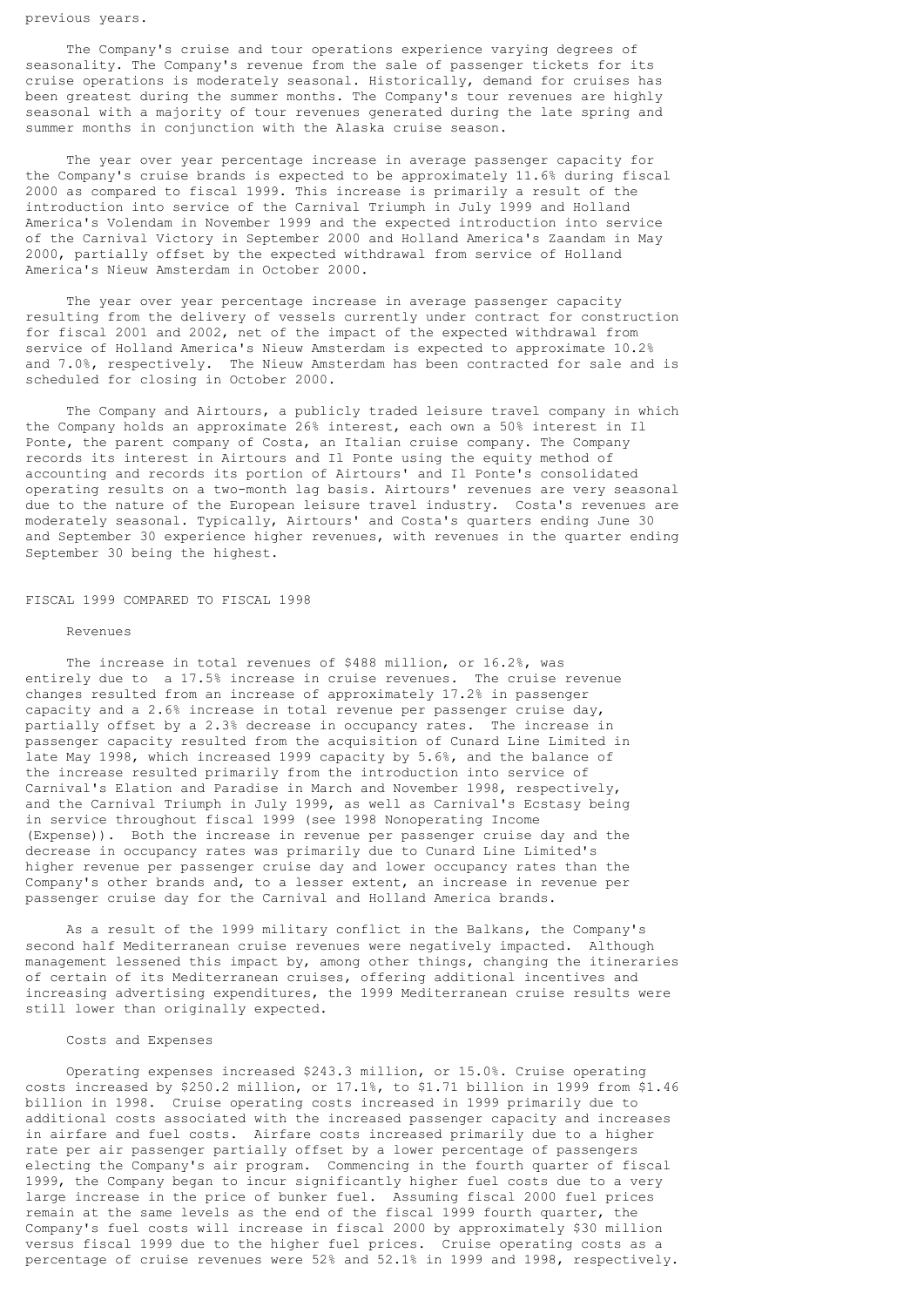The Company's cruise and tour operations experience varying degrees of seasonality. The Company's revenue from the sale of passenger tickets for its cruise operations is moderately seasonal. Historically, demand for cruises has been greatest during the summer months. The Company's tour revenues are highly seasonal with a majority of tour revenues generated during the late spring and summer months in conjunction with the Alaska cruise season.

 The year over year percentage increase in average passenger capacity for the Company's cruise brands is expected to be approximately 11.6% during fiscal 2000 as compared to fiscal 1999. This increase is primarily a result of the introduction into service of the Carnival Triumph in July 1999 and Holland America's Volendam in November 1999 and the expected introduction into service of the Carnival Victory in September 2000 and Holland America's Zaandam in May 2000, partially offset by the expected withdrawal from service of Holland America's Nieuw Amsterdam in October 2000.

 The year over year percentage increase in average passenger capacity resulting from the delivery of vessels currently under contract for construction for fiscal 2001 and 2002, net of the impact of the expected withdrawal from service of Holland America's Nieuw Amsterdam is expected to approximate 10.2% and 7.0%, respectively. The Nieuw Amsterdam has been contracted for sale and is scheduled for closing in October 2000.

 The Company and Airtours, a publicly traded leisure travel company in which the Company holds an approximate 26% interest, each own a 50% interest in Il Ponte, the parent company of Costa, an Italian cruise company. The Company records its interest in Airtours and Il Ponte using the equity method of accounting and records its portion of Airtours' and Il Ponte's consolidated operating results on a two-month lag basis. Airtours' revenues are very seasonal due to the nature of the European leisure travel industry. Costa's revenues are moderately seasonal. Typically, Airtours' and Costa's quarters ending June 30 and September 30 experience higher revenues, with revenues in the quarter ending September 30 being the highest.

#### FISCAL 1999 COMPARED TO FISCAL 1998

#### Revenues

 The increase in total revenues of \$488 million, or 16.2%, was entirely due to a 17.5% increase in cruise revenues. The cruise revenue changes resulted from an increase of approximately 17.2% in passenger capacity and a 2.6% increase in total revenue per passenger cruise day, partially offset by a 2.3% decrease in occupancy rates. The increase in passenger capacity resulted from the acquisition of Cunard Line Limited in late May 1998, which increased 1999 capacity by 5.6%, and the balance of the increase resulted primarily from the introduction into service of Carnival's Elation and Paradise in March and November 1998, respectively, and the Carnival Triumph in July 1999, as well as Carnival's Ecstasy being in service throughout fiscal 1999 (see 1998 Nonoperating Income (Expense)). Both the increase in revenue per passenger cruise day and the decrease in occupancy rates was primarily due to Cunard Line Limited's higher revenue per passenger cruise day and lower occupancy rates than the Company's other brands and, to a lesser extent, an increase in revenue per passenger cruise day for the Carnival and Holland America brands.

 As a result of the 1999 military conflict in the Balkans, the Company's second half Mediterranean cruise revenues were negatively impacted. Although management lessened this impact by, among other things, changing the itineraries of certain of its Mediterranean cruises, offering additional incentives and increasing advertising expenditures, the 1999 Mediterranean cruise results were still lower than originally expected.

#### Costs and Expenses

 Operating expenses increased \$243.3 million, or 15.0%. Cruise operating costs increased by \$250.2 million, or 17.1%, to \$1.71 billion in 1999 from \$1.46 billion in 1998. Cruise operating costs increased in 1999 primarily due to additional costs associated with the increased passenger capacity and increases in airfare and fuel costs. Airfare costs increased primarily due to a higher rate per air passenger partially offset by a lower percentage of passengers electing the Company's air program. Commencing in the fourth quarter of fiscal 1999, the Company began to incur significantly higher fuel costs due to a very large increase in the price of bunker fuel. Assuming fiscal 2000 fuel prices remain at the same levels as the end of the fiscal 1999 fourth quarter, the Company's fuel costs will increase in fiscal 2000 by approximately \$30 million versus fiscal 1999 due to the higher fuel prices. Cruise operating costs as a percentage of cruise revenues were 52% and 52.1% in 1999 and 1998, respectively.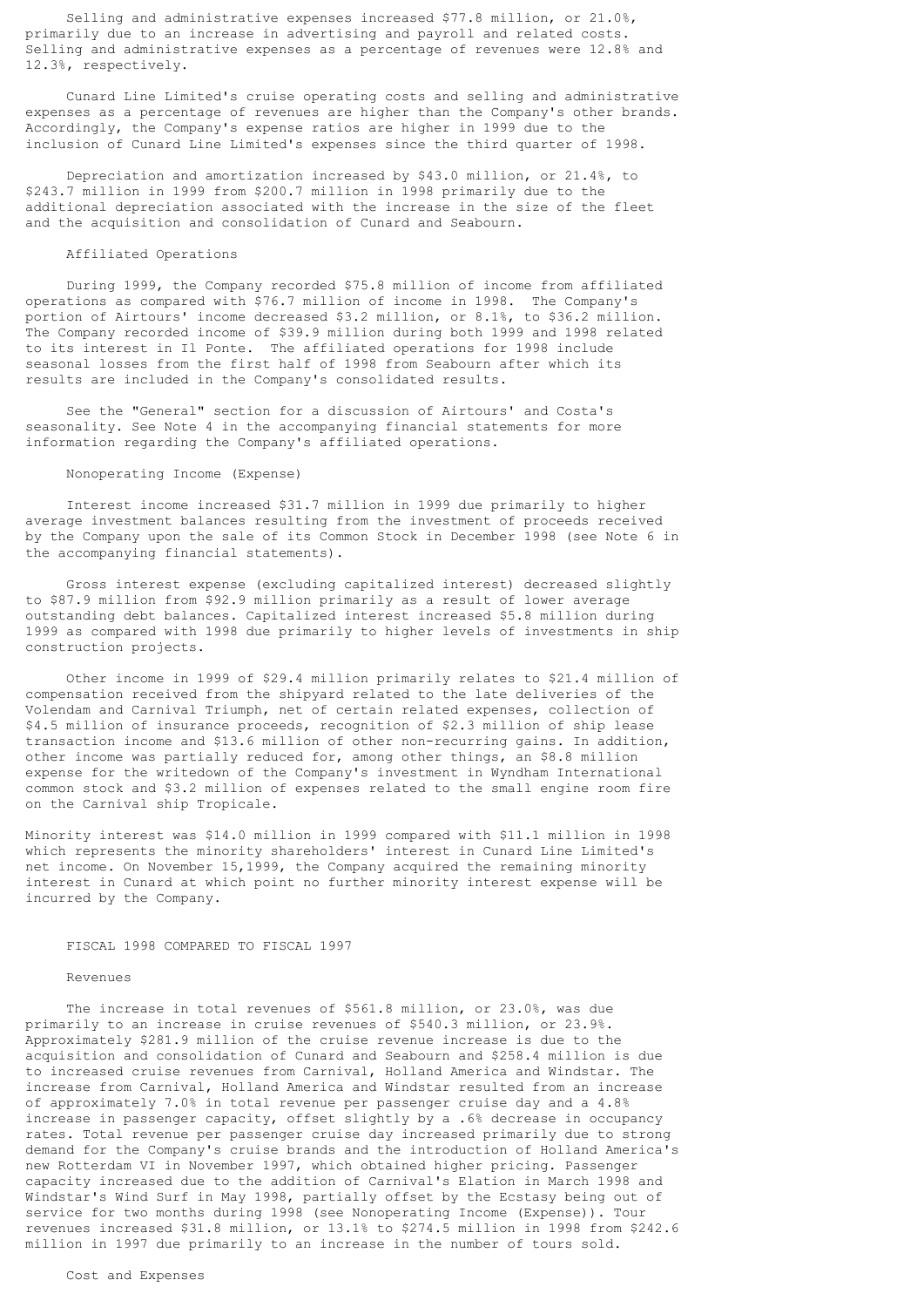Selling and administrative expenses increased \$77.8 million, or 21.0%, primarily due to an increase in advertising and payroll and related costs. Selling and administrative expenses as a percentage of revenues were 12.8% and 12.3%, respectively.

 Cunard Line Limited's cruise operating costs and selling and administrative expenses as a percentage of revenues are higher than the Company's other brands. Accordingly, the Company's expense ratios are higher in 1999 due to the inclusion of Cunard Line Limited's expenses since the third quarter of 1998.

 Depreciation and amortization increased by \$43.0 million, or 21.4%, to \$243.7 million in 1999 from \$200.7 million in 1998 primarily due to the additional depreciation associated with the increase in the size of the fleet and the acquisition and consolidation of Cunard and Seabourn.

# Affiliated Operations

 During 1999, the Company recorded \$75.8 million of income from affiliated operations as compared with \$76.7 million of income in 1998. The Company's portion of Airtours' income decreased \$3.2 million, or 8.1%, to \$36.2 million. The Company recorded income of \$39.9 million during both 1999 and 1998 related to its interest in Il Ponte. The affiliated operations for 1998 include seasonal losses from the first half of 1998 from Seabourn after which its results are included in the Company's consolidated results.

 See the "General" section for a discussion of Airtours' and Costa's seasonality. See Note 4 in the accompanying financial statements for more information regarding the Company's affiliated operations.

#### Nonoperating Income (Expense)

 Interest income increased \$31.7 million in 1999 due primarily to higher average investment balances resulting from the investment of proceeds received by the Company upon the sale of its Common Stock in December 1998 (see Note 6 in the accompanying financial statements).

 Gross interest expense (excluding capitalized interest) decreased slightly to \$87.9 million from \$92.9 million primarily as a result of lower average outstanding debt balances. Capitalized interest increased \$5.8 million during 1999 as compared with 1998 due primarily to higher levels of investments in ship construction projects.

 Other income in 1999 of \$29.4 million primarily relates to \$21.4 million of compensation received from the shipyard related to the late deliveries of the Volendam and Carnival Triumph, net of certain related expenses, collection of \$4.5 million of insurance proceeds, recognition of \$2.3 million of ship lease transaction income and \$13.6 million of other non-recurring gains. In addition, other income was partially reduced for, among other things, an \$8.8 million expense for the writedown of the Company's investment in Wyndham International common stock and \$3.2 million of expenses related to the small engine room fire on the Carnival ship Tropicale.

Minority interest was \$14.0 million in 1999 compared with \$11.1 million in 1998 which represents the minority shareholders' interest in Cunard Line Limited's net income. On November 15,1999, the Company acquired the remaining minority interest in Cunard at which point no further minority interest expense will be incurred by the Company.

# FISCAL 1998 COMPARED TO FISCAL 1997

#### Revenues

 The increase in total revenues of \$561.8 million, or 23.0%, was due primarily to an increase in cruise revenues of \$540.3 million, or 23.9%. Approximately \$281.9 million of the cruise revenue increase is due to the acquisition and consolidation of Cunard and Seabourn and \$258.4 million is due to increased cruise revenues from Carnival, Holland America and Windstar. The increase from Carnival, Holland America and Windstar resulted from an increase of approximately 7.0% in total revenue per passenger cruise day and a 4.8% increase in passenger capacity, offset slightly by a .6% decrease in occupancy rates. Total revenue per passenger cruise day increased primarily due to strong demand for the Company's cruise brands and the introduction of Holland America's new Rotterdam VI in November 1997, which obtained higher pricing. Passenger capacity increased due to the addition of Carnival's Elation in March 1998 and Windstar's Wind Surf in May 1998, partially offset by the Ecstasy being out of service for two months during 1998 (see Nonoperating Income (Expense)). Tour revenues increased \$31.8 million, or 13.1% to \$274.5 million in 1998 from \$242.6 million in 1997 due primarily to an increase in the number of tours sold.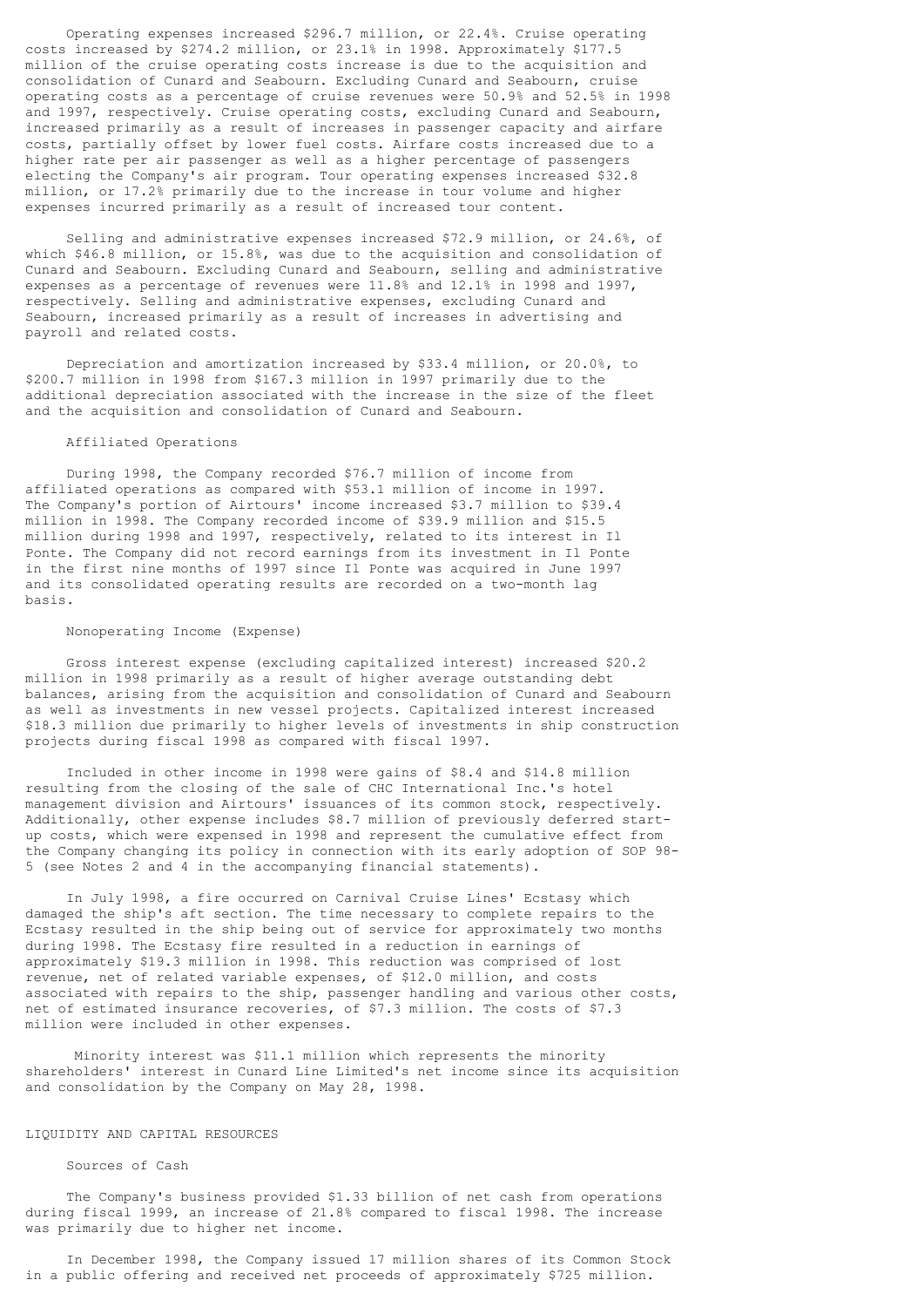Operating expenses increased \$296.7 million, or 22.4%. Cruise operating costs increased by \$274.2 million, or 23.1% in 1998. Approximately \$177.5 million of the cruise operating costs increase is due to the acquisition and consolidation of Cunard and Seabourn. Excluding Cunard and Seabourn, cruise operating costs as a percentage of cruise revenues were 50.9% and 52.5% in 1998 and 1997, respectively. Cruise operating costs, excluding Cunard and Seabourn, increased primarily as a result of increases in passenger capacity and airfare costs, partially offset by lower fuel costs. Airfare costs increased due to a higher rate per air passenger as well as a higher percentage of passengers electing the Company's air program. Tour operating expenses increased \$32.8 million, or 17.2% primarily due to the increase in tour volume and higher expenses incurred primarily as a result of increased tour content.

 Selling and administrative expenses increased \$72.9 million, or 24.6%, of which \$46.8 million, or 15.8%, was due to the acquisition and consolidation of Cunard and Seabourn. Excluding Cunard and Seabourn, selling and administrative expenses as a percentage of revenues were 11.8% and 12.1% in 1998 and 1997, respectively. Selling and administrative expenses, excluding Cunard and Seabourn, increased primarily as a result of increases in advertising and payroll and related costs.

 Depreciation and amortization increased by \$33.4 million, or 20.0%, to \$200.7 million in 1998 from \$167.3 million in 1997 primarily due to the additional depreciation associated with the increase in the size of the fleet and the acquisition and consolidation of Cunard and Seabourn.

# Affiliated Operations

 During 1998, the Company recorded \$76.7 million of income from affiliated operations as compared with \$53.1 million of income in 1997. The Company's portion of Airtours' income increased \$3.7 million to \$39.4 million in 1998. The Company recorded income of \$39.9 million and \$15.5 million during 1998 and 1997, respectively, related to its interest in Il Ponte. The Company did not record earnings from its investment in Il Ponte in the first nine months of 1997 since Il Ponte was acquired in June 1997 and its consolidated operating results are recorded on a two-month lag basis.

### Nonoperating Income (Expense)

 Gross interest expense (excluding capitalized interest) increased \$20.2 million in 1998 primarily as a result of higher average outstanding debt balances, arising from the acquisition and consolidation of Cunard and Seabourn as well as investments in new vessel projects. Capitalized interest increased \$18.3 million due primarily to higher levels of investments in ship construction projects during fiscal 1998 as compared with fiscal 1997.

 Included in other income in 1998 were gains of \$8.4 and \$14.8 million resulting from the closing of the sale of CHC International Inc.'s hotel management division and Airtours' issuances of its common stock, respectively. Additionally, other expense includes \$8.7 million of previously deferred startup costs, which were expensed in 1998 and represent the cumulative effect from the Company changing its policy in connection with its early adoption of SOP 98- 5 (see Notes 2 and 4 in the accompanying financial statements).

 In July 1998, a fire occurred on Carnival Cruise Lines' Ecstasy which damaged the ship's aft section. The time necessary to complete repairs to the Ecstasy resulted in the ship being out of service for approximately two months during 1998. The Ecstasy fire resulted in a reduction in earnings of approximately \$19.3 million in 1998. This reduction was comprised of lost revenue, net of related variable expenses, of \$12.0 million, and costs associated with repairs to the ship, passenger handling and various other costs, net of estimated insurance recoveries, of \$7.3 million. The costs of \$7.3 million were included in other expenses.

 Minority interest was \$11.1 million which represents the minority shareholders' interest in Cunard Line Limited's net income since its acquisition and consolidation by the Company on May 28, 1998.

# LIQUIDITY AND CAPITAL RESOURCES

#### Sources of Cash

 The Company's business provided \$1.33 billion of net cash from operations during fiscal 1999, an increase of 21.8% compared to fiscal 1998. The increase was primarily due to higher net income.

 In December 1998, the Company issued 17 million shares of its Common Stock in a public offering and received net proceeds of approximately \$725 million.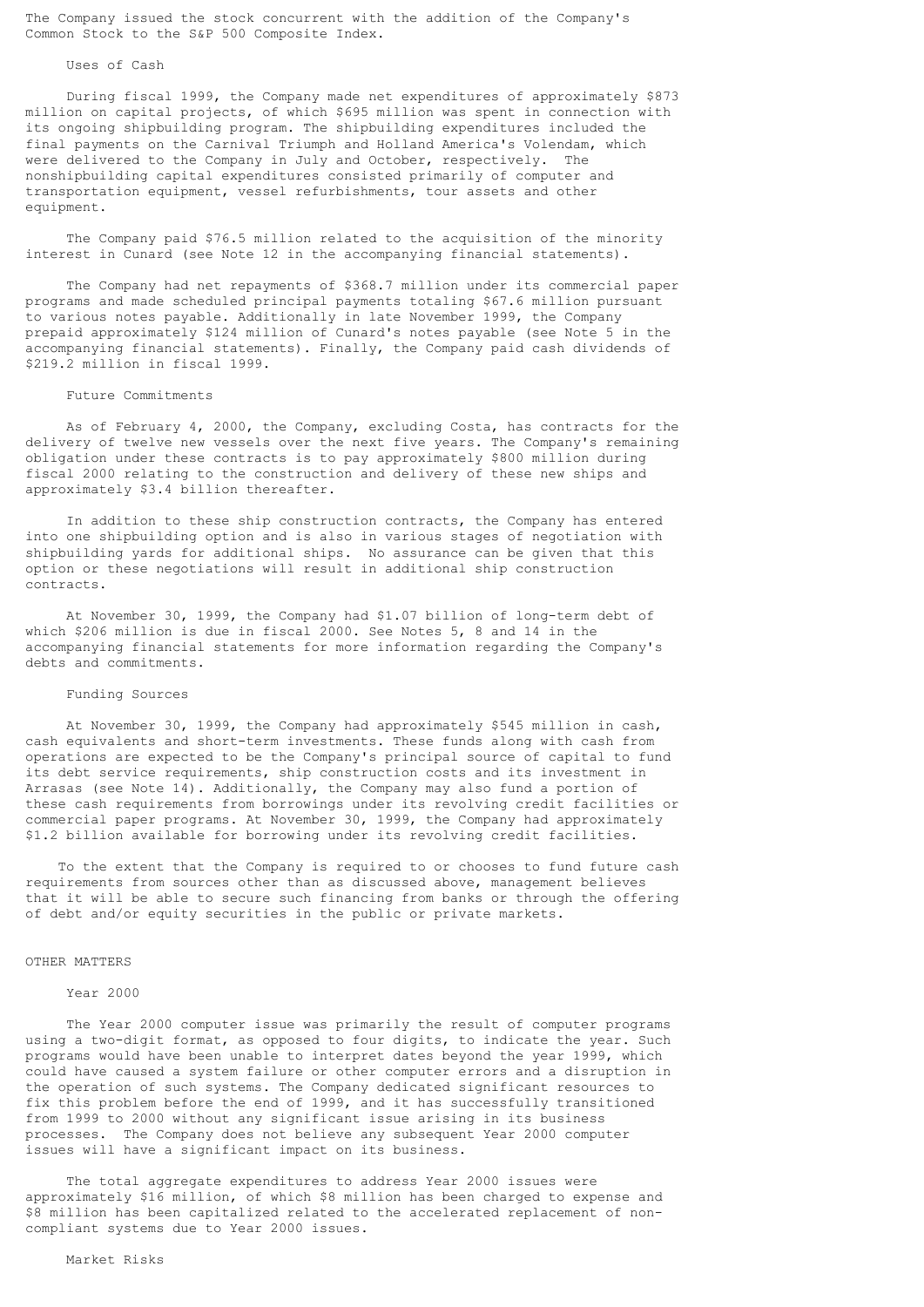The Company issued the stock concurrent with the addition of the Company's Common Stock to the S&P 500 Composite Index.

### Uses of Cash

 During fiscal 1999, the Company made net expenditures of approximately \$873 million on capital projects, of which \$695 million was spent in connection with its ongoing shipbuilding program. The shipbuilding expenditures included the final payments on the Carnival Triumph and Holland America's Volendam, which were delivered to the Company in July and October, respectively. The nonshipbuilding capital expenditures consisted primarily of computer and transportation equipment, vessel refurbishments, tour assets and other equipment.

 The Company paid \$76.5 million related to the acquisition of the minority interest in Cunard (see Note 12 in the accompanying financial statements).

 The Company had net repayments of \$368.7 million under its commercial paper programs and made scheduled principal payments totaling \$67.6 million pursuant to various notes payable. Additionally in late November 1999, the Company prepaid approximately \$124 million of Cunard's notes payable (see Note 5 in the accompanying financial statements). Finally, the Company paid cash dividends of \$219.2 million in fiscal 1999.

#### Future Commitments

 As of February 4, 2000, the Company, excluding Costa, has contracts for the delivery of twelve new vessels over the next five years. The Company's remaining obligation under these contracts is to pay approximately \$800 million during fiscal 2000 relating to the construction and delivery of these new ships and approximately \$3.4 billion thereafter.

 In addition to these ship construction contracts, the Company has entered into one shipbuilding option and is also in various stages of negotiation with shipbuilding yards for additional ships. No assurance can be given that this option or these negotiations will result in additional ship construction contracts.

 At November 30, 1999, the Company had \$1.07 billion of long-term debt of which \$206 million is due in fiscal 2000. See Notes 5, 8 and 14 in the accompanying financial statements for more information regarding the Company's debts and commitments.

## Funding Sources

 At November 30, 1999, the Company had approximately \$545 million in cash, cash equivalents and short-term investments. These funds along with cash from operations are expected to be the Company's principal source of capital to fund its debt service requirements, ship construction costs and its investment in Arrasas (see Note 14). Additionally, the Company may also fund a portion of these cash requirements from borrowings under its revolving credit facilities or commercial paper programs. At November 30, 1999, the Company had approximately \$1.2 billion available for borrowing under its revolving credit facilities.

 To the extent that the Company is required to or chooses to fund future cash requirements from sources other than as discussed above, management believes that it will be able to secure such financing from banks or through the offering of debt and/or equity securities in the public or private markets.

### OTHER MATTERS

### Year 2000

 The Year 2000 computer issue was primarily the result of computer programs using a two-digit format, as opposed to four digits, to indicate the year. Such programs would have been unable to interpret dates beyond the year 1999, which could have caused a system failure or other computer errors and a disruption in the operation of such systems. The Company dedicated significant resources to fix this problem before the end of 1999, and it has successfully transitioned from 1999 to 2000 without any significant issue arising in its business processes. The Company does not believe any subsequent Year 2000 computer issues will have a significant impact on its business.

 The total aggregate expenditures to address Year 2000 issues were approximately \$16 million, of which \$8 million has been charged to expense and \$8 million has been capitalized related to the accelerated replacement of noncompliant systems due to Year 2000 issues.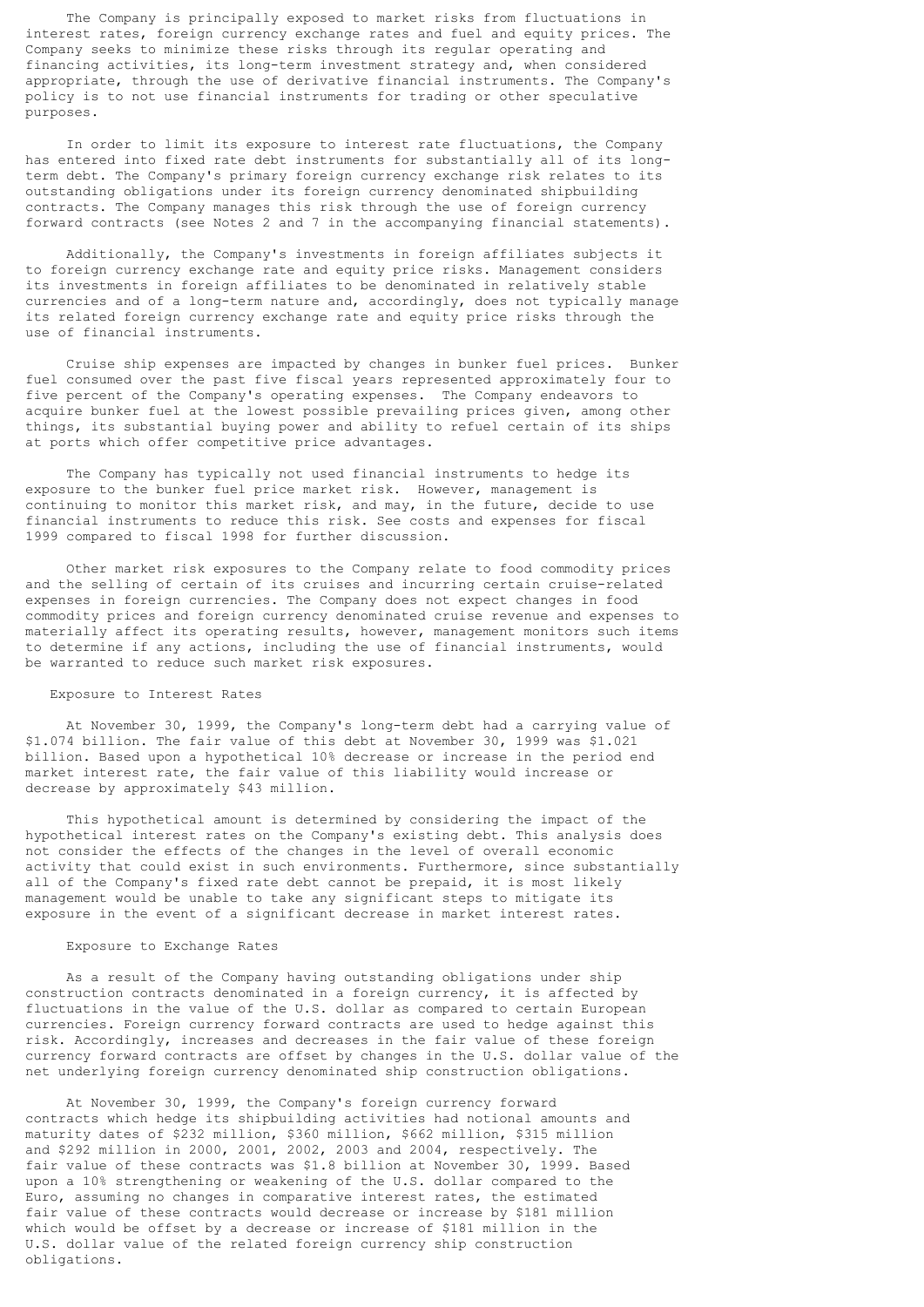The Company is principally exposed to market risks from fluctuations in interest rates, foreign currency exchange rates and fuel and equity prices. The Company seeks to minimize these risks through its regular operating and financing activities, its long-term investment strategy and, when considered appropriate, through the use of derivative financial instruments. The Company's policy is to not use financial instruments for trading or other speculative purposes.

 In order to limit its exposure to interest rate fluctuations, the Company has entered into fixed rate debt instruments for substantially all of its longterm debt. The Company's primary foreign currency exchange risk relates to its outstanding obligations under its foreign currency denominated shipbuilding contracts. The Company manages this risk through the use of foreign currency forward contracts (see Notes 2 and 7 in the accompanying financial statements).

 Additionally, the Company's investments in foreign affiliates subjects it to foreign currency exchange rate and equity price risks. Management considers its investments in foreign affiliates to be denominated in relatively stable currencies and of a long-term nature and, accordingly, does not typically manage its related foreign currency exchange rate and equity price risks through the use of financial instruments.

 Cruise ship expenses are impacted by changes in bunker fuel prices. Bunker fuel consumed over the past five fiscal years represented approximately four to five percent of the Company's operating expenses. The Company endeavors to acquire bunker fuel at the lowest possible prevailing prices given, among other things, its substantial buying power and ability to refuel certain of its ships at ports which offer competitive price advantages.

 The Company has typically not used financial instruments to hedge its exposure to the bunker fuel price market risk. However, management is continuing to monitor this market risk, and may, in the future, decide to use financial instruments to reduce this risk. See costs and expenses for fiscal 1999 compared to fiscal 1998 for further discussion.

 Other market risk exposures to the Company relate to food commodity prices and the selling of certain of its cruises and incurring certain cruise-related expenses in foreign currencies. The Company does not expect changes in food commodity prices and foreign currency denominated cruise revenue and expenses to materially affect its operating results, however, management monitors such items to determine if any actions, including the use of financial instruments, would be warranted to reduce such market risk exposures.

#### Exposure to Interest Rates

 At November 30, 1999, the Company's long-term debt had a carrying value of \$1.074 billion. The fair value of this debt at November 30, 1999 was \$1.021 billion. Based upon a hypothetical 10% decrease or increase in the period end market interest rate, the fair value of this liability would increase or decrease by approximately \$43 million.

 This hypothetical amount is determined by considering the impact of the hypothetical interest rates on the Company's existing debt. This analysis does not consider the effects of the changes in the level of overall economic activity that could exist in such environments. Furthermore, since substantially all of the Company's fixed rate debt cannot be prepaid, it is most likely management would be unable to take any significant steps to mitigate its exposure in the event of a significant decrease in market interest rates.

## Exposure to Exchange Rates

 As a result of the Company having outstanding obligations under ship construction contracts denominated in a foreign currency, it is affected by fluctuations in the value of the U.S. dollar as compared to certain European currencies. Foreign currency forward contracts are used to hedge against this risk. Accordingly, increases and decreases in the fair value of these foreign currency forward contracts are offset by changes in the U.S. dollar value of the net underlying foreign currency denominated ship construction obligations.

 At November 30, 1999, the Company's foreign currency forward contracts which hedge its shipbuilding activities had notional amounts and maturity dates of \$232 million, \$360 million, \$662 million, \$315 million and \$292 million in 2000, 2001, 2002, 2003 and 2004, respectively. The fair value of these contracts was \$1.8 billion at November 30, 1999. Based upon a 10% strengthening or weakening of the U.S. dollar compared to the Euro, assuming no changes in comparative interest rates, the estimated fair value of these contracts would decrease or increase by \$181 million which would be offset by a decrease or increase of \$181 million in the U.S. dollar value of the related foreign currency ship construction obligations.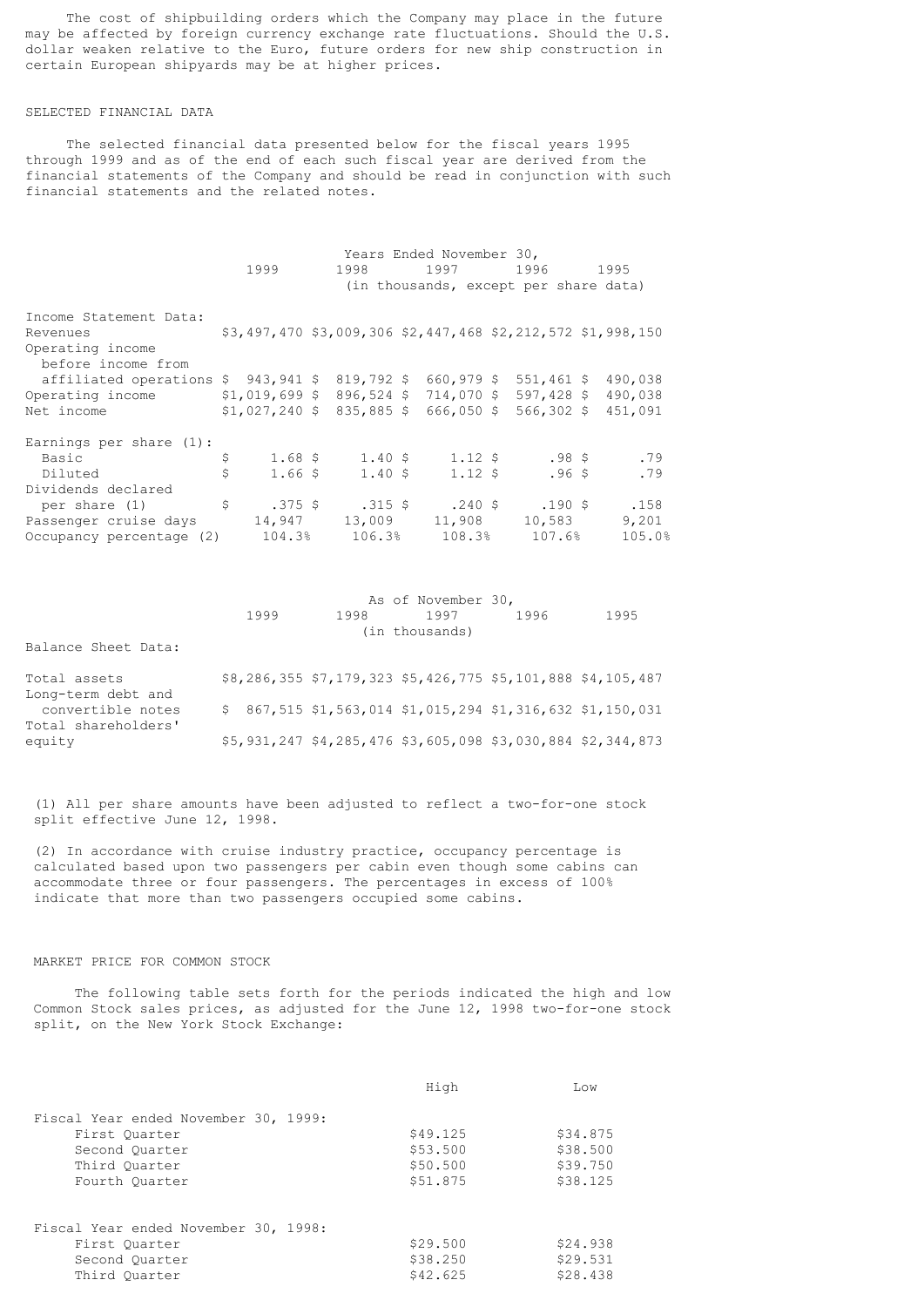The cost of shipbuilding orders which the Company may place in the future may be affected by foreign currency exchange rate fluctuations. Should the U.S. dollar weaken relative to the Euro, future orders for new ship construction in certain European shipyards may be at higher prices.

### SELECTED FINANCIAL DATA

 The selected financial data presented below for the fiscal years 1995 through 1999 and as of the end of each such fiscal year are derived from the financial statements of the Company and should be read in conjunction with such financial statements and the related notes.

|                                                                         | 1999                                                             | 1998 | Years Ended November 30,      | 1997 1996<br>(in thousands, except per share data) | 1995    |
|-------------------------------------------------------------------------|------------------------------------------------------------------|------|-------------------------------|----------------------------------------------------|---------|
| Income Statement Data:                                                  |                                                                  |      |                               |                                                    |         |
| Revenues                                                                | $$3,497,470$ $$3,009,306$ $$2,447,468$ $$2,212,572$ $$1,998,150$ |      |                               |                                                    |         |
| Operating income                                                        |                                                                  |      |                               |                                                    |         |
| before income from                                                      |                                                                  |      |                               |                                                    |         |
| affiliated operations \$943,941 \$819,792 \$660,979 \$551,461 \$490,038 |                                                                  |      |                               |                                                    |         |
| Operating income                                                        | $$1,019,699$ \$ 896,524 \$ 714,070 \$ 597,428 \$ 490,038         |      |                               |                                                    |         |
| Net income                                                              | $$1,027,240$ \$ 835,885 \$ 666,050 \$                            |      |                               | $566,302$ \$                                       | 451,091 |
| Earnings per share $(1)$ :                                              |                                                                  |      |                               |                                                    |         |
| Basic                                                                   |                                                                  |      | $1.68$ \$ $1.40$ \$ $1.12$ \$ | $.98$ \$                                           | .79     |
| Diluted                                                                 |                                                                  |      | $1.66$ \$ $1.40$ \$ $1.12$ \$ | $.96$ \$                                           | .79     |
| Dividends declared                                                      |                                                                  |      |                               |                                                    |         |
| per share (1) $\qquad \qquad$ \$ .375 \$ .315 \$ .240 \$ .190 \$        |                                                                  |      |                               |                                                    | .158    |
| Passenger cruise days                                                   |                                                                  |      | 14,947 13,009 11,908          | 10,583                                             | 9,201   |
| Occupancy percentage (2)                                                | $104.3\%$ $106.3\%$ $108.3\%$ $107.6\%$                          |      |                               |                                                    | 105.0%  |

|                     | As of November 30, |      |                |      |                                                             |  |  |  |
|---------------------|--------------------|------|----------------|------|-------------------------------------------------------------|--|--|--|
|                     | 1999               | 1998 | 1997           | 1996 | 1995                                                        |  |  |  |
|                     |                    |      | (in thousands) |      |                                                             |  |  |  |
| Balance Sheet Data: |                    |      |                |      |                                                             |  |  |  |
| Total assets        |                    |      |                |      | \$8,286,355 \$7,179,323 \$5,426,775 \$5,101,888 \$4,105,487 |  |  |  |
| Long-term debt and  |                    |      |                |      |                                                             |  |  |  |
| convertible notes   |                    |      |                |      | $$867,515$ \$1,563,014 \$1,015,294 \$1,316,632 \$1,150,031  |  |  |  |
| Total shareholders' |                    |      |                |      |                                                             |  |  |  |
| equity              |                    |      |                |      | \$5,931,247 \$4,285,476 \$3,605,098 \$3,030,884 \$2,344,873 |  |  |  |

 (1) All per share amounts have been adjusted to reflect a two-for-one stock split effective June 12, 1998.

 (2) In accordance with cruise industry practice, occupancy percentage is calculated based upon two passengers per cabin even though some cabins can accommodate three or four passengers. The percentages in excess of 100% indicate that more than two passengers occupied some cabins.

# MARKET PRICE FOR COMMON STOCK

 The following table sets forth for the periods indicated the high and low Common Stock sales prices, as adjusted for the June 12, 1998 two-for-one stock split, on the New York Stock Exchange:

|                                      | High     | Low      |
|--------------------------------------|----------|----------|
| Fiscal Year ended November 30, 1999: |          |          |
| First Quarter                        | \$49.125 | \$34.875 |
| Second Ouarter                       | \$53.500 | \$38.500 |
| Third Ouarter                        | \$50.500 | \$39.750 |
| Fourth Ouarter                       | \$51.875 | \$38.125 |
| Fiscal Year ended November 30, 1998: |          |          |
| First Ouarter                        | \$29.500 | \$24.938 |
| Second Ouarter                       | \$38.250 | \$29.531 |
| Third Ouarter                        | \$42.625 | \$28.438 |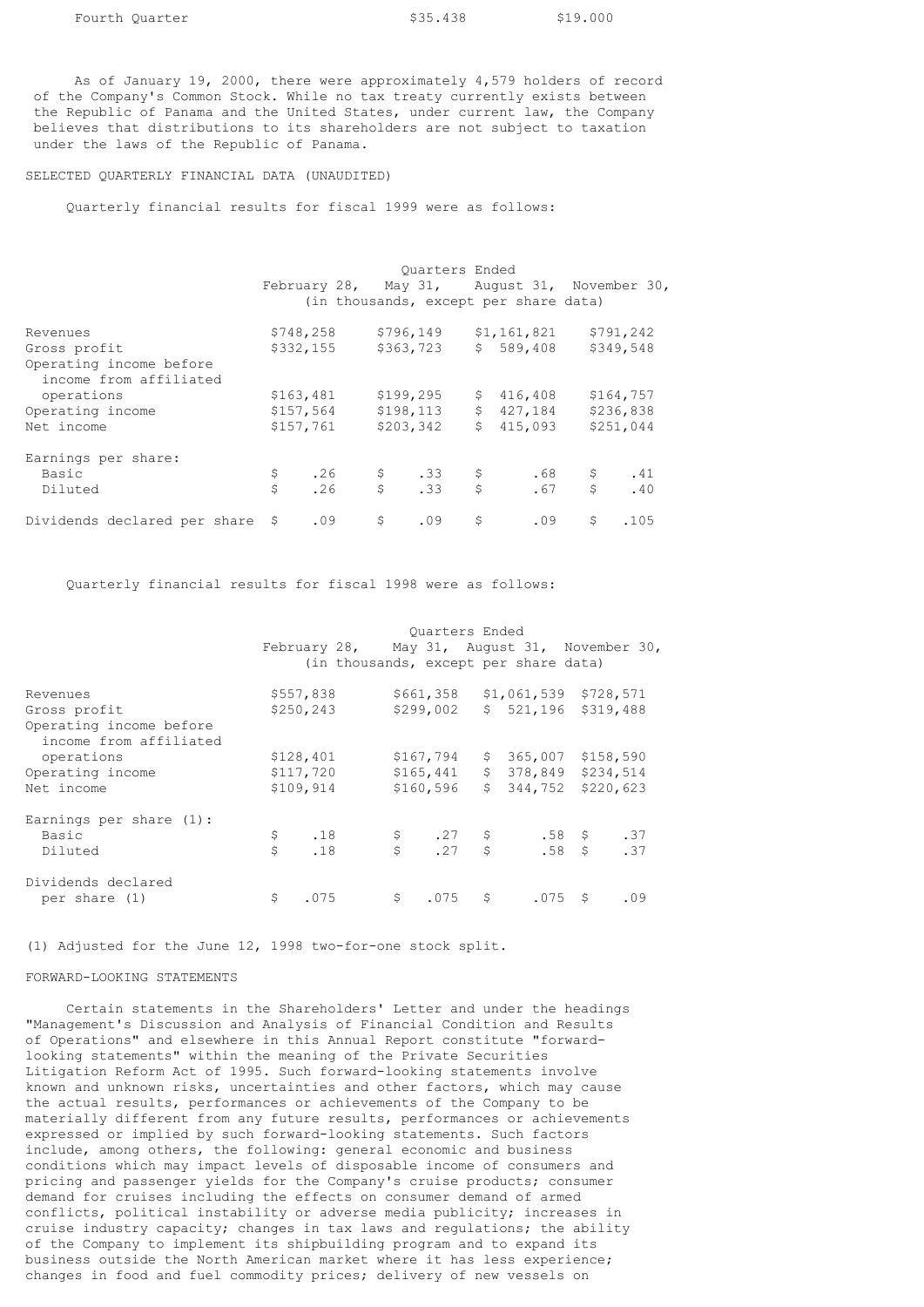As of January 19, 2000, there were approximately 4,579 holders of record of the Company's Common Stock. While no tax treaty currently exists between the Republic of Panama and the United States, under current law, the Company believes that distributions to its shareholders are not subject to taxation under the laws of the Republic of Panama.

SELECTED QUARTERLY FINANCIAL DATA (UNAUDITED)

Quarterly financial results for fiscal 1999 were as follows:

|                                 | Ouarters Ended |     |           |                  |              |                                              |           |      |
|---------------------------------|----------------|-----|-----------|------------------|--------------|----------------------------------------------|-----------|------|
|                                 |                |     |           |                  |              | February 28, May 31, August 31, November 30, |           |      |
|                                 |                |     |           |                  |              | (in thousands, except per share data)        |           |      |
| Revenues                        | \$748,258      |     | \$796,149 |                  |              | \$1,161,821                                  | \$791,242 |      |
| Gross profit                    | \$332,155      |     | \$363,723 |                  |              | \$589,408                                    | \$349,548 |      |
| Operating income before         |                |     |           |                  |              |                                              |           |      |
| income from affiliated          |                |     |           |                  |              |                                              |           |      |
| operations                      | \$163,481      |     | \$199,295 |                  |              | \$416,408                                    | \$164,757 |      |
| Operating income                | \$157,564      |     |           | \$198, 113       |              | \$427,184                                    | \$236,838 |      |
| Net income                      | \$157,761      |     | \$203,342 |                  | \$           | 415,093                                      | \$251,044 |      |
| Earnings per share:             |                |     |           |                  |              |                                              |           |      |
| Basic                           | \$.            | .26 | \$33      |                  | $\mathsf{S}$ | .68                                          | \$        | .41  |
| Diluted                         | Ś              | .26 |           | $\mathsf{S}$ .33 | \$           | .67                                          | \$        | .40  |
| Dividends declared per share \$ |                | .09 | \$        | .09              | \$           | .09                                          | \$        | .105 |

Quarterly financial results for fiscal 1998 were as follows:

|                                                   | Ouarters Ended |                                              |              |           |    |                                                 |  |           |
|---------------------------------------------------|----------------|----------------------------------------------|--------------|-----------|----|-------------------------------------------------|--|-----------|
|                                                   |                | February 28, May 31, August 31, November 30, |              |           |    |                                                 |  |           |
|                                                   |                |                                              |              |           |    | (in thousands, except per share data)           |  |           |
| Revenues                                          |                | \$557,838                                    |              | \$661,358 |    | $$1,061,539$ $$728,571$                         |  |           |
| Gross profit                                      |                | \$250,243                                    |              | \$299,002 |    | $$521,196$ \$319,488                            |  |           |
| Operating income before<br>income from affiliated |                |                                              |              |           |    |                                                 |  |           |
| operations                                        |                | \$128,401                                    |              | \$167,794 | \$ | 365,007                                         |  | \$158,590 |
| Operating income                                  |                | \$117,720                                    |              | \$165,441 |    | $$378,849$ $$234,514$                           |  |           |
| Net income                                        |                | \$109,914                                    |              | \$160,596 | \$ | 344,752                                         |  | \$220,623 |
| Earnings per share $(1)$ :                        |                |                                              |              |           |    |                                                 |  |           |
| Basic                                             | \$             | .18                                          |              |           |    | $$27$ $$58$ $$37$<br>$$58$ $$37$<br>$$58$ $$37$ |  |           |
| Diluted                                           | Ś              | .18                                          |              |           |    | $.58 \quad$ \$                                  |  | .37       |
| Dividends declared                                |                |                                              |              |           |    |                                                 |  |           |
| per share (1)                                     | \$             | .075                                         | $\mathsf{S}$ | $.075$ \$ |    | .075S                                           |  | .09       |

(1) Adjusted for the June 12, 1998 two-for-one stock split.

### FORWARD-LOOKING STATEMENTS

 Certain statements in the Shareholders' Letter and under the headings "Management's Discussion and Analysis of Financial Condition and Results of Operations" and elsewhere in this Annual Report constitute "forwardlooking statements" within the meaning of the Private Securities Litigation Reform Act of 1995. Such forward-looking statements involve known and unknown risks, uncertainties and other factors, which may cause the actual results, performances or achievements of the Company to be materially different from any future results, performances or achievements expressed or implied by such forward-looking statements. Such factors include, among others, the following: general economic and business conditions which may impact levels of disposable income of consumers and pricing and passenger yields for the Company's cruise products; consumer demand for cruises including the effects on consumer demand of armed conflicts, political instability or adverse media publicity; increases in cruise industry capacity; changes in tax laws and regulations; the ability of the Company to implement its shipbuilding program and to expand its business outside the North American market where it has less experience; changes in food and fuel commodity prices; delivery of new vessels on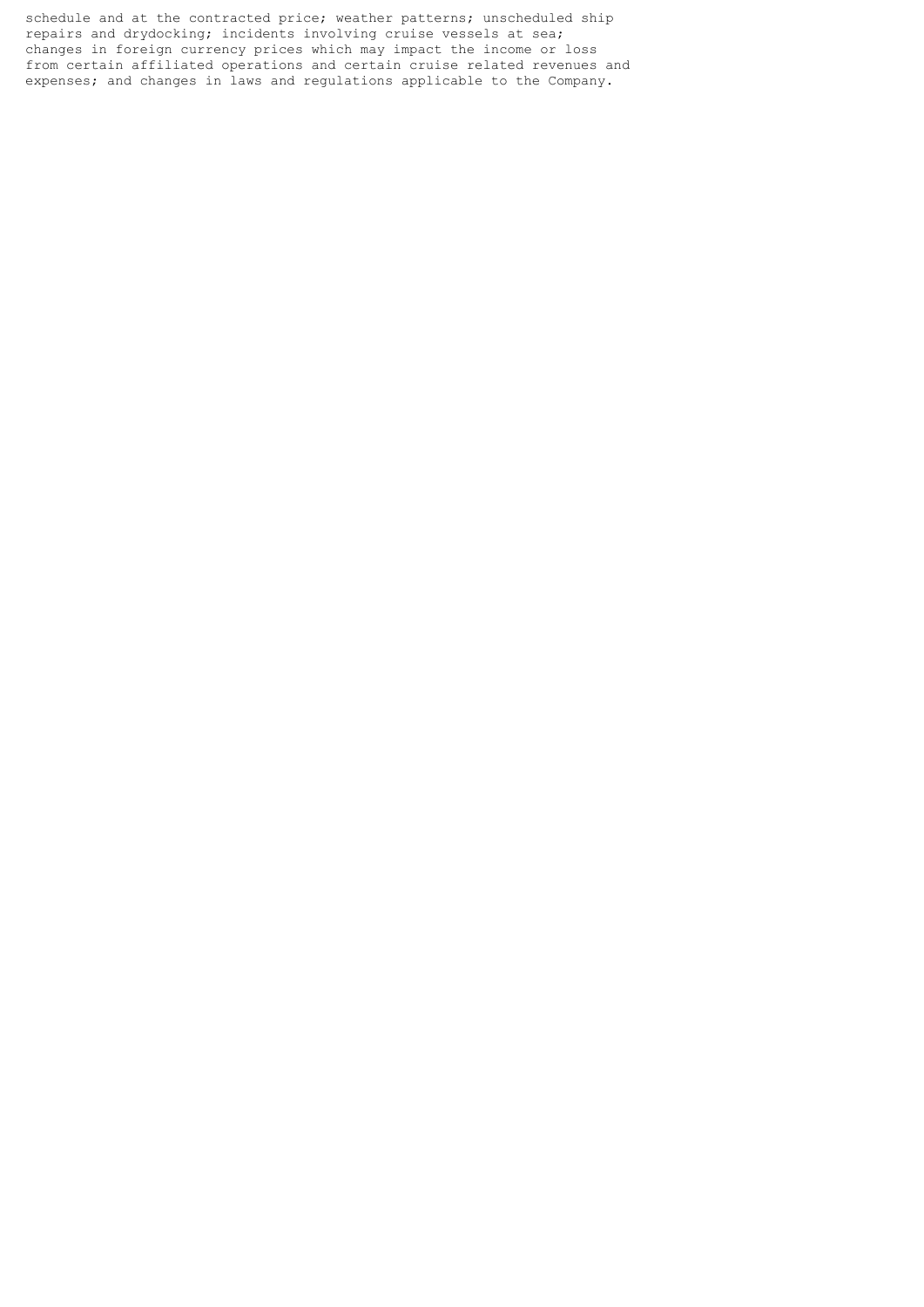schedule and at the contracted price; weather patterns; unscheduled ship repairs and drydocking; incidents involving cruise vessels at sea; changes in foreign currency prices which may impact the income or loss from certain affiliated operations and certain cruise related revenues and expenses; and changes in laws and regulations applicable to the Company.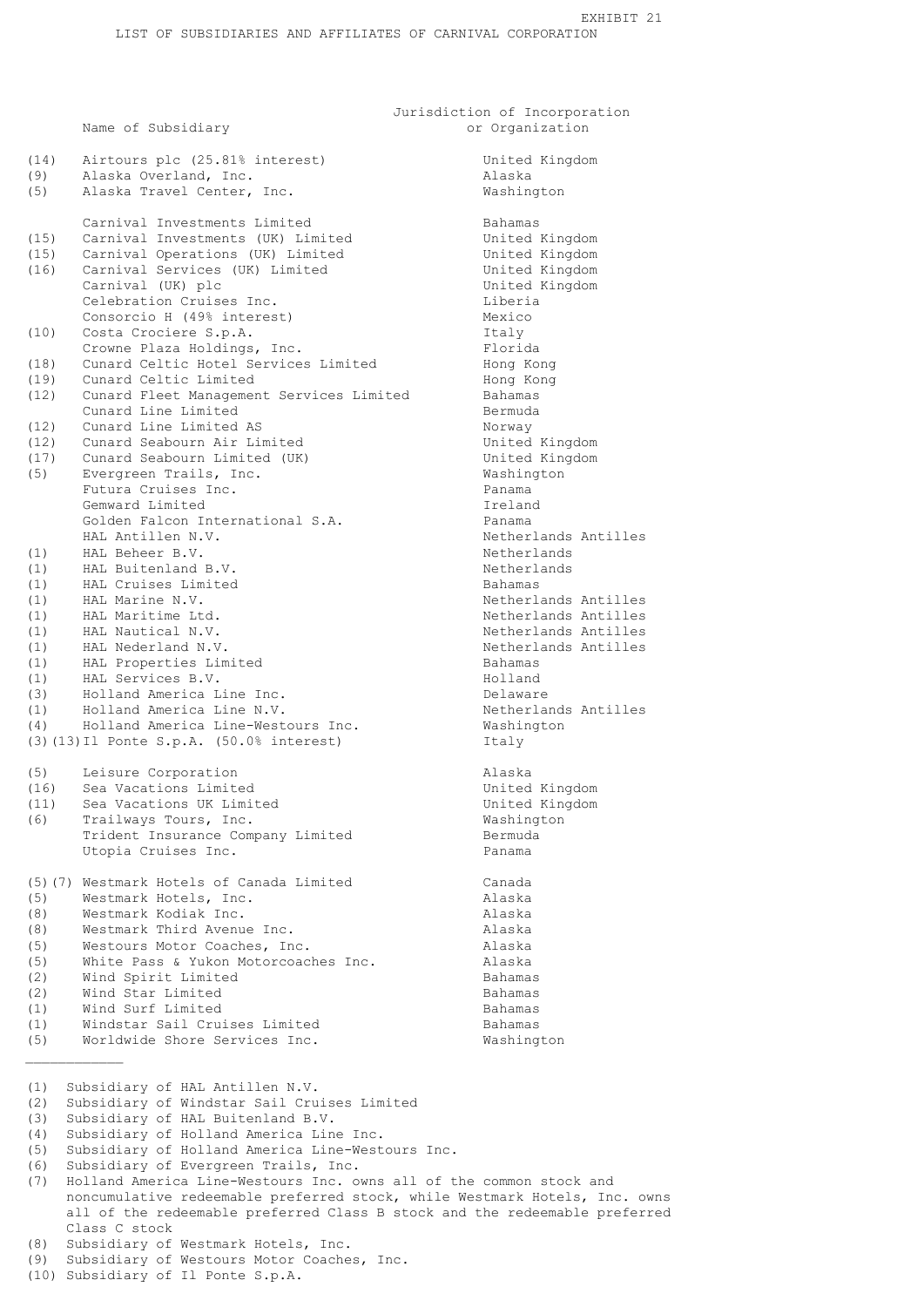Jurisdiction of Incorporation Name of Subsidiary and Subsidiary or Organization

United Kingdom

| (14)         | Airtours plc (25.81% interest)                                                  | United <b>R</b>      |
|--------------|---------------------------------------------------------------------------------|----------------------|
| (9)          | Alaska Overland, Inc.                                                           | Alaska               |
| (5)          | Alaska Travel Center, Inc.                                                      | Washingt             |
|              |                                                                                 |                      |
|              | Carnival Investments Limited                                                    | Bahamas              |
| (15)         | Carnival Investments (UK) Limited                                               | United <b>R</b>      |
| (15)         | Carnival Operations (UK) Limited                                                | United <b>R</b>      |
| (16)         | Carnival Services (UK) Limited                                                  | United <b>R</b>      |
|              | Carnival (UK) plc                                                               | United <b>R</b>      |
|              | Celebration Cruises Inc.                                                        | Liberia              |
|              | Consorcio H (49% interest)                                                      | Mexico               |
| (10)         | Costa Crociere S.p.A.                                                           | Italy                |
|              | Crowne Plaza Holdings, Inc.<br>Cunard Celtic Hotel Services Limited             | Florida              |
| (18)<br>(19) | Cunard Celtic Limited                                                           | Hong Kor<br>Hong Kor |
| (12)         | Cunard Fleet Management Services Limited                                        | Bahamas              |
|              | Cunard Line Limited                                                             | Bermuda              |
| (12)         | Cunard Line Limited AS                                                          | Norway               |
| (12)         | Cunard Seabourn Air Limited                                                     | United <b>R</b>      |
| (17)         | Cunard Seabourn Limited (UK)                                                    | United <b>R</b>      |
| (5)          | Evergreen Trails, Inc.                                                          | Washingt             |
|              | Futura Cruises Inc.                                                             | Panama               |
|              | Gemward Limited                                                                 | Ireland              |
|              | Golden Falcon International S.A.                                                | Panama               |
|              | HAL Antillen N.V.                                                               | Netherla             |
| (1)          | HAL Beheer B.V.                                                                 | Netherla             |
| (1)          | HAL Buitenland B.V.                                                             | Netherla             |
| (1)          | HAL Cruises Limited                                                             | Bahamas              |
| (1)          | HAL Marine N.V.                                                                 | Netherla             |
| (1)          | HAL Maritime Ltd.                                                               | Netherla             |
| (1)          | HAL Nautical N.V.                                                               | Netherla             |
| (1)          | HAL Nederland N.V.                                                              | Netherla             |
| (1)          | HAL Properties Limited                                                          | Bahamas              |
| (1)          | HAL Services B.V.                                                               | Holland              |
| (3)          | Holland America Line Inc.                                                       | Delaware             |
| (1)          | Holland America Line N.V.                                                       | Netherla             |
| (4)          | Holland America Line-Westours Inc.<br>(3) (13) Il Ponte S.p.A. (50.0% interest) | Washingt<br>Italy    |
|              |                                                                                 |                      |
| (5)          | Leisure Corporation                                                             | Alaska               |
| (16)         | Sea Vacations Limited                                                           | United <b>I</b>      |
| (11)         | Sea Vacations UK Limited                                                        | United B             |
| (6)          | Trailways Tours, Inc.                                                           | Washingt             |
|              | Trident Insurance Company Limited                                               | Bermuda              |
|              | Utopia Cruises Inc.                                                             | Panama               |
|              | (5) (7) Westmark Hotels of Canada Limited                                       | Canada               |
| (5)          | Westmark Hotels, Inc.                                                           | Alaska               |
| (8)          | Westmark Kodiak Inc.                                                            | Alaska               |
| (8)          | Westmark Third Avenue Inc.                                                      | Alaska               |
| (5)          | Westours Motor Coaches, Inc.                                                    | Alaska               |
| (5)          | White Pass & Yukon Motorcoaches Inc.                                            | Alaska               |
| (2)          | Wind Spirit Limited                                                             | Bahamas              |
| (2)          | Wind Star Limited                                                               | Bahamas              |
| (1)          | Wind Surf Limited                                                               | Bahamas              |
| (1)          | Windstar Sail Cruises Limited                                                   | Bahamas              |
| (5)          | Worldwide Shore Services Inc.                                                   | Washingt             |
|              |                                                                                 |                      |
| (1)          | Subsidiary of HAL Antillen N.V.                                                 |                      |
| (2)          | Subsidiary of Windstar Sail Cruises Limited                                     |                      |
| (3)          | Subsidiary of HAL Buitenland B.V.                                               |                      |
| (4)          | Subsidiary of Holland America Line Inc.                                         |                      |

Washington Bahamas United Kingdom United Kingdom United Kingdom United Kingdom<br>Liberia Florida Hong Kong Hong Kong Bahamas<br>Bermuda United Kingdom United Kingdom Washington<br>Panama Netherlands Antilles Netherlands Netherlands<br>Bahamas Netherlands Antilles Netherlands Antilles Netherlands Antilles Netherlands Antilles<br>Bahamas Delaware Netherlands Antilles Washington<br>Italv United Kingdom United Kingdom Washington Bermuda Bahamas Bahamas Washington

(5) Subsidiary of Holland America Line-Westours Inc.

- (7) Holland America Line-Westours Inc. owns all of the common stock and noncumulative redeemable preferred stock, while Westmark Hotels, Inc. owns all of the redeemable preferred Class B stock and the redeemable preferred Class C stock
- (8) Subsidiary of Westmark Hotels, Inc.
- (9) Subsidiary of Westours Motor Coaches, Inc.
- (10) Subsidiary of Il Ponte S.p.A.

<sup>(6)</sup> Subsidiary of Evergreen Trails, Inc.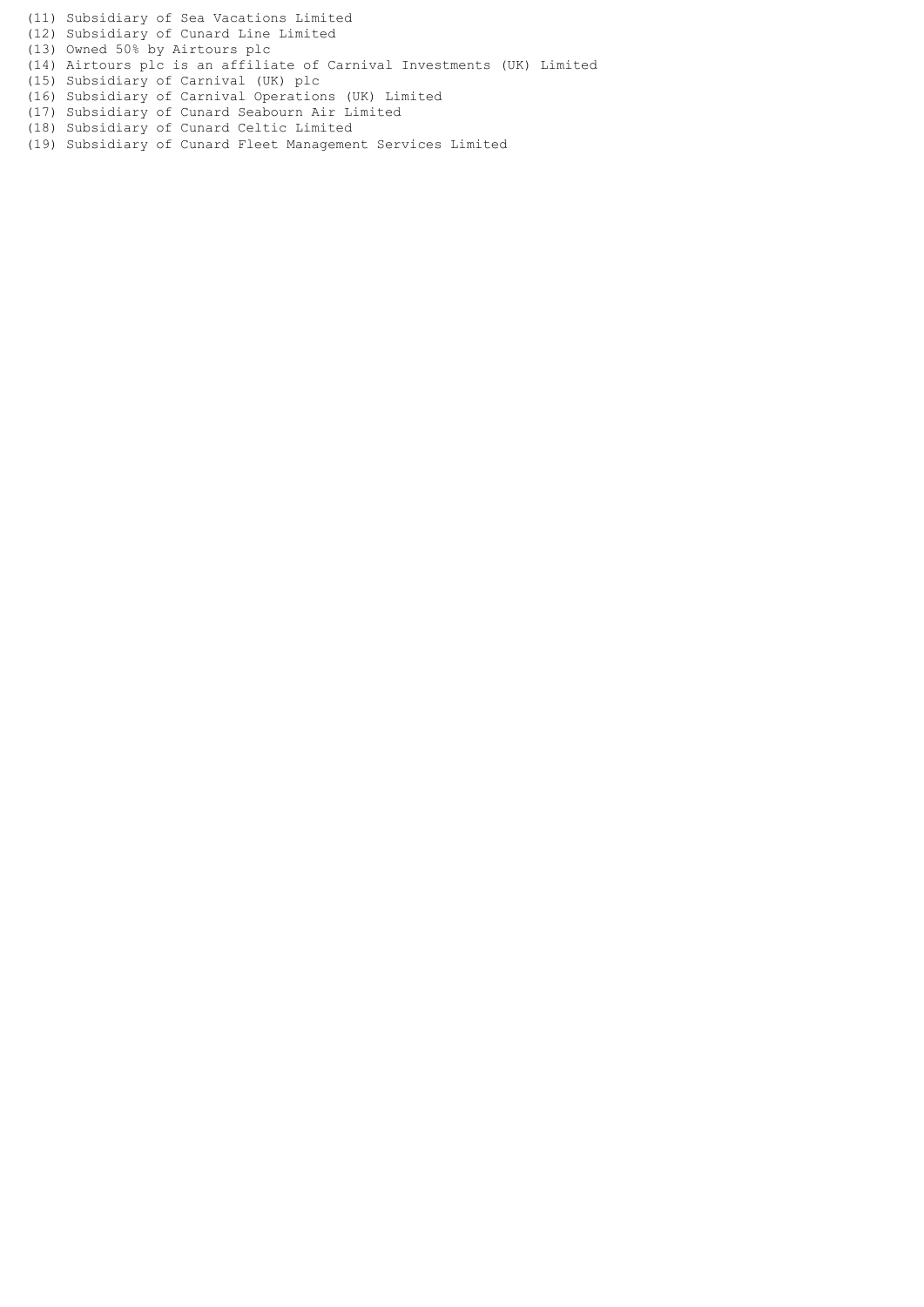(11) Subsidiary of Sea Vacations Limited

(12) Subsidiary of Cunard Line Limited

(13) Owned 50% by Airtours plc

- (14) Airtours plc is an affiliate of Carnival Investments (UK) Limited
- (15) Subsidiary of Carnival (UK) plc
- (16) Subsidiary of Carnival Operations (UK) Limited
- (17) Subsidiary of Cunard Seabourn Air Limited
- (18) Subsidiary of Cunard Celtic Limited
- (19) Subsidiary of Cunard Fleet Management Services Limited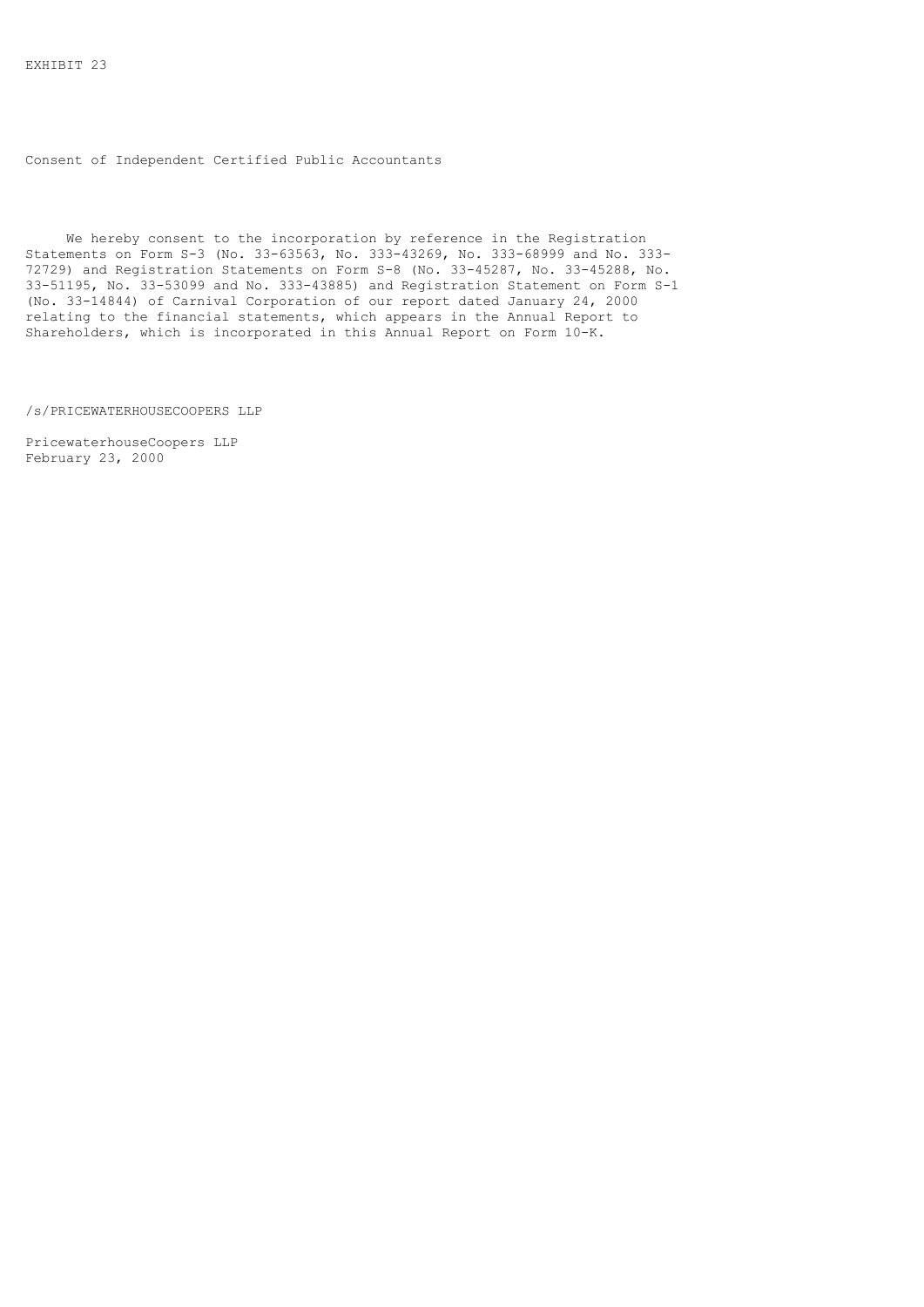Consent of Independent Certified Public Accountants

 We hereby consent to the incorporation by reference in the Registration Statements on Form S-3 (No. 33-63563, No. 333-43269, No. 333-68999 and No. 333- 72729) and Registration Statements on Form S-8 (No. 33-45287, No. 33-45288, No. 33-51195, No. 33-53099 and No. 333-43885) and Registration Statement on Form S-1 (No. 33-14844) of Carnival Corporation of our report dated January 24, 2000 relating to the financial statements, which appears in the Annual Report to Shareholders, which is incorporated in this Annual Report on Form 10-K.

/s/PRICEWATERHOUSECOOPERS LLP

PricewaterhouseCoopers LLP February 23, 2000